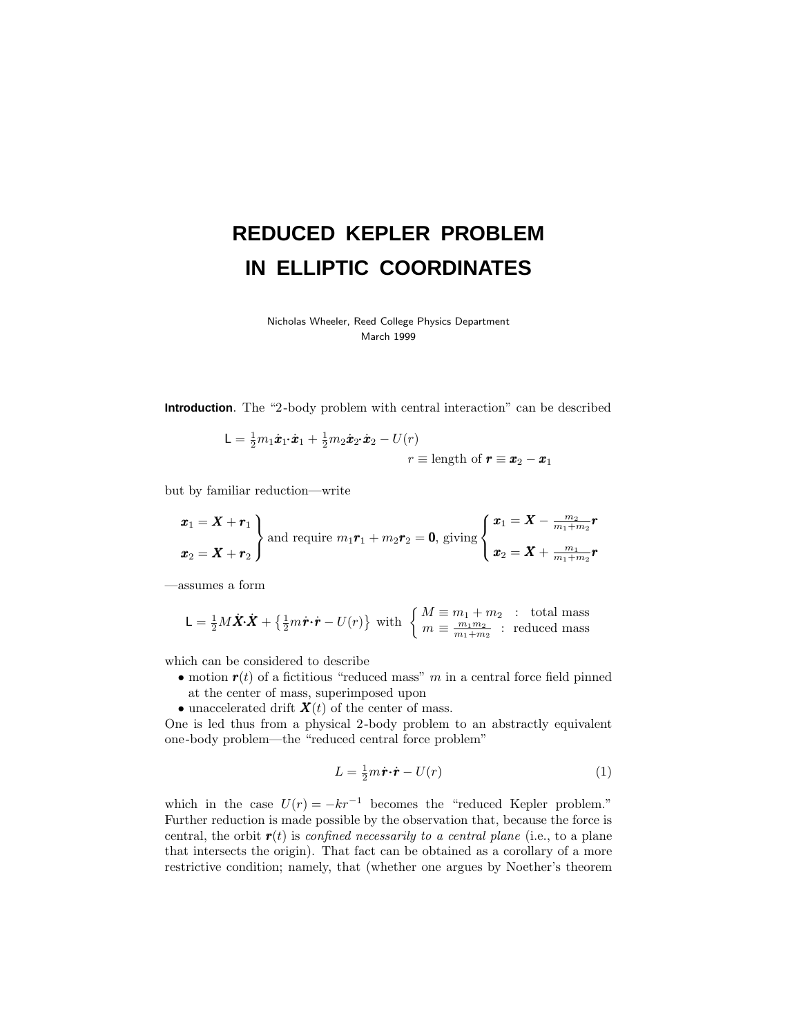# **REDUCED KEPLER PROBLEM IN ELLIPTIC COORDINATES**

Nicholas Wheeler, Reed College Physics Department March 1999

**Introduction**. The "2-body problem with central interaction" can be described

$$
\mathsf{L} = \frac{1}{2}m_1\dot{x}_1\cdot\dot{x}_1 + \frac{1}{2}m_2\dot{x}_2\cdot\dot{x}_2 - U(r)
$$

$$
r \equiv \text{length of } \mathbf{r} \equiv \mathbf{x}_2 - \mathbf{x}_1
$$

but by familiar reduction—write

$$
\begin{aligned}\nx_1 &= X + r_1 \\
x_2 &= X + r_2\n\end{aligned}\n\left\{\n\begin{aligned}\n\text{and require } m_1 r_1 + m_2 r_2 &= 0, \text{ giving } \n\begin{cases}\n x_1 &= X - \frac{m_2}{m_1 + m_2} r \\
 x_2 &= X + \frac{m_1}{m_1 + m_2} r\n\end{cases}\n\right.
$$

 $-\!$ assumes a form

$$
\mathsf{L} = \frac{1}{2}M\dot{\mathbf{X}}\cdot\dot{\mathbf{X}} + \left\{\frac{1}{2}m\dot{\mathbf{r}}\cdot\dot{\mathbf{r}} - U(r)\right\} \text{ with } \begin{cases} M \equiv m_1 + m_2 & : \text{ total mass} \\ m \equiv \frac{m_1 m_2}{m_1 + m_2} & : \text{ reduced mass} \end{cases}
$$

which can be considered to describe

- motion  $r(t)$  of a fictitious "reduced mass" *m* in a central force field pinned at the center of mass, superimposed upon
- unaccelerated drift  $\mathbf{X}(t)$  of the center of mass.

One is led thus from a physical 2-body problem to an abstractly equivalent one-body problem—the "reduced central force problem"

$$
L = \frac{1}{2}m\dot{r}\cdot\dot{r} - U(r) \tag{1}
$$

which in the case  $U(r) = -kr^{-1}$  becomes the "reduced Kepler problem." Further reduction is made possible by the observation that, because the force is central, the orbit  $r(t)$  is *confined necessarily to a central plane* (i.e., to a plane that intersects the origin). That fact can be obtained as a corollary of a more restrictive condition; namely, that (whether one argues by Noether's theorem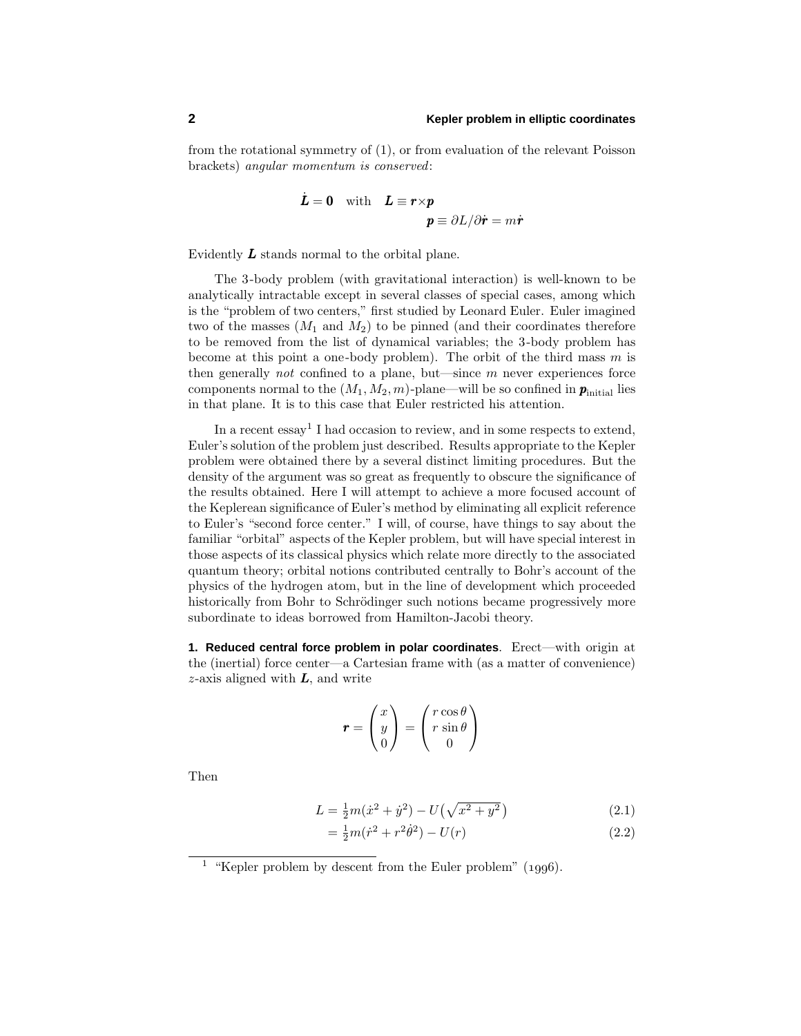#### **2 Kepler problem in elliptic coordinates**

from the rotational symmetry of (1), or from evaluation of the relevant Poisson brackets) angular momentum is conserved:

$$
\dot{\mathbf{L}} = \mathbf{0}
$$
 with  $\mathbf{L} \equiv \mathbf{r} \times \mathbf{p}$   
 $\mathbf{p} \equiv \partial L / \partial \dot{\mathbf{r}} = m\dot{\mathbf{r}}$ 

Evidently *L* stands normal to the orbital plane.

The 3-body problem (with gravitational interaction) is well-known to be analytically intractable except in several classes of special cases, among which is the "problem of two centers," first studied by Leonard Euler. Euler imagined two of the masses  $(M_1 \text{ and } M_2)$  to be pinned (and their coordinates therefore to be removed from the list of dynamical variables; the 3-body problem has become at this point a one-body problem). The orbit of the third mass *m* is then generally not confined to a plane, but—since *m* never experiences force components normal to the  $(M_1, M_2, m)$ -plane—will be so confined in  $p_{initial}$  lies in that plane. It is to this case that Euler restricted his attention.

In a recent essay<sup>1</sup> I had occasion to review, and in some respects to extend, Euler's solution of the problem just described. Results appropriate to the Kepler problem were obtained there by a several distinct limiting procedures. But the density of the argument was so great as frequently to obscure the significance of the results obtained. Here I will attempt to achieve a more focused account of the Keplerean significance of Euler's method by eliminating all explicit reference to Euler's "second force center." I will, of course, have things to say about the familiar "orbital" aspects of the Kepler problem, but will have special interest in those aspects of its classical physics which relate more directly to the associated quantum theory; orbital notions contributed centrally to Bohr's account of the physics of the hydrogen atom, but in the line of development which proceeded historically from Bohr to Schrödinger such notions became progressively more subordinate to ideas borrowed from Hamilton-Jacobi theory.

**1. Reduced central force problem in polar coordinates**. Erect—with origin at the (inertial) force center—a Cartesian frame with (as a matter of convenience) *z*-axis aligned with *L*, and write

$$
\boldsymbol{r} = \begin{pmatrix} x \\ y \\ 0 \end{pmatrix} = \begin{pmatrix} r \cos \theta \\ r \sin \theta \\ 0 \end{pmatrix}
$$

Then

$$
L = \frac{1}{2}m(\dot{x}^2 + \dot{y}^2) - U(\sqrt{x^2 + y^2})
$$
\n(2.1)

$$
= \frac{1}{2}m(\dot{r}^2 + r^2\dot{\theta}^2) - U(r) \tag{2.2}
$$

<sup>&</sup>lt;sup>1</sup> "Kepler problem by descent from the Euler problem" ( $1996$ ).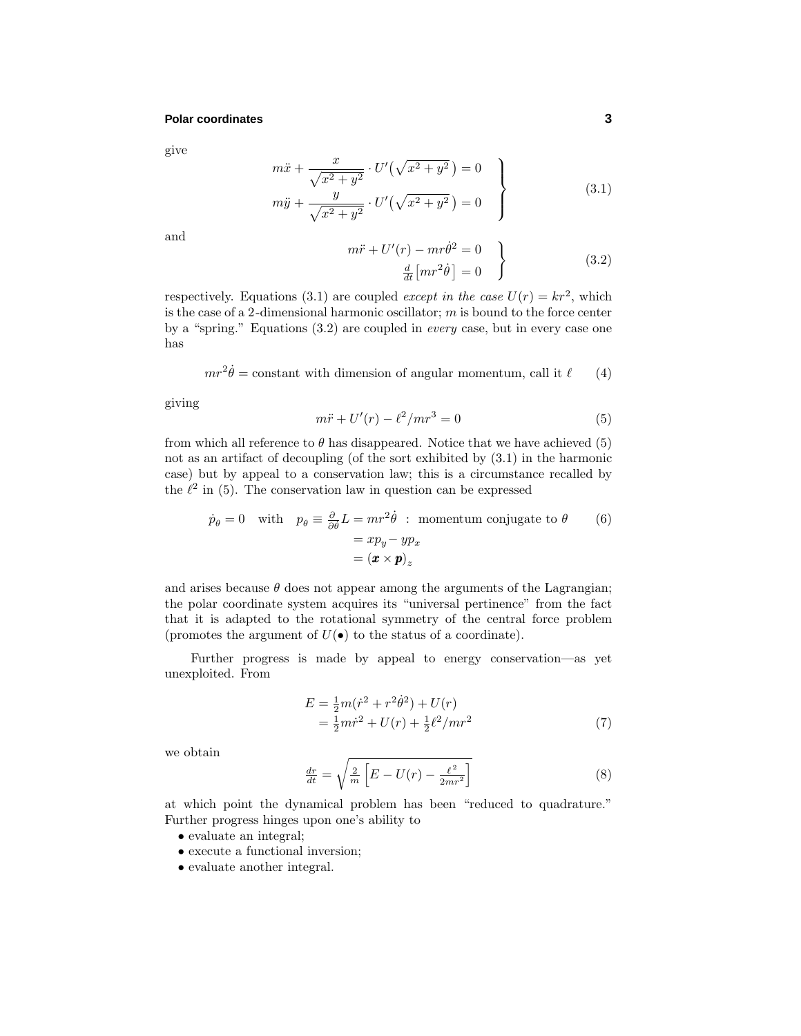#### **Polar coordinates 3**

give

$$
m\ddot{x} + \frac{x}{\sqrt{x^2 + y^2}} \cdot U'(\sqrt{x^2 + y^2}) = 0
$$
  
\n
$$
m\ddot{y} + \frac{y}{\sqrt{x^2 + y^2}} \cdot U'(\sqrt{x^2 + y^2}) = 0
$$
\n(3.1)

and

$$
m\ddot{r} + U'(r) - mr\dot{\theta}^2 = 0
$$
  

$$
\frac{d}{dt} [mr^2 \dot{\theta}] = 0
$$
 (3.2)

respectively. Equations (3.1) are coupled *except in the case*  $U(r) = kr^2$ , which is the case of a 2-dimensional harmonic oscillator; *m* is bound to the force center by a "spring." Equations (3.2) are coupled in every case, but in every case one has

$$
mr^2\theta = \text{constant with dimension of angular momentum, call it } \ell \qquad (4)
$$

giving

$$
m\ddot{r} + U'(r) - \ell^2 / m r^3 = 0 \tag{5}
$$

from which all reference to  $\theta$  has disappeared. Notice that we have achieved (5) not as an artifact of decoupling (of the sort exhibited by (3.1) in the harmonic case) but by appeal to a conservation law; this is a circumstance recalled by the  $\ell^2$  in (5). The conservation law in question can be expressed

$$
\dot{p}_{\theta} = 0 \quad \text{with} \quad p_{\theta} \equiv \frac{\partial}{\partial \theta} L = mr^2 \dot{\theta} \quad \text{: momentum conjugate to } \theta \tag{6}
$$
\n
$$
= xp_y - yp_x
$$
\n
$$
= (\boldsymbol{x} \times \boldsymbol{p})_z
$$

and arises because  $\theta$  does not appear among the arguments of the Lagrangian; the polar coordinate system acquires its "universal pertinence" from the fact that it is adapted to the rotational symmetry of the central force problem (promotes the argument of  $U(\bullet)$  to the status of a coordinate).

Further progress is made by appeal to energy conservation—as yet unexploited. From

$$
E = \frac{1}{2}m(\dot{r}^2 + r^2\dot{\theta}^2) + U(r)
$$
  
=  $\frac{1}{2}m\dot{r}^2 + U(r) + \frac{1}{2}\ell^2/mr^2$  (7)

we obtain

$$
\frac{dr}{dt} = \sqrt{\frac{2}{m} \left[ E - U(r) - \frac{\ell^2}{2mr^2} \right]}
$$
\n(8)

at which point the dynamical problem has been "reduced to quadrature." Further progress hinges upon one's ability to

- evaluate an integral;
- execute a functional inversion;
- evaluate another integral.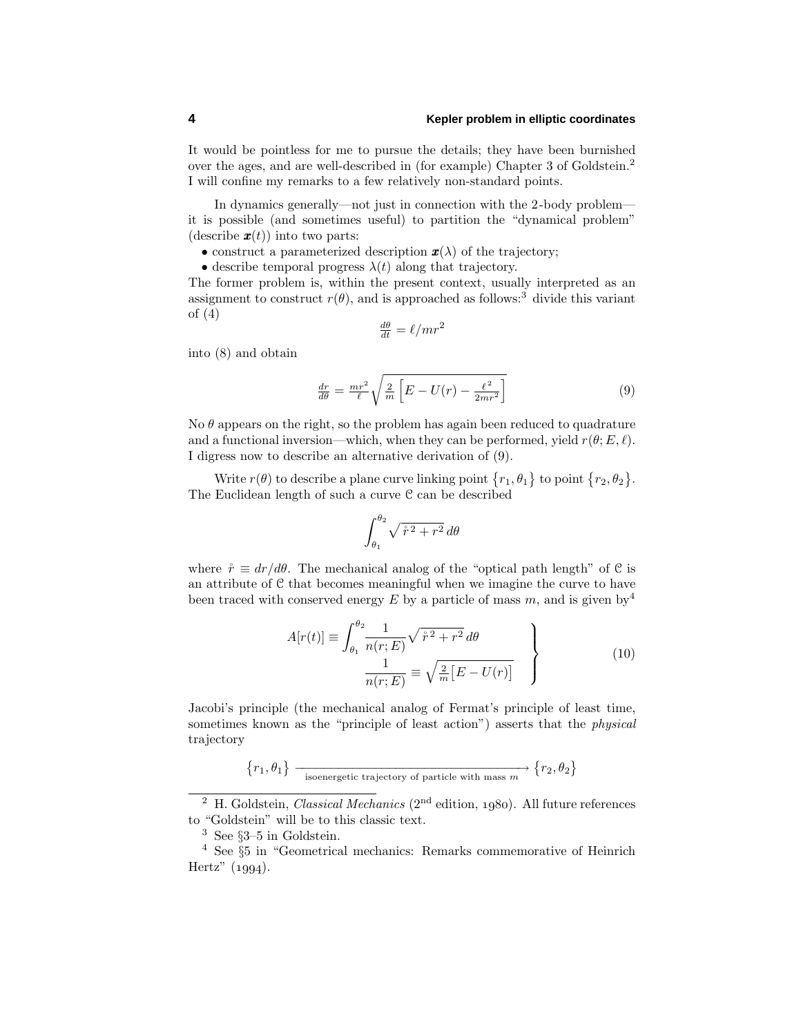#### **4 Kepler problem in elliptic coordinates**

It would be pointless for me to pursue the details; they have been burnished over the ages, and are well-described in (for example) Chapter 3 of Goldstein.<sup>2</sup> I will confine my remarks to a few relatively non-standard points.

In dynamics generally—not just in connection with the 2-body problem it is possible (and sometimes useful) to partition the "dynamical problem" (describe  $\boldsymbol{x}(t)$ ) into two parts:

• construct a parameterized description  $\mathbf{x}(\lambda)$  of the trajectory;

• describe temporal progress  $\lambda(t)$  along that trajectory.

The former problem is, within the present context, usually interpreted as an assignment to construct  $r(\theta)$ , and is approached as follows:<sup>3</sup> divide this variant of (4)

$$
\frac{d\theta}{dt} = \ell/mr^2
$$

into (8) and obtain

$$
\frac{dr}{d\theta} = \frac{mr^2}{\ell} \sqrt{\frac{2}{m} \left[ E - U(r) - \frac{\ell^2}{2mr^2} \right]}
$$
(9)

No  $\theta$  appears on the right, so the problem has again been reduced to quadrature and a functional inversion—which, when they can be performed, yield  $r(\theta; E, \ell)$ . I digress now to describe an alternative derivation of (9).

Write  $r(\theta)$  to describe a plane curve linking point  $\{r_1, \theta_1\}$  to point  $\{r_2, \theta_2\}$ . The Euclidean length of such a curve  $\mathcal C$  can be described

$$
\int_{\theta_1}^{\theta_2} \sqrt{\mathring{r}^2 + r^2} \, d\theta
$$

where  $\mathring{r} \equiv dr/d\theta$ . The mechanical analog of the "optical path length" of C is an attribute of C that becomes meaningful when we imagine the curve to have been traced with conserved energy  $E$  by a particle of mass  $m$ , and is given by<sup>4</sup>

$$
A[r(t)] \equiv \int_{\theta_1}^{\theta_2} \frac{1}{n(r;E)} \sqrt{\mathring{r}^2 + r^2} d\theta
$$

$$
\frac{1}{n(r;E)} \equiv \sqrt{\frac{2}{m} [E - U(r)]}
$$
(10)

Jacobi's principle (the mechanical analog of Fermat's principle of least time, sometimes known as the "principle of least action") asserts that the *physical* trajectory

$$
\left\{ r_{1},\theta_{1}\right\} \xrightarrow[\text{isometric trajectory of particle with mass }m]{} \left\{ r_{2},\theta_{2}\right\}
$$

<sup>&</sup>lt;sup>2</sup> H. Goldstein, *Classical Mechanics* ( $2<sup>nd</sup>$  edition, 1980). All future references to "Goldstein" will be to this classic text.

 $^3$  See  $\S 3-5$  in Goldstein.

<sup>4</sup> See §5 in "Geometrical mechanics: Remarks commemorative of Heinrich Hertz"  $(1994)$ .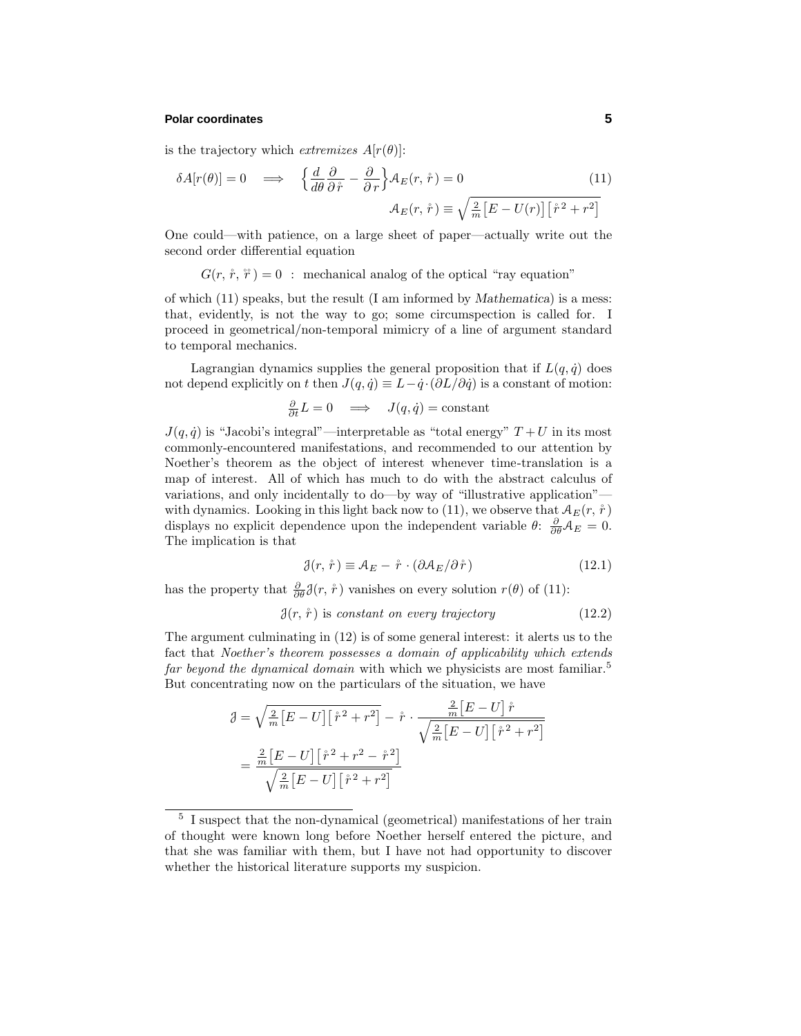#### **Polar coordinates 5**

is the trajectory which *extremizes*  $A[r(\theta)]$ :

$$
\delta A[r(\theta)] = 0 \implies \left\{ \frac{d}{d\theta} \frac{\partial}{\partial \dot{r}} - \frac{\partial}{\partial r} \right\} A_E(r, \dot{r}) = 0 \tag{11}
$$
\n
$$
A_E(r, \dot{r}) \equiv \sqrt{\frac{2}{m} \left[ E - U(r) \right] \left[ \dot{r}^2 + r^2 \right]}
$$

One could—with patience, on a large sheet of paper—actually write out the second order differential equation

 $G(r, \dot{r}, \ddot{r}) = 0$ : mechanical analog of the optical "ray equation"

of which (11) speaks, but the result (I am informed by *Mathematica*) is a mess: that, evidently, is not the way to go; some circumspection is called for. I proceed in geometrical/non-temporal mimicry of a line of argument standard to temporal mechanics.

Lagrangian dynamics supplies the general proposition that if  $L(q, \dot{q})$  does not depend explicitly on *t* then  $J(q, \dot{q}) \equiv L - \dot{q} \cdot (\partial L / \partial \dot{q})$  is a constant of motion:

$$
\frac{\partial}{\partial t}L = 0 \implies J(q, \dot{q}) = \text{constant}
$$

 $J(q, \dot{q})$  is "Jacobi's integral"—interpretable as "total energy"  $T + U$  in its most commonly-encountered manifestations, and recommended to our attention by Noether's theorem as the object of interest whenever time-translation is a map of interest. All of which has much to do with the abstract calculus of variations, and only incidentally to do—by way of "illustrative application" with dynamics. Looking in this light back now to (11), we observe that  $A_E(r, \hat{r})$ displays no explicit dependence upon the independent variable  $\theta$ :  $\frac{\partial}{\partial \theta} A_E = 0$ . The implication is that

$$
\mathcal{J}(r, \mathring{r}) \equiv \mathcal{A}_E - \mathring{r} \cdot (\partial \mathcal{A}_E / \partial \mathring{r}) \tag{12.1}
$$

has the property that  $\frac{\partial}{\partial \theta} \mathcal{J}(r, \dot{r})$  vanishes on every solution  $r(\theta)$  of (11):

$$
\mathcal{J}(r, \mathring{r}) \text{ is constant on every trajectory} \tag{12.2}
$$

The argument culminating in (12) is of some general interest: it alerts us to the fact that Noether's theorem possesses a domain of applicability which extends far beyond the dynamical domain with which we physicists are most familiar.<sup>5</sup> But concentrating now on the particulars of the situation, we have

$$
\mathcal{J} = \sqrt{\frac{2}{m} \left[E - U\right] \left[\dot{r}^2 + r^2\right]} - \mathcal{r} \cdot \frac{\frac{2}{m} \left[E - U\right] \dot{r}}{\sqrt{\frac{2}{m} \left[E - U\right] \left[\dot{r}^2 + r^2\right]}}
$$
\n
$$
= \frac{\frac{2}{m} \left[E - U\right] \left[\dot{r}^2 + r^2 - \dot{r}^2\right]}{\sqrt{\frac{2}{m} \left[E - U\right] \left[\dot{r}^2 + r^2\right]}}
$$

<sup>&</sup>lt;sup>5</sup> I suspect that the non-dynamical (geometrical) manifestations of her train of thought were known long before Noether herself entered the picture, and that she was familiar with them, but I have not had opportunity to discover whether the historical literature supports my suspicion.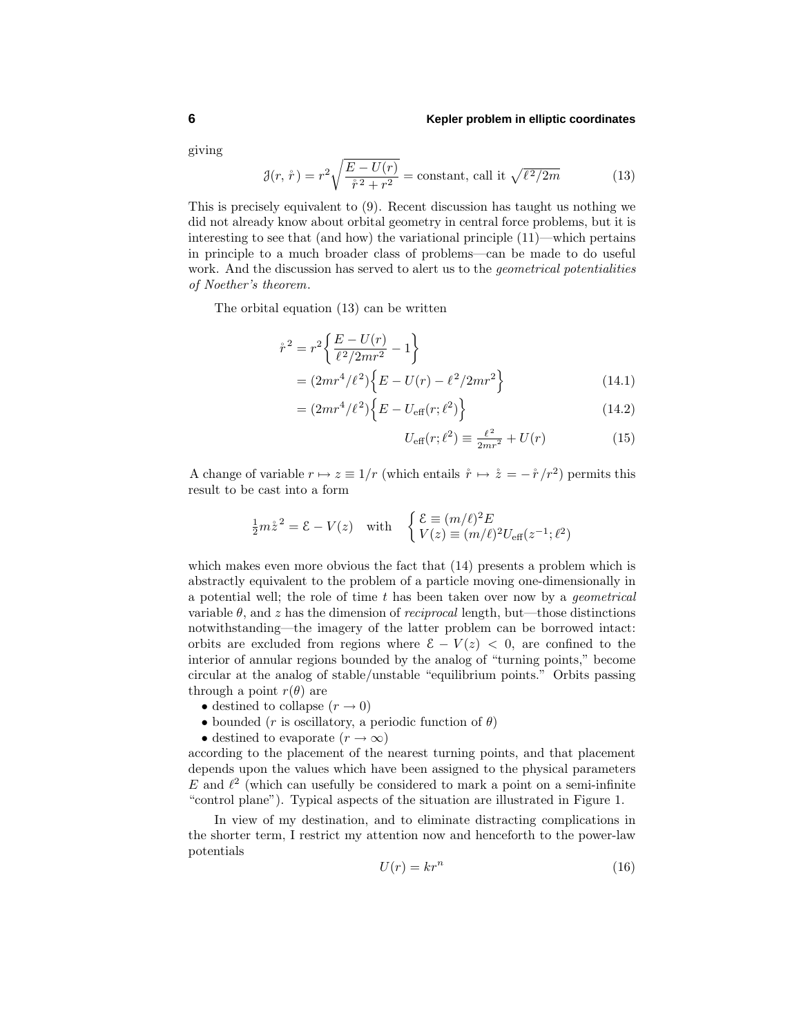#### **6 Kepler problem in elliptic coordinates**

giving

$$
\mathcal{J}(r, \mathring{r}) = r^2 \sqrt{\frac{E - U(r)}{\mathring{r}^2 + r^2}} = \text{constant, call it } \sqrt{\ell^2 / 2m} \tag{13}
$$

This is precisely equivalent to (9). Recent discussion has taught us nothing we did not already know about orbital geometry in central force problems, but it is interesting to see that (and how) the variational principle (11)—which pertains in principle to a much broader class of problems—can be made to do useful work. And the discussion has served to alert us to the *geometrical potentialities* of Noether's theorem.

The orbital equation (13) can be written

$$
\tilde{r}^2 = r^2 \left\{ \frac{E - U(r)}{\ell^2 / 2mr^2} - 1 \right\}
$$
  
=  $(2mr^4/\ell^2) \left\{ E - U(r) - \ell^2 / 2mr^2 \right\}$  (14.1)

$$
= (2mr^4/\ell^2) \Big\{ E - U_{\text{eff}}(r;\ell^2) \Big\}
$$
 (14.2)

$$
U_{\text{eff}}(r;\ell^2) \equiv \frac{\ell^2}{2mr^2} + U(r) \tag{15}
$$

A change of variable  $r \mapsto z \equiv 1/r$  (which entails  $\mathring{r} \mapsto \mathring{z} = -\mathring{r}/r^2$ ) permits this result to be cast into a form

$$
\frac{1}{2}m\dot{z}^2 = \mathcal{E} - V(z) \quad \text{with} \quad \begin{cases} \mathcal{E} \equiv (m/\ell)^2 E \\ V(z) \equiv (m/\ell)^2 U_{\text{eff}}(z^{-1}; \ell^2) \end{cases}
$$

which makes even more obvious the fact that (14) presents a problem which is abstractly equivalent to the problem of a particle moving one-dimensionally in a potential well; the role of time *t* has been taken over now by a geometrical variable  $\theta$ , and  $z$  has the dimension of *reciprocal* length, but—those distinctions notwithstanding—the imagery of the latter problem can be borrowed intact: orbits are excluded from regions where  $\mathcal{E} - V(z) < 0$ , are confined to the interior of annular regions bounded by the analog of "turning points," become circular at the analog of stable/unstable "equilibrium points." Orbits passing through a point  $r(\theta)$  are

- destined to collapse  $(r \rightarrow 0)$
- bounded (*r* is oscillatory, a periodic function of *θ*)
- destined to evaporate  $(r \to \infty)$

according to the placement of the nearest turning points, and that placement depends upon the values which have been assigned to the physical parameters  $E$  and  $\ell^2$  (which can usefully be considered to mark a point on a semi-infinite "control plane"). Typical aspects of the situation are illustrated in Figure 1.

In view of my destination, and to eliminate distracting complications in the shorter term, I restrict my attention now and henceforth to the power-law potentials

$$
U(r) = kr^n \tag{16}
$$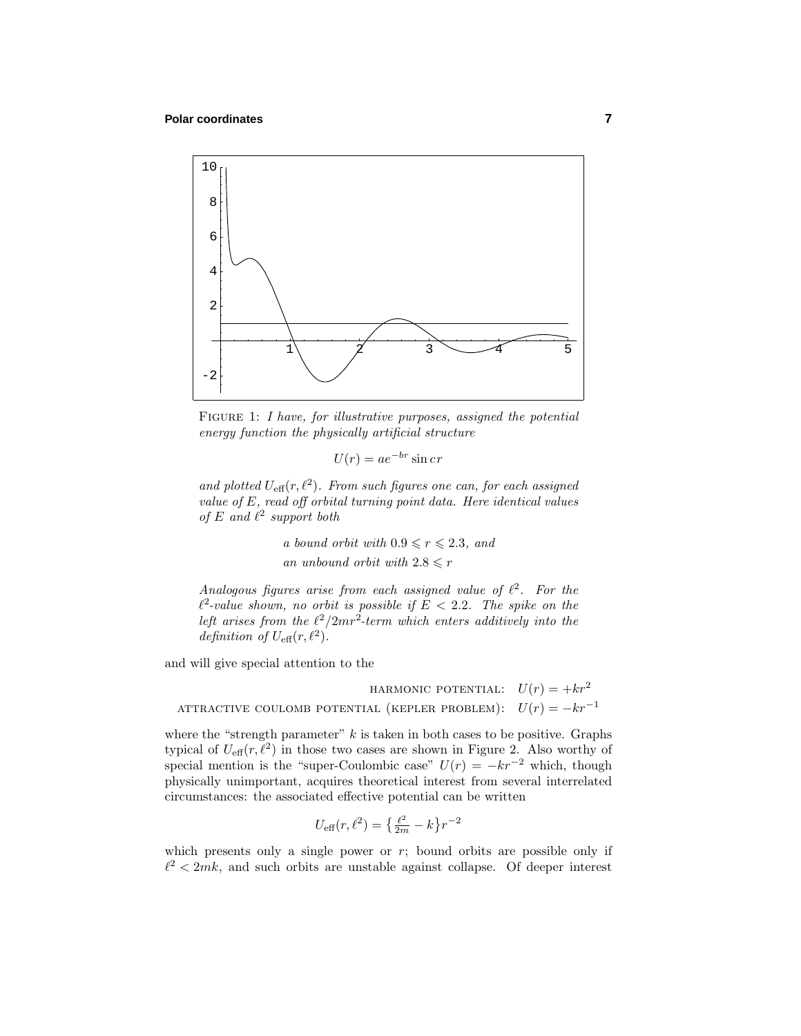

FIGURE 1: I have, for illustrative purposes, assigned the potential energy function the physically artificial structure

$$
U(r) = ae^{-br}\sin cr
$$

and plotted  $U_{\text{eff}}(r,\ell^2)$ . From such figures one can, for each assigned value of  $E$ , read off orbital turning point data. Here identical values of  $E$  and  $\ell^2$  support both

> a bound orbit with  $0.9 \le r \le 2.3$ , and an unbound orbit with  $2.8 \leq r$

Analogous figures arise from each assigned value of  $\ell^2$ . For the  $\ell^2$ -value shown, no orbit is possible if  $E < 2.2$ . The spike on the left arises from the  $\ell^2/2mr^2$ -term which enters additively into the definition of  $U_{\text{eff}}(r,\ell^2)$ .

and will give special attention to the

HARMONIC POTENTIAL:  $U(r) = +kr^2$ ATTRACTIVE COULOMB POTENTIAL (KEPLER PROBLEM):  $U(r) = -kr^{-1}$ 

where the "strength parameter" *k* is taken in both cases to be positive. Graphs typical of  $U_{\text{eff}}(r,\ell^2)$  in those two cases are shown in Figure 2. Also worthy of special mention is the "super-Coulombic case"  $U(r) = -kr^{-2}$  which, though physically unimportant, acquires theoretical interest from several interrelated circumstances: the associated effective potential can be written

$$
U_{\text{eff}}(r,\ell^2) = \left\{\tfrac{\ell^2}{2m} - k\right\} r^{-2}
$$

which presents only a single power or  $r$ ; bound orbits are possible only if  $l^2$  < 2*mk*, and such orbits are unstable against collapse. Of deeper interest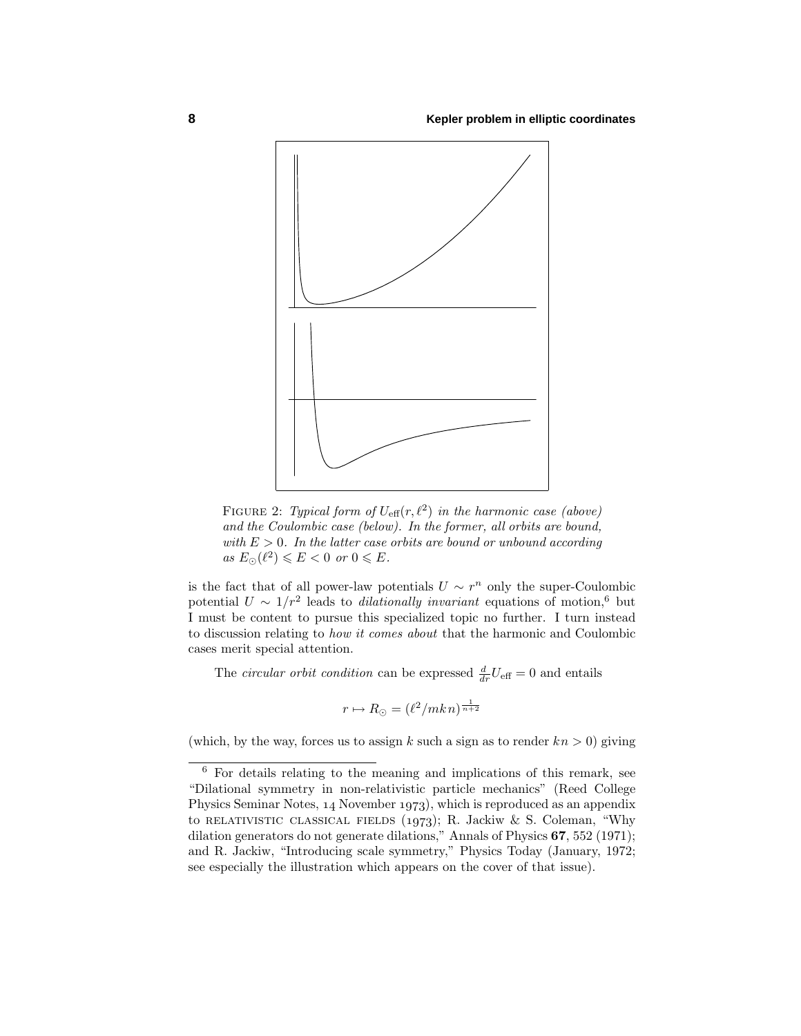

FIGURE 2: Typical form of  $U_{\text{eff}}(r,\ell^2)$  in the harmonic case (above) and the Coulombic case (below). In the former, all orbits are bound, with  $E > 0$ . In the latter case orbits are bound or unbound according as  $E_{\odot}(\ell^2) \leqslant E < 0$  or  $0 \leqslant E$ .

is the fact that of all power-law potentials  $U \sim r^n$  only the super-Coulombic potential  $U \sim 1/r^2$  leads to *dilationally invariant* equations of motion,<sup>6</sup> but I must be content to pursue this specialized topic no further. I turn instead to discussion relating to how it comes about that the harmonic and Coulombic cases merit special attention.

The *circular orbit condition* can be expressed  $\frac{d}{dr}U_{\text{eff}} = 0$  and entails

$$
r \mapsto R_{\odot} = (\ell^2/mkn)^{\frac{1}{n+2}}
$$

(which, by the way, forces us to assign  $k$  such a sign as to render  $kn > 0$ ) giving

 $6$  For details relating to the meaning and implications of this remark, see "Dilational symmetry in non-relativistic particle mechanics" (Reed College Physics Seminar Notes,  $14$  November  $1973$ , which is reproduced as an appendix to RELATIVISTIC CLASSICAL FIELDS (1973); R. Jackiw & S. Coleman, "Why dilation generators do not generate dilations," Annals of Physics **67**, 552 (1971); and R. Jackiw, "Introducing scale symmetry," Physics Today (January, 1972; see especially the illustration which appears on the cover of that issue).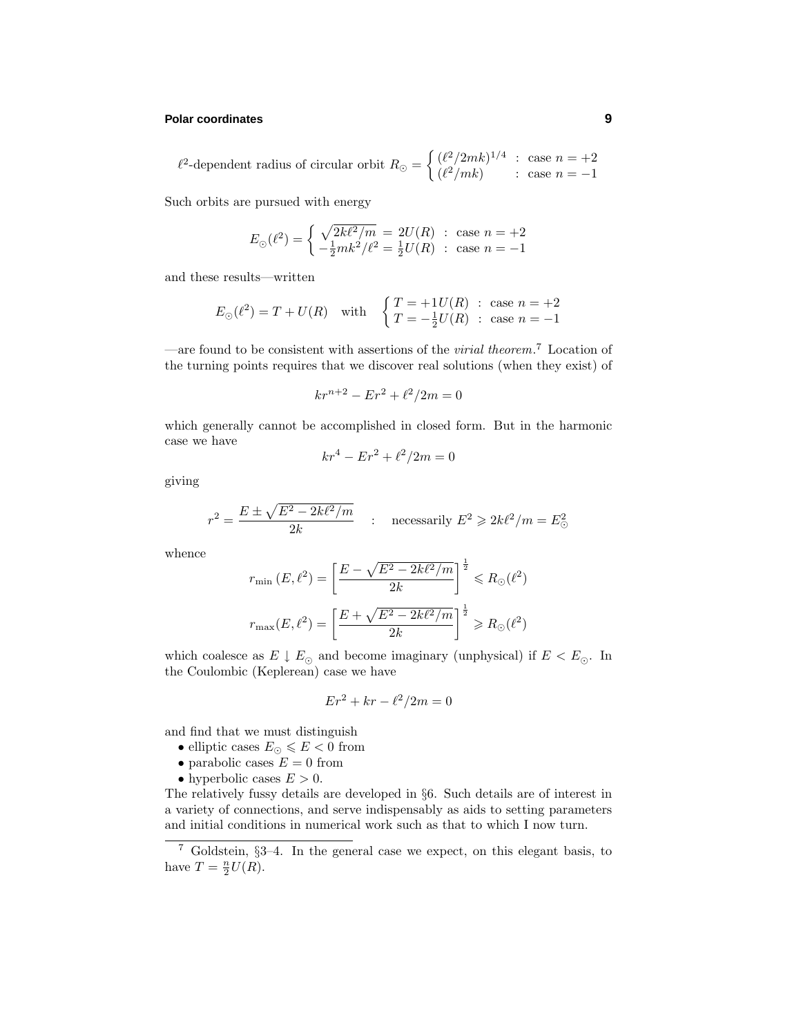#### **Polar coordinates 9**

 $\ell^2$ -dependent radius of circular orbit  $R_{\odot} = \begin{cases} (\ell^2/2mk)^{1/4} & : \text{case } n = +2 \\ (\ell^2/mk) & : \text{case } n = -1 \end{cases}$  $(\ell^2/mk)$  : case  $n=-1$ 

Such orbits are pursued with energy

$$
E_{\odot}(\ell^2) = \begin{cases} \sqrt{2k\ell^2/m} = 2U(R) : \text{ case } n = +2\\ -\frac{1}{2}mk^2/\ell^2 = \frac{1}{2}U(R) : \text{ case } n = -1 \end{cases}
$$

and these results—written

$$
E_{\odot}(\ell^2) = T + U(R)
$$
 with  $\begin{cases} T = +1U(R) : \text{ case } n = +2 \\ T = -\frac{1}{2}U(R) : \text{ case } n = -1 \end{cases}$ 

—are found to be consistent with assertions of the virial theorem. <sup>7</sup> Location of the turning points requires that we discover real solutions (when they exist) of

$$
kr^{n+2} - Er^2 + \ell^2/2m = 0
$$

which generally cannot be accomplished in closed form. But in the harmonic case we have

$$
kr^4 - Er^2 + \ell^2/2m = 0
$$

giving

$$
r^2 = \frac{E \pm \sqrt{E^2 - 2k\ell^2/m}}{2k}
$$
: necessary  $E^2 \ge 2k\ell^2/m = E^2_{\odot}$ 

whence

$$
r_{\min}(E, \ell^2) = \left[\frac{E - \sqrt{E^2 - 2k\ell^2/m}}{2k}\right]^{\frac{1}{2}} \le R_{\odot}(\ell^2)
$$

$$
r_{\max}(E, \ell^2) = \left[\frac{E + \sqrt{E^2 - 2k\ell^2/m}}{2k}\right]^{\frac{1}{2}} \ge R_{\odot}(\ell^2)
$$

which coalesce as  $E \downarrow E_{\odot}$  and become imaginary (unphysical) if  $E < E_{\odot}$ . In the Coulombic (Keplerean) case we have

$$
Er^2 + kr - \ell^2/2m = 0
$$

and find that we must distinguish

- elliptic cases  $E_{\odot} \leqslant E < 0$  from
- parabolic cases  $E = 0$  from
- hyperbolic cases  $E > 0$ .

The relatively fussy details are developed in §6. Such details are of interest in a variety of connections, and serve indispensably as aids to setting parameters and initial conditions in numerical work such as that to which I now turn.

<sup>7</sup> Goldstein, §3–4. In the general case we expect, on this elegant basis, to have  $T = \frac{n}{2}U(R)$ .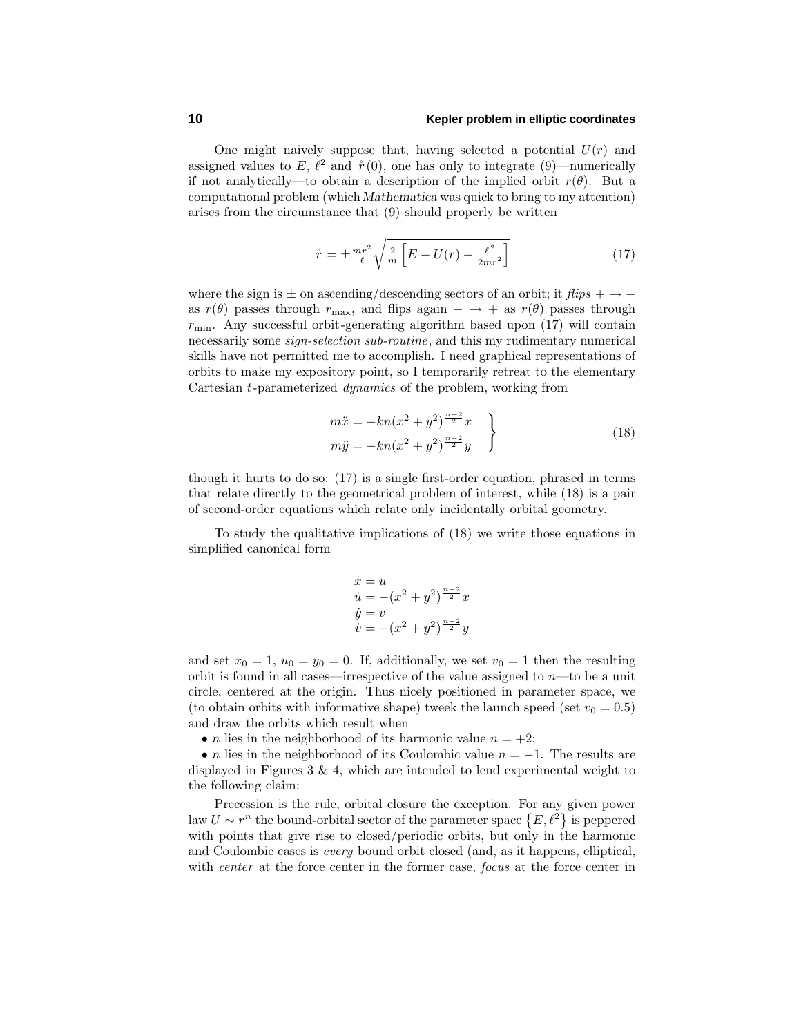#### **10 Kepler problem in elliptic coordinates**

One might naively suppose that, having selected a potential  $U(r)$  and assigned values to  $E, \ell^2$  and  $\dot{r}(0)$ , one has only to integrate (9)—numerically if not analytically—to obtain a description of the implied orbit  $r(\theta)$ . But a computational problem (which*Mathematica* was quick to bring to my attention) arises from the circumstance that (9) should properly be written

$$
\mathring{r} = \pm \frac{mr^2}{\ell} \sqrt{\frac{2}{m} \left[ E - U(r) - \frac{\ell^2}{2mr^2} \right]}
$$
\n(17)

where the sign is  $\pm$  on ascending/descending sectors of an orbit; it flips +  $\rightarrow$  as  $r(\theta)$  passes through  $r_{\text{max}}$ , and flips again –  $\rightarrow$  + as  $r(\theta)$  passes through  $r_{\min}$ . Any successful orbit-generating algorithm based upon (17) will contain necessarily some *sign-selection sub-routine*, and this my rudimentary numerical skills have not permitted me to accomplish. I need graphical representations of orbits to make my expository point, so I temporarily retreat to the elementary Cartesian *t*-parameterized dynamics of the problem, working from

$$
m\ddot{x} = -kn(x^2 + y^2)^{\frac{n-2}{2}}x
$$
  
\n
$$
m\ddot{y} = -kn(x^2 + y^2)^{\frac{n-2}{2}}y
$$
\n(18)

though it hurts to do so: (17) is a single first-order equation, phrased in terms that relate directly to the geometrical problem of interest, while (18) is a pair of second-order equations which relate only incidentally orbital geometry.

To study the qualitative implications of (18) we write those equations in simplified canonical form

$$
\dot{x} = u \n\dot{u} = -(x^2 + y^2)^{\frac{n-2}{2}}x \n\dot{y} = v \n\dot{v} = -(x^2 + y^2)^{\frac{n-2}{2}}y
$$

and set  $x_0 = 1$ ,  $u_0 = y_0 = 0$ . If, additionally, we set  $v_0 = 1$  then the resulting orbit is found in all cases—irrespective of the value assigned to *n*—to be a unit circle, centered at the origin. Thus nicely positioned in parameter space, we (to obtain orbits with informative shape) tweek the launch speed (set  $v_0 = 0.5$ ) and draw the orbits which result when

• *n* lies in the neighborhood of its harmonic value  $n = +2$ ;

• *n* lies in the neighborhood of its Coulombic value  $n = -1$ . The results are displayed in Figures  $3 \& 4$ , which are intended to lend experimental weight to the following claim:

Precession is the rule, orbital closure the exception. For any given power law  $U \sim r^n$  the bound-orbital sector of the parameter space  $\{E, \ell^2\}$  is peppered with points that give rise to closed/periodic orbits, but only in the harmonic and Coulombic cases is every bound orbit closed (and, as it happens, elliptical, with *center* at the force center in the former case, *focus* at the force center in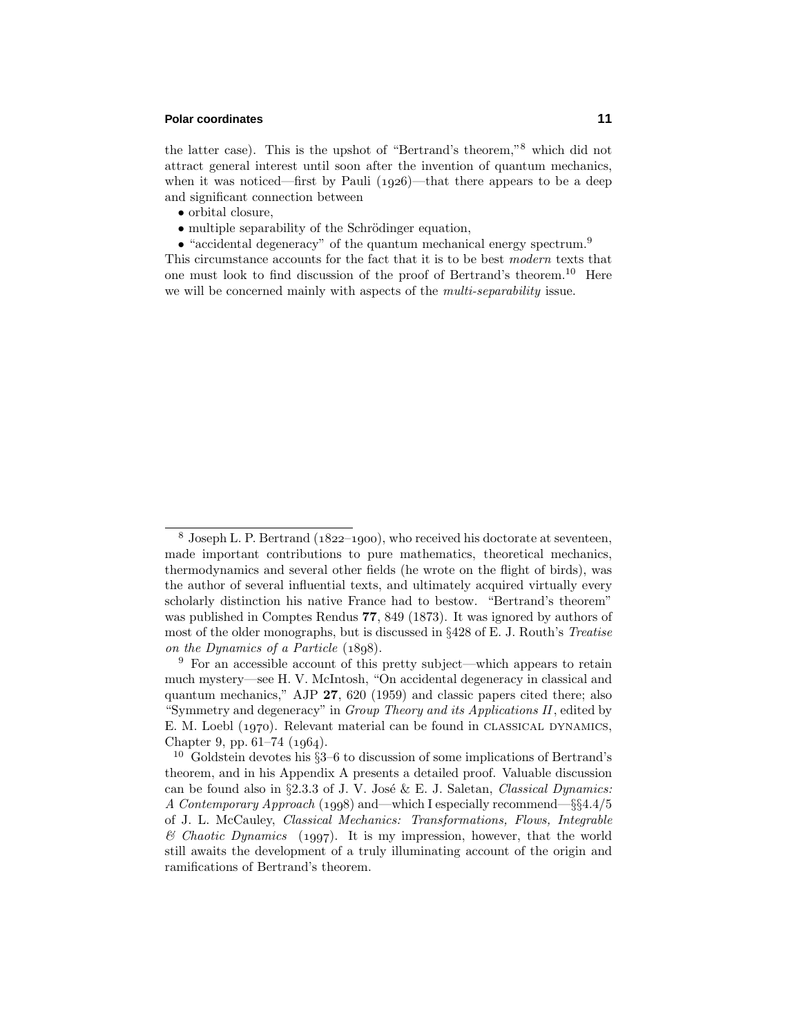#### **Polar coordinates 11**

the latter case). This is the upshot of "Bertrand's theorem,"<sup>8</sup> which did not attract general interest until soon after the invention of quantum mechanics, when it was noticed—first by Pauli  $(1926)$ —that there appears to be a deep and significant connection between

- orbital closure,
- $\bullet$  multiple separability of the Schrödinger equation,
- $\bullet$  "accidental degeneracy" of the quantum mechanical energy spectrum.<sup>9</sup>

This circumstance accounts for the fact that it is to be best modern texts that one must look to find discussion of the proof of Bertrand's theorem.<sup>10</sup> Here we will be concerned mainly with aspects of the *multi-separability* issue.

 $8$  Joseph L. P. Bertrand ( $1822-1900$ ), who received his doctorate at seventeen, made important contributions to pure mathematics, theoretical mechanics, thermodynamics and several other fields (he wrote on the flight of birds), was the author of several influential texts, and ultimately acquired virtually every scholarly distinction his native France had to bestow. "Bertrand's theorem" was published in Comptes Rendus **77**, 849 (1873). It was ignored by authors of most of the older monographs, but is discussed in §428 of E. J. Routh's Treatise on the Dynamics of a Particle  $(1898)$ .

<sup>9</sup> For an accessible account of this pretty subject—which appears to retain much mystery—see H. V. McIntosh, "On accidental degeneracy in classical and quantum mechanics," AJP **27**, 620 (1959) and classic papers cited there; also "Symmetry and degeneracy" in Group Theory and its Applications II, edited by E. M. Loebl  $(1970)$ . Relevant material can be found in CLASSICAL DYNAMICS, Chapter 9, pp.  $61-74$  ( $1964$ ).

 $10$  Goldstein devotes his  $\S3-6$  to discussion of some implications of Bertrand's theorem, and in his Appendix A presents a detailed proof. Valuable discussion can be found also in  $\S 2.3.3$  of J.V. José & E. J. Saletan, *Classical Dynamics:* A Contemporary Approach (1998) and—which I especially recommend—§§4.4/5 of J. L. McCauley, Classical Mechanics: Transformations, Flows, Integrable  $\mathscr$  Chaotic Dynamics (1997). It is my impression, however, that the world still awaits the development of a truly illuminating account of the origin and ramifications of Bertrand's theorem.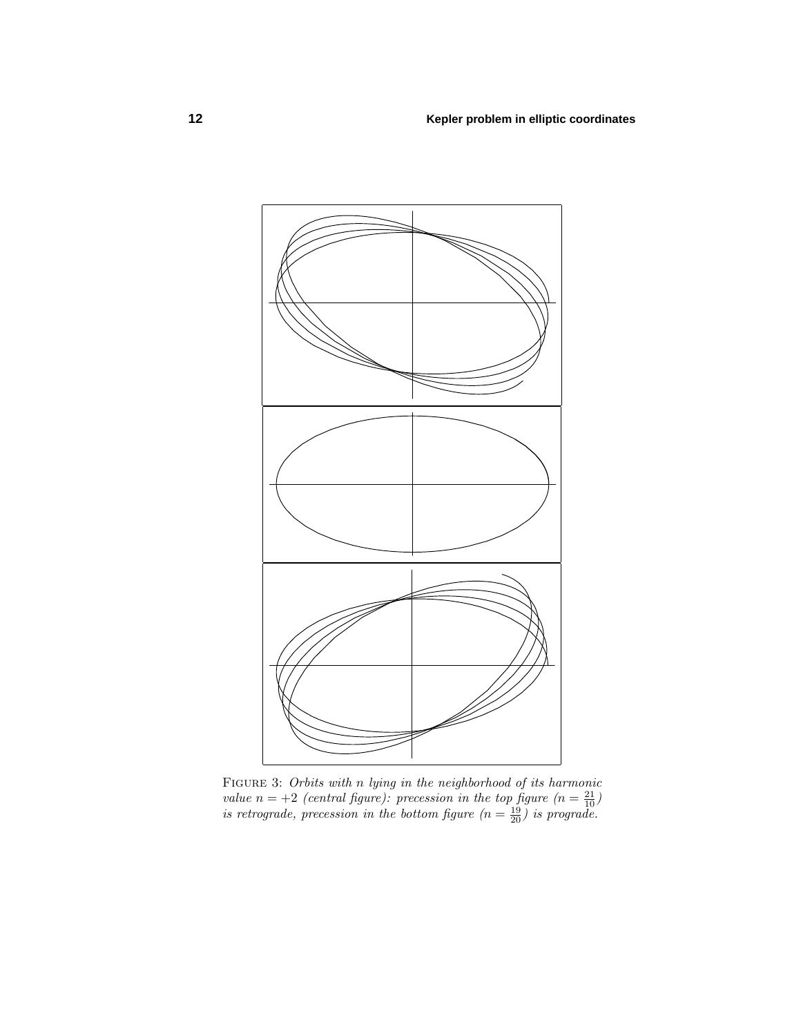

FIGURE 3: Orbits with *n* lying in the neighborhood of its harmonic value  $n = +2$  (central figure): precession in the top figure  $(n = \frac{21}{10})$ is retrograde, precession in the bottom figure  $(n = \frac{19}{20})$  is prograde.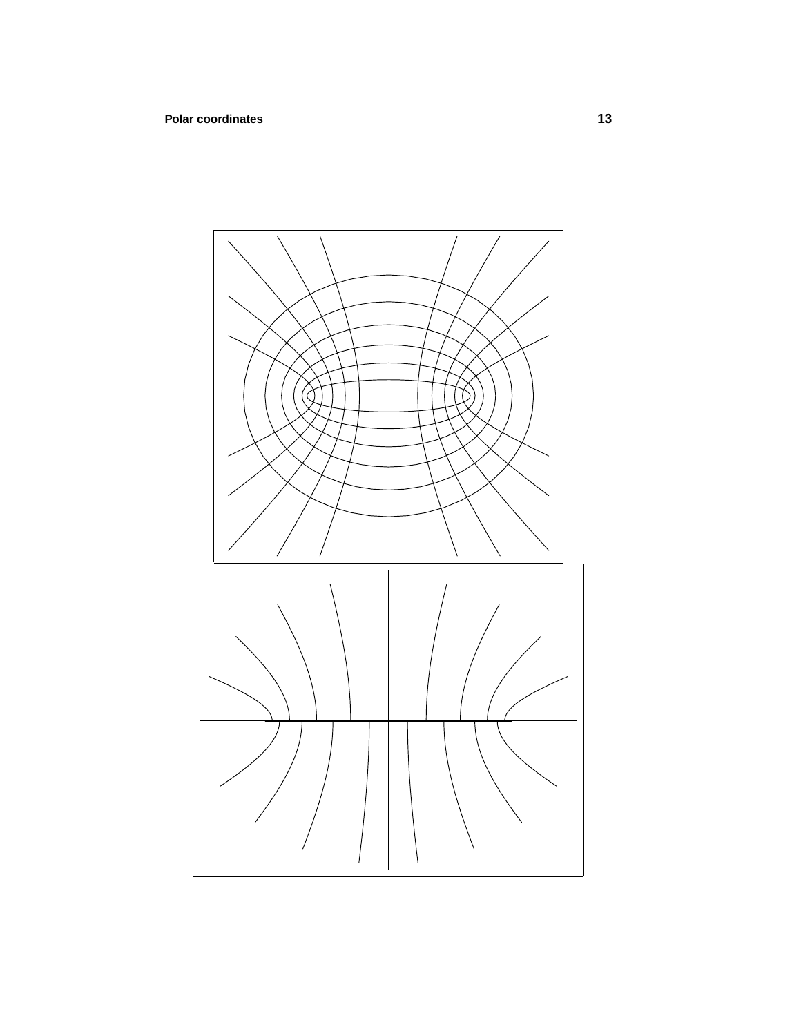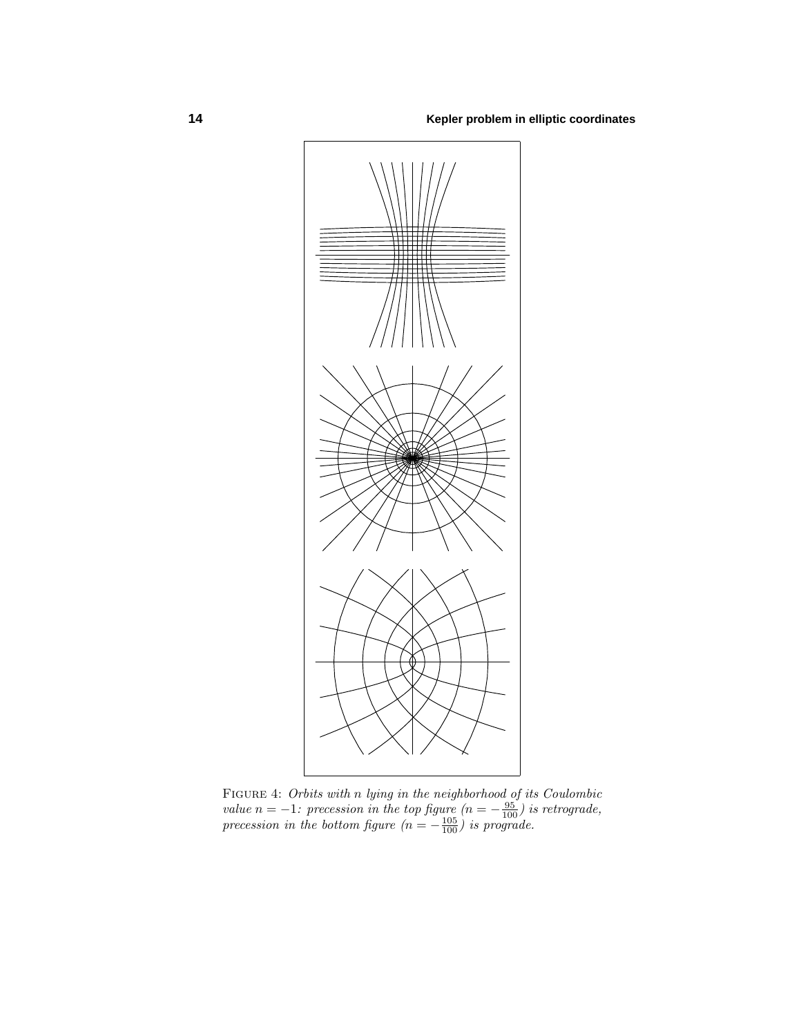

FIGURE 4: Orbits with *n* lying in the neighborhood of its Coulombic value  $n = -1$ : precession in the top figure  $(n = -\frac{95}{100})$  is retrograde, precession in the bottom figure  $(n = -\frac{105}{100})$  is prograde.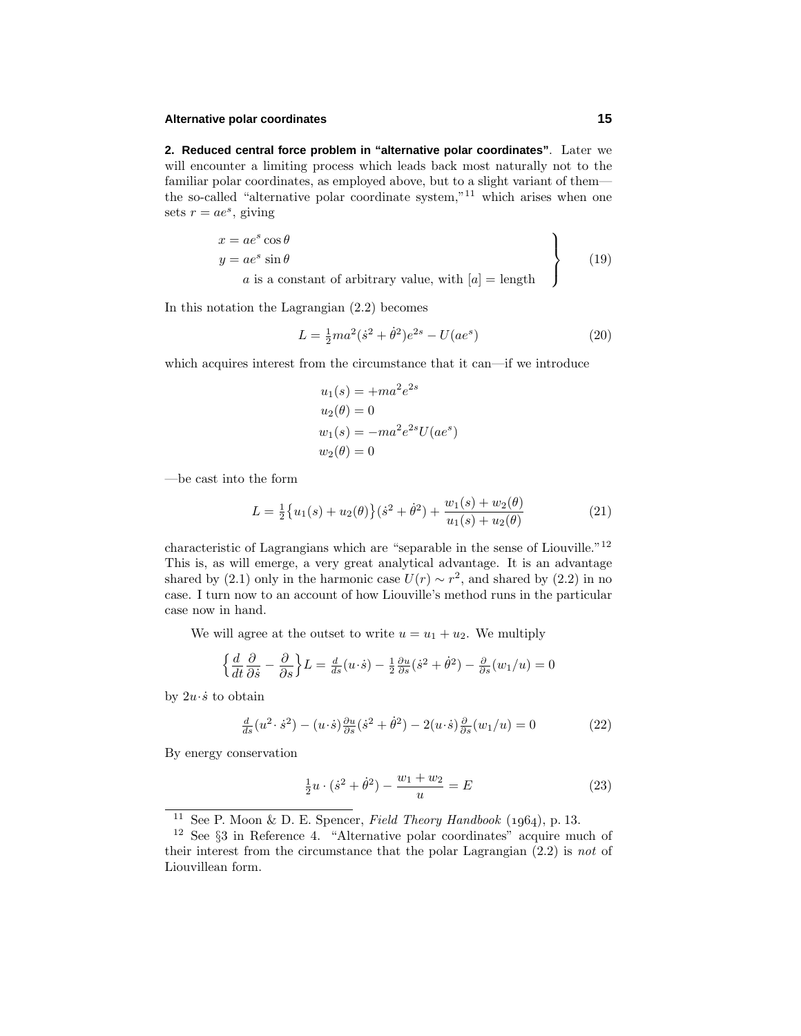#### **Alternative polar coordinates 15**

**2. Reduced central force problem in "alternative polar coordinates"**. Later we will encounter a limiting process which leads back most naturally not to the familiar polar coordinates, as employed above, but to a slight variant of them the so-called "alternative polar coordinate system,"<sup>11</sup> which arises when one sets  $r = ae^s$ , giving

$$
x = ae^{s} \cos \theta
$$
  
y = ae^{s} \sin \theta  
a is a constant of arbitrary value, with [a] = length  $\left\}$  (19)

In this notation the Lagrangian (2.2) becomes

$$
L = \frac{1}{2}ma^2(\dot{s}^2 + \dot{\theta}^2)e^{2s} - U(ae^s)
$$
\n(20)

which acquires interest from the circumstance that it can—if we introduce

$$
u_1(s) = +ma^2e^{2s}
$$
  
\n
$$
u_2(\theta) = 0
$$
  
\n
$$
w_1(s) = -ma^2e^{2s}U(ae^s)
$$
  
\n
$$
w_2(\theta) = 0
$$

—be cast into the form

$$
L = \frac{1}{2} \{ u_1(s) + u_2(\theta) \} (\dot{s}^2 + \dot{\theta}^2) + \frac{w_1(s) + w_2(\theta)}{u_1(s) + u_2(\theta)}
$$
(21)

characteristic of Lagrangians which are "separable in the sense of Liouville."<sup>12</sup> This is, as will emerge, a very great analytical advantage. It is an advantage shared by (2.1) only in the harmonic case  $U(r) \sim r^2$ , and shared by (2.2) in no case. I turn now to an account of how Liouville's method runs in the particular case now in hand.

We will agree at the outset to write  $u = u_1 + u_2$ . We multiply

$$
\left\{\frac{d}{dt}\frac{\partial}{\partial \dot{s}} - \frac{\partial}{\partial s}\right\}L = \frac{d}{ds}(u \cdot \dot{s}) - \frac{1}{2}\frac{\partial u}{\partial s}(\dot{s}^2 + \dot{\theta}^2) - \frac{\partial}{\partial s}(w_1/u) = 0
$$

by  $2u \cdot \dot{s}$  to obtain

$$
\frac{d}{ds}(u^2 \cdot \dot{s}^2) - (u \cdot \dot{s})\frac{\partial u}{\partial s}(\dot{s}^2 + \dot{\theta}^2) - 2(u \cdot \dot{s})\frac{\partial}{\partial s}(w_1/u) = 0
$$
\n(22)

By energy conservation

$$
\frac{1}{2}u \cdot (\dot{s}^2 + \dot{\theta}^2) - \frac{w_1 + w_2}{u} = E \tag{23}
$$

<sup>&</sup>lt;sup>11</sup> See P. Moon & D. E. Spencer, *Field Theory Handbook* (1964), p. 13.

<sup>12</sup> See §3 in Reference 4. "Alternative polar coordinates" acquire much of their interest from the circumstance that the polar Lagrangian (2.2) is not of Liouvillean form.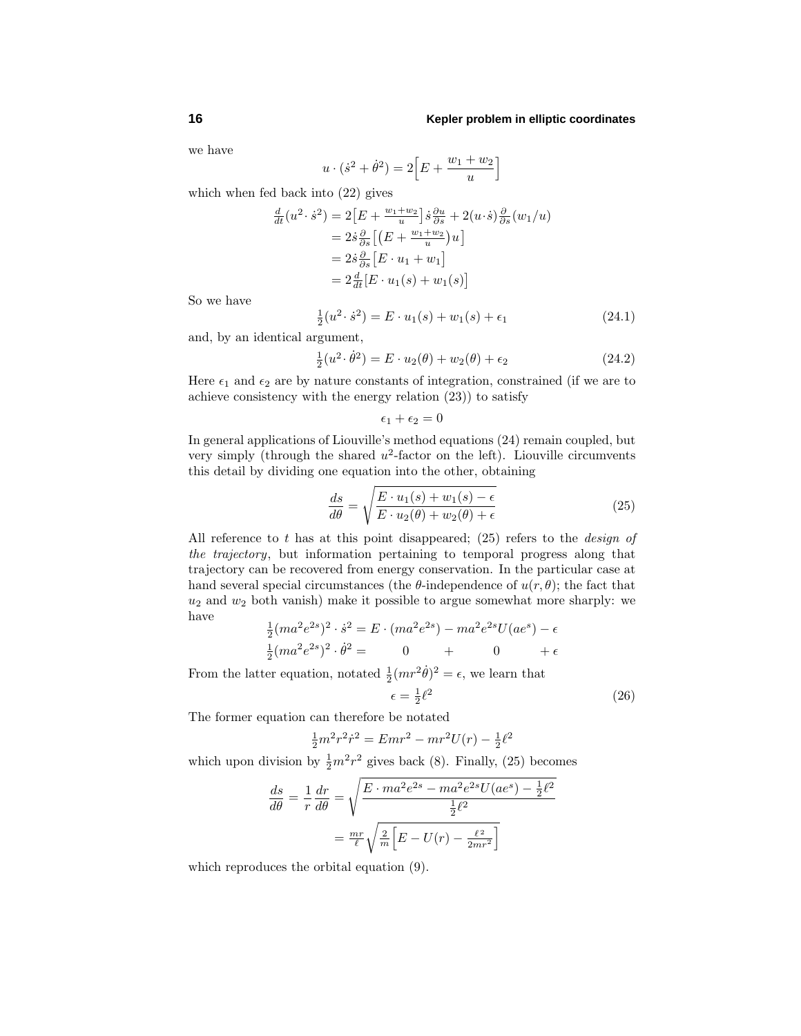#### **16 Kepler problem in elliptic coordinates**

we have

$$
u \cdot (\dot{s}^2 + \dot{\theta}^2) = 2 \left[ E + \frac{w_1 + w_2}{u} \right]
$$

which when fed back into (22) gives

$$
\frac{d}{dt}(u^2 \cdot \dot{s}^2) = 2\left[E + \frac{w_1 + w_2}{u}\right] \dot{s} \frac{\partial u}{\partial s} + 2(u \cdot \dot{s}) \frac{\partial}{\partial s}(w_1/u)
$$

$$
= 2\dot{s} \frac{\partial}{\partial s} \left[ \left(E + \frac{w_1 + w_2}{u}\right) u \right]
$$

$$
= 2\dot{s} \frac{\partial}{\partial s} \left[E \cdot u_1 + w_1\right]
$$

$$
= 2\frac{d}{dt} \left[E \cdot u_1(s) + w_1(s)\right]
$$

So we have

$$
\frac{1}{2}(u^2 \cdot \dot{s}^2) = E \cdot u_1(s) + w_1(s) + \epsilon_1 \tag{24.1}
$$

and, by an identical argument,

$$
\frac{1}{2}(u^2 \cdot \dot{\theta}^2) = E \cdot u_2(\theta) + w_2(\theta) + \epsilon_2 \tag{24.2}
$$

Here  $\epsilon_1$  and  $\epsilon_2$  are by nature constants of integration, constrained (if we are to achieve consistency with the energy relation (23)) to satisfy

$$
\epsilon_1 + \epsilon_2 = 0
$$

In general applications of Liouville's method equations (24) remain coupled, but very simply (through the shared  $u^2$ -factor on the left). Liouville circumvents this detail by dividing one equation into the other, obtaining

$$
\frac{ds}{d\theta} = \sqrt{\frac{E \cdot u_1(s) + w_1(s) - \epsilon}{E \cdot u_2(\theta) + w_2(\theta) + \epsilon}}\tag{25}
$$

All reference to *t* has at this point disappeared; (25) refers to the design of the trajectory, but information pertaining to temporal progress along that trajectory can be recovered from energy conservation. In the particular case at hand several special circumstances (the  $\theta$ -independence of  $u(r, \theta)$ ; the fact that *u*<sup>2</sup> and *w*<sup>2</sup> both vanish) make it possible to argue somewhat more sharply: we have

$$
\frac{1}{2}(ma^2e^{2s})^2 \cdot \dot{s}^2 = E \cdot (ma^2e^{2s}) - ma^2e^{2s}U(ae^s) - \epsilon
$$
  

$$
\frac{1}{2}(ma^2e^{2s})^2 \cdot \dot{\theta}^2 = 0 + 0 + \epsilon
$$

From the latter equation, notated  $\frac{1}{2}(mr^2\dot{\theta})^2 = \epsilon$ , we learn that

$$
\epsilon = \frac{1}{2}\ell^2 \tag{26}
$$

The former equation can therefore be notated

$$
\frac{1}{2}m^2r^2\dot{r}^2 = Emr^2 - mr^2U(r) - \frac{1}{2}\ell^2
$$

which upon division by  $\frac{1}{2}m^2r^2$  gives back (8). Finally, (25) becomes

$$
\frac{ds}{d\theta} = \frac{1}{r}\frac{dr}{d\theta} = \sqrt{\frac{E \cdot ma^2e^{2s} - ma^2e^{2s}U(ae^s) - \frac{1}{2}\ell^2}{\frac{1}{2}\ell^2}}
$$

$$
= \frac{mr}{\ell}\sqrt{\frac{2}{m}\left[E - U(r) - \frac{\ell^2}{2mr^2}\right]}
$$

which reproduces the orbital equation (9).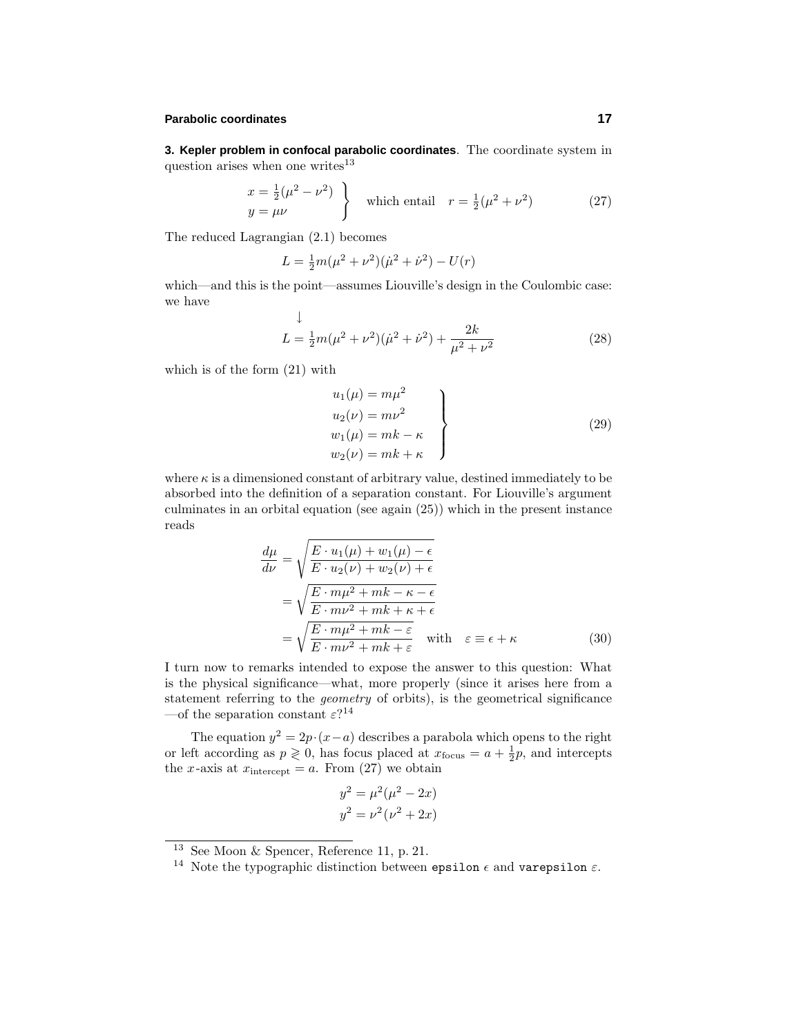#### **Parabolic coordinates 17**

**3. Kepler problem in confocal parabolic coordinates**. The coordinate system in question arises when one writes<sup>13</sup>

$$
\begin{aligned}\nx &= \frac{1}{2}(\mu^2 - \nu^2) \\
y &= \mu\nu\n\end{aligned}\n\quad \text{which entail} \quad r = \frac{1}{2}(\mu^2 + \nu^2)
$$
\n(27)

The reduced Lagrangian (2.1) becomes

$$
L = \frac{1}{2}m(\mu^2 + \nu^2)(\dot{\mu}^2 + \dot{\nu}^2) - U(r)
$$

which—and this is the point—assumes Liouville's design in the Coulombic case: we have

$$
\downarrow
$$
  
\n
$$
L = \frac{1}{2}m(\mu^2 + \nu^2)(\dot{\mu}^2 + \dot{\nu}^2) + \frac{2k}{\mu^2 + \nu^2}
$$
\n(28)

which is of the form (21) with

$$
u_1(\mu) = m\mu^2
$$
  
\n
$$
u_2(\nu) = m\nu^2
$$
  
\n
$$
w_1(\mu) = mk - \kappa
$$
  
\n
$$
w_2(\nu) = mk + \kappa
$$
\n(29)

where  $\kappa$  is a dimensioned constant of arbitrary value, destined immediately to be absorbed into the definition of a separation constant. For Liouville's argument culminates in an orbital equation (see again (25)) which in the present instance reads

$$
\frac{d\mu}{d\nu} = \sqrt{\frac{E \cdot u_1(\mu) + w_1(\mu) - \epsilon}{E \cdot u_2(\nu) + w_2(\nu) + \epsilon}}
$$
\n
$$
= \sqrt{\frac{E \cdot m\mu^2 + mk - \epsilon}{E \cdot m\nu^2 + mk + \epsilon + \epsilon}}
$$
\n
$$
= \sqrt{\frac{E \cdot m\mu^2 + mk - \epsilon}{E \cdot m\nu^2 + mk + \epsilon}} \quad \text{with} \quad \varepsilon \equiv \epsilon + \kappa \tag{30}
$$

I turn now to remarks intended to expose the answer to this question: What is the physical significance—what, more properly (since it arises here from a statement referring to the geometry of orbits), is the geometrical significance —of the separation constant *ε*?<sup>14</sup>

The equation  $y^2 = 2p \cdot (x - a)$  describes a parabola which opens to the right or left according as  $p \ge 0$ , has focus placed at  $x_{\text{focus}} = a + \frac{1}{2}p$ , and intercepts the *x*-axis at  $x_{\text{intercept}} = a$ . From (27) we obtain

$$
y^{2} = \mu^{2}(\mu^{2} - 2x)
$$

$$
y^{2} = \nu^{2}(\nu^{2} + 2x)
$$

<sup>&</sup>lt;sup>13</sup> See Moon & Spencer, Reference 11, p. 21.

<sup>&</sup>lt;sup>14</sup> Note the typographic distinction between epsilon  $\epsilon$  and varepsilon  $\varepsilon$ .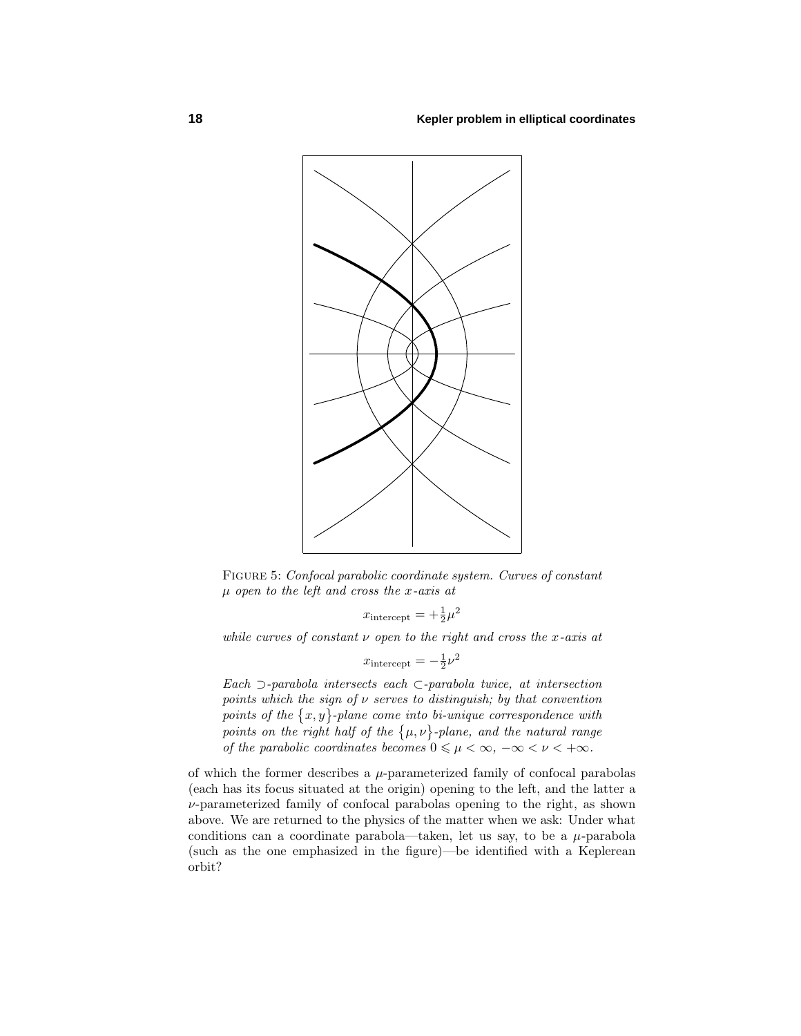

Figure 5: Confocal parabolic coordinate system. Curves of constant *µ* open to the left and cross the *x*-axis at

$$
x_{\text{intercept}} = +\frac{1}{2}\mu^2
$$

while curves of constant *ν* open to the right and cross the *x*-axis at

$$
x_{\text{intercept}} = -\frac{1}{2}\nu^2
$$

Each  $\supset$ -parabola intersects each  $\subset$ -parabola twice, at intersection points which the sign of *ν* serves to distinguish; by that convention points of the  $\{x, y\}$ -plane come into bi-unique correspondence with points on the right half of the  $\{\mu, \nu\}$ -plane, and the natural range of the parabolic coordinates becomes  $0 \le \mu < \infty$ ,  $-\infty < \nu < +\infty$ .

of which the former describes a *µ*-parameterized family of confocal parabolas (each has its focus situated at the origin) opening to the left, and the latter a *ν*-parameterized family of confocal parabolas opening to the right, as shown above. We are returned to the physics of the matter when we ask: Under what conditions can a coordinate parabola—taken, let us say, to be a *µ*-parabola (such as the one emphasized in the figure)—be identified with a Keplerean orbit?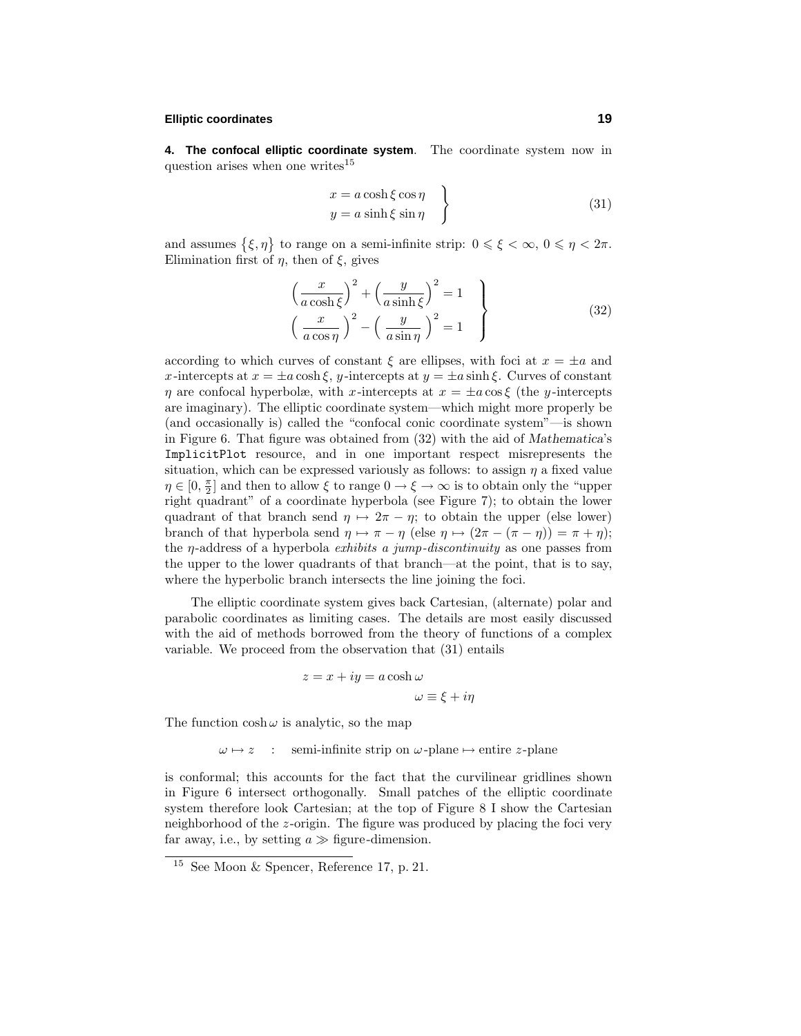#### **Elliptic coordinates 19**

**4. The confocal elliptic coordinate system**. The coordinate system now in question arises when one writes<sup>15</sup>

$$
x = a \cosh \xi \cos \eta
$$
  
\n
$$
y = a \sinh \xi \sin \eta
$$
 (31)

and assumes  $\{\xi, \eta\}$  to range on a semi-infinite strip:  $0 \le \xi < \infty$ ,  $0 \le \eta < 2\pi$ . Elimination first of  $\eta$ , then of  $\xi$ , gives

$$
\left(\frac{x}{a\cosh\xi}\right)^2 + \left(\frac{y}{a\sinh\xi}\right)^2 = 1
$$
\n
$$
\left(\frac{x}{a\cos\eta}\right)^2 - \left(\frac{y}{a\sin\eta}\right)^2 = 1
$$
\n(32)

according to which curves of constant  $\xi$  are ellipses, with foci at  $x = \pm a$  and *x*-intercepts at  $x = \pm a \cosh \xi$ , *y*-intercepts at  $y = \pm a \sinh \xi$ . Curves of constant *η* are confocal hyperbolæ, with *x*-intercepts at  $x = \pm a \cos \xi$  (the *y*-intercepts are imaginary). The elliptic coordinate system—which might more properly be (and occasionally is) called the "confocal conic coordinate system"—is shown in Figure 6. That figure was obtained from (32) with the aid of *Mathematica*'s ImplicitPlot resource, and in one important respect misrepresents the situation, which can be expressed variously as follows: to assign  $\eta$  a fixed value  $\eta \in [0, \frac{\pi}{2}]$  and then to allow  $\xi$  to range  $0 \to \xi \to \infty$  is to obtain only the "upper right quadrant" of a coordinate hyperbola (see Figure 7); to obtain the lower quadrant of that branch send  $\eta \mapsto 2\pi - \eta$ ; to obtain the upper (else lower) branch of that hyperbola send  $\eta \mapsto \pi - \eta$  (else  $\eta \mapsto (2\pi - (\pi - \eta)) = \pi + \eta$ ); the *η*-address of a hyperbola exhibits a jump-discontinuity as one passes from the upper to the lower quadrants of that branch—at the point, that is to say, where the hyperbolic branch intersects the line joining the foci.

The elliptic coordinate system gives back Cartesian, (alternate) polar and parabolic coordinates as limiting cases. The details are most easily discussed with the aid of methods borrowed from the theory of functions of a complex variable. We proceed from the observation that (31) entails

$$
z = x + iy = a \cosh \omega
$$

$$
\omega \equiv \xi + i\eta
$$

The function  $\cosh \omega$  is analytic, so the map

 $\omega \mapsto z$  : semi-infinite strip on  $\omega$ -plane  $\mapsto$  entire *z*-plane

is conformal; this accounts for the fact that the curvilinear gridlines shown in Figure 6 intersect orthogonally. Small patches of the elliptic coordinate system therefore look Cartesian; at the top of Figure 8 I show the Cartesian neighborhood of the *z*-origin. The figure was produced by placing the foci very far away, i.e., by setting  $a \gg$  figure-dimension.

<sup>15</sup> See Moon & Spencer, Reference 17, p. 21.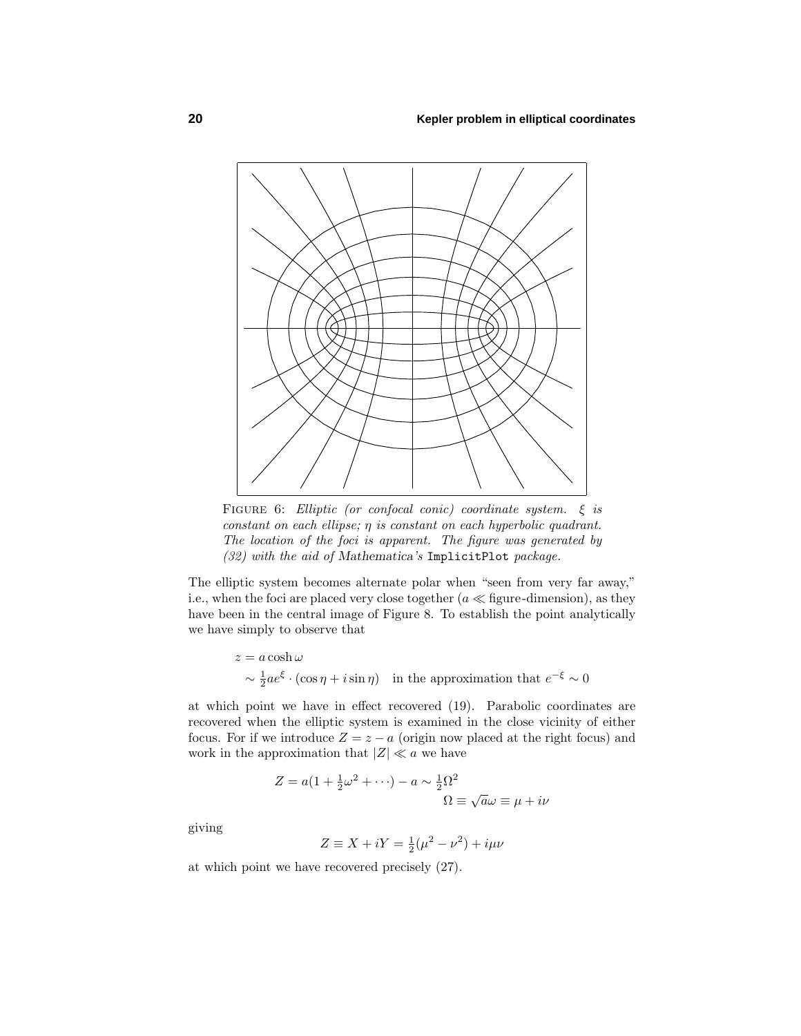

Figure 6: Elliptic (or confocal conic) coordinate system. *ξ* is constant on each ellipse; *η* is constant on each hyperbolic quadrant. The location of the foci is apparent. The figure was generated by (32) with the aid of *Mathematica*'s ImplicitPlot package.

The elliptic system becomes alternate polar when "seen from very far away," i.e., when the foci are placed very close together  $(a \ll \text{figure-dimension})$ , as they have been in the central image of Figure 8. To establish the point analytically we have simply to observe that

> $z = a \cosh \omega$  $\sim \frac{1}{2}ae^{\xi} \cdot (\cos \eta + i \sin \eta)$  in the approximation that  $e^{-\xi} \sim 0$

at which point we have in effect recovered (19). Parabolic coordinates are recovered when the elliptic system is examined in the close vicinity of either focus. For if we introduce  $Z = z - a$  (origin now placed at the right focus) and work in the approximation that  $|Z| \ll a$  we have

$$
Z = a(1 + \frac{1}{2}\omega^2 + \cdots) - a \sim \frac{1}{2}\Omega^2
$$
  

$$
\Omega \equiv \sqrt{a}\omega \equiv \mu + i\nu
$$

giving

$$
Z \equiv X + iY = \frac{1}{2}(\mu^2 - \nu^2) + i\mu\nu
$$

at which point we have recovered precisely (27).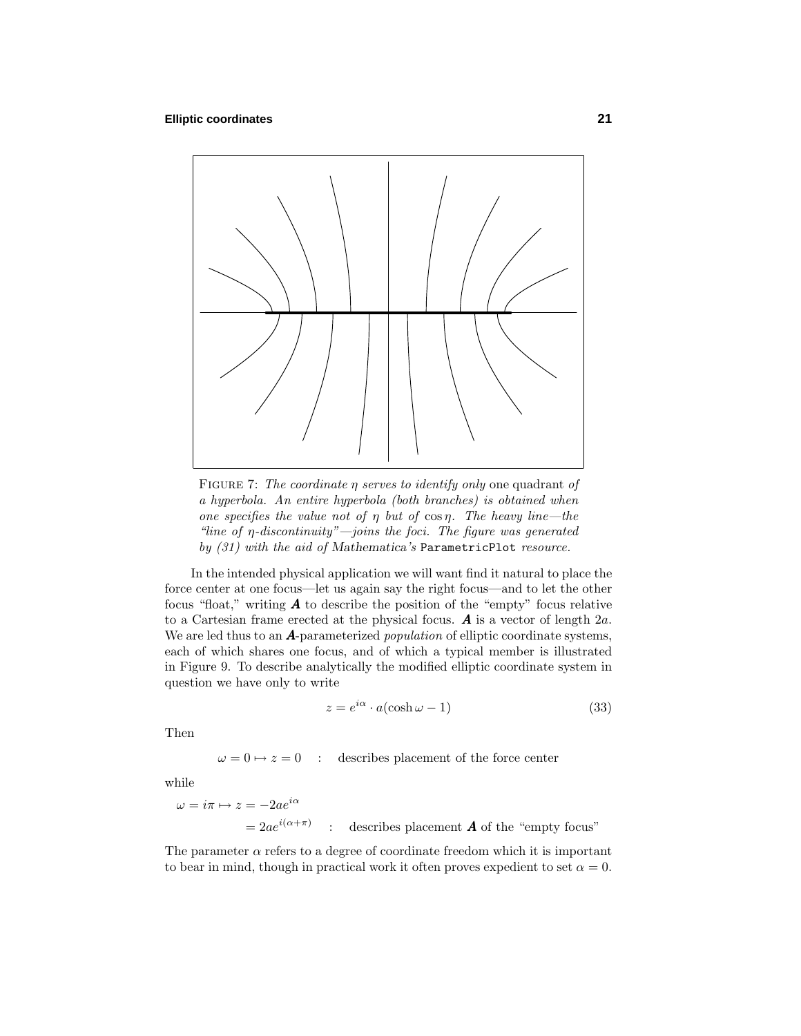

Figure 7: The coordinate *η* serves to identify only one quadrant of a hyperbola. An entire hyperbola (both branches) is obtained when one specifies the value not of *η* but of cos *η*. The heavy line—the "line of *η*-discontinuity"—joins the foci. The figure was generated by (31) with the aid of *Mathematica*'s ParametricPlot resource.

In the intended physical application we will want find it natural to place the force center at one focus—let us again say the right focus—and to let the other focus "float," writing  $\boldsymbol{A}$  to describe the position of the "empty" focus relative to a Cartesian frame erected at the physical focus. *A* is a vector of length 2*a*. We are led thus to an **A**-parameterized *population* of elliptic coordinate systems, each of which shares one focus, and of which a typical member is illustrated in Figure 9. To describe analytically the modified elliptic coordinate system in question we have only to write

$$
z = e^{i\alpha} \cdot a(\cosh \omega - 1)
$$
 (33)

Then

 $\omega=0\mapsto z=0\quad:\quad$  describes placement of the force center

while

$$
\omega = i\pi \mapsto z = -2ae^{i\alpha}
$$
  
=  $2ae^{i(\alpha + \pi)}$  : describes placement **A** of the "empty focus"

The parameter  $\alpha$  refers to a degree of coordinate freedom which it is important to bear in mind, though in practical work it often proves expedient to set  $\alpha = 0$ .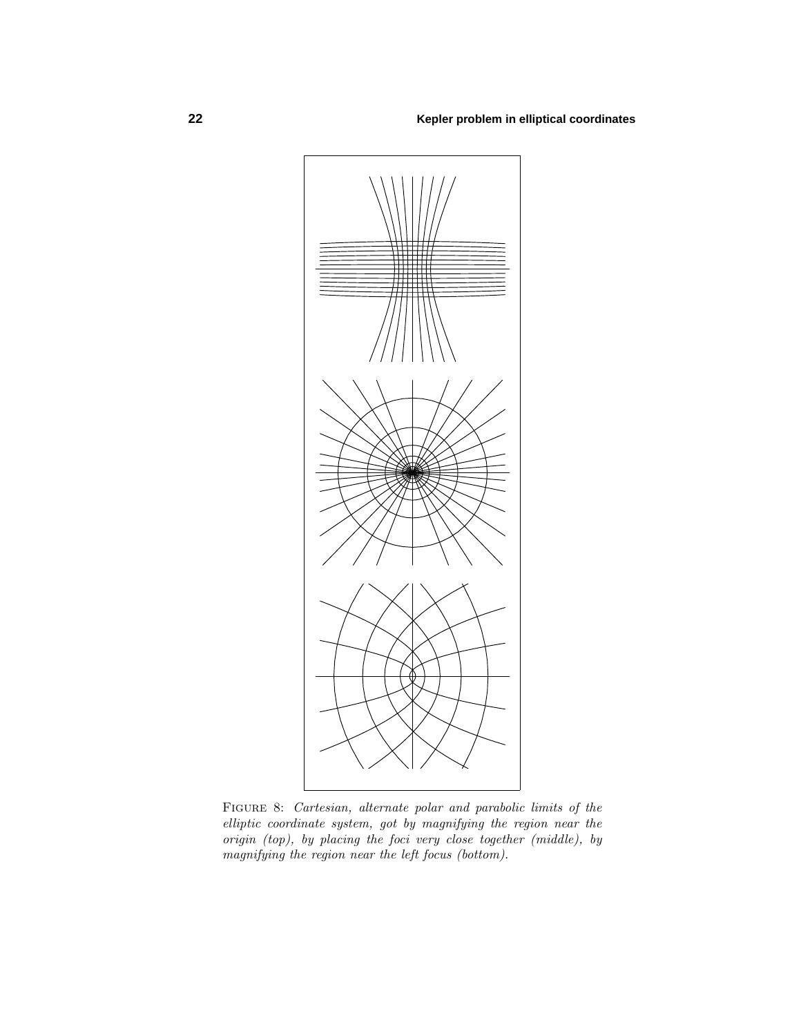

FIGURE 8: Cartesian, alternate polar and parabolic limits of the  $elliptic\ coordinate\ system,\ got\ by\ magnifying\ the\ region\ near\ the$  $origin (top), by placing the foci very close together (middle), by$ magnifying the region near the left focus (bottom).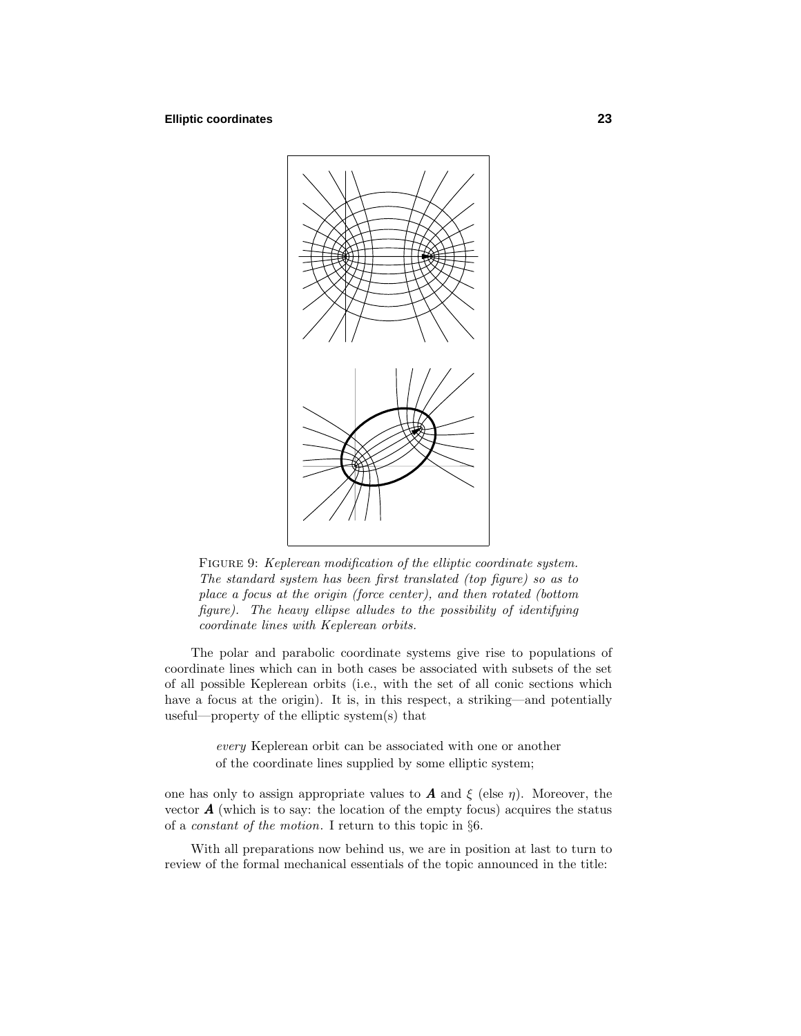#### **Elliptic coordinates 23**



FIGURE 9: Keplerean modification of the elliptic coordinate system. The standard system has been first translated (top figure) so as to place a focus at the origin (force center), and then rotated (bottom figure). The heavy ellipse alludes to the possibility of identifying coordinate lines with Keplerean orbits.

The polar and parabolic coordinate systems give rise to populations of coordinate lines which can in both cases be associated with subsets of the set of all possible Keplerean orbits (i.e., with the set of all conic sections which have a focus at the origin). It is, in this respect, a striking—and potentially useful—property of the elliptic system(s) that

> every Keplerean orbit can be associated with one or another of the coordinate lines supplied by some elliptic system;

one has only to assign appropriate values to *A* and  $\xi$  (else  $\eta$ ). Moreover, the vector  $\boldsymbol{A}$  (which is to say: the location of the empty focus) acquires the status of a constant of the motion. I return to this topic in §6.

With all preparations now behind us, we are in position at last to turn to review of the formal mechanical essentials of the topic announced in the title: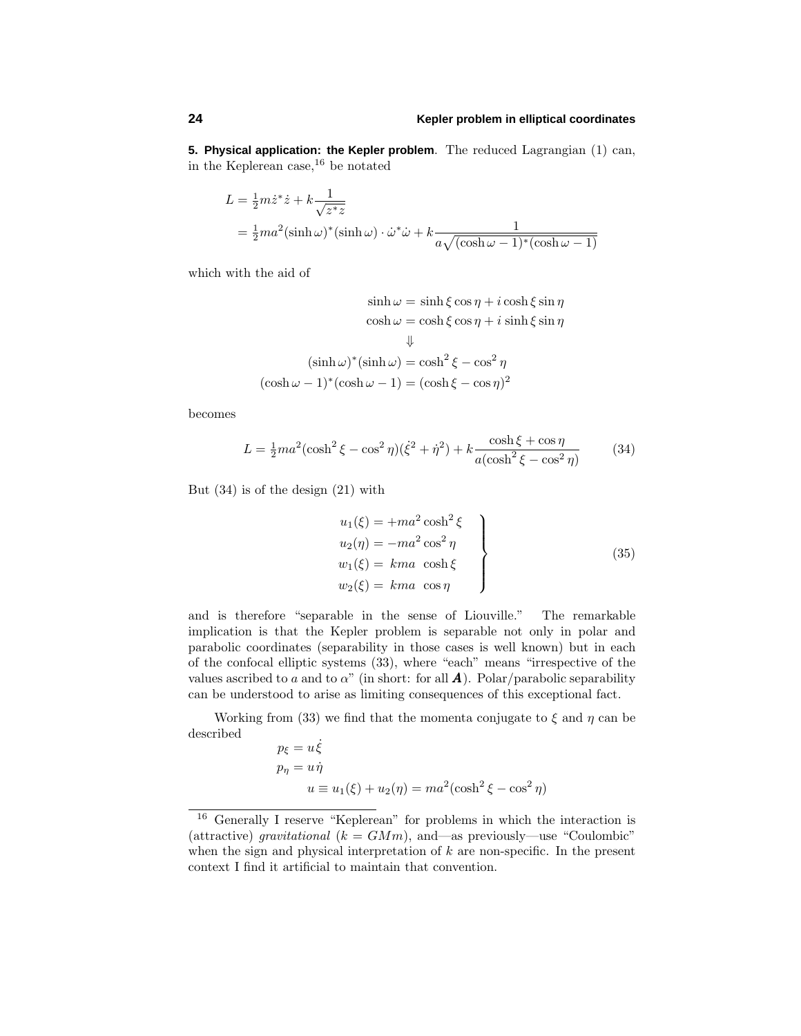#### **24 Kepler problem in elliptical coordinates**

**5. Physical application: the Kepler problem**. The reduced Lagrangian (1) can, in the Keplerean case,  $16$  be notated

$$
L = \frac{1}{2}m\dot{z}^* \dot{z} + k \frac{1}{\sqrt{z^* z}}
$$
  
=  $\frac{1}{2}ma^2(\sinh \omega)^* (\sinh \omega) \cdot \dot{\omega}^* \dot{\omega} + k \frac{1}{a\sqrt{(\cosh \omega - 1)^* (\cosh \omega - 1)}}$ 

which with the aid of

$$
\sinh \omega = \sinh \xi \cos \eta + i \cosh \xi \sin \eta
$$

$$
\cosh \omega = \cosh \xi \cos \eta + i \sinh \xi \sin \eta
$$

$$
\Downarrow
$$

$$
(\sinh \omega)^* (\sinh \omega) = \cosh^2 \xi - \cos^2 \eta
$$

$$
(\cosh \omega - 1)^* (\cosh \omega - 1) = (\cosh \xi - \cos \eta)^2
$$

becomes

$$
L = \frac{1}{2}ma^2(\cosh^2 \xi - \cos^2 \eta)(\dot{\xi}^2 + \dot{\eta}^2) + k \frac{\cosh \xi + \cos \eta}{a(\cosh^2 \xi - \cos^2 \eta)}
$$
(34)

But (34) is of the design (21) with

$$
u_1(\xi) = +ma^2 \cosh^2 \xi
$$
  
\n
$$
u_2(\eta) = -ma^2 \cos^2 \eta
$$
  
\n
$$
w_1(\xi) = kma \cosh \xi
$$
  
\n
$$
w_2(\xi) = kma \cos \eta
$$
\n(35)

and is therefore "separable in the sense of Liouville." The remarkable implication is that the Kepler problem is separable not only in polar and parabolic coordinates (separability in those cases is well known) but in each of the confocal elliptic systems (33), where "each" means "irrespective of the values ascribed to *a* and to  $\alpha$ " (in short: for all **A**). Polar/parabolic separability can be understood to arise as limiting consequences of this exceptional fact.

Working from (33) we find that the momenta conjugate to  $\xi$  and  $\eta$  can be described

$$
p_{\xi} = u \dot{\xi}
$$
  
\n
$$
p_{\eta} = u \dot{\eta}
$$
  
\n
$$
u \equiv u_1(\xi) + u_2(\eta) = ma^2(\cosh^2 \xi - \cos^2 \eta)
$$

<sup>16</sup> Generally I reserve "Keplerean" for problems in which the interaction is (attractive) gravitational  $(k = GMm)$ , and—as previously—use "Coulombic" when the sign and physical interpretation of *k* are non-specific. In the present context I find it artificial to maintain that convention.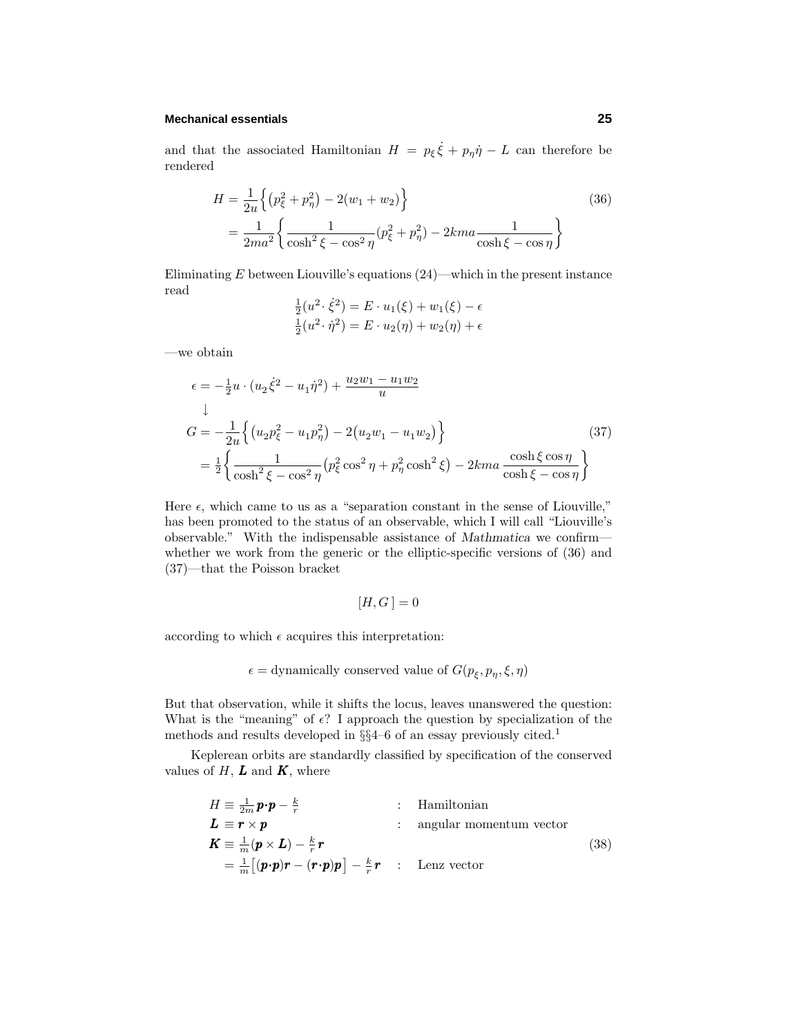#### **Mechanical essentials 25**

and that the associated Hamiltonian  $H = p_{\xi} \dot{\xi} + p_{\eta} \dot{\eta} - L$  can therefore be rendered

$$
H = \frac{1}{2u} \left\{ (p_{\xi}^2 + p_{\eta}^2) - 2(w_1 + w_2) \right\}
$$
  
=  $\frac{1}{2ma^2} \left\{ \frac{1}{\cosh^2 \xi - \cos^2 \eta} (p_{\xi}^2 + p_{\eta}^2) - 2kma \frac{1}{\cosh \xi - \cos \eta} \right\}$  (36)

Eliminating *E* between Liouville's equations (24)—which in the present instance read

$$
\frac{1}{2}(u^2 \cdot \dot{\xi}^2) = E \cdot u_1(\xi) + w_1(\xi) - \epsilon \n\frac{1}{2}(u^2 \cdot \dot{\eta}^2) = E \cdot u_2(\eta) + w_2(\eta) + \epsilon
$$

—we obtain

$$
\epsilon = -\frac{1}{2}u \cdot (u_2 \dot{\xi}^2 - u_1 \dot{\eta}^2) + \frac{u_2 w_1 - u_1 w_2}{u}
$$
\n
$$
\downarrow
$$
\n
$$
G = -\frac{1}{2u} \left\{ (u_2 p_{\xi}^2 - u_1 p_{\eta}^2) - 2(u_2 w_1 - u_1 w_2) \right\}
$$
\n
$$
= \frac{1}{2} \left\{ \frac{1}{\cosh^2 \xi - \cos^2 \eta} (p_{\xi}^2 \cos^2 \eta + p_{\eta}^2 \cosh^2 \xi) - 2k m a \frac{\cosh \xi \cos \eta}{\cosh \xi - \cos \eta} \right\}
$$
\n(37)

Here  $\epsilon$ , which came to us as a "separation constant in the sense of Liouville," has been promoted to the status of an observable, which I will call "Liouville's observable." With the indispensable assistance of *Mathmatica* we confirm whether we work from the generic or the elliptic-specific versions of (36) and (37)—that the Poisson bracket

$$
[H,G]=0
$$

according to which  $\epsilon$  acquires this interpretation:

 $\epsilon =$  dynamically conserved value of  $G(p_{\xi}, p_{\eta}, \xi, \eta)$ 

But that observation, while it shifts the locus, leaves unanswered the question: What is the "meaning" of  $\epsilon$ ? I approach the question by specialization of the methods and results developed in  $\S$ §4–6 of an essay previously cited.<sup>1</sup>

Keplerean orbits are standardly classified by specification of the conserved values of  $H$ ,  $\boldsymbol{L}$  and  $\boldsymbol{K}$ , where

$$
H \equiv \frac{1}{2m} \mathbf{p} \cdot \mathbf{p} - \frac{k}{r}
$$
: Hamiltonian  
\n
$$
\mathbf{L} \equiv \mathbf{r} \times \mathbf{p}
$$
: angular momentum vector  
\n
$$
\mathbf{K} \equiv \frac{1}{m} (\mathbf{p} \times \mathbf{L}) - \frac{k}{r} \mathbf{r}
$$
: Lenz vector  
\n
$$
= \frac{1}{m} [(\mathbf{p} \cdot \mathbf{p}) \mathbf{r} - (\mathbf{r} \cdot \mathbf{p}) \mathbf{p}] - \frac{k}{r} \mathbf{r}
$$
 : Lenz vector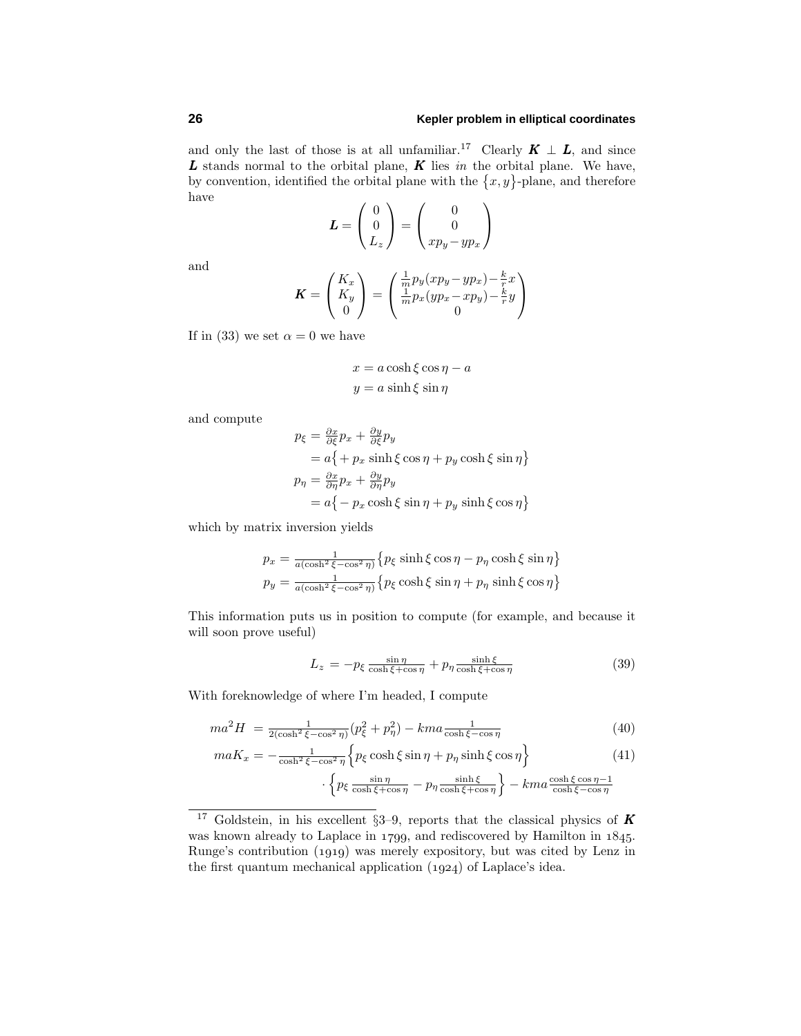#### **26 Kepler problem in elliptical coordinates**

and only the last of those is at all unfamiliar.<sup>17</sup> Clearly  $K \perp L$ , and since  $L$  stands normal to the orbital plane,  $K$  lies in the orbital plane. We have, by convention, identified the orbital plane with the  $\{x, y\}$ -plane, and therefore have

$$
\boldsymbol{L} = \begin{pmatrix} 0 \\ 0 \\ L_z \end{pmatrix} = \begin{pmatrix} 0 \\ 0 \\ x p_y - y p_x \end{pmatrix}
$$

and

$$
\boldsymbol{K} = \begin{pmatrix} K_x \\ K_y \\ 0 \end{pmatrix} = \begin{pmatrix} \frac{1}{m} p_y (x p_y - y p_x) - \frac{k}{r} x \\ \frac{1}{m} p_x (y p_x - x p_y) - \frac{k}{r} y \\ 0 \end{pmatrix}
$$

If in (33) we set  $\alpha = 0$  we have

$$
x = a \cosh \xi \cos \eta - a
$$

$$
y = a \sinh \xi \sin \eta
$$

and compute

$$
p_{\xi} = \frac{\partial x}{\partial \xi} p_x + \frac{\partial y}{\partial \xi} p_y
$$
  
=  $a \{ + p_x \sinh \xi \cos \eta + p_y \cosh \xi \sin \eta \}$   

$$
p_{\eta} = \frac{\partial x}{\partial \eta} p_x + \frac{\partial y}{\partial \eta} p_y
$$
  
=  $a \{ - p_x \cosh \xi \sin \eta + p_y \sinh \xi \cos \eta \}$ 

which by matrix inversion yields

$$
p_x = \frac{1}{a(\cosh^2 \xi - \cos^2 \eta)} \left\{ p_{\xi} \sinh \xi \cos \eta - p_{\eta} \cosh \xi \sin \eta \right\}
$$
  

$$
p_y = \frac{1}{a(\cosh^2 \xi - \cos^2 \eta)} \left\{ p_{\xi} \cosh \xi \sin \eta + p_{\eta} \sinh \xi \cos \eta \right\}
$$

This information puts us in position to compute (for example, and because it will soon prove useful)

$$
L_z = -p_{\xi} \frac{\sin \eta}{\cosh \xi + \cos \eta} + p_{\eta} \frac{\sinh \xi}{\cosh \xi + \cos \eta}
$$
(39)

With foreknowledge of where I'm headed, I compute

$$
ma^2H = \frac{1}{2(\cosh^2 \xi - \cos^2 \eta)} \left( p_{\xi}^2 + p_{\eta}^2 \right) - km a \frac{1}{\cosh \xi - \cos \eta}
$$
(40)

$$
maK_x = -\frac{1}{\cosh^2 \xi - \cos^2 \eta} \Big\{ p_{\xi} \cosh \xi \sin \eta + p_{\eta} \sinh \xi \cos \eta \Big\}
$$
(41)

$$
\cdot \left\{ p_{\xi} \frac{\sin \eta}{\cosh \xi + \cos \eta} - p_{\eta} \frac{\sinh \xi}{\cosh \xi + \cos \eta} \right\} - k m a \frac{\cosh \xi \cos \eta - 1}{\cosh \xi - \cos \eta}
$$

<sup>17</sup> Goldstein, in his excellent §3–9, reports that the classical physics of *K* was known already to Laplace in 1799, and rediscovered by Hamilton in  $1845$ . Runge's contribution (1919) was merely expository, but was cited by Lenz in the first quantum mechanical application  $(1924)$  of Laplace's idea.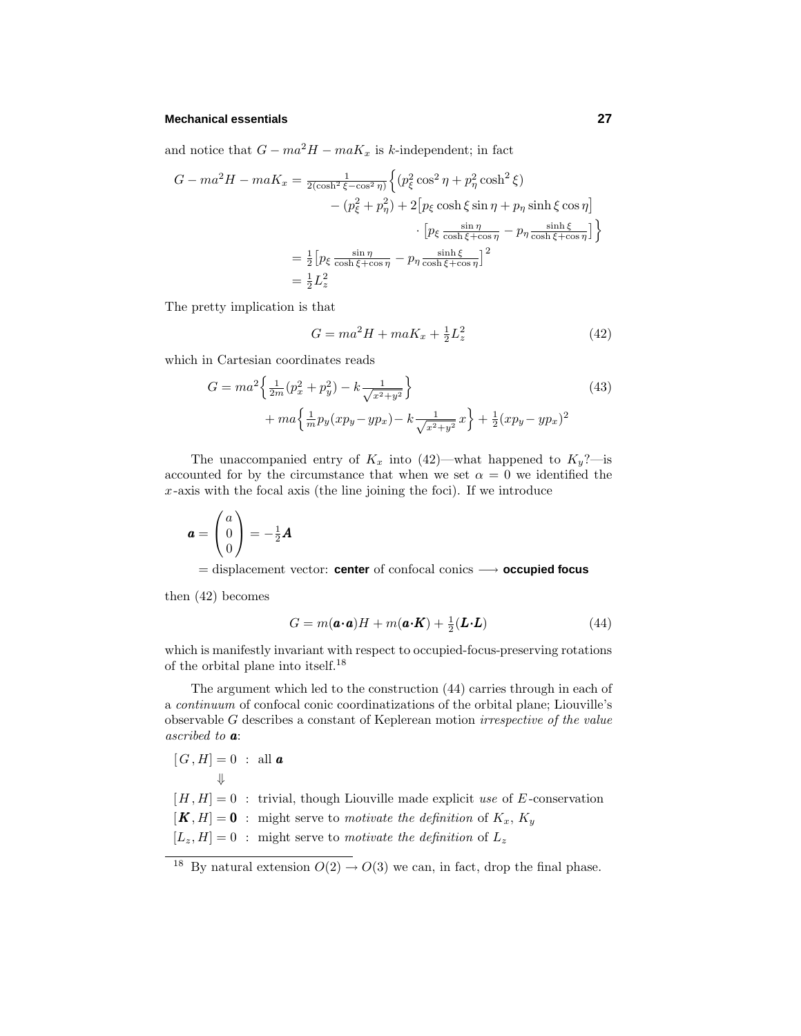#### **Mechanical essentials 27**

and notice that  $G - ma^2H - maK_x$  is *k*-independent; in fact

$$
G - ma^{2}H - maK_{x} = \frac{1}{2(\cosh^{2}\xi - \cos^{2}\eta)} \Big\{ (p_{\xi}^{2}\cos^{2}\eta + p_{\eta}^{2}\cosh^{2}\xi)
$$

$$
- (p_{\xi}^{2} + p_{\eta}^{2}) + 2[p_{\xi}\cosh\xi\sin\eta + p_{\eta}\sinh\xi\cos\eta]
$$

$$
\cdot [p_{\xi}\frac{\sin\eta}{\cosh\xi + \cos\eta} - p_{\eta}\frac{\sinh\xi}{\cosh\xi + \cos\eta}] \Big\}
$$

$$
= \frac{1}{2}[p_{\xi}\frac{\sin\eta}{\cosh\xi + \cos\eta} - p_{\eta}\frac{\sinh\xi}{\cosh\xi + \cos\eta}]^{2}
$$

$$
= \frac{1}{2}L_{z}^{2}
$$

The pretty implication is that

$$
G = ma^2H + maK_x + \frac{1}{2}L_z^2
$$
 (42)

which in Cartesian coordinates reads

$$
G = ma^{2} \left\{ \frac{1}{2m} (p_{x}^{2} + p_{y}^{2}) - k \frac{1}{\sqrt{x^{2} + y^{2}}} \right\}
$$
\n
$$
+ ma \left\{ \frac{1}{m} p_{y} (xp_{y} - yp_{x}) - k \frac{1}{\sqrt{x^{2} + y^{2}}} x \right\} + \frac{1}{2} (xp_{y} - yp_{x})^{2}
$$
\n
$$
(43)
$$

The unaccompanied entry of  $K_x$  into (42)—what happened to  $K_y$ ?—is accounted for by the circumstance that when we set  $\alpha = 0$  we identified the *x*-axis with the focal axis (the line joining the foci). If we introduce

$$
\mathbf{a} = \begin{pmatrix} a \\ 0 \\ 0 \end{pmatrix} = -\frac{1}{2}\mathbf{A}
$$

= displacement vector: **center** of confocal conics −→ **occupied focus**

then (42) becomes

$$
G = m(\mathbf{a} \cdot \mathbf{a})H + m(\mathbf{a} \cdot \mathbf{K}) + \frac{1}{2}(\mathbf{L} \cdot \mathbf{L})
$$
\n(44)

which is manifestly invariant with respect to occupied-focus-preserving rotations of the orbital plane into itself.<sup>18</sup>

The argument which led to the construction (44) carries through in each of a continuum of confocal conic coordinatizations of the orbital plane; Liouville's observable *G* describes a constant of Keplerean motion irrespective of the value ascribed to *a*:

$$
[G, H] = 0 : all a
$$
  
\n
$$
\Downarrow
$$
  
\n
$$
[H, H] = 0 : trivial, though Liouville made explicit use of E-conservation\n
$$
[\mathbf{K}, H] = \mathbf{0} : might serve to motivate the definition of  $K_x$ ,  $K_y$   
\n
$$
[L_z, H] = 0 : might serve to motivate the definition of  $L_z$
$$
$$
$$

<sup>&</sup>lt;sup>18</sup> By natural extension  $O(2) \rightarrow O(3)$  we can, in fact, drop the final phase.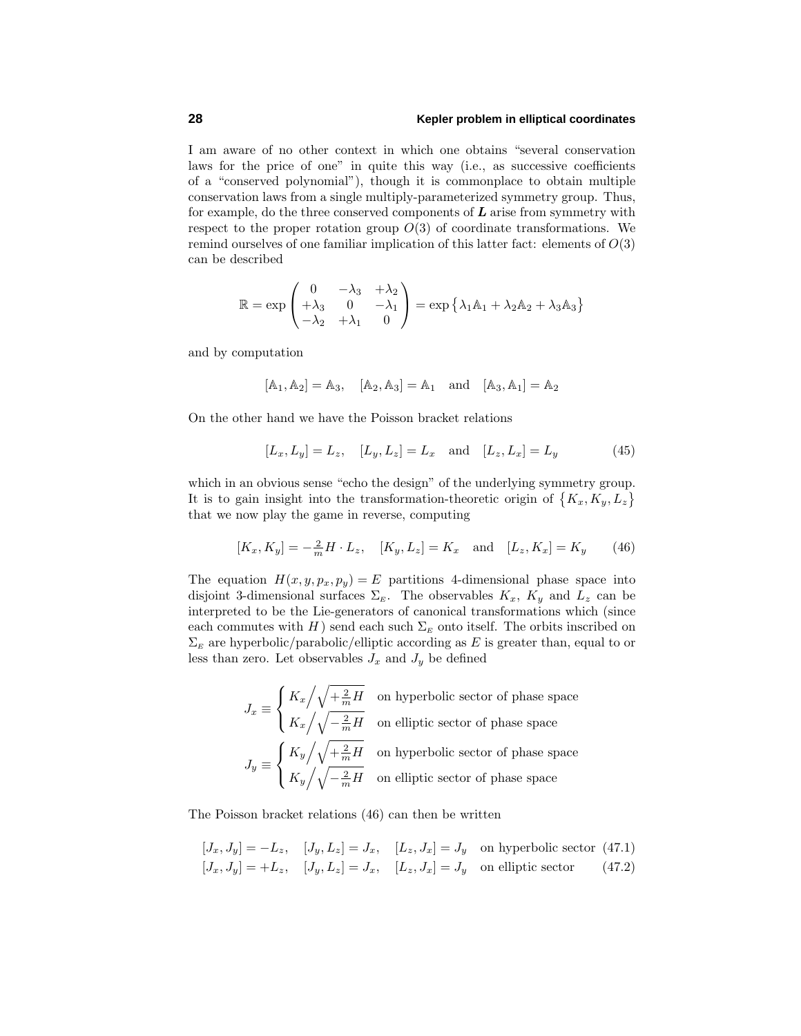#### **28 Kepler problem in elliptical coordinates**

I am aware of no other context in which one obtains "several conservation laws for the price of one" in quite this way (i.e., as successive coefficients of a "conserved polynomial"), though it is commonplace to obtain multiple conservation laws from a single multiply-parameterized symmetry group. Thus, for example, do the three conserved components of *L* arise from symmetry with respect to the proper rotation group  $O(3)$  of coordinate transformations. We remind ourselves of one familiar implication of this latter fact: elements of *O*(3) can be described

$$
\mathbb{R} = \exp\begin{pmatrix} 0 & -\lambda_3 & +\lambda_2 \\ +\lambda_3 & 0 & -\lambda_1 \\ -\lambda_2 & +\lambda_1 & 0 \end{pmatrix} = \exp\left\{\lambda_1 A_1 + \lambda_2 A_2 + \lambda_3 A_3\right\}
$$

and by computation

$$
[{\mathbb A}_1,{\mathbb A}_2] = {\mathbb A}_3, \quad [{\mathbb A}_2,{\mathbb A}_3] = {\mathbb A}_1 \quad \text{and} \quad [{\mathbb A}_3,{\mathbb A}_1] = {\mathbb A}_2
$$

On the other hand we have the Poisson bracket relations

$$
[L_x, L_y] = L_z, \quad [L_y, L_z] = L_x \quad \text{and} \quad [L_z, L_x] = L_y \tag{45}
$$

which in an obvious sense "echo the design" of the underlying symmetry group. It is to gain insight into the transformation-theoretic origin of  ${K_x, K_y, L_z}$ that we now play the game in reverse, computing

$$
[K_x, K_y] = -\frac{2}{m}H \cdot L_z, \quad [K_y, L_z] = K_x \text{ and } [L_z, K_x] = K_y \tag{46}
$$

The equation  $H(x, y, p_x, p_y) = E$  partitions 4-dimensional phase space into disjoint 3-dimensional surfaces  $\Sigma<sub>E</sub>$ . The observables  $K<sub>x</sub>$ ,  $K<sub>y</sub>$  and  $L<sub>z</sub>$  can be interpreted to be the Lie-generators of canonical transformations which (since each commutes with *H*) send each such  $\Sigma_E$  onto itself. The orbits inscribed on  $\Sigma<sub>E</sub>$  are hyperbolic/parabolic/elliptic according as *E* is greater than, equal to or less than zero. Let observables  $J_x$  and  $J_y$  be defined

$$
J_x \equiv \begin{cases} K_x \left/ \sqrt{\frac{2}{m} H} \right. & \text{on hyperbolic sector of phase space} \\ K_x \left/ \sqrt{\frac{2}{m} H} \right. & \text{on elliptic sector of phase space} \\ J_y \equiv \begin{cases} K_y \left/ \sqrt{\frac{2}{m} H} \right. & \text{on hyperbolic sector of phase space} \\ K_y \left/ \sqrt{\frac{2}{m} H} \right. & \text{on elliptic sector of phase space} \end{cases} \end{cases}
$$

The Poisson bracket relations (46) can then be written

$$
[J_x, J_y] = -L_z, \quad [J_y, L_z] = J_x, \quad [L_z, J_x] = J_y \quad \text{on hyperbolic sector (47.1)}
$$
  

$$
[J_x, J_y] = +L_z, \quad [J_y, L_z] = J_x, \quad [L_z, J_x] = J_y \quad \text{on elliptic sector} \quad (47.2)
$$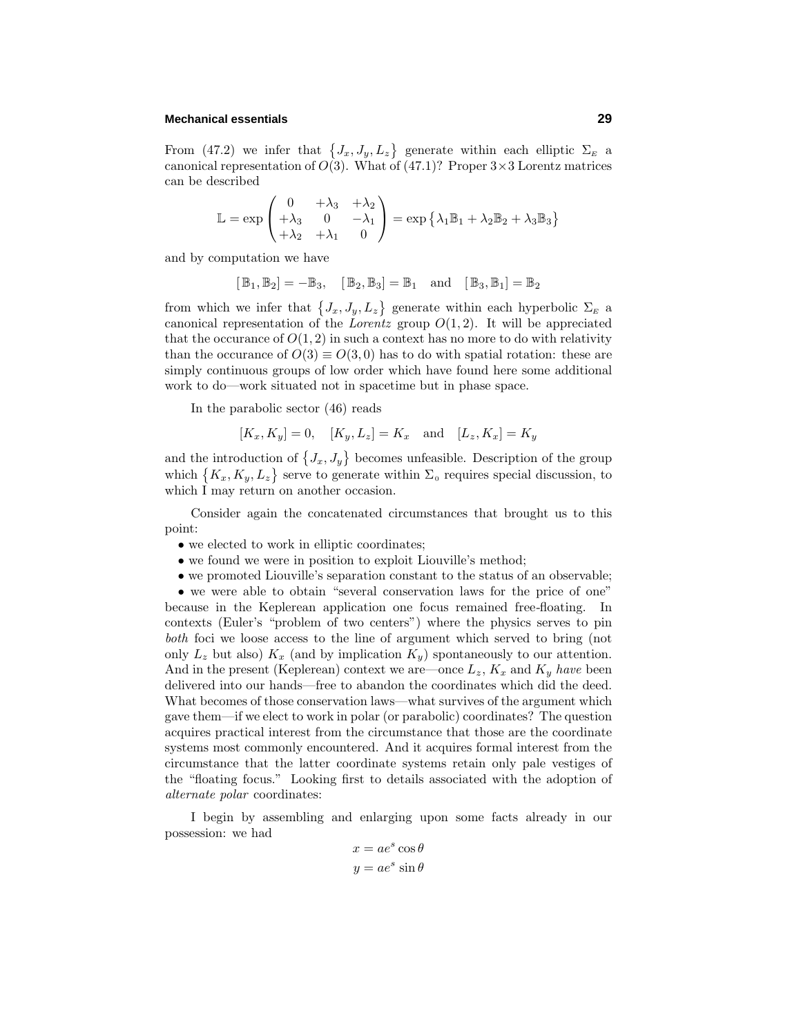#### **Mechanical essentials 29**

From (47.2) we infer that  $\{J_x, J_y, L_z\}$  generate within each elliptic  $\Sigma_E$  a canonical representation of  $O(3)$ . What of  $(47.1)$ ? Proper  $3 \times 3$  Lorentz matrices can be described

$$
\mathbb{L} = \exp\begin{pmatrix} 0 & +\lambda_3 & +\lambda_2 \\ +\lambda_3 & 0 & -\lambda_1 \\ +\lambda_2 & +\lambda_1 & 0 \end{pmatrix} = \exp\left\{\lambda_1 \mathbb{B}_1 + \lambda_2 \mathbb{B}_2 + \lambda_3 \mathbb{B}_3\right\}
$$

and by computation we have

$$
[\mathbb{B}_1,\mathbb{B}_2]=-\mathbb{B}_3,\quad [\mathbb{B}_2,\mathbb{B}_3]=\mathbb{B}_1\quad\text{and}\quad [\mathbb{B}_3,\mathbb{B}_1]=\mathbb{B}_2
$$

from which we infer that  $\{J_x, J_y, L_z\}$  generate within each hyperbolic  $\Sigma_E$  a canonical representation of the *Lorentz* group  $O(1, 2)$ . It will be appreciated that the occurance of  $O(1, 2)$  in such a context has no more to do with relativity than the occurance of  $O(3) \equiv O(3,0)$  has to do with spatial rotation: these are simply continuous groups of low order which have found here some additional work to do—work situated not in spacetime but in phase space.

In the parabolic sector (46) reads

$$
[K_x, K_y] = 0, \quad [K_y, L_z] = K_x \quad \text{and} \quad [L_z, K_x] = K_y
$$

and the introduction of  $\{J_x, J_y\}$  becomes unfeasible. Description of the group which  ${K_x, K_y, L_z}$  serve to generate within  $\Sigma_0$  requires special discussion, to which I may return on another occasion.

Consider again the concatenated circumstances that brought us to this point:

- we elected to work in elliptic coordinates;
- we found we were in position to exploit Liouville's method;
- we promoted Liouville's separation constant to the status of an observable;

• we were able to obtain "several conservation laws for the price of one" because in the Keplerean application one focus remained free-floating. In contexts (Euler's "problem of two centers") where the physics serves to pin both foci we loose access to the line of argument which served to bring (not only  $L_z$  but also)  $K_x$  (and by implication  $K_y$ ) spontaneously to our attention. And in the present (Keplerean) context we are—once  $L_z$ ,  $K_x$  and  $K_y$  have been delivered into our hands—free to abandon the coordinates which did the deed. What becomes of those conservation laws—what survives of the argument which gave them—if we elect to work in polar (or parabolic) coordinates? The question acquires practical interest from the circumstance that those are the coordinate systems most commonly encountered. And it acquires formal interest from the circumstance that the latter coordinate systems retain only pale vestiges of the "floating focus." Looking first to details associated with the adoption of alternate polar coordinates:

I begin by assembling and enlarging upon some facts already in our possession: we had

$$
x = ae^s \cos \theta
$$

$$
y = ae^s \sin \theta
$$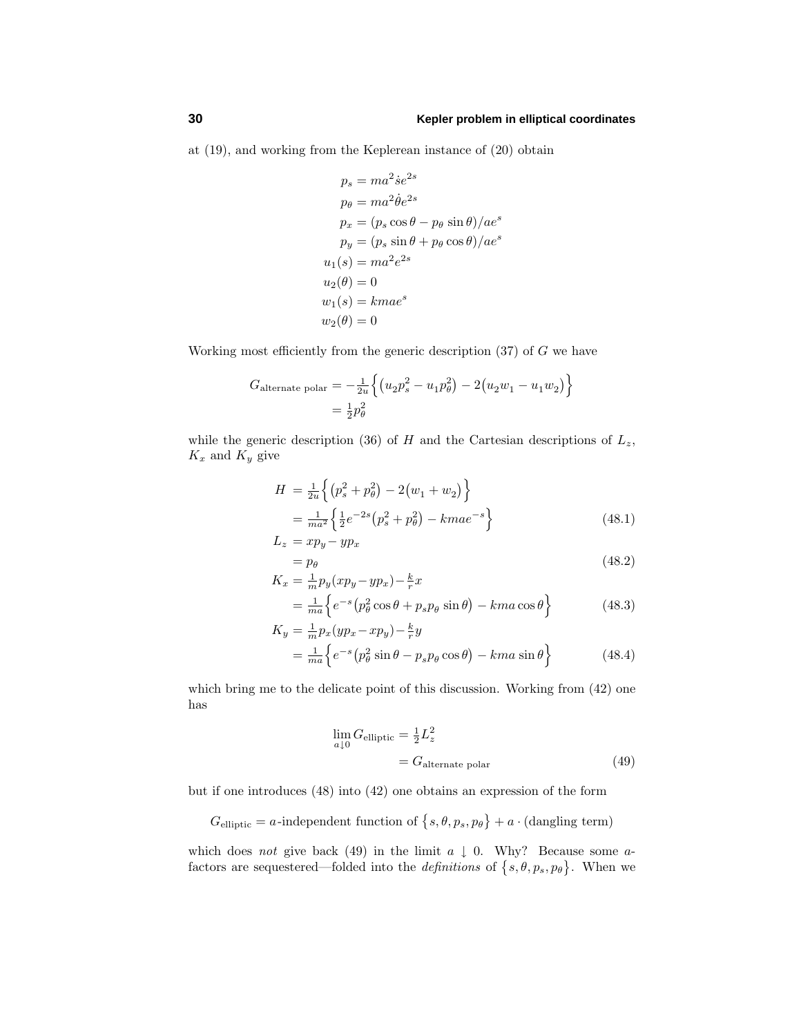at (19), and working from the Keplerean instance of (20) obtain

$$
p_s = ma^2 \dot{s}e^{2s}
$$
  
\n
$$
p_\theta = ma^2 \dot{\theta}e^{2s}
$$
  
\n
$$
p_x = (p_s \cos \theta - p_\theta \sin \theta)/ae^s
$$
  
\n
$$
p_y = (p_s \sin \theta + p_\theta \cos \theta)/ae^s
$$
  
\n
$$
u_1(s) = ma^2 e^{2s}
$$
  
\n
$$
u_2(\theta) = 0
$$
  
\n
$$
w_1(s) = kmae^s
$$
  
\n
$$
w_2(\theta) = 0
$$

Working most efficiently from the generic description (37) of *G* we have

$$
G_{\text{alternate polar}} = -\frac{1}{2u} \left\{ \left( u_2 p_s^2 - u_1 p_\theta^2 \right) - 2 \left( u_2 w_1 - u_1 w_2 \right) \right\}
$$
  
=  $\frac{1}{2} p_\theta^2$ 

while the generic description (36) of *H* and the Cartesian descriptions of  $L_z$ ,  $K_x$  and  $K_y$  give

$$
H = \frac{1}{2u} \left\{ (p_s^2 + p_\theta^2) - 2(w_1 + w_2) \right\}
$$
  
=  $\frac{1}{ma^2} \left\{ \frac{1}{2} e^{-2s} (p_s^2 + p_\theta^2) - kma e^{-s} \right\}$  (48.1)  
 $L_z = x p_u - y p_x$ 

$$
= p_{\theta} \tag{48.2}
$$

$$
K_x = \frac{1}{m} p_y (x p_y - y p_x) - \frac{k}{r} x
$$
  
= 
$$
\frac{1}{ma} \left\{ e^{-s} (p_\theta^2 \cos \theta + p_s p_\theta \sin \theta) - km a \cos \theta \right\}
$$
 (48.3)

$$
K_y = \frac{1}{m} p_x (y p_x - x p_y) - \frac{k}{r} y
$$
  
= 
$$
\frac{1}{ma} \left\{ e^{-s} (p_\theta^2 \sin \theta - p_s p_\theta \cos \theta) - km a \sin \theta \right\}
$$
 (48.4)

which bring me to the delicate point of this discussion. Working from (42) one has

$$
\lim_{a \downarrow 0} G_{\text{elliptic}} = \frac{1}{2} L_z^2
$$
  
= G<sub>alternative polar</sub> (49)

but if one introduces (48) into (42) one obtains an expression of the form

 $G_{\text{elliptic}} = a\text{-independent function of }\{s, \theta, p_s, p_\theta\} + a\cdot(\text{danging term})$ 

which does *not* give back (49) in the limit  $a \downarrow 0$ . Why? Because some  $a$ factors are sequestered—folded into the *definitions* of  $\{s, \theta, p_s, p_\theta\}$ . When we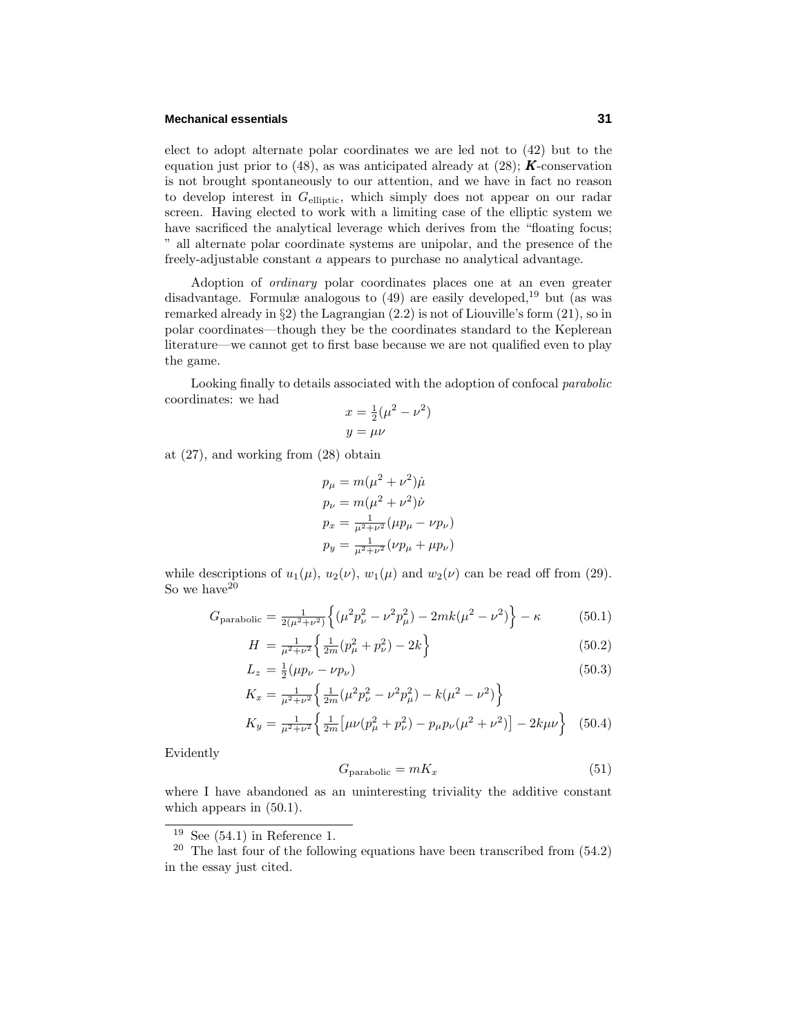#### **Mechanical essentials 31**

elect to adopt alternate polar coordinates we are led not to (42) but to the equation just prior to (48), as was anticipated already at (28); *K*-conservation is not brought spontaneously to our attention, and we have in fact no reason to develop interest in *G*elliptic, which simply does not appear on our radar screen. Having elected to work with a limiting case of the elliptic system we have sacrificed the analytical leverage which derives from the "floating focus; " all alternate polar coordinate systems are unipolar, and the presence of the freely-adjustable constant *a* appears to purchase no analytical advantage.

Adoption of ordinary polar coordinates places one at an even greater disadvantage. Formulæ analogous to  $(49)$  are easily developed,<sup>19</sup> but (as was remarked already in  $\S2$ ) the Lagrangian  $(2.2)$  is not of Liouville's form  $(21)$ , so in polar coordinates—though they be the coordinates standard to the Keplerean literature—we cannot get to first base because we are not qualified even to play the game.

Looking finally to details associated with the adoption of confocal parabolic coordinates: we had

$$
x = \frac{1}{2}(\mu^2 - \nu^2)
$$

$$
y = \mu\nu
$$

at (27), and working from (28) obtain

$$
p_{\mu} = m(\mu^{2} + \nu^{2})\dot{\mu}
$$
  
\n
$$
p_{\nu} = m(\mu^{2} + \nu^{2})\dot{\nu}
$$
  
\n
$$
p_{x} = \frac{1}{\mu^{2} + \nu^{2}}(\mu p_{\mu} - \nu p_{\nu})
$$
  
\n
$$
p_{y} = \frac{1}{\mu^{2} + \nu^{2}}(\nu p_{\mu} + \mu p_{\nu})
$$

while descriptions of  $u_1(\mu)$ ,  $u_2(\nu)$ ,  $w_1(\mu)$  and  $w_2(\nu)$  can be read off from (29). So we have  $20$ 

$$
G_{\text{parabolic}} = \frac{1}{2(\mu^2 + \nu^2)} \left\{ (\mu^2 p_\nu^2 - \nu^2 p_\mu^2) - 2mk(\mu^2 - \nu^2) \right\} - \kappa \tag{50.1}
$$

$$
H = \frac{1}{\mu^2 + \nu^2} \left\{ \frac{1}{2m} (p_\mu^2 + p_\nu^2) - 2k \right\}
$$
 (50.2)

$$
L_z = \frac{1}{2}(\mu p_\nu - \nu p_\nu)
$$
  
\n
$$
K_x = \frac{1}{\mu^2 + \nu^2} \left\{ \frac{1}{2m} (\mu^2 p_\nu^2 - \nu^2 p_\mu^2) - k(\mu^2 - \nu^2) \right\}
$$
\n(50.3)

$$
K_y = \frac{1}{\mu^2 + \nu^2} \left\{ \frac{1}{2m} \left[ \mu \nu (p_\mu^2 + p_\nu^2) - p_\mu p_\nu (\mu^2 + \nu^2) \right] - 2k \mu \nu \right\} \quad (50.4)
$$

Evidently

$$
G_{\text{parabolic}} = mK_x \tag{51}
$$

where I have abandoned as an uninteresting triviality the additive constant which appears in  $(50.1)$ .

<sup>&</sup>lt;sup>19</sup> See  $(54.1)$  in Reference 1.

<sup>&</sup>lt;sup>20</sup> The last four of the following equations have been transcribed from  $(54.2)$ in the essay just cited.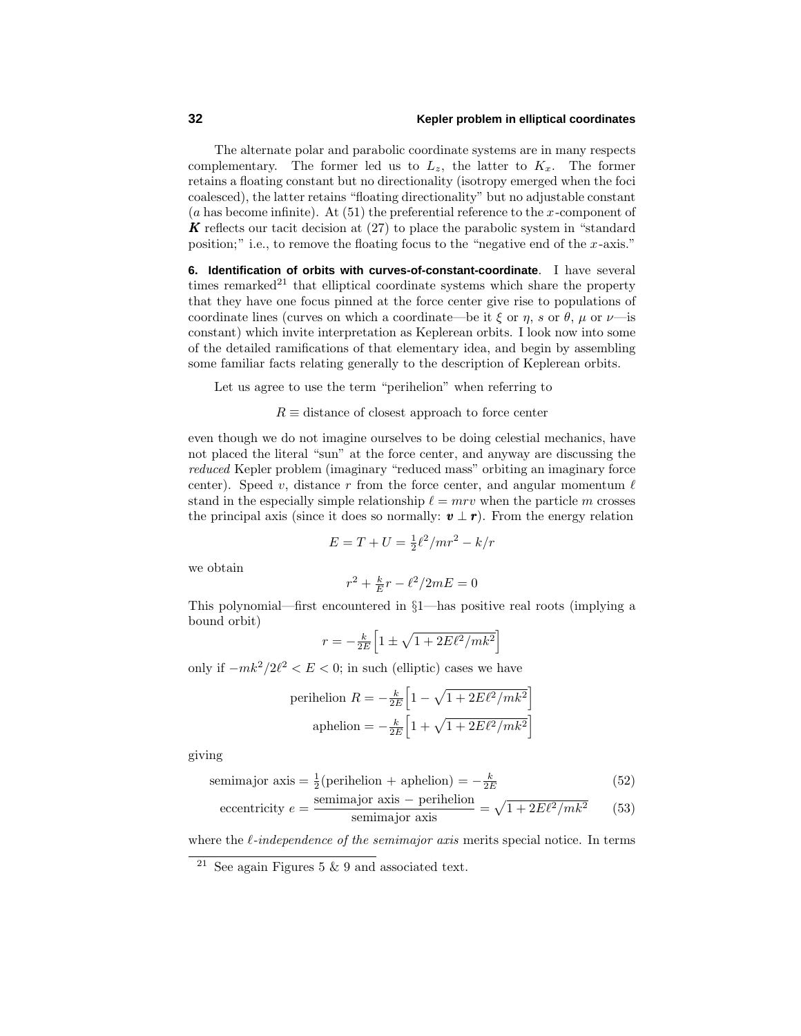#### **32 Kepler problem in elliptical coordinates**

The alternate polar and parabolic coordinate systems are in many respects complementary. The former led us to  $L_z$ , the latter to  $K_x$ . The former retains a floating constant but no directionality (isotropy emerged when the foci coalesced), the latter retains "floating directionality" but no adjustable constant (*a* has become infinite). At (51) the preferential reference to the *x*-component of *K* reflects our tacit decision at (27) to place the parabolic system in "standard position;" i.e., to remove the floating focus to the "negative end of the *x*-axis."

**6. Identification of orbits with curves-of-constant-coordinate**. I have several times remarked<sup>21</sup> that elliptical coordinate systems which share the property that they have one focus pinned at the force center give rise to populations of coordinate lines (curves on which a coordinate—be it  $\xi$  or  $\eta$ , *s* or  $\theta$ ,  $\mu$  or  $\nu$ —is constant) which invite interpretation as Keplerean orbits. I look now into some of the detailed ramifications of that elementary idea, and begin by assembling some familiar facts relating generally to the description of Keplerean orbits.

Let us agree to use the term "perihelion" when referring to

#### $R \equiv$  distance of closest approach to force center

even though we do not imagine ourselves to be doing celestial mechanics, have not placed the literal "sun" at the force center, and anyway are discussing the reduced Kepler problem (imaginary "reduced mass" orbiting an imaginary force center). Speed *v*, distance *r* from the force center, and angular momentum  $\ell$ stand in the especially simple relationship  $\ell = mrv$  when the particle m crosses the principal axis (since it does so normally:  $\mathbf{v} \perp \mathbf{r}$ ). From the energy relation

$$
E = T + U = \frac{1}{2}\ell^2/mr^2 - k/r
$$

we obtain

$$
r^2 + \frac{k}{E}r - \ell^2/2mE = 0
$$

This polynomial—first encountered in §1—has positive real roots (implying a bound orbit)

1

$$
r = -\frac{k}{2E} \left[ 1 \pm \sqrt{1 + 2E\ell^2/mk^2} \right]
$$

only if  $-mk^2/2\ell^2$  <  $E$  < 0; in such (elliptic) cases we have

$$
\text{perihelion } R = -\frac{k}{2E} \left[ 1 - \sqrt{1 + 2E\ell^2/mk^2} \right]
$$
\n
$$
\text{aphelion} = -\frac{k}{2E} \left[ 1 + \sqrt{1 + 2E\ell^2/mk^2} \right]
$$

giving

$$
semimajor axis = \frac{1}{2}(perihelion + aphelion) = -\frac{k}{2E}
$$
\n(52)

eccentricity 
$$
e = \frac{\text{semimajor axis} - \text{perihelion}}{\text{semimajor axis}} = \sqrt{1 + 2E\ell^2/mk^2}
$$
 (53)

where the  $\ell$ -independence of the semimajor axis merits special notice. In terms

<sup>&</sup>lt;sup>21</sup> See again Figures 5  $\&$  9 and associated text.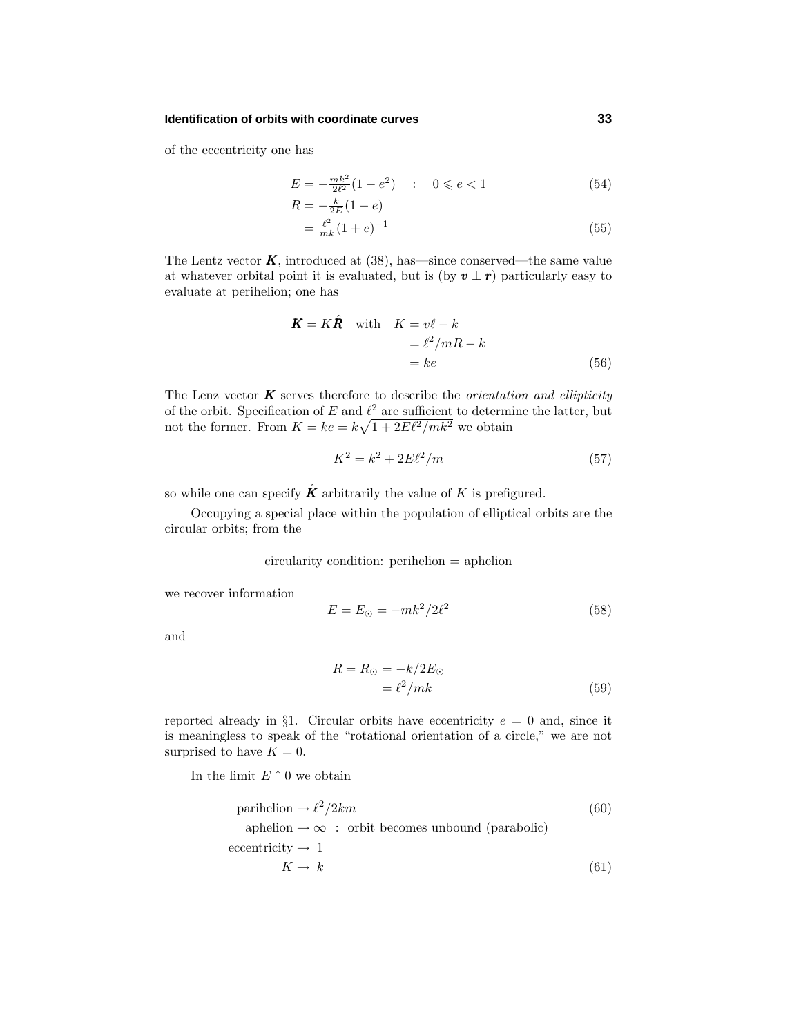#### **Identification of orbits with coordinate curves 33**

of the eccentricity one has

$$
E = -\frac{mk^2}{2\ell^2}(1 - e^2) \qquad : \quad 0 \leqslant e < 1 \tag{54}
$$

$$
R = -\frac{k}{2E}(1 - e)
$$
  
=  $\frac{\ell^2}{mk}(1 + e)^{-1}$  (55)

The Lentz vector  $K$ , introduced at  $(38)$ , has—since conserved—the same value at whatever orbital point it is evaluated, but is (by  $v \perp r$ ) particularly easy to evaluate at perihelion; one has

$$
\mathbf{K} = K\hat{\mathbf{R}} \quad \text{with} \quad K = v\ell - k
$$

$$
= \ell^2 / mR - k
$$

$$
= ke \tag{56}
$$

The Lenz vector  $\boldsymbol{K}$  serves therefore to describe the *orientation and ellipticity* of the orbit. Specification of  $E$  and  $\ell^2$  are sufficient to determine the latter, but not the former. From  $K = ke = k\sqrt{1+2E\ell^2/mk^2}$  we obtain

$$
K^2 = k^2 + 2E\ell^2/m
$$
 (57)

so while one can specify  $\hat{\mathbf{K}}$  arbitrarily the value of  $K$  is prefigured.

Occupying a special place within the population of elliptical orbits are the circular orbits; from the

#### circularity condition: perihelion = aphelion

we recover information

$$
E = E_{\odot} = -mk^2/2\ell^2
$$
 (58)

and

$$
R = R_{\odot} = -k/2E_{\odot}
$$

$$
= \ell^2/mk
$$
(59)

reported already in  $\S1$ . Circular orbits have eccentricity  $e = 0$  and, since it is meaningless to speak of the "rotational orientation of a circle," we are not surprised to have  $K = 0$ .

In the limit  $E \uparrow 0$  we obtain

$$
\begin{array}{ll}\n\text{parihelion} \to \ell^2/2km & (60) \\
\text{aphelion} \to \infty & : \text{orbit becomes unbound (parabolic)} \\
\text{eccentricity} \to 1 & K \to k & (61)\n\end{array}
$$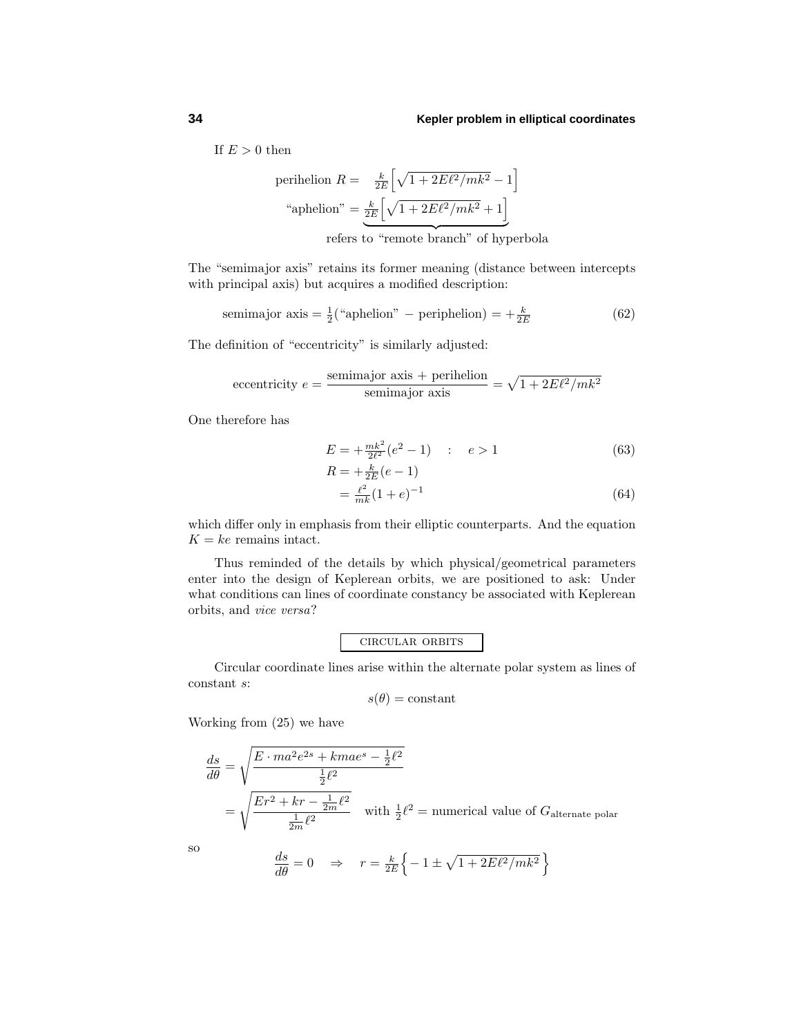#### **34 Kepler problem in elliptical coordinates**

If  $E > 0$  then

perihelion 
$$
R = \frac{k}{2E} \left[ \sqrt{1 + 2E\ell^2/mk^2} - 1 \right]
$$
  
\n"aphelion"  $= \frac{k}{2E} \left[ \sqrt{1 + 2E\ell^2/mk^2} + 1 \right]$   
\nrefers to "remote branch" of hyperbola

The "semimajor axis" retains its former meaning (distance between intercepts with principal axis) but acquires a modified description:

semimajor axis = 
$$
\frac{1}{2}
$$
 ("aphelion" - periphelion) = + $\frac{k}{2E}$  (62)

The definition of "eccentricity" is similarly adjusted:

eccentricity 
$$
e = \frac{\text{semimajor axis} + \text{perihelion}}{\text{semimajor axis}} = \sqrt{1 + 2E\ell^2/mk^2}
$$

One therefore has

$$
E = +\frac{mk^2}{2\ell^2}(e^2 - 1) : e > 1
$$
  
\n
$$
R = +\frac{k}{2E}(e - 1)
$$
 (63)

$$
= \frac{\ell^2}{mk}(1+e)^{-1}
$$
 (64)

which differ only in emphasis from their elliptic counterparts. And the equation  $K = ke$  remains intact.

Thus reminded of the details by which physical/geometrical parameters enter into the design of Keplerean orbits, we are positioned to ask: Under what conditions can lines of coordinate constancy be associated with Keplerean orbits, and vice versa?

## circular orbits

Circular coordinate lines arise within the alternate polar system as lines of constant *s*:

$$
s(\theta) = \text{constant}
$$

Working from (25) we have

$$
\frac{ds}{d\theta} = \sqrt{\frac{E \cdot ma^2 e^{2s} + kma e^s - \frac{1}{2}\ell^2}{\frac{1}{2}\ell^2}}
$$
\n
$$
= \sqrt{\frac{Er^2 + kr - \frac{1}{2m}\ell^2}{\frac{1}{2m}\ell^2}} \quad \text{with } \frac{1}{2}\ell^2 = \text{numerical value of } G_{\text{alternate polar}}
$$

so

$$
\frac{ds}{d\theta} = 0 \quad \Rightarrow \quad r = \frac{k}{2E} \left\{ -1 \pm \sqrt{1 + 2E\ell^2/mk^2} \right\}
$$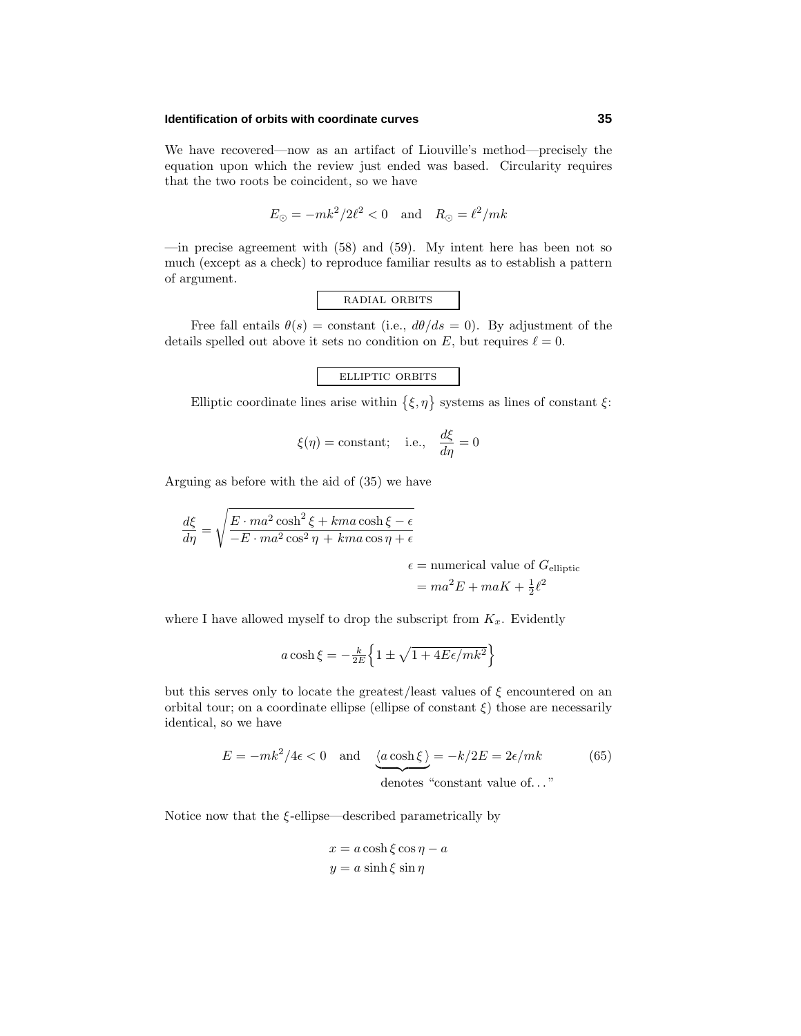### **Identification of orbits with coordinate curves 35**

We have recovered—now as an artifact of Liouville's method—precisely the equation upon which the review just ended was based. Circularity requires that the two roots be coincident, so we have

$$
E_{\odot} = -mk^2/2\ell^2 < 0 \quad \text{and} \quad R_{\odot} = \ell^2/mk
$$

 $\equiv$  m precise agreement with (58) and (59). My intent here has been not so much (except as a check) to reproduce familiar results as to establish a pattern of argument.

radial orbits

Free fall entails  $\theta(s) = \text{constant}$  (i.e.,  $d\theta/ds = 0$ ). By adjustment of the details spelled out above it sets no condition on *E*, but requires  $\ell = 0$ .

| PTIC ORI |
|----------|
|----------|

Elliptic coordinate lines arise within  $\{\xi,\eta\}$  systems as lines of constant  $\xi$ :

$$
\xi(\eta)
$$
 = constant; i.e.,  $\frac{d\xi}{d\eta} = 0$ 

Arguing as before with the aid of (35) we have

$$
\frac{d\xi}{d\eta} = \sqrt{\frac{E \cdot ma^2 \cosh^2 \xi + kma \cosh \xi - \epsilon}{-E \cdot ma^2 \cos^2 \eta + kma \cos \eta + \epsilon}}
$$
\n
$$
\epsilon = \text{numerical value of } G_{\text{elliptic}}
$$
\n
$$
= ma^2 E + maK + \frac{1}{2} \ell^2
$$

where I have allowed myself to drop the subscript from  $K_x$ . Evidently

$$
a\cosh\xi = -\frac{k}{2E}\Big\{1 \pm \sqrt{1 + 4E\epsilon/mk^2}\Big\}
$$

but this serves only to locate the greatest/least values of *ξ* encountered on an orbital tour; on a coordinate ellipse (ellipse of constant *ξ*) those are necessarily identical, so we have

$$
E = -mk^2/4\epsilon < 0 \quad \text{and} \quad \underbrace{\langle a \cosh \xi \rangle}_{\text{denotes}} = -k/2E = 2\epsilon/mk \tag{65}
$$

Notice now that the *ξ*-ellipse—described parametrically by

$$
x = a \cosh \xi \cos \eta - a
$$

$$
y = a \sinh \xi \sin \eta
$$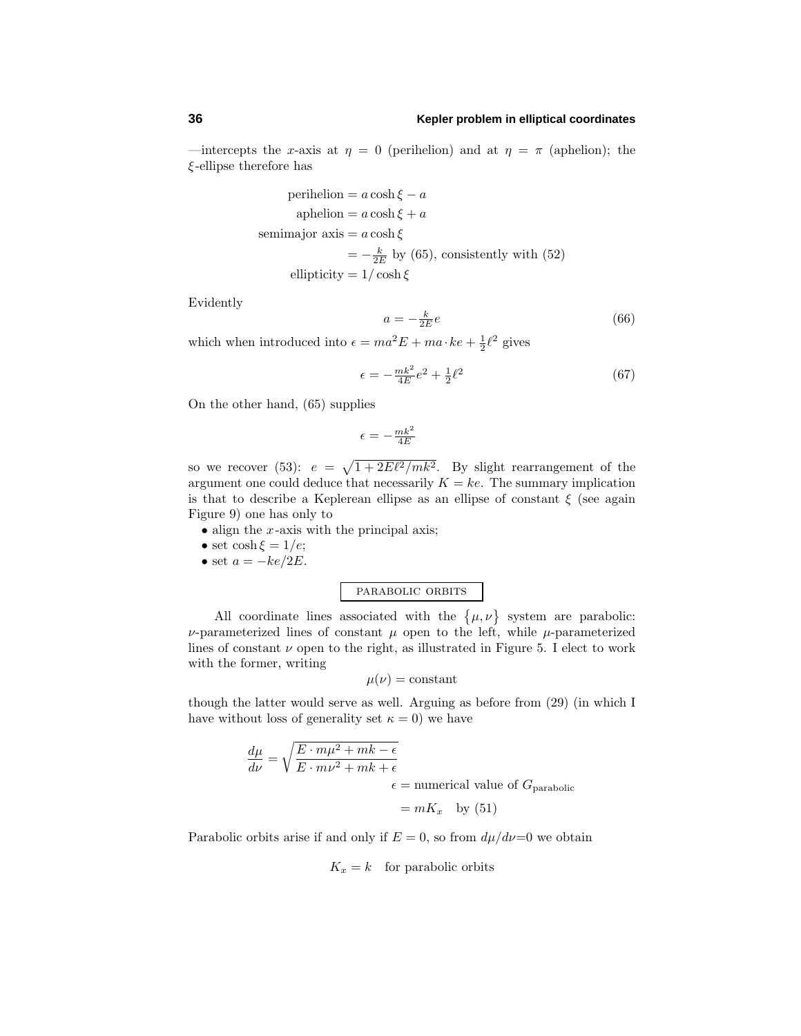#### **36 Kepler problem in elliptical coordinates**

—intercepts the *x*-axis at  $\eta = 0$  (perihelion) and at  $\eta = \pi$  (aphelion); the *ξ*-ellipse therefore has

perihelion = 
$$
a \cosh \xi - a
$$
  
aphelion =  $a \cosh \xi + a$   
semimajor axis =  $a \cosh \xi$   
=  $-\frac{k}{2E}$  by (65), consistently with (52)  
ellipticity =  $1/\cosh \xi$ 

Evidently

$$
a = -\frac{k}{2E}e\tag{66}
$$

which when introduced into  $\epsilon = ma^2E + ma \cdot ke + \frac{1}{2}\ell^2$  gives

$$
\epsilon = -\frac{mk^2}{4E}e^2 + \frac{1}{2}\ell^2\tag{67}
$$

On the other hand, (65) supplies

$$
\epsilon=-\tfrac{mk^2}{4E}
$$

so we recover (53):  $e = \sqrt{1+2E\ell^2/mk^2}$ . By slight rearrangement of the argument one could deduce that necessarily  $K = ke$ . The summary implication is that to describe a Keplerean ellipse as an ellipse of constant  $\xi$  (see again Figure 9) one has only to

- align the *x*-axis with the principal axis;
- set  $\cosh \xi = 1/e$ ;
- set  $a = -ke/2E$ .

parabolic orbits

All coordinate lines associated with the  $\{\mu, \nu\}$  system are parabolic:  $\nu$ -parameterized lines of constant  $\mu$  open to the left, while  $\mu$ -parameterized lines of constant  $\nu$  open to the right, as illustrated in Figure 5. I elect to work with the former, writing

$$
\mu(\nu) = \text{constant}
$$

though the latter would serve as well. Arguing as before from (29) (in which I have without loss of generality set  $\kappa = 0$ ) we have

$$
\frac{d\mu}{d\nu} = \sqrt{\frac{E \cdot m\mu^2 + mk - \epsilon}{E \cdot m\nu^2 + mk + \epsilon}}
$$
\n
$$
\epsilon = \text{numerical value of } G_{\text{parabolic}}
$$
\n
$$
= mK_x \quad \text{by (51)}
$$

Parabolic orbits arise if and only if  $E = 0$ , so from  $d\mu/d\nu = 0$  we obtain

$$
K_x = k \quad \text{for parabolic orbits}
$$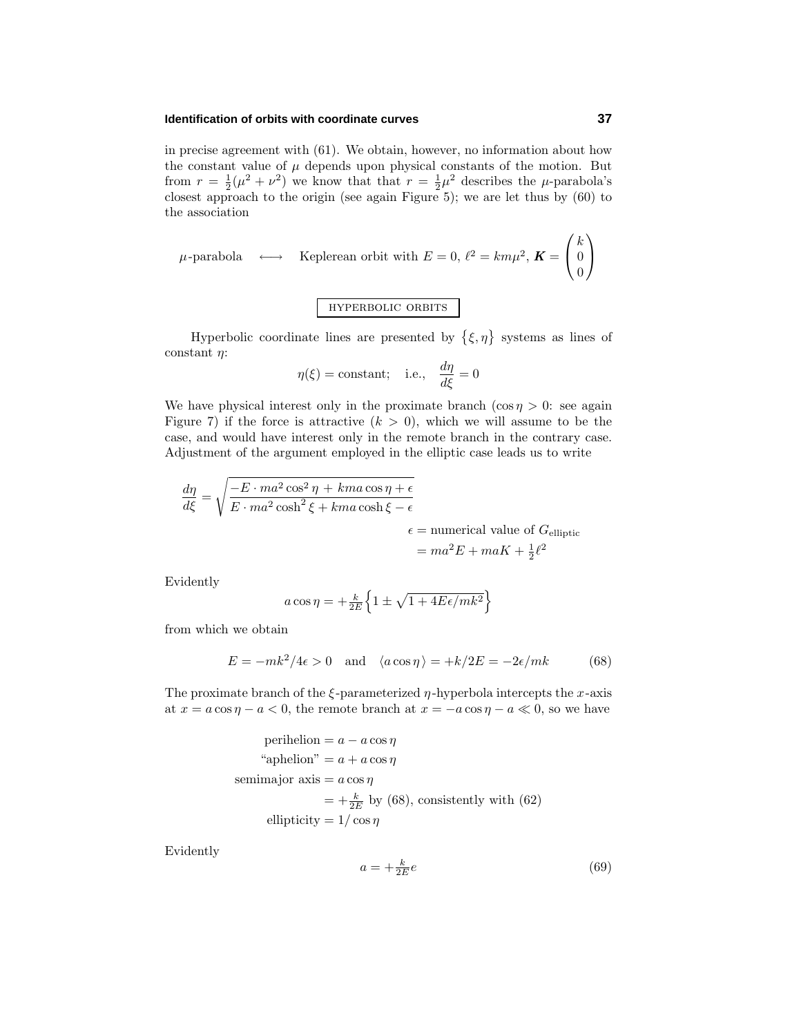## **Identification of orbits with coordinate curves 37**

in precise agreement with (61). We obtain, however, no information about how the constant value of  $\mu$  depends upon physical constants of the motion. But from  $r = \frac{1}{2}(\mu^2 + \nu^2)$  we know that that  $r = \frac{1}{2}\mu^2$  describes the  $\mu$ -parabola's closest approach to the origin (see again Figure 5); we are let thus by (60) to the association

$$
\mu\text{-parabola} \quad \longleftrightarrow \quad \text{Keplerean orbit with } E = 0, \ \ell^2 = k m \mu^2, \ \mathbf{K} = \begin{pmatrix} k \\ 0 \\ 0 \end{pmatrix}
$$

hyperbolic orbits

Hyperbolic coordinate lines are presented by  $\{\xi,\eta\}$  systems as lines of constant *η*:

$$
\eta(\xi) = \text{constant}; \quad \text{i.e.,} \quad \frac{d\eta}{d\xi} = 0
$$

We have physical interest only in the proximate branch  $(\cos \eta > 0)$ : see again Figure 7) if the force is attractive  $(k > 0)$ , which we will assume to be the case, and would have interest only in the remote branch in the contrary case. Adjustment of the argument employed in the elliptic case leads us to write

$$
\frac{d\eta}{d\xi} = \sqrt{\frac{-E \cdot ma^2 \cos^2 \eta + kma \cos \eta + \epsilon}{E \cdot ma^2 \cosh^2 \xi + kma \cosh \xi - \epsilon}}
$$
\n
$$
\epsilon = \text{numerical value of } G_{\text{elliptic}}
$$
\n
$$
= ma^2 E + maK + \frac{1}{2}\ell^2
$$

Evidently

$$
a\cos\eta = +\frac{k}{2E}\left\{1 \pm \sqrt{1 + 4E\epsilon/mk^2}\right\}
$$

from which we obtain

$$
E = -mk^2/4\epsilon > 0 \quad \text{and} \quad \langle a\cos\eta \rangle = +k/2E = -2\epsilon/mk \tag{68}
$$

The proximate branch of the  $\xi$ -parameterized  $\eta$ -hyperbola intercepts the *x*-axis at  $x = a \cos \eta - a < 0$ , the remote branch at  $x = -a \cos \eta - a \ll 0$ , so we have

perihelion = 
$$
a - a \cos \eta
$$
  
\n"aphelion" =  $a + a \cos \eta$   
\nsemimajor axis =  $a \cos \eta$   
\n=  $+\frac{k}{2E}$  by (68), consistently with (62)  
\nellipticity =  $1/\cos \eta$ 

Evidently

$$
a = +\frac{k}{2E}e\tag{69}
$$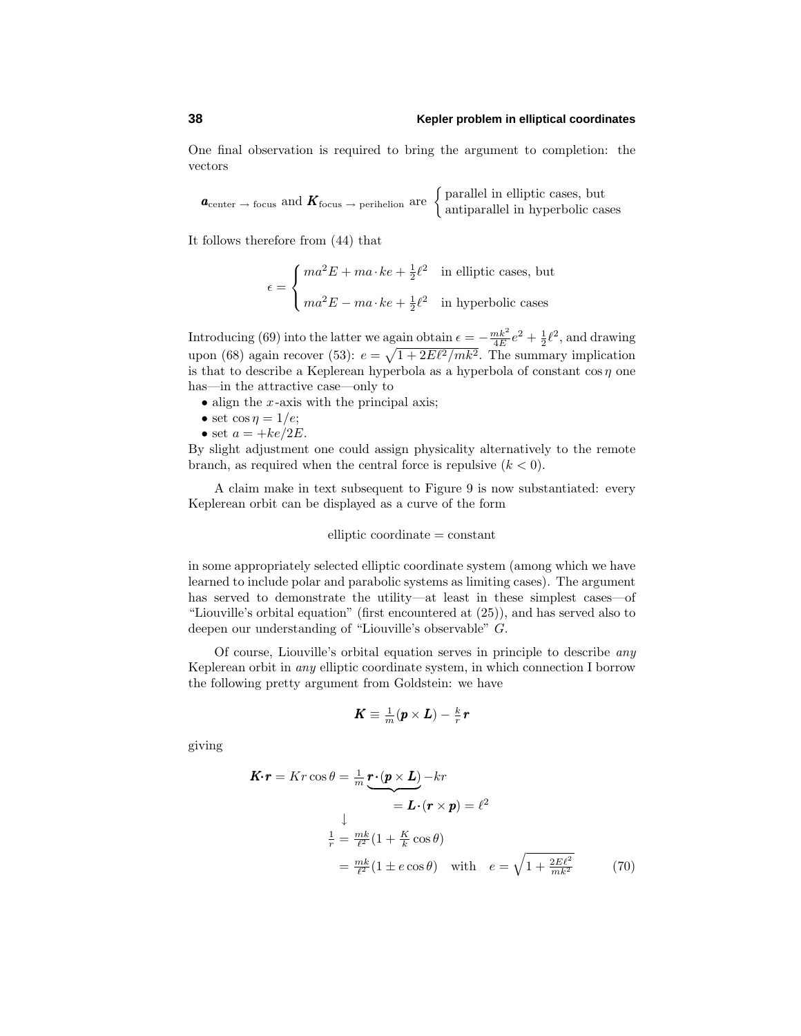One final observation is required to bring the argument to completion: the vectors

 $a_{\text{center}} \rightarrow$  focus and  $K_{\text{focus}} \rightarrow$  perihelion are  $\left\{\begin{array}{c} \text{parallel in elliptic cases, but} \\ \text{antinarallel in hyperbolic case.} \end{array}\right\}$ antiparallel in hyperbolic cases

It follows therefore from (44) that

$$
\epsilon = \begin{cases} ma^2 E + ma \cdot ke + \frac{1}{2}\ell^2 & \text{in elliptic cases, but} \\ ma^2 E - ma \cdot ke + \frac{1}{2}\ell^2 & \text{in hyperbolic cases} \end{cases}
$$

Introducing (69) into the latter we again obtain  $\epsilon = -\frac{mk^2}{4E}e^2 + \frac{1}{2}\ell^2$ , and drawing upon (68) again recover (53):  $e = \sqrt{1+2E\ell^2/mk^2}$ . The summary implication is that to describe a Keplerean hyperbola as a hyperbola of constant  $\cos \eta$  one has—in the attractive case—only to

- align the *x*-axis with the principal axis;
- set  $\cos \eta = 1/e$ ;
- set  $a = +ke/2E$ .

By slight adjustment one could assign physicality alternatively to the remote branch, as required when the central force is repulsive (*k <* 0).

A claim make in text subsequent to Figure 9 is now substantiated: every Keplerean orbit can be displayed as a curve of the form

#### elliptic coordinate = constant

in some appropriately selected elliptic coordinate system (among which we have learned to include polar and parabolic systems as limiting cases). The argument has served to demonstrate the utility—at least in these simplest cases—of "Liouville's orbital equation" (first encountered at (25)), and has served also to deepen our understanding of "Liouville's observable" *G*.

Of course, Liouville's orbital equation serves in principle to describe any Keplerean orbit in any elliptic coordinate system, in which connection I borrow the following pretty argument from Goldstein: we have

$$
\pmb{K} \equiv \tfrac{1}{m} (\pmb{p} \times \pmb{L}) - \tfrac{k}{r} \pmb{r}
$$

giving

$$
\mathbf{K} \cdot \mathbf{r} = Kr \cos \theta = \frac{1}{m} \underbrace{\mathbf{r} \cdot (\mathbf{p} \times \mathbf{L})}_{= \mathbf{L} \cdot (\mathbf{r} \times \mathbf{p}) = \ell^2}
$$
\n
$$
\downarrow
$$
\n
$$
\frac{1}{r} = \frac{mk}{\ell^2} (1 + \frac{K}{k} \cos \theta)
$$
\n
$$
= \frac{mk}{\ell^2} (1 \pm e \cos \theta) \quad \text{with} \quad e = \sqrt{1 + \frac{2E\ell^2}{mk^2}} \tag{70}
$$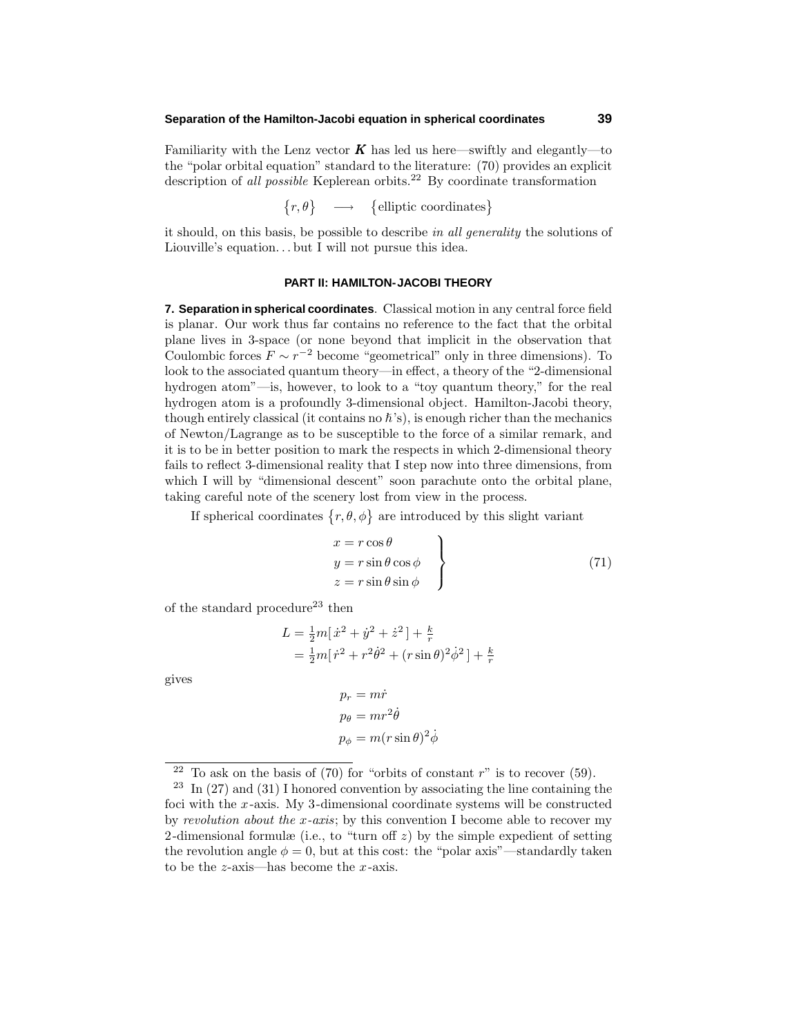#### **Separation of the Hamilton-Jacobi equation in spherical coordinates 39**

Familiarity with the Lenz vector  $\boldsymbol{K}$  has led us here—swiftly and elegantly—to the "polar orbital equation" standard to the literature: (70) provides an explicit description of all possible Keplerean orbits.<sup>22</sup> By coordinate transformation

 $\{r, \theta\} \longrightarrow \{\text{elliptic coordinates}\}\$ 

it should, on this basis, be possible to describe in all generality the solutions of Liouville's equation*...* but I will not pursue this idea.

#### **PART II: HAMILTON-JACOBI THEORY**

**7. Separation in spherical coordinates**. Classical motion in any central force field is planar. Our work thus far contains no reference to the fact that the orbital plane lives in 3-space (or none beyond that implicit in the observation that Coulombic forces  $F \sim r^{-2}$  become "geometrical" only in three dimensions). To look to the associated quantum theory—in effect, a theory of the "2-dimensional hydrogen atom"—is, however, to look to a "toy quantum theory," for the real hydrogen atom is a profoundly 3-dimensional object. Hamilton-Jacobi theory, though entirely classical (it contains no  $\hbar$ 's), is enough richer than the mechanics of Newton/Lagrange as to be susceptible to the force of a similar remark, and it is to be in better position to mark the respects in which 2-dimensional theory fails to reflect 3-dimensional reality that I step now into three dimensions, from which I will by "dimensional descent" soon parachute onto the orbital plane, taking careful note of the scenery lost from view in the process.

If spherical coordinates  $\{r, \theta, \phi\}$  are introduced by this slight variant

$$
x = r \cos \theta
$$
  
\n
$$
y = r \sin \theta \cos \phi
$$
  
\n
$$
z = r \sin \theta \sin \phi
$$
 (71)

of the standard procedure<sup>23</sup> then

$$
L = \frac{1}{2}m[\dot{x}^2 + \dot{y}^2 + \dot{z}^2] + \frac{k}{r}
$$
  
=  $\frac{1}{2}m[\dot{r}^2 + r^2\dot{\theta}^2 + (r\sin\theta)^2\dot{\phi}^2] + \frac{k}{r}$ 

gives

$$
p_r = m\dot{r}
$$
  
\n
$$
p_\theta = mr^2\dot{\theta}
$$
  
\n
$$
p_\phi = m(r\sin\theta)^2\dot{\phi}
$$

<sup>&</sup>lt;sup>22</sup> To ask on the basis of (70) for "orbits of constant  $r$ " is to recover (59).

 $23$  In (27) and (31) I honored convention by associating the line containing the foci with the *x*-axis. My 3-dimensional coordinate systems will be constructed by revolution about the *x*-axis; by this convention I become able to recover my 2-dimensional formulæ (i.e., to "turn off *z*) by the simple expedient of setting the revolution angle  $\phi = 0$ , but at this cost: the "polar axis"—standardly taken to be the *z*-axis—has become the *x*-axis.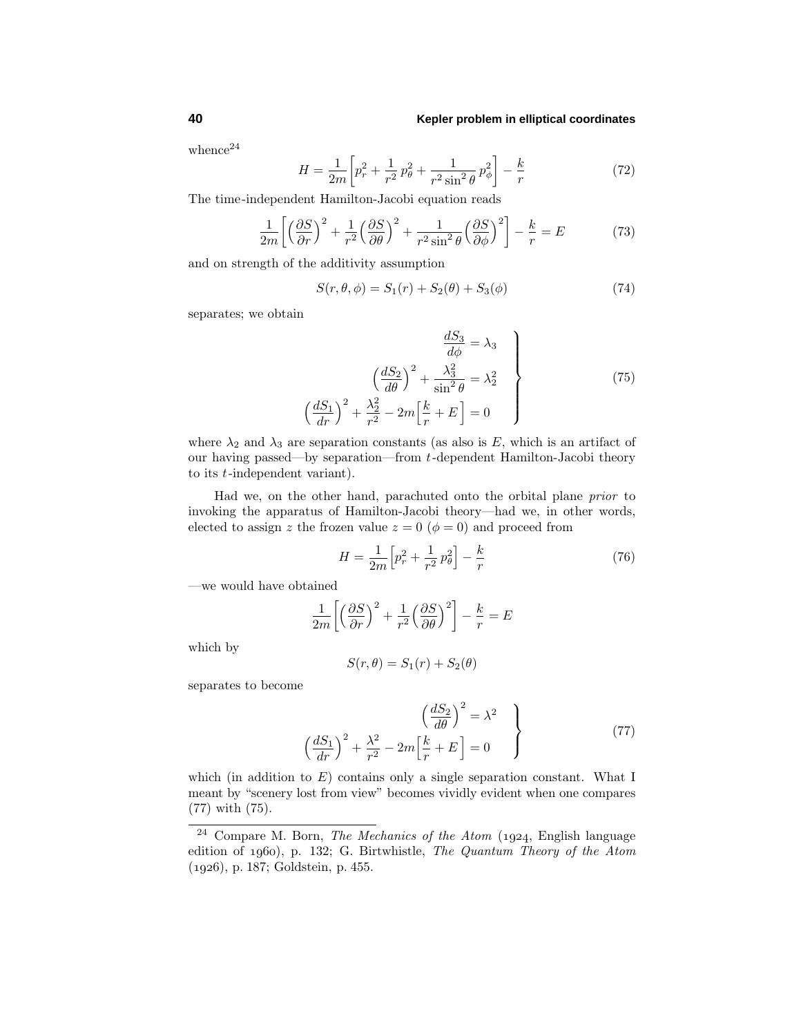whence $^{24}$ 

$$
H = \frac{1}{2m} \left[ p_r^2 + \frac{1}{r^2} p_\theta^2 + \frac{1}{r^2 \sin^2 \theta} p_\phi^2 \right] - \frac{k}{r}
$$
 (72)

The time-independent Hamilton-Jacobi equation reads

$$
\frac{1}{2m} \left[ \left( \frac{\partial S}{\partial r} \right)^2 + \frac{1}{r^2} \left( \frac{\partial S}{\partial \theta} \right)^2 + \frac{1}{r^2 \sin^2 \theta} \left( \frac{\partial S}{\partial \phi} \right)^2 \right] - \frac{k}{r} = E \tag{73}
$$

and on strength of the additivity assumption

!*dS*<sup>1</sup>

$$
S(r, \theta, \phi) = S_1(r) + S_2(\theta) + S_3(\phi)
$$
\n(74)

separates; we obtain

$$
\frac{dS_3}{d\phi} = \lambda_3
$$
\n
$$
\left(\frac{dS_2}{d\theta}\right)^2 + \frac{\lambda_3^2}{\sin^2\theta} = \lambda_2^2
$$
\n
$$
\left(\frac{dS_1}{dr}\right)^2 + \frac{\lambda_2^2}{r^2} - 2m\left[\frac{k}{r} + E\right] = 0
$$
\n(75)

where  $\lambda_2$  and  $\lambda_3$  are separation constants (as also is *E*, which is an artifact of our having passed—by separation—from *t*-dependent Hamilton-Jacobi theory to its *t*-independent variant).

Had we, on the other hand, parachuted onto the orbital plane prior to invoking the apparatus of Hamilton-Jacobi theory—had we, in other words, elected to assign *z* the frozen value  $z = 0$  ( $\phi = 0$ ) and proceed from

$$
H = \frac{1}{2m} \left[ p_r^2 + \frac{1}{r^2} p_\theta^2 \right] - \frac{k}{r}
$$
 (76)

—we would have obtained

$$
\frac{1}{2m} \left[ \left( \frac{\partial S}{\partial r} \right)^2 + \frac{1}{r^2} \left( \frac{\partial S}{\partial \theta} \right)^2 \right] - \frac{k}{r} = E
$$

which by

$$
S(r, \theta) = S_1(r) + S_2(\theta)
$$

separates to become

$$
\left(\frac{dS_2}{d\theta}\right)^2 = \lambda^2
$$
\n
$$
\left(\frac{dS_1}{dr}\right)^2 + \frac{\lambda^2}{r^2} - 2m\left[\frac{k}{r} + E\right] = 0
$$
\n(77)

which (in addition to *E*) contains only a single separation constant. What I meant by "scenery lost from view" becomes vividly evident when one compares (77) with (75).

<sup>&</sup>lt;sup>24</sup> Compare M. Born, *The Mechanics of the Atom* (1924, English language edition of  $1960$ , p. 132; G. Birtwhistle, The Quantum Theory of the Atom (), p. 187; Goldstein, p. 455.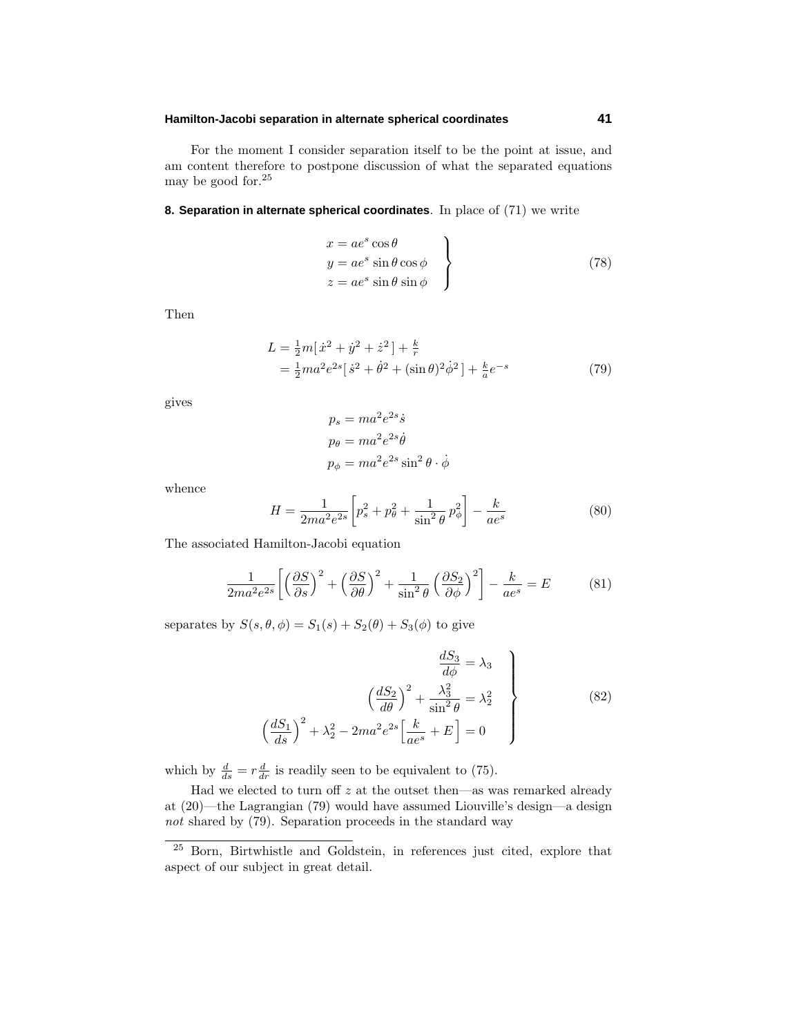## **Hamilton-Jacobi separation in alternate spherical coordinates 41**

For the moment I consider separation itself to be the point at issue, and am content therefore to postpone discussion of what the separated equations may be good for.<sup>25</sup>

## **8. Separation in alternate spherical coordinates**. In place of (71) we write

$$
x = ae^{s} \cos \theta
$$
  
\n
$$
y = ae^{s} \sin \theta \cos \phi
$$
  
\n
$$
z = ae^{s} \sin \theta \sin \phi
$$
 (78)

Then

$$
L = \frac{1}{2}m[\dot{x}^2 + \dot{y}^2 + \dot{z}^2] + \frac{k}{r}
$$
  
=  $\frac{1}{2}ma^2e^{2s}[\dot{s}^2 + \dot{\theta}^2 + (\sin\theta)^2\dot{\phi}^2] + \frac{k}{a}e^{-s}$  (79)

gives

$$
p_s = ma^2 e^{2s} \dot{s}
$$
  
\n
$$
p_\theta = ma^2 e^{2s} \dot{\theta}
$$
  
\n
$$
p_\phi = ma^2 e^{2s} \sin^2 \theta \cdot \dot{\phi}
$$

whence

$$
H = \frac{1}{2ma^2e^{2s}} \left[ p_s^2 + p_\theta^2 + \frac{1}{\sin^2 \theta} p_\phi^2 \right] - \frac{k}{ae^s}
$$
 (80)

The associated Hamilton-Jacobi equation

$$
\frac{1}{2ma^2e^{2s}} \left[ \left( \frac{\partial S}{\partial s} \right)^2 + \left( \frac{\partial S}{\partial \theta} \right)^2 + \frac{1}{\sin^2 \theta} \left( \frac{\partial S_2}{\partial \phi} \right)^2 \right] - \frac{k}{ae^s} = E \tag{81}
$$

separates by  $S(s, \theta, \phi) = S_1(s) + S_2(\theta) + S_3(\phi)$  to give

$$
\frac{dS_3}{d\phi} = \lambda_3
$$
\n
$$
\left(\frac{dS_2}{d\theta}\right)^2 + \frac{\lambda_3^2}{\sin^2\theta} = \lambda_2^2
$$
\n
$$
\left(\frac{dS_1}{ds}\right)^2 + \lambda_2^2 - 2ma^2e^{2s}\left[\frac{k}{ae^s} + E\right] = 0
$$
\n(82)

which by  $\frac{d}{ds} = r \frac{d}{dr}$  is readily seen to be equivalent to (75).

Had we elected to turn off *z* at the outset then—as was remarked already at (20)—the Lagrangian (79) would have assumed Liouville's design—a design not shared by (79). Separation proceeds in the standard way

<sup>25</sup> Born, Birtwhistle and Goldstein, in references just cited, explore that aspect of our subject in great detail.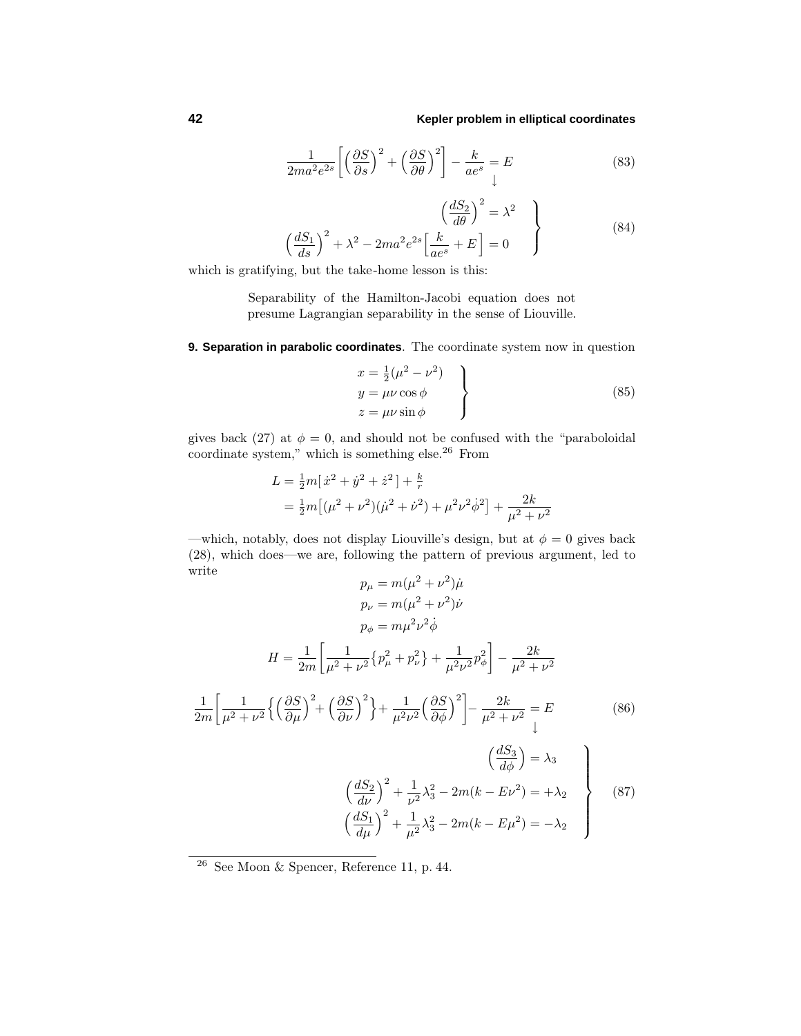$$
\frac{1}{2ma^2e^{2s}}\left[\left(\frac{\partial S}{\partial s}\right)^2 + \left(\frac{\partial S}{\partial \theta}\right)^2\right] - \frac{k}{ae^s} = E\tag{83}
$$

$$
\left(\frac{dS_2}{d\theta}\right)^2 = \lambda^2
$$
\n
$$
\left(\frac{dS_1}{ds}\right)^2 + \lambda^2 - 2ma^2e^{2s}\left[\frac{k}{ae^s} + E\right] = 0
$$
\n(84)

which is gratifying, but the take-home lesson is this:

Separability of the Hamilton-Jacobi equation does not presume Lagrangian separability in the sense of Liouville.

## **9. Separation in parabolic coordinates**. The coordinate system now in question

$$
x = \frac{1}{2}(\mu^2 - \nu^2)
$$
  
\n
$$
y = \mu \nu \cos \phi
$$
  
\n
$$
z = \mu \nu \sin \phi
$$
 (85)

gives back  $(27)$  at  $\phi = 0$ , and should not be confused with the "paraboloidal coordinate system," which is something else. $26$  From

$$
L = \frac{1}{2}m[\dot{x}^2 + \dot{y}^2 + \dot{z}^2] + \frac{k}{r}
$$
  
=  $\frac{1}{2}m[(\mu^2 + \nu^2)(\dot{\mu}^2 + \dot{\nu}^2) + \mu^2 \nu^2 \dot{\phi}^2] + \frac{2k}{\mu^2 + \nu^2}$ 

—which, notably, does not display Liouville's design, but at  $\phi = 0$  gives back (28), which does—we are, following the pattern of previous argument, led to write

$$
p_{\mu} = m(\mu^{2} + \nu^{2})\dot{\mu}
$$
  
\n
$$
p_{\nu} = m(\mu^{2} + \nu^{2})\dot{\nu}
$$
  
\n
$$
p_{\phi} = m\mu^{2}\nu^{2}\dot{\phi}
$$
  
\n
$$
H = \frac{1}{2m} \left[ \frac{1}{\mu^{2} + \nu^{2}} \{ p_{\mu}^{2} + p_{\nu}^{2} \} + \frac{1}{\mu^{2}\nu^{2}} p_{\phi}^{2} \right] - \frac{2k}{\mu^{2} + \nu^{2}}
$$
  
\n
$$
\frac{1}{2m} \left[ \frac{1}{\mu^{2} + \nu^{2}} \{ \left( \frac{\partial S}{\partial \mu} \right)^{2} + \left( \frac{\partial S}{\partial \nu} \right)^{2} \} + \frac{1}{\mu^{2}\nu^{2}} \left( \frac{\partial S}{\partial \phi} \right)^{2} \right] - \frac{2k}{\mu^{2} + \nu^{2}} = E \qquad (86)
$$
  
\n
$$
\left( \frac{dS_{3}}{d\phi} \right) = \lambda_{3}
$$
  
\n
$$
\left( \frac{dS_{2}}{d\nu} \right)^{2} + \frac{1}{\nu^{2}} \lambda_{3}^{2} - 2m(k - E\nu^{2}) = +\lambda_{2}
$$
  
\n
$$
\left( \frac{dS_{1}}{d\mu} \right)^{2} + \frac{1}{\mu^{2}} \lambda_{3}^{2} - 2m(k - E\mu^{2}) = -\lambda_{2}
$$
  
\n(87)

*dµ*

<sup>26</sup> See Moon & Spencer, Reference 11, p. 44.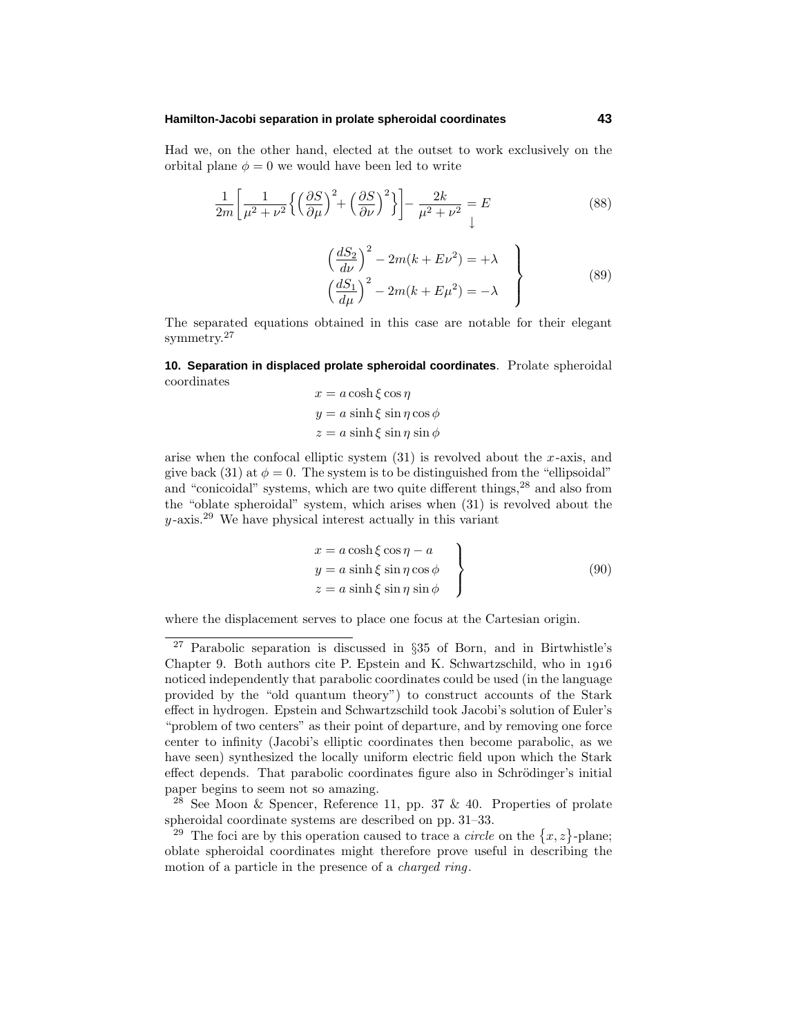## **Hamilton-Jacobi separation in prolate spheroidal coordinates 43**

Had we, on the other hand, elected at the outset to work exclusively on the orbital plane  $\phi = 0$  we would have been led to write

$$
\frac{1}{2m} \left[ \frac{1}{\mu^2 + \nu^2} \left\{ \left( \frac{\partial S}{\partial \mu} \right)^2 + \left( \frac{\partial S}{\partial \nu} \right)^2 \right\} \right] - \frac{2k}{\mu^2 + \nu^2} = E \tag{88}
$$

$$
\left(\frac{dS_2}{d\nu}\right)^2 - 2m(k + E\nu^2) = +\lambda
$$
\n
$$
\left(\frac{dS_1}{d\mu}\right)^2 - 2m(k + E\mu^2) = -\lambda
$$
\n(89)

The separated equations obtained in this case are notable for their elegant symmetry.<sup>27</sup>

**10. Separation in displaced prolate spheroidal coordinates**. Prolate spheroidal coordinates

$$
x = a \cosh \xi \cos \eta
$$
  

$$
y = a \sinh \xi \sin \eta \cos \phi
$$
  

$$
z = a \sinh \xi \sin \eta \sin \phi
$$

arise when the confocal elliptic system (31) is revolved about the *x*-axis, and give back (31) at  $\phi = 0$ . The system is to be distinguished from the "ellipsoidal" and "conicoidal" systems, which are two quite different things, $28$  and also from the "oblate spheroidal" system, which arises when (31) is revolved about the  $y$ -axis.<sup>29</sup> We have physical interest actually in this variant

$$
x = a \cosh \xi \cos \eta - a
$$
  
\n
$$
y = a \sinh \xi \sin \eta \cos \phi
$$
  
\n
$$
z = a \sinh \xi \sin \eta \sin \phi
$$
 (90)

where the displacement serves to place one focus at the Cartesian origin.

<sup>27</sup> Parabolic separation is discussed in §35 of Born, and in Birtwhistle's Chapter 9. Both authors cite P. Epstein and K. Schwartzschild, who in noticed independently that parabolic coordinates could be used (in the language provided by the "old quantum theory") to construct accounts of the Stark effect in hydrogen. Epstein and Schwartzschild took Jacobi's solution of Euler's "problem of two centers" as their point of departure, and by removing one force center to infinity (Jacobi's elliptic coordinates then become parabolic, as we have seen) synthesized the locally uniform electric field upon which the Stark effect depends. That parabolic coordinates figure also in Schrödinger's initial paper begins to seem not so amazing.

 $28$  See Moon & Spencer, Reference 11, pp. 37 & 40. Properties of prolate spheroidal coordinate systems are described on pp. 31–33.

<sup>&</sup>lt;sup>29</sup> The foci are by this operation caused to trace a *circle* on the  $\{x, z\}$ -plane; oblate spheroidal coordinates might therefore prove useful in describing the motion of a particle in the presence of a *charged ring*.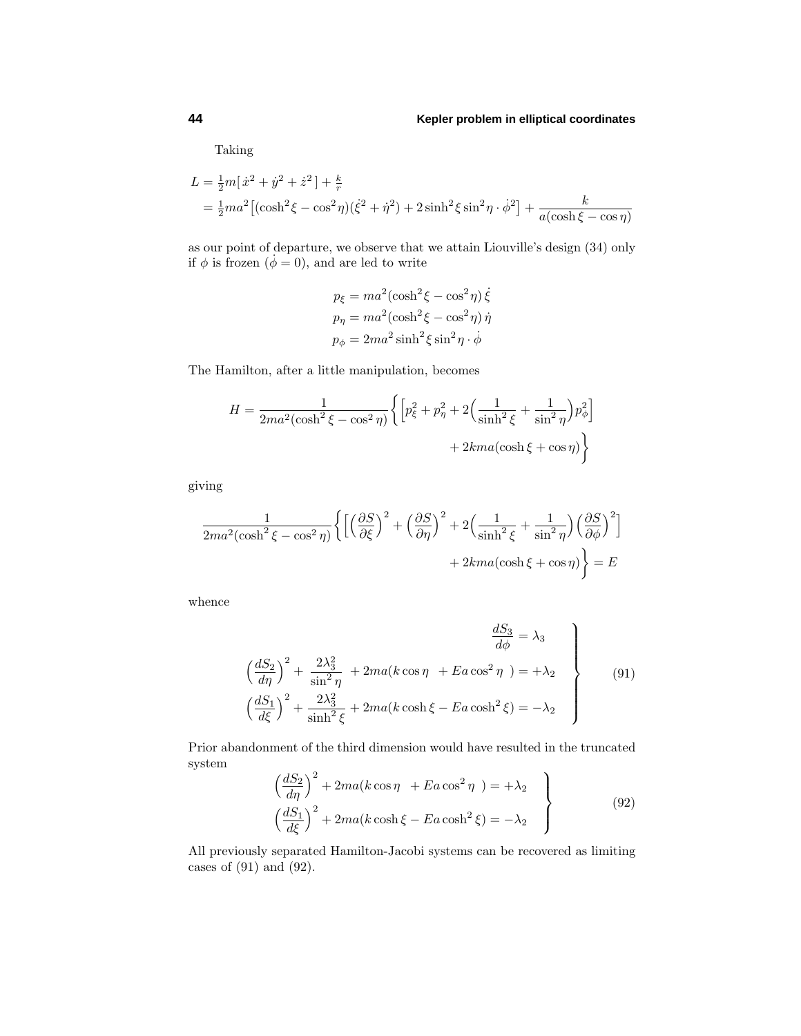Taking

$$
L = \frac{1}{2}m[\dot{x}^2 + \dot{y}^2 + \dot{z}^2] + \frac{k}{r}
$$
  
=  $\frac{1}{2}ma^2[(\cosh^2 \xi - \cos^2 \eta)(\dot{\xi}^2 + \dot{\eta}^2) + 2\sinh^2 \xi \sin^2 \eta \cdot \dot{\phi}^2] + \frac{k}{a(\cosh \xi - \cos \eta)}$ 

as our point of departure, we observe that we attain Liouville's design (34) only if  $\phi$  is frozen ( $\dot{\phi} = 0$ ), and are led to write

$$
p_{\xi} = ma^2(\cosh^2 \xi - \cos^2 \eta) \dot{\xi}
$$

$$
p_{\eta} = ma^2(\cosh^2 \xi - \cos^2 \eta) \dot{\eta}
$$

$$
p_{\phi} = 2ma^2 \sinh^2 \xi \sin^2 \eta \cdot \dot{\phi}
$$

The Hamilton, after a little manipulation, becomes

$$
H = \frac{1}{2ma^2(\cosh^2 \xi - \cos^2 \eta)} \left\{ \left[ p_{\xi}^2 + p_{\eta}^2 + 2\left( \frac{1}{\sinh^2 \xi} + \frac{1}{\sin^2 \eta} \right) p_{\phi}^2 \right] + 2kma(\cosh \xi + \cos \eta) \right\}
$$

giving

$$
\frac{1}{2ma^2(\cosh^2 \xi - \cos^2 \eta)} \Biggl\{ \Biggl[ \Bigl( \frac{\partial S}{\partial \xi} \Bigr)^2 + \Bigl( \frac{\partial S}{\partial \eta} \Bigr)^2 + 2 \Bigl( \frac{1}{\sinh^2 \xi} + \frac{1}{\sin^2 \eta} \Bigr) \Bigl( \frac{\partial S}{\partial \phi} \Bigr)^2 \Biggr] + 2kma(\cosh \xi + \cos \eta) \Biggr\} = E
$$

whence

$$
\left(\frac{dS_2}{d\eta}\right)^2 + \frac{2\lambda_3^2}{\sin^2 \eta} + 2ma(k\cos\eta + Ea\cos^2\eta) = +\lambda_2
$$
\n
$$
\left(\frac{dS_1}{d\xi}\right)^2 + \frac{2\lambda_3^2}{\sinh^2 \xi} + 2ma(k\cosh\xi - Ea\cosh^2\xi) = -\lambda_2
$$
\n(91)

Prior abandonment of the third dimension would have resulted in the truncated system

$$
\left(\frac{dS_2}{d\eta}\right)^2 + 2ma(k\cos\eta + Ea\cos^2\eta) = +\lambda_2
$$
\n
$$
\left(\frac{dS_1}{d\xi}\right)^2 + 2ma(k\cosh\xi - Ea\cosh^2\xi) = -\lambda_2
$$
\n(92)

All previously separated Hamilton-Jacobi systems can be recovered as limiting cases of (91) and (92).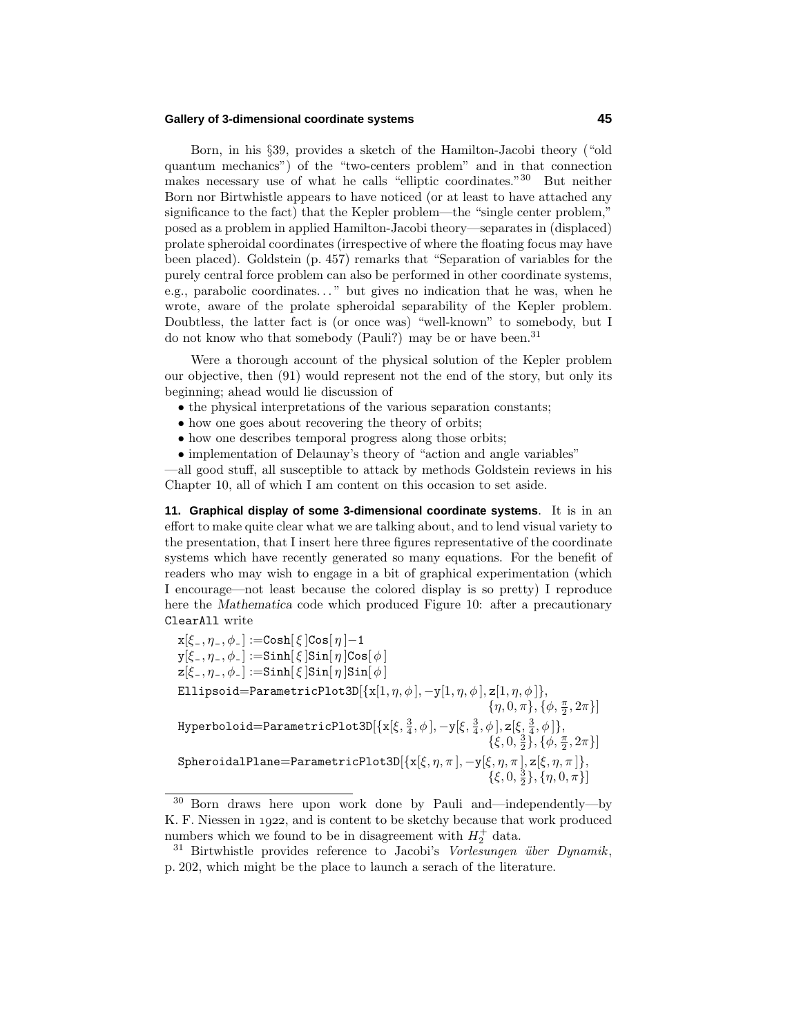## **Gallery of 3-dimensional coordinate systems 45**

Born, in his §39, provides a sketch of the Hamilton-Jacobi theory ("old quantum mechanics") of the "two-centers problem" and in that connection makes necessary use of what he calls "elliptic coordinates."<sup>30</sup> But neither Born nor Birtwhistle appears to have noticed (or at least to have attached any significance to the fact) that the Kepler problem—the "single center problem," posed as a problem in applied Hamilton-Jacobi theory—separates in (displaced) prolate spheroidal coordinates (irrespective of where the floating focus may have been placed). Goldstein (p. 457) remarks that "Separation of variables for the purely central force problem can also be performed in other coordinate systems, e.g., parabolic coordinates*...* " but gives no indication that he was, when he wrote, aware of the prolate spheroidal separability of the Kepler problem. Doubtless, the latter fact is (or once was) "well-known" to somebody, but I do not know who that somebody (Pauli?) may be or have been.<sup>31</sup>

Were a thorough account of the physical solution of the Kepler problem our objective, then (91) would represent not the end of the story, but only its beginning; ahead would lie discussion of

- the physical interpretations of the various separation constants;
- how one goes about recovering the theory of orbits;
- how one describes temporal progress along those orbits;
- implementation of Delaunay's theory of "action and angle variables"

—all good stuff, all susceptible to attack by methods Goldstein reviews in his Chapter 10, all of which I am content on this occasion to set aside.

**11. Graphical display of some 3-dimensional coordinate systems**. It is in an effort to make quite clear what we are talking about, and to lend visual variety to the presentation, that I insert here three figures representative of the coordinate systems which have recently generated so many equations. For the benefit of readers who may wish to engage in a bit of graphical experimentation (which I encourage—not least because the colored display is so pretty) I reproduce here the *Mathematica* code which produced Figure 10: after a precautionary ClearAll write

 $x[\xi_-, \eta_-, \phi_-] := \cosh[\xi] \cos[\eta] - 1$  $y[\xi_-, \eta_-, \phi_-] := \sinh[\xi] \sin[\eta] \cos[\phi]$  $z[\xi_-, \eta_-, \phi_-] := \sinh[\xi] \sin[\eta] \sin[\phi]$  $\texttt{Ellipsoid=ParametricPlot3D}[\{\texttt{x}[1,\eta,\phi\],-\texttt{y}[1,\eta,\phi\],\texttt{z}[1,\eta,\phi]\},$  $\{\eta, 0, \pi\}, \{\phi, \frac{\pi}{2}, 2\pi\}]$  ${\rm Hyperboloid=ParametricPlot3D}[\{{\rm x}[\xi,\frac{3}{4},\phi\],-{\rm y}[\xi,\frac{3}{4},\phi\],{\rm z}[\xi,\frac{3}{4},\phi\}],$  $\{\xi, 0, \frac{3}{2}\}, \{\phi, \frac{\pi}{2}, 2\pi\}\}\$ SpheroidalPlane=ParametricPlot3D[{x[*ξ, η, π* ]*,* −y[*ξ, η, π* ]*,* z[*ξ, η, π* ]}*,*  $\{\xi, 0, \frac{3}{2}\}, \{\eta, 0, \pi\}\]$ 

<sup>30</sup> Born draws here upon work done by Pauli and—independently—by K. F. Niessen in 1922, and is content to be sketchy because that work produced numbers which we found to be in disagreement with  $H_2^+$  data.

 $31$  Birtwhistle provides reference to Jacobi's *Vorlesungen über Dynamik*, p. 202, which might be the place to launch a serach of the literature.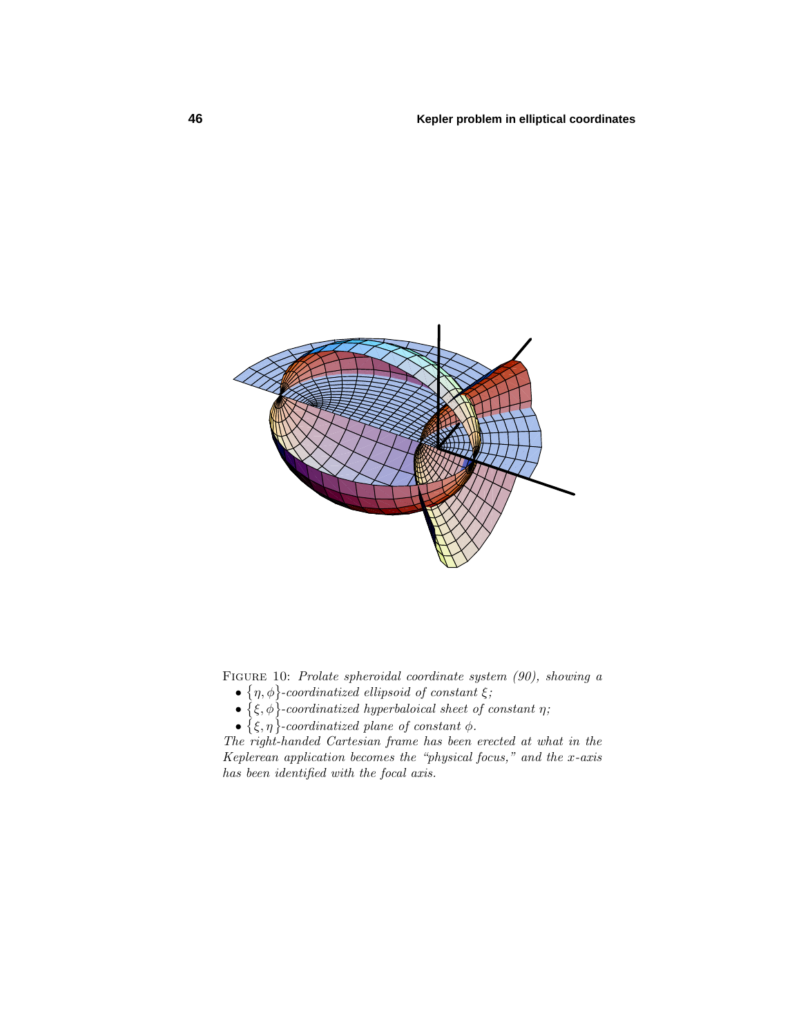

FIGURE 10: Prolate spheroidal coordinate system  $(90)$ , showing a

- {η, φ}-coordinatized ellipsoid of constant *ξ*;
- $\bullet$  { $\xi, \phi$ }-coordinatized hyperbaloical sheet of constant *η*;
- $\bullet \{\xi,\eta\}$ -coordinatized plane of constant  $\phi$ .

The right-handed Cartesian frame has been erected at what in the Keplerean application becomes the "physical focus," and the *x*-axis has been identified with the focal axis.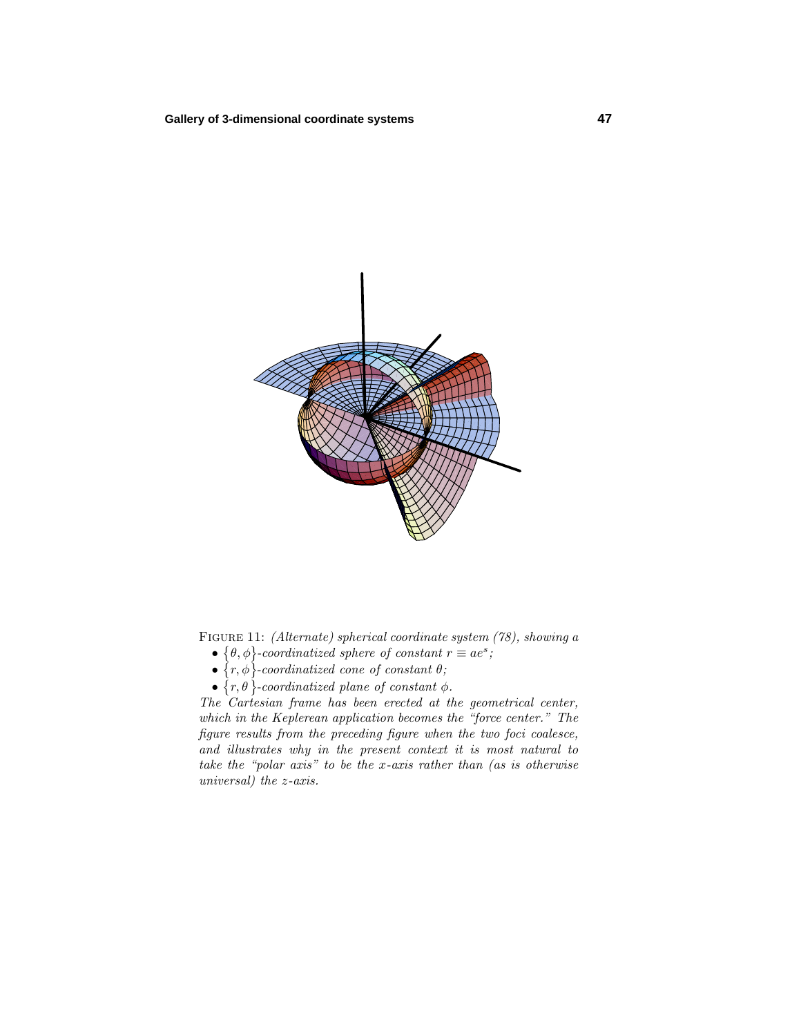

FIGURE 11: (Alternate) spherical coordinate system  $(78)$ , showing a

- $\{\theta, \phi\}$ -coordinatized sphere of constant  $r \equiv ae^s$ ;
- $\bullet$  {r,  $\phi$ }-coordinatized cone of constant  $\theta$ ;
- $\bullet$  { $r, \theta$ }-coordinatized plane of constant  $\phi$ .

The Cartesian frame has been erected at the geometrical center, which in the Keplerean application becomes the "force center." The figure results from the preceding figure when the two foci coalesce, and illustrates why in the present context it is most natural to take the "polar axis" to be the *x*-axis rather than (as is otherwise universal) the *z*-axis.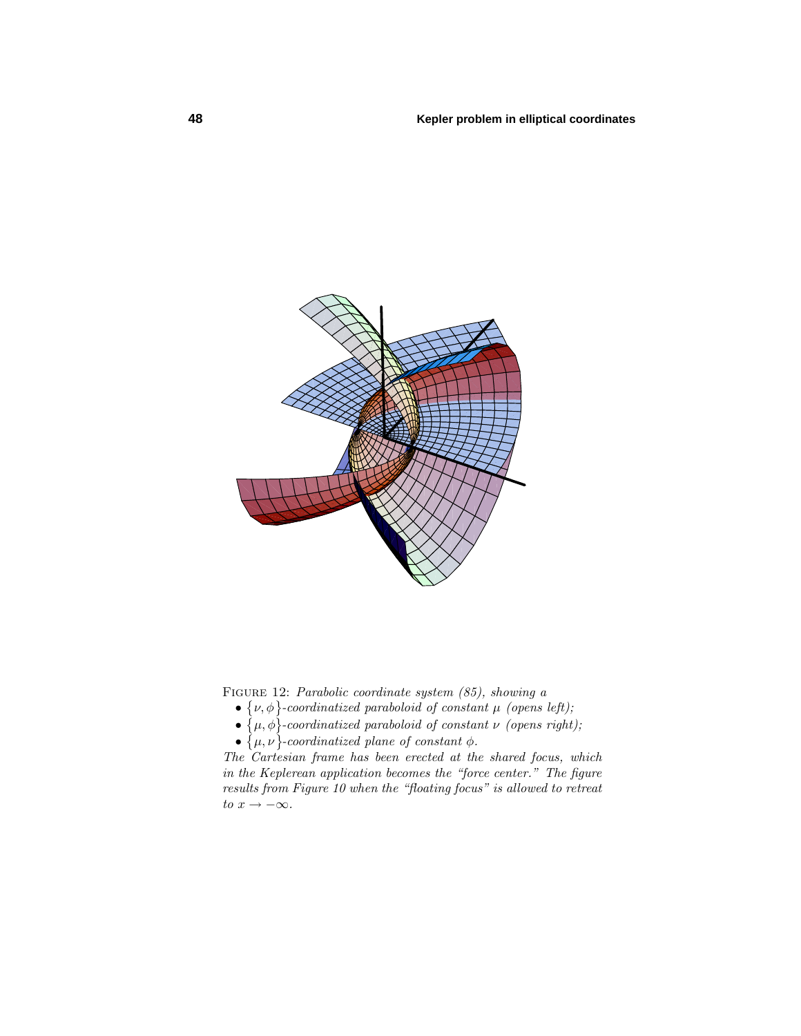

FIGURE 12: Parabolic coordinate system  $(85)$ , showing a

- { $ν, φ$ }-coordinatized paraboloid of constant  $μ$  (opens left);
- { $\mu, \phi$ }-coordinatized paraboloid of constant *ν* (opens right);
- $\bullet \{\mu,\nu\}$ -coordinatized plane of constant  $\phi$ .

The Cartesian frame has been erected at the shared focus, which in the Keplerean application becomes the "force center." The figure results from Figure 10 when the "floating focus" is allowed to retreat to  $x \to -\infty$ .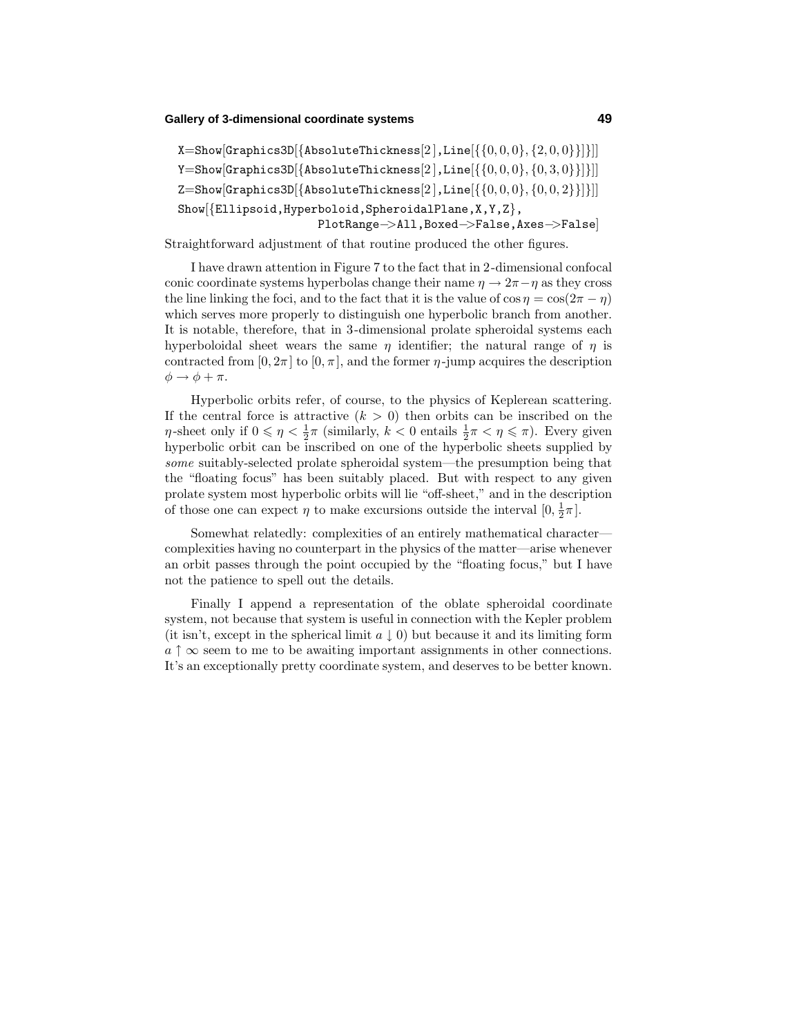```
X = Show[Graphics3D[\{AbsoluteThickness[2], Line[\{\{0, 0, 0\}, \{2, 0, 0\}\}]]Y=Show[Graphics3D[{AbsoluteThickness[2 ],Line[{{0, 0, 0}, {0, 3, 0}}]}]]
Z=Show[Graphics3D[{AbsoluteThickness[2 ],Line[{{0, 0, 0}, {0, 0, 2}}]}]]
Show[{Ellipsoid,Hyperboloid,SpheroidalPlane,X,Y,Z},
                       PlotRange−>All,Boxed−>False,Axes−>False]
```
Straightforward adjustment of that routine produced the other figures.

I have drawn attention in Figure 7 to the fact that in 2-dimensional confocal conic coordinate systems hyperbolas change their name  $\eta \to 2\pi - \eta$  as they cross the line linking the foci, and to the fact that it is the value of  $\cos \eta = \cos(2\pi - \eta)$ which serves more properly to distinguish one hyperbolic branch from another. It is notable, therefore, that in 3-dimensional prolate spheroidal systems each hyperboloidal sheet wears the same  $\eta$  identifier; the natural range of  $\eta$  is contracted from  $[0, 2\pi]$  to  $[0, \pi]$ , and the former  $\eta$ -jump acquires the description  $\phi \rightarrow \phi + \pi$ .

Hyperbolic orbits refer, of course, to the physics of Keplerean scattering. If the central force is attractive  $(k > 0)$  then orbits can be inscribed on the *η*-sheet only if  $0 \le \eta < \frac{1}{2}\pi$  (similarly,  $k < 0$  entails  $\frac{1}{2}\pi < \eta \le \pi$ ). Every given hyperbolic orbit can be inscribed on one of the hyperbolic sheets supplied by some suitably-selected prolate spheroidal system—the presumption being that the "floating focus" has been suitably placed. But with respect to any given prolate system most hyperbolic orbits will lie "off-sheet," and in the description of those one can expect  $\eta$  to make excursions outside the interval  $[0, \frac{1}{2}\pi]$ .

Somewhat relatedly: complexities of an entirely mathematical character complexities having no counterpart in the physics of the matter—arise whenever an orbit passes through the point occupied by the "floating focus," but I have not the patience to spell out the details.

Finally I append a representation of the oblate spheroidal coordinate system, not because that system is useful in connection with the Kepler problem (it isn't, except in the spherical limit  $a \perp 0$ ) but because it and its limiting form  $a \uparrow \infty$  seem to me to be awaiting important assignments in other connections. It's an exceptionally pretty coordinate system, and deserves to be better known.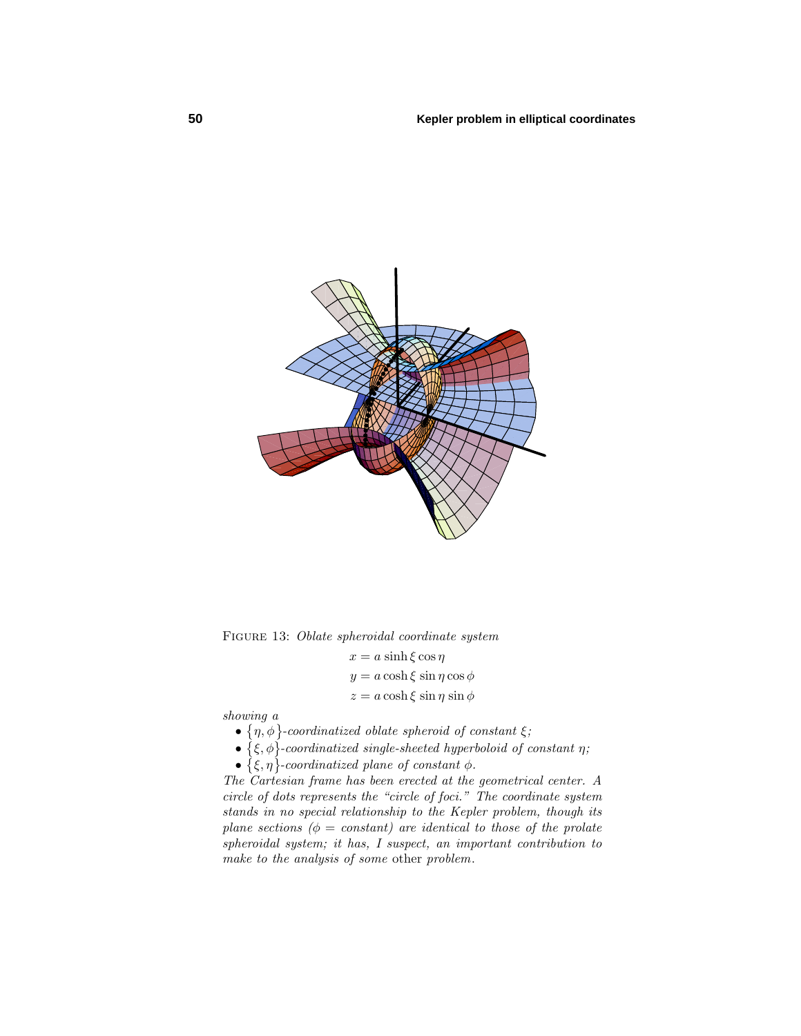

Figure 13: Oblate spheroidal coordinate system

*x* = *a* sinh *ξ* cos *η y* = *a* cosh *ξ* sin *η* cos *φ z* = *a* cosh *ξ* sin *η* sin *φ*

showing a

- $\bullet$  { $\eta, \phi$ }-coordinatized oblate spheroid of constant  $\xi$ ;
- $\bullet$  { $\xi, \phi$ }-coordinatized single-sheeted hyperboloid of constant *η*;
- $\bullet \{\xi,\eta\}$ -coordinatized plane of constant  $\phi$ .

The Cartesian frame has been erected at the geometrical center. A circle of dots represents the "circle of foci." The coordinate system stands in no special relationship to the Kepler problem, though its plane sections  $(\phi = constant)$  are identical to those of the prolate spheroidal system; it has, I suspect, an important contribution to make to the analysis of some other problem.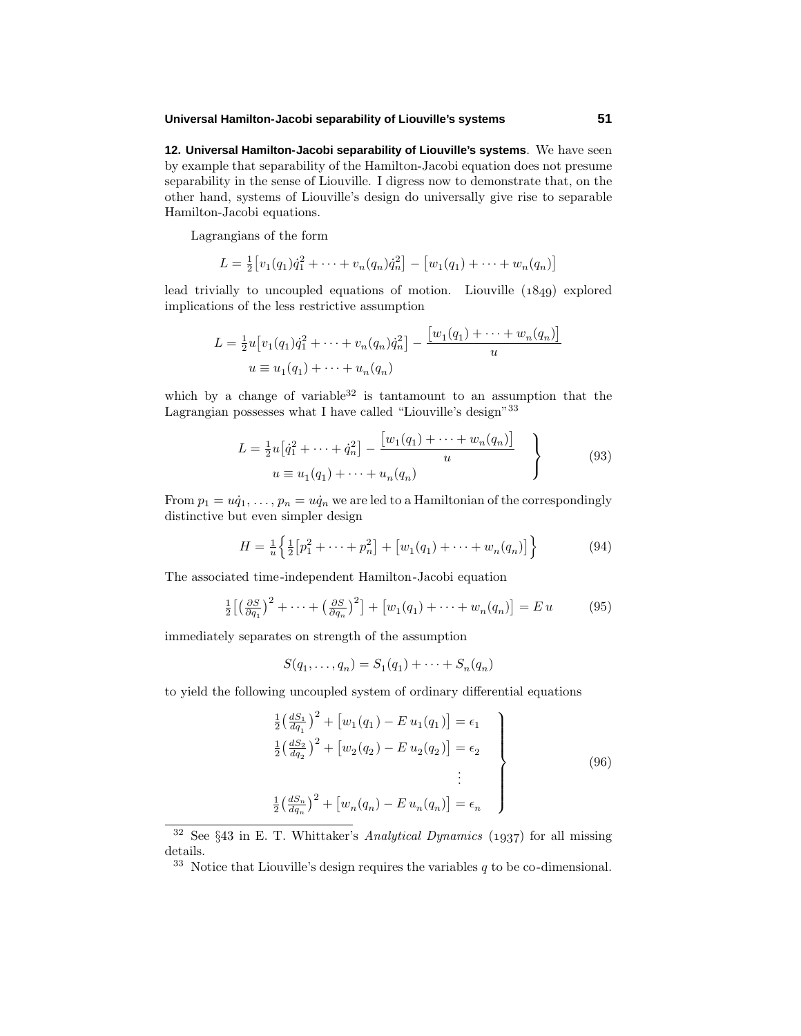## **Universal Hamilton-Jacobi separability of Liouville's systems 51**

**12. Universal Hamilton-Jacobi separability of Liouville's systems**. We have seen by example that separability of the Hamilton-Jacobi equation does not presume separability in the sense of Liouville. I digress now to demonstrate that, on the other hand, systems of Liouville's design do universally give rise to separable Hamilton-Jacobi equations.

Lagrangians of the form

$$
L = \frac{1}{2} \big[ v_1(q_1) \dot{q}_1^2 + \dots + v_n(q_n) \dot{q}_n^2 \big] - \big[ w_1(q_1) + \dots + w_n(q_n) \big]
$$

lead trivially to uncoupled equations of motion. Liouville  $(1849)$  explored implications of the less restrictive assumption

$$
L = \frac{1}{2}u[v_1(q_1)\dot{q}_1^2 + \dots + v_n(q_n)\dot{q}_n^2] - \frac{[w_1(q_1) + \dots + w_n(q_n)]}{u}
$$
  

$$
u \equiv u_1(q_1) + \dots + u_n(q_n)
$$

which by a change of variable  $32$  is tantamount to an assumption that the Lagrangian possesses what I have called "Liouville's design"<sup>33</sup>

$$
L = \frac{1}{2}u\left[\dot{q}_1^2 + \dots + \dot{q}_n^2\right] - \frac{[w_1(q_1) + \dots + w_n(q_n)]}{u}
$$
  
\n
$$
u \equiv u_1(q_1) + \dots + u_n(q_n)
$$
\n(93)

From  $p_1 = u\dot{q}_1, \ldots, p_n = u\dot{q}_n$  we are led to a Hamiltonian of the correspondingly distinctive but even simpler design

$$
H = \frac{1}{u} \left\{ \frac{1}{2} \left[ p_1^2 + \dots + p_n^2 \right] + \left[ w_1(q_1) + \dots + w_n(q_n) \right] \right\}
$$
(94)

The associated time-independent Hamilton-Jacobi equation

$$
\frac{1}{2}\left[\left(\frac{\partial S}{\partial q_1}\right)^2 + \dots + \left(\frac{\partial S}{\partial q_n}\right)^2\right] + \left[w_1(q_1) + \dots + w_n(q_n)\right] = E u \tag{95}
$$

immediately separates on strength of the assumption

$$
S(q_1, ..., q_n) = S_1(q_1) + \dots + S_n(q_n)
$$

to yield the following uncoupled system of ordinary differential equations

$$
\frac{1}{2} \left( \frac{dS_1}{dq_1} \right)^2 + \left[ w_1(q_1) - E u_1(q_1) \right] = \epsilon_1
$$
\n
$$
\frac{1}{2} \left( \frac{dS_2}{dq_2} \right)^2 + \left[ w_2(q_2) - E u_2(q_2) \right] = \epsilon_2
$$
\n
$$
\vdots
$$
\n
$$
\frac{1}{2} \left( \frac{dS_n}{dq_n} \right)^2 + \left[ w_n(q_n) - E u_n(q_n) \right] = \epsilon_n
$$
\n(96)

 $32$  See §43 in E. T. Whittaker's *Analytical Dynamics* (1937) for all missing details.

<sup>&</sup>lt;sup>33</sup> Notice that Liouville's design requires the variables  $q$  to be co-dimensional.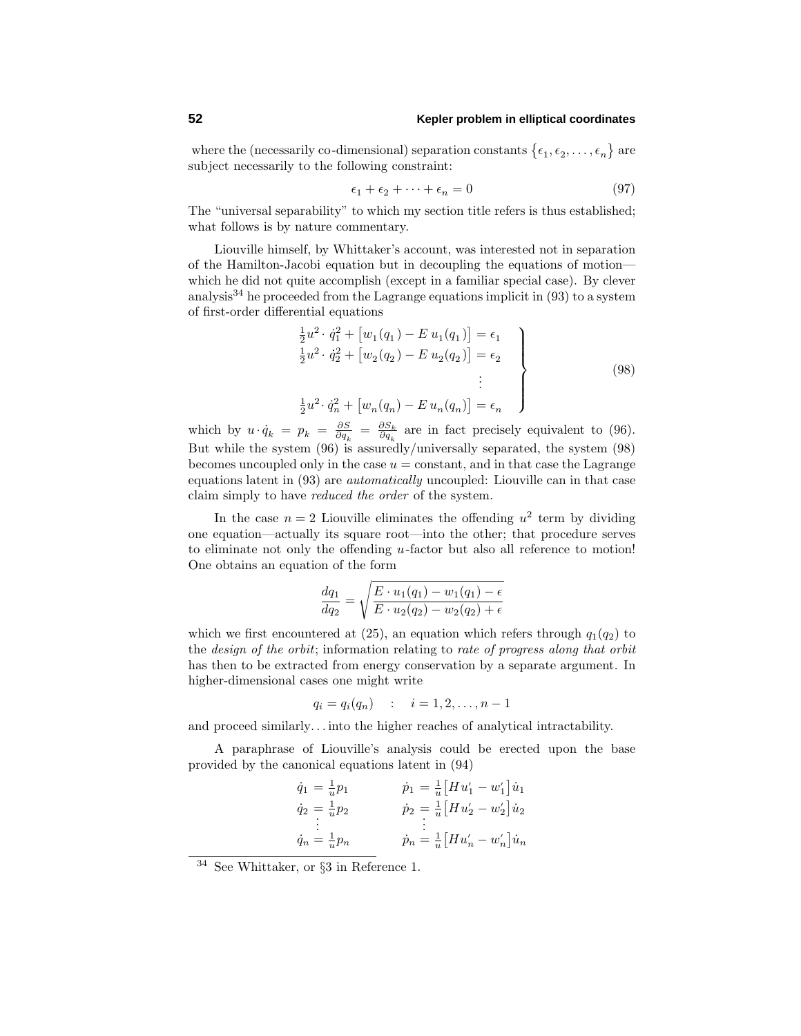where the (necessarily co-dimensional) separation constants  $\{\epsilon_1, \epsilon_2, \ldots, \epsilon_n\}$  are subject necessarily to the following constraint:

$$
\epsilon_1 + \epsilon_2 + \dots + \epsilon_n = 0 \tag{97}
$$

The "universal separability" to which my section title refers is thus established; what follows is by nature commentary.

Liouville himself, by Whittaker's account, was interested not in separation of the Hamilton-Jacobi equation but in decoupling the equations of motion which he did not quite accomplish (except in a familiar special case). By clever analysis<sup>34</sup> he proceeded from the Lagrange equations implicit in  $(93)$  to a system of first-order differential equations

$$
\frac{1}{2}u^2 \cdot \dot{q}_1^2 + [w_1(q_1) - E u_1(q_1)] = \epsilon_1
$$
\n
$$
\frac{1}{2}u^2 \cdot \dot{q}_2^2 + [w_2(q_2) - E u_2(q_2)] = \epsilon_2
$$
\n
$$
\vdots
$$
\n
$$
\frac{1}{2}u^2 \cdot \dot{q}_n^2 + [w_n(q_n) - E u_n(q_n)] = \epsilon_n
$$
\n(98)

which by  $u \cdot \dot{q}_k = p_k = \frac{\partial S}{\partial q_k} = \frac{\partial S_k}{\partial q_k}$  are in fact precisely equivalent to (96). But while the system (96) is assuredly/universally separated, the system (98) becomes uncoupled only in the case  $u = constant$ , and in that case the Lagrange equations latent in (93) are automatically uncoupled: Liouville can in that case claim simply to have reduced the order of the system.

In the case  $n = 2$  Liouville eliminates the offending  $u^2$  term by dividing one equation—actually its square root—into the other; that procedure serves to eliminate not only the offending *u*-factor but also all reference to motion! One obtains an equation of the form

$$
\frac{dq_1}{dq_2} = \sqrt{\frac{E \cdot u_1(q_1) - w_1(q_1) - \epsilon}{E \cdot u_2(q_2) - w_2(q_2) + \epsilon}}
$$

which we first encountered at (25), an equation which refers through  $q_1(q_2)$  to the design of the orbit; information relating to rate of progress along that orbit has then to be extracted from energy conservation by a separate argument. In higher-dimensional cases one might write

$$
q_i = q_i(q_n)
$$
 :  $i = 1, 2, ..., n-1$ 

and proceed similarly*...* into the higher reaches of analytical intractability.

A paraphrase of Liouville's analysis could be erected upon the base provided by the canonical equations latent in (94)

$$
\begin{aligned}\n\dot{q}_1 &= \frac{1}{u} p_1 & \dot{p}_1 &= \frac{1}{u} \big[ H u_1' - w_1' \big] \dot{u}_1 \\
\dot{q}_2 &= \frac{1}{u} p_2 & \dot{p}_2 &= \frac{1}{u} \big[ H u_2' - w_2' \big] \dot{u}_2 \\
\vdots & \vdots & \vdots \\
\dot{q}_n &= \frac{1}{u} p_n & \dot{p}_n &= \frac{1}{u} \big[ H u_n' - w_n' \big] \dot{u}_n\n\end{aligned}
$$

 $34$  See Whittaker, or §3 in Reference 1.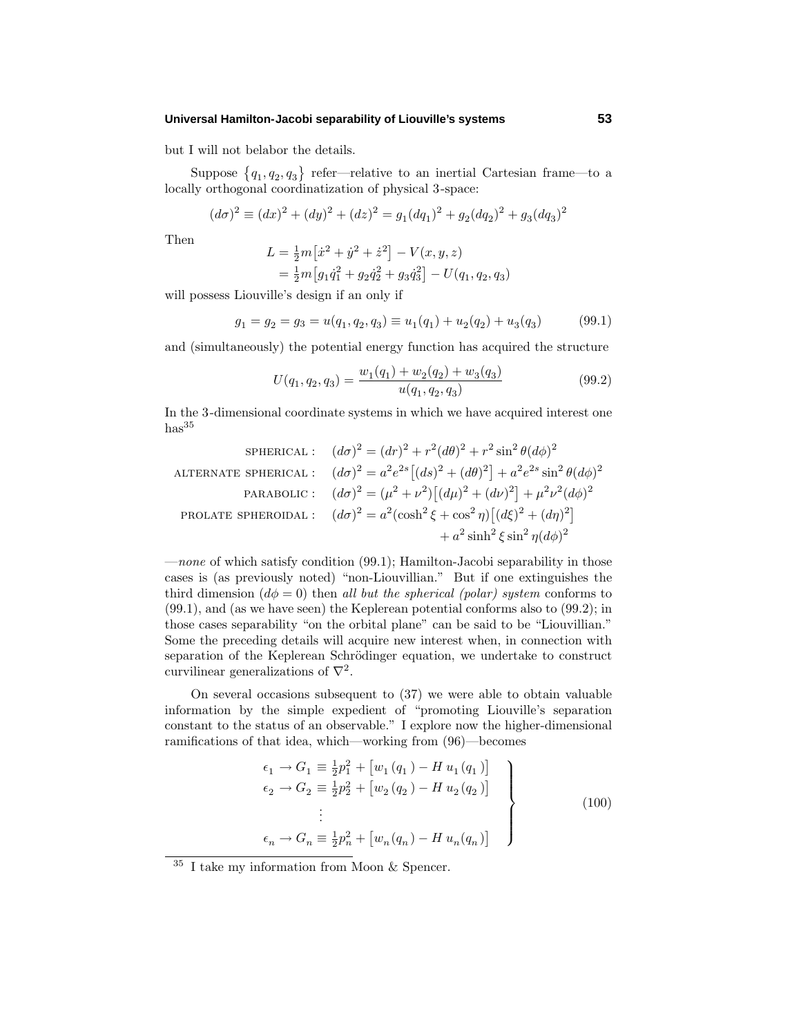#### **Universal Hamilton-Jacobi separability of Liouville's systems 53**

but I will not belabor the details.

Suppose  ${q_1, q_2, q_3}$  refer—relative to an inertial Cartesian frame—to a locally orthogonal coordinatization of physical 3-space:

$$
(d\sigma)^2 \equiv (dx)^2 + (dy)^2 + (dz)^2 = g_1(dq_1)^2 + g_2(dq_2)^2 + g_3(dq_3)^2
$$

Then

$$
L = \frac{1}{2}m[\dot{x}^2 + \dot{y}^2 + \dot{z}^2] - V(x, y, z)
$$
  
=  $\frac{1}{2}m[g_1\dot{q}_1^2 + g_2\dot{q}_2^2 + g_3\dot{q}_3^2] - U(q_1, q_2, q_3)$ 

will possess Liouville's design if an only if

$$
g_1 = g_2 = g_3 = u(q_1, q_2, q_3) \equiv u_1(q_1) + u_2(q_2) + u_3(q_3)
$$
 (99.1)

and (simultaneously) the potential energy function has acquired the structure

$$
U(q_1, q_2, q_3) = \frac{w_1(q_1) + w_2(q_2) + w_3(q_3)}{u(q_1, q_2, q_3)}
$$
(99.2)

In the 3-dimensional coordinate systems in which we have acquired interest one  $has<sup>35</sup>$ 

$$
\text{SPHERICAL : } (d\sigma)^2 = (dr)^2 + r^2(d\theta)^2 + r^2 \sin^2 \theta (d\phi)^2
$$
\n
$$
\text{ALTERNATE SPHERICAL : } (d\sigma)^2 = a^2 e^{2s} [(ds)^2 + (d\theta)^2] + a^2 e^{2s} \sin^2 \theta (d\phi)^2
$$
\n
$$
\text{PARABOLIC : } (d\sigma)^2 = (\mu^2 + \nu^2) [(d\mu)^2 + (d\nu)^2] + \mu^2 \nu^2 (d\phi)^2
$$
\n
$$
\text{PROLATE SPHEROIDAL : } (d\sigma)^2 = a^2 (\cosh^2 \xi + \cos^2 \eta) [(d\xi)^2 + (d\eta)^2]
$$
\n
$$
+ a^2 \sinh^2 \xi \sin^2 \eta (d\phi)^2
$$

—none of which satisfy condition  $(99.1)$ ; Hamilton-Jacobi separability in those cases is (as previously noted) "non-Liouvillian." But if one extinguishes the third dimension  $(d\phi = 0)$  then all but the spherical (polar) system conforms to (99.1), and (as we have seen) the Keplerean potential conforms also to (99.2); in those cases separability "on the orbital plane" can be said to be "Liouvillian." Some the preceding details will acquire new interest when, in connection with separation of the Keplerean Schrödinger equation, we undertake to construct curvilinear generalizations of  $\nabla^2$ .

On several occasions subsequent to (37) we were able to obtain valuable information by the simple expedient of "promoting Liouville's separation constant to the status of an observable." I explore now the higher-dimensional ramifications of that idea, which—working from (96)—becomes

$$
\epsilon_1 \to G_1 \equiv \frac{1}{2}p_1^2 + [w_1(q_1) - H u_1(q_1)]
$$
  
\n
$$
\epsilon_2 \to G_2 \equiv \frac{1}{2}p_2^2 + [w_2(q_2) - H u_2(q_2)]
$$
  
\n
$$
\vdots
$$
  
\n
$$
\epsilon_n \to G_n \equiv \frac{1}{2}p_n^2 + [w_n(q_n) - H u_n(q_n)]
$$
\n(100)

<sup>35</sup> I take my information from Moon & Spencer.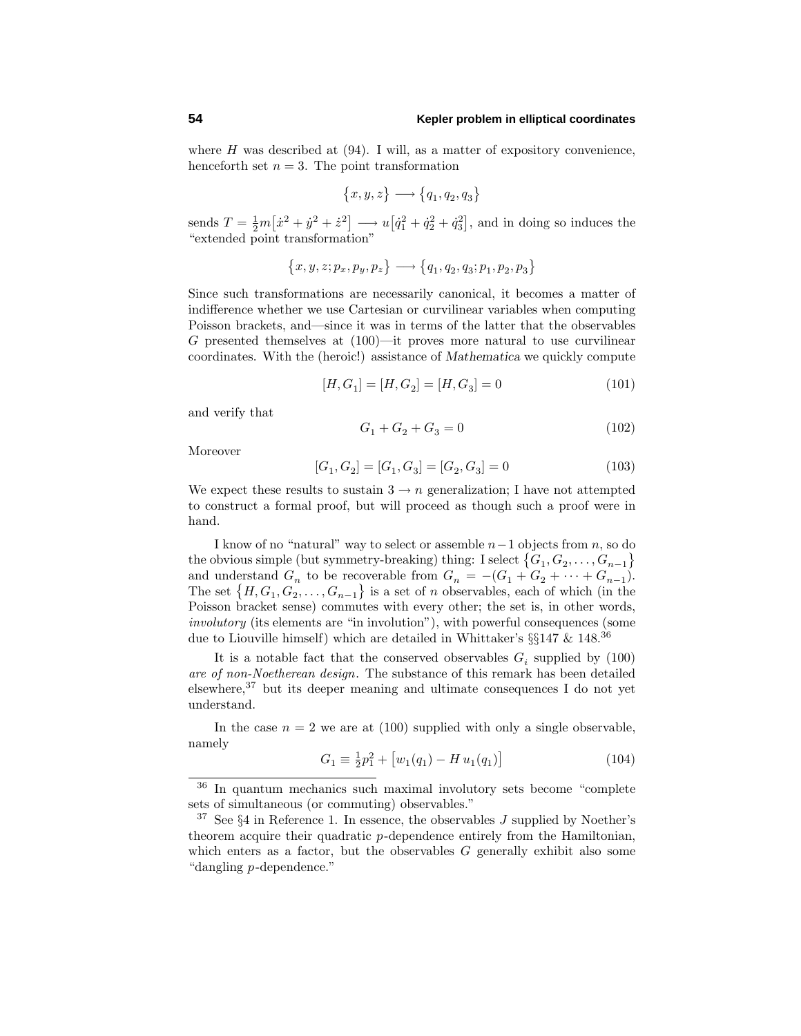where  $H$  was described at  $(94)$ . I will, as a matter of expository convenience, henceforth set  $n = 3$ . The point transformation

$$
\big\{x,y,z\big\} \longrightarrow \big\{q_1,q_2,q_3\big\}
$$

sends  $T = \frac{1}{2}m[\dot{x}^2 + \dot{y}^2 + \dot{z}^2] \longrightarrow u[\dot{q}_1^2 + \dot{q}_2^2 + \dot{q}_3^2]$ , and in doing so induces the "extended point transformation"

$$
\{x, y, z; p_x, p_y, p_z\} \longrightarrow \{q_1, q_2, q_3; p_1, p_2, p_3\}
$$

Since such transformations are necessarily canonical, it becomes a matter of indifference whether we use Cartesian or curvilinear variables when computing Poisson brackets, and—since it was in terms of the latter that the observables *G* presented themselves at (100)—it proves more natural to use curvilinear coordinates. With the (heroic!) assistance of *Mathematica* we quickly compute

$$
[H, G_1] = [H, G_2] = [H, G_3] = 0 \tag{101}
$$

and verify that

$$
G_1 + G_2 + G_3 = 0 \tag{102}
$$

Moreover

$$
[G_1, G_2] = [G_1, G_3] = [G_2, G_3] = 0 \tag{103}
$$

We expect these results to sustain  $3 \rightarrow n$  generalization; I have not attempted to construct a formal proof, but will proceed as though such a proof were in hand.

I know of no "natural" way to select or assemble *n*−1 objects from *n*, so do the obvious simple (but symmetry-breaking) thing: I select  $\{G_1, G_2, \ldots, G_{n-1}\}$ and understand  $G_n$  to be recoverable from  $G_n = -(G_1 + G_2 + \cdots + G_{n-1}).$ The set  $\{H, G_1, G_2, \ldots, G_{n-1}\}$  is a set of *n* observables, each of which (in the Poisson bracket sense) commutes with every other; the set is, in other words, involutory (its elements are "in involution"), with powerful consequences (some due to Liouville himself) which are detailed in Whittaker's  $\S$ \$147 & 148.<sup>36</sup>

It is a notable fact that the conserved observables  $G_i$  supplied by (100) are of non-Noetherean design. The substance of this remark has been detailed elsewhere,<sup>37</sup> but its deeper meaning and ultimate consequences I do not yet understand.

In the case  $n = 2$  we are at  $(100)$  supplied with only a single observable, namely

$$
G_1 \equiv \frac{1}{2}p_1^2 + \left[w_1(q_1) - H u_1(q_1)\right] \tag{104}
$$

<sup>36</sup> In quantum mechanics such maximal involutory sets become "complete sets of simultaneous (or commuting) observables."

<sup>37</sup> See §4 in Reference 1. In essence, the observables *J* supplied by Noether's theorem acquire their quadratic *p*-dependence entirely from the Hamiltonian, which enters as a factor, but the observables *G* generally exhibit also some "dangling *p*-dependence."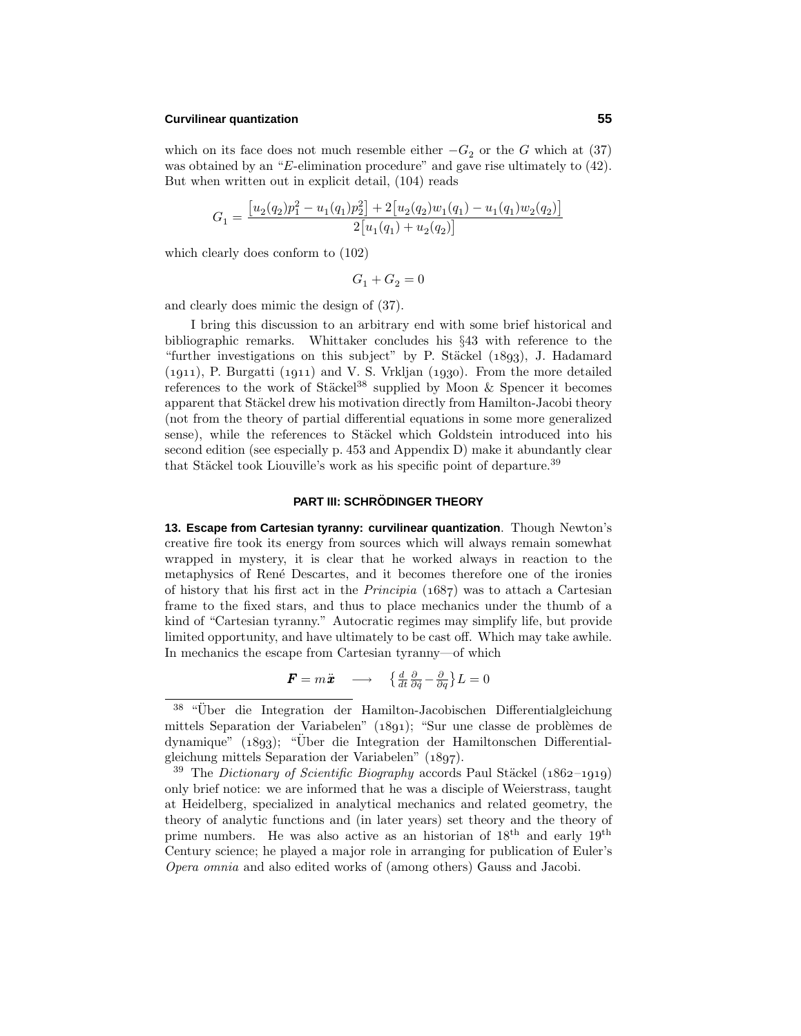## **Curvilinear quantization 55**

which on its face does not much resemble either  $-G_2$  or the *G* which at (37) was obtained by an "*E*-elimination procedure" and gave rise ultimately to (42). But when written out in explicit detail, (104) reads

$$
G_1 = \frac{[u_2(q_2)p_1^2 - u_1(q_1)p_2^2] + 2[u_2(q_2)w_1(q_1) - u_1(q_1)w_2(q_2)]}{2[u_1(q_1) + u_2(q_2)]}
$$

which clearly does conform to (102)

 $G_1 + G_2 = 0$ 

and clearly does mimic the design of (37).

I bring this discussion to an arbitrary end with some brief historical and bibliographic remarks. Whittaker concludes his §43 with reference to the "further investigations on this subject" by P. Stäckel  $(1893)$ , J. Hadamard  $(1911)$ , P. Burgatti  $(1911)$  and V. S. Vrkljan  $(1930)$ . From the more detailed references to the work of Stäckel<sup>38</sup> supplied by Moon  $\&$  Spencer it becomes apparent that Stäckel drew his motivation directly from Hamilton-Jacobi theory (not from the theory of partial differential equations in some more generalized sense), while the references to Stäckel which Goldstein introduced into his second edition (see especially p. 453 and Appendix D) make it abundantly clear that Stäckel took Liouville's work as his specific point of departure.<sup>39</sup>

#### **PART III: SCHRÖDINGER THEORY**

**13. Escape from Cartesian tyranny: curvilinear quantization**. Though Newton's creative fire took its energy from sources which will always remain somewhat wrapped in mystery, it is clear that he worked always in reaction to the metaphysics of René Descartes, and it becomes therefore one of the ironies of history that his first act in the  $Principia (1687)$  was to attach a Cartesian frame to the fixed stars, and thus to place mechanics under the thumb of a kind of "Cartesian tyranny." Autocratic regimes may simplify life, but provide limited opportunity, and have ultimately to be cast off. Which may take awhile. In mechanics the escape from Cartesian tyranny—of which

$$
\boldsymbol{F} = m\ddot{\boldsymbol{x}} \quad \longrightarrow \quad \left\{ \frac{d}{dt} \frac{\partial}{\partial \dot{q}} - \frac{\partial}{\partial q} \right\} L = 0
$$

 $^{38}$  "Über die Integration der Hamilton-Jacobischen Differentialgleichung mittels Separation der Variabelen" (1891); "Sur une classe de problèmes de  $\alpha$ dynamique" (1893); "Über die Integration der Hamiltonschen Differentialgleichung mittels Separation der Variabelen" (1897).

<sup>&</sup>lt;sup>39</sup> The *Dictionary of Scientific Biography* accords Paul Stäckel ( $1862-1919$ ) only brief notice: we are informed that he was a disciple of Weierstrass, taught at Heidelberg, specialized in analytical mechanics and related geometry, the theory of analytic functions and (in later years) set theory and the theory of prime numbers. He was also active as an historian of 18th and early 19th Century science; he played a major role in arranging for publication of Euler's Opera omnia and also edited works of (among others) Gauss and Jacobi.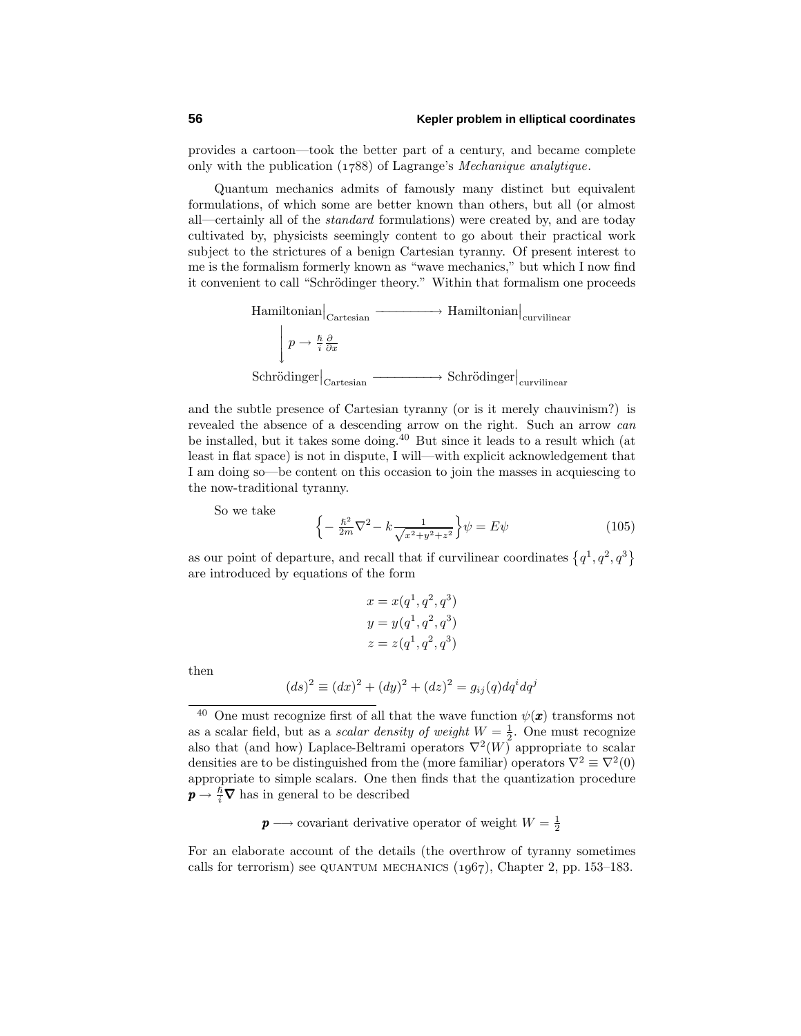provides a cartoon—took the better part of a century, and became complete only with the publication  $(1788)$  of Lagrange's *Mechanique analytique*.

Quantum mechanics admits of famously many distinct but equivalent formulations, of which some are better known than others, but all (or almost all—certainly all of the standard formulations) were created by, and are today cultivated by, physicists seemingly content to go about their practical work subject to the strictures of a benign Cartesian tyranny. Of present interest to me is the formalism formerly known as "wave mechanics," but which I now find it convenient to call "Schrödinger theory." Within that formalism one proceeds



and the subtle presence of Cartesian tyranny (or is it merely chauvinism?) is revealed the absence of a descending arrow on the right. Such an arrow can be installed, but it takes some doing.<sup>40</sup> But since it leads to a result which (at least in flat space) is not in dispute, I will—with explicit acknowledgement that I am doing so—be content on this occasion to join the masses in acquiescing to the now-traditional tyranny.

So we take

$$
\left\{-\frac{\hbar^2}{2m}\nabla^2 - k\frac{1}{\sqrt{x^2 + y^2 + z^2}}\right\}\psi = E\psi
$$
\n(105)

as our point of departure, and recall that if curvilinear coordinates  $\{q^1, q^2, q^3\}$ are introduced by equations of the form

$$
x = x(q1, q2, q3)
$$
  
\n
$$
y = y(q1, q2, q3)
$$
  
\n
$$
z = z(q1, q2, q3)
$$

then

$$
(ds)^{2} \equiv (dx)^{2} + (dy)^{2} + (dz)^{2} = g_{ij}(q)dq^{i}dq^{j}
$$

<sup>40</sup> One must recognize first of all that the wave function  $\psi(\mathbf{x})$  transforms not as a scalar field, but as a *scalar density of weight*  $W = \frac{1}{2}$ . One must recognize also that (and how) Laplace-Beltrami operators  $\nabla^2(W)$  appropriate to scalar densities are to be distinguished from the (more familiar) operators  $\nabla^2 \equiv \nabla^2(0)$ appropriate to simple scalars. One then finds that the quantization procedure  $p \rightarrow \frac{\hbar}{i} \nabla$  has in general to be described

 $p \longrightarrow$  covariant derivative operator of weight  $W = \frac{1}{2}$ 

For an elaborate account of the details (the overthrow of tyranny sometimes calls for terrorism) see QUANTUM MECHANICS  $(1967)$ , Chapter 2, pp. 153–183.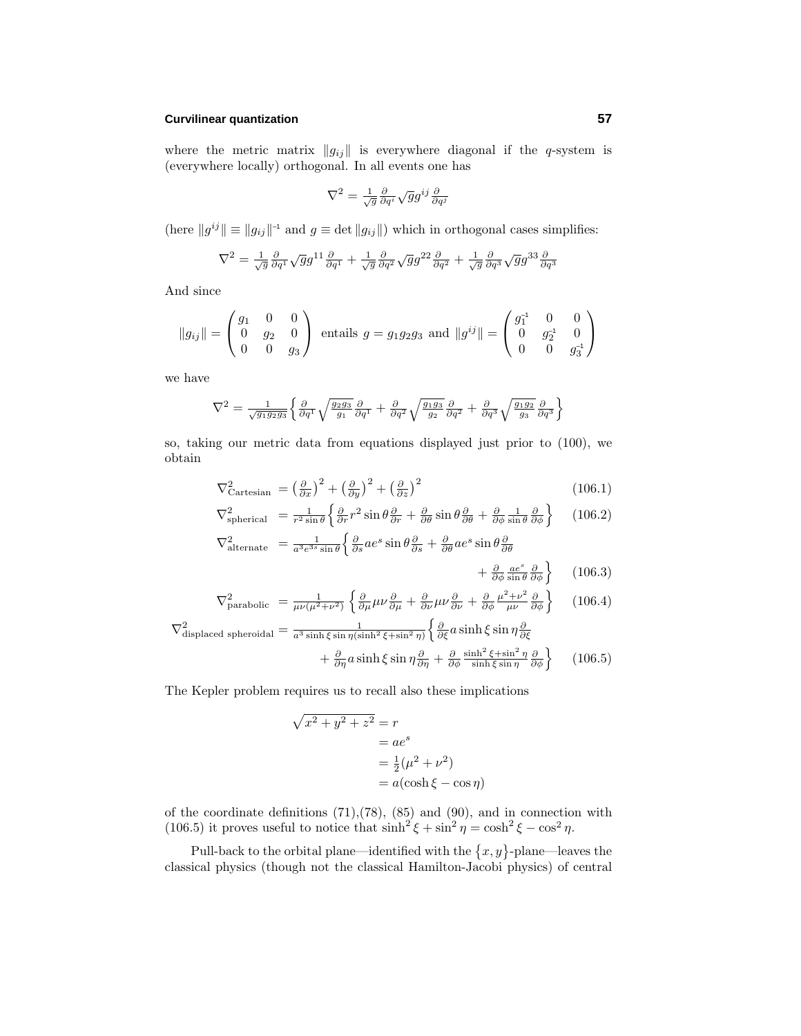## **Curvilinear quantization 57**

where the metric matrix  $||g_{ij}||$  is everywhere diagonal if the *q*-system is (everywhere locally) orthogonal. In all events one has

$$
\nabla^2 = \frac{1}{\sqrt{g}} \frac{\partial}{\partial q^i} \sqrt{g} g^{ij} \frac{\partial}{\partial q^j}
$$

(here  $||g^{ij}|| \equiv ||g_{ij}||$ <sup>-1</sup> and  $g \equiv \det ||g_{ij}||$ ) which in orthogonal cases simplifies:

$$
\nabla^2 = \frac{1}{\sqrt{g}} \frac{\partial}{\partial q^1} \sqrt{g} g^{11} \frac{\partial}{\partial q^1} + \frac{1}{\sqrt{g}} \frac{\partial}{\partial q^2} \sqrt{g} g^{22} \frac{\partial}{\partial q^2} + \frac{1}{\sqrt{g}} \frac{\partial}{\partial q^3} \sqrt{g} g^{33} \frac{\partial}{\partial q^3}
$$

And since

$$
||g_{ij}|| = \begin{pmatrix} g_1 & 0 & 0 \\ 0 & g_2 & 0 \\ 0 & 0 & g_3 \end{pmatrix}
$$
 entails  $g = g_1 g_2 g_3$  and  $||g^{ij}|| = \begin{pmatrix} g_1^{-1} & 0 & 0 \\ 0 & g_2^{-1} & 0 \\ 0 & 0 & g_3^{-1} \end{pmatrix}$ 

we have

$$
\nabla^2 = \frac{1}{\sqrt{g_1 g_2 g_3}} \left\{ \frac{\partial}{\partial q^1} \sqrt{\frac{g_2 g_3}{g_1}} \frac{\partial}{\partial q^1} + \frac{\partial}{\partial q^2} \sqrt{\frac{g_1 g_3}{g_2}} \frac{\partial}{\partial q^2} + \frac{\partial}{\partial q^3} \sqrt{\frac{g_1 g_2}{g_3}} \frac{\partial}{\partial q^3} \right\}
$$

so, taking our metric data from equations displayed just prior to (100), we obtain

$$
\nabla_{\text{Cartesian}}^2 = \left(\frac{\partial}{\partial x}\right)^2 + \left(\frac{\partial}{\partial y}\right)^2 + \left(\frac{\partial}{\partial z}\right)^2 \tag{106.1}
$$

$$
\nabla_{\text{spherical}}^2 = \frac{1}{r^2 \sin \theta} \left\{ \frac{\partial}{\partial r} r^2 \sin \theta \frac{\partial}{\partial r} + \frac{\partial}{\partial \theta} \sin \theta \frac{\partial}{\partial \theta} + \frac{\partial}{\partial \phi} \frac{1}{\sin \theta} \frac{\partial}{\partial \phi} \right\} \quad (106.2)
$$

$$
\nabla_{\text{alternate}}^2 = \frac{1}{a^3 e^{3s} \sin \theta} \left\{ \frac{\partial}{\partial s} a e^s \sin \theta \frac{\partial}{\partial s} + \frac{\partial}{\partial \theta} a e^s \sin \theta \frac{\partial}{\partial \theta} \right\}
$$
\n
$$
\left[ \frac{\partial}{\partial s} a e^s \right] \left[ \frac{\partial}{\partial s} a e^s \sin \theta \frac{\partial}{\partial s} \right] \tag{106.8}
$$

$$
+\frac{\partial}{\partial \phi} \frac{ae^s}{\sin \theta} \frac{\partial}{\partial \phi} \bigg\} \qquad (106.3)
$$

$$
\nabla_{\text{parabolic}}^2 = \frac{1}{\mu\nu(\mu^2 + \nu^2)} \left\{ \frac{\partial}{\partial\mu} \mu\nu \frac{\partial}{\partial\mu} + \frac{\partial}{\partial\nu} \mu\nu \frac{\partial}{\partial\nu} + \frac{\partial}{\partial\phi} \frac{\mu^2 + \nu^2}{\mu\nu} \frac{\partial}{\partial\phi} \right\} \quad (106.4)
$$

$$
\nabla_{\text{displaced spheroidal}}^2 = \frac{1}{a^3 \sinh \xi \sin \eta (\sinh^2 \xi + \sin^2 \eta)} \left\{ \frac{\partial}{\partial \xi} a \sinh \xi \sin \eta \frac{\partial}{\partial \xi} + \frac{\partial}{\partial \eta} a \sinh \xi \sin \eta \frac{\partial}{\partial \eta} + \frac{\partial}{\partial \phi} \frac{\sinh^2 \xi + \sin^2 \eta}{\sinh \xi \sin \eta} \frac{\partial}{\partial \phi} \right\}
$$
(106.5)

The Kepler problem requires us to recall also these implications

$$
\sqrt{x^2 + y^2 + z^2} = r
$$
  
=  $ae^s$   
=  $\frac{1}{2}(\mu^2 + \nu^2)$   
=  $a(\cosh \xi - \cos \eta)$ 

of the coordinate definitions (71),(78), (85) and (90), and in connection with (106.5) it proves useful to notice that  $\sinh^2 \xi + \sin^2 \eta = \cosh^2 \xi - \cos^2 \eta$ .

Pull-back to the orbital plane—identified with the  $\{x, y\}$ -plane—leaves the classical physics (though not the classical Hamilton-Jacobi physics) of central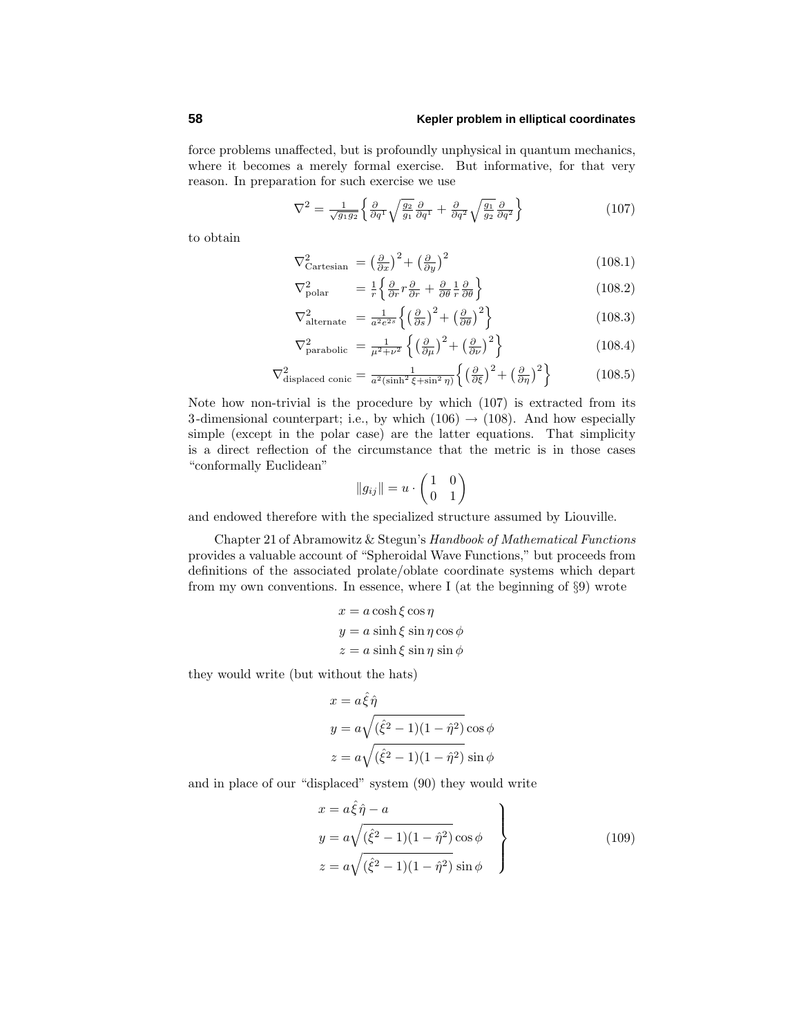force problems unaffected, but is profoundly unphysical in quantum mechanics, where it becomes a merely formal exercise. But informative, for that very reason. In preparation for such exercise we use

$$
\nabla^2 = \frac{1}{\sqrt{g_1 g_2}} \left\{ \frac{\partial}{\partial q^1} \sqrt{\frac{g_2}{g_1}} \frac{\partial}{\partial q^1} + \frac{\partial}{\partial q^2} \sqrt{\frac{g_1}{g_2}} \frac{\partial}{\partial q^2} \right\}
$$
(107)

to obtain

$$
\nabla_{\text{Cartesian}}^2 = \left(\frac{\partial}{\partial x}\right)^2 + \left(\frac{\partial}{\partial y}\right)^2 \tag{108.1}
$$

$$
\nabla_{\text{polar}}^2 = \frac{1}{r} \left\{ \frac{\partial}{\partial r} r \frac{\partial}{\partial r} + \frac{\partial}{\partial \theta} \frac{1}{r} \frac{\partial}{\partial \theta} \right\} \tag{108.2}
$$

$$
\nabla_{\text{alternate}}^2 = \frac{1}{a^2 e^{2s}} \left\{ \left( \frac{\partial}{\partial s} \right)^2 + \left( \frac{\partial}{\partial \theta} \right)^2 \right\} \tag{108.3}
$$

$$
\nabla_{\text{parabolic}}^2 = \frac{1}{\mu^2 + \nu^2} \left\{ \left( \frac{\partial}{\partial \mu} \right)^2 + \left( \frac{\partial}{\partial \nu} \right)^2 \right\} \tag{108.4}
$$

$$
\nabla_{\text{displaced conic}}^2 = \frac{1}{a^2(\sinh^2 \xi + \sin^2 \eta)} \left\{ \left(\frac{\partial}{\partial \xi}\right)^2 + \left(\frac{\partial}{\partial \eta}\right)^2 \right\} \tag{108.5}
$$

Note how non-trivial is the procedure by which (107) is extracted from its 3-dimensional counterpart; i.e., by which (106)  $\rightarrow$  (108). And how especially simple (except in the polar case) are the latter equations. That simplicity is a direct reflection of the circumstance that the metric is in those cases "conformally Euclidean"

$$
||g_{ij}|| = u \cdot \begin{pmatrix} 1 & 0 \\ 0 & 1 \end{pmatrix}
$$

and endowed therefore with the specialized structure assumed by Liouville.

Chapter 21 of Abramowitz & Stegun's Handbook of Mathematical Functions provides a valuable account of "Spheroidal Wave Functions," but proceeds from definitions of the associated prolate/oblate coordinate systems which depart from my own conventions. In essence, where I (at the beginning of  $\S 9$ ) wrote

$$
x = a \cosh \xi \cos \eta
$$
  

$$
y = a \sinh \xi \sin \eta \cos \phi
$$
  

$$
z = a \sinh \xi \sin \eta \sin \phi
$$

they would write (but without the hats)

$$
x = a\hat{\xi}\hat{\eta}
$$
  

$$
y = a\sqrt{(\hat{\xi}^2 - 1)(1 - \hat{\eta}^2)}\cos\phi
$$
  

$$
z = a\sqrt{(\hat{\xi}^2 - 1)(1 - \hat{\eta}^2)}\sin\phi
$$

and in place of our "displaced" system (90) they would write

$$
x = a\hat{\xi}\hat{\eta} - a
$$
  
\n
$$
y = a\sqrt{(\hat{\xi}^2 - 1)(1 - \hat{\eta}^2)}\cos\phi
$$
  
\n
$$
z = a\sqrt{(\hat{\xi}^2 - 1)(1 - \hat{\eta}^2)}\sin\phi
$$
\n(109)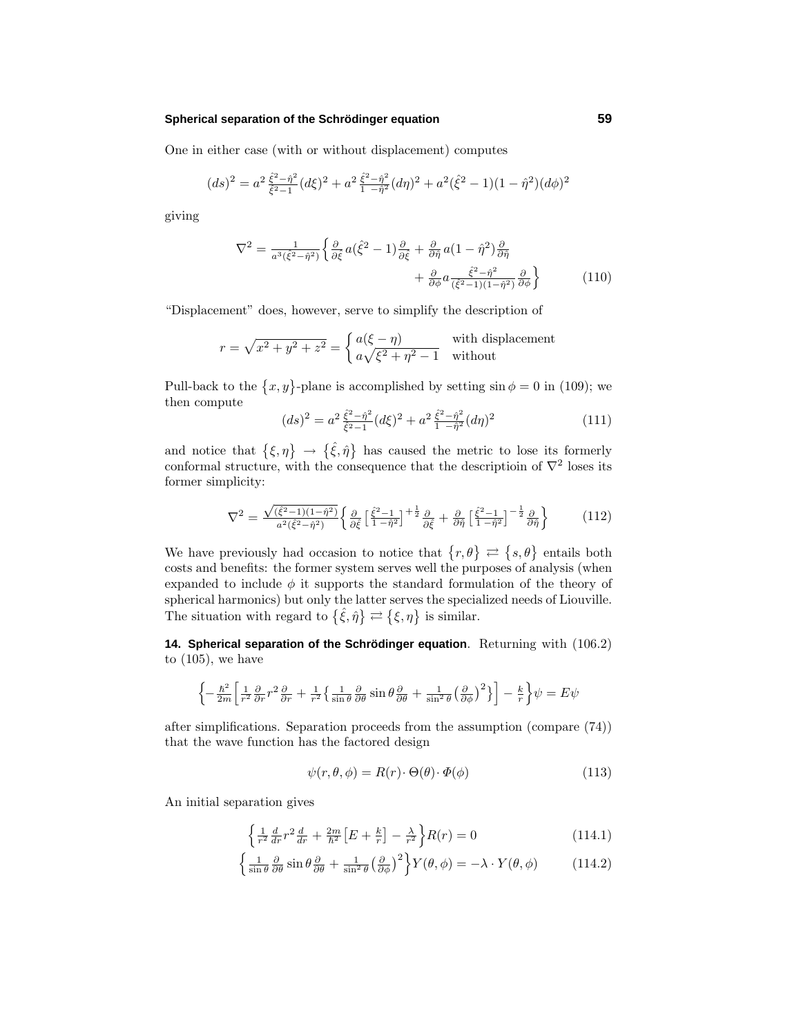## **Spherical separation of the Schrodinger equation ¨ 59**

One in either case (with or without displacement) computes

$$
(ds)^2 = a^2 \frac{\hat{\xi}^2 - \hat{\eta}^2}{\hat{\xi}^2 - 1} (d\xi)^2 + a^2 \frac{\hat{\xi}^2 - \hat{\eta}^2}{1 - \hat{\eta}^2} (d\eta)^2 + a^2 (\hat{\xi}^2 - 1)(1 - \hat{\eta}^2)(d\phi)^2
$$

giving

$$
\nabla^2 = \frac{1}{a^3(\hat{\xi}^2 - \hat{\eta}^2)} \left\{ \frac{\partial}{\partial \hat{\xi}} a(\hat{\xi}^2 - 1) \frac{\partial}{\partial \hat{\xi}} + \frac{\partial}{\partial \hat{\eta}} a(1 - \hat{\eta}^2) \frac{\partial}{\partial \hat{\eta}} + \frac{\partial}{\partial \phi} a \frac{\hat{\xi}^2 - \hat{\eta}^2}{(\hat{\xi}^2 - 1)(1 - \hat{\eta}^2)} \frac{\partial}{\partial \phi} \right\}
$$
(110)

"Displacement" does, however, serve to simplify the description of

$$
r = \sqrt{x^2 + y^2 + z^2} = \begin{cases} a(\xi - \eta) & \text{with displacement} \\ a\sqrt{\xi^2 + \eta^2 - 1} & \text{without} \end{cases}
$$

Pull-back to the  $\{x, y\}$ -plane is accomplished by setting  $\sin \phi = 0$  in (109); we then compute

$$
(ds)^2 = a^2 \frac{\hat{\xi}^2 - \hat{\eta}^2}{\hat{\xi}^2 - 1} (d\xi)^2 + a^2 \frac{\hat{\xi}^2 - \hat{\eta}^2}{1 - \hat{\eta}^2} (d\eta)^2
$$
\n(111)

and notice that  $\{\xi,\eta\} \to \{\hat{\xi},\hat{\eta}\}\$  has caused the metric to lose its formerly conformal structure, with the consequence that the description of  $\nabla^2$  loses its former simplicity:

$$
\nabla^2 = \frac{\sqrt{(\hat{\xi}^2 - 1)(1 - \hat{\eta}^2)}}{a^2(\hat{\xi}^2 - \hat{\eta}^2)} \left\{ \frac{\partial}{\partial \hat{\xi}} \left[ \frac{\hat{\xi}^2 - 1}{1 - \hat{\eta}^2} \right]^{+\frac{1}{2}} \frac{\partial}{\partial \hat{\xi}} + \frac{\partial}{\partial \hat{\eta}} \left[ \frac{\hat{\xi}^2 - 1}{1 - \hat{\eta}^2} \right]^{-\frac{1}{2}} \frac{\partial}{\partial \hat{\eta}} \right\} \tag{112}
$$

We have previously had occasion to notice that  $\{r, \theta\} \rightleftarrows \{s, \theta\}$  entails both costs and benefits: the former system serves well the purposes of analysis (when expanded to include  $\phi$  it supports the standard formulation of the theory of spherical harmonics) but only the latter serves the specialized needs of Liouville. The situation with regard to  $\{\hat{\xi}, \hat{\eta}\}\rightleftarrows \{\xi, \eta\}$  is similar.

**14. Spherical separation of the Schrödinger equation.** Returning with (106.2) to  $(105)$ , we have

$$
\left\{-\frac{\hbar^2}{2m}\left[\frac{1}{r^2}\frac{\partial}{\partial r}r^2\frac{\partial}{\partial r} + \frac{1}{r^2}\left\{\frac{1}{\sin\theta}\frac{\partial}{\partial \theta}\sin\theta\frac{\partial}{\partial \theta} + \frac{1}{\sin^2\theta}\left(\frac{\partial}{\partial \phi}\right)^2\right\}\right] - \frac{k}{r}\right\}\psi = E\psi
$$

after simplifications. Separation proceeds from the assumption (compare (74)) that the wave function has the factored design

$$
\psi(r,\theta,\phi) = R(r) \cdot \Theta(\theta) \cdot \Phi(\phi) \tag{113}
$$

An initial separation gives

$$
\left\{\frac{1}{r^2}\frac{d}{dr}r^2\frac{d}{dr} + \frac{2m}{\hbar^2}\left[E + \frac{k}{r}\right] - \frac{\lambda}{r^2}\right\}R(r) = 0\tag{114.1}
$$

$$
\left\{\frac{1}{\sin\theta}\frac{\partial}{\partial\theta}\sin\theta\frac{\partial}{\partial\theta} + \frac{1}{\sin^2\theta}\left(\frac{\partial}{\partial\phi}\right)^2\right\}Y(\theta,\phi) = -\lambda \cdot Y(\theta,\phi) \tag{114.2}
$$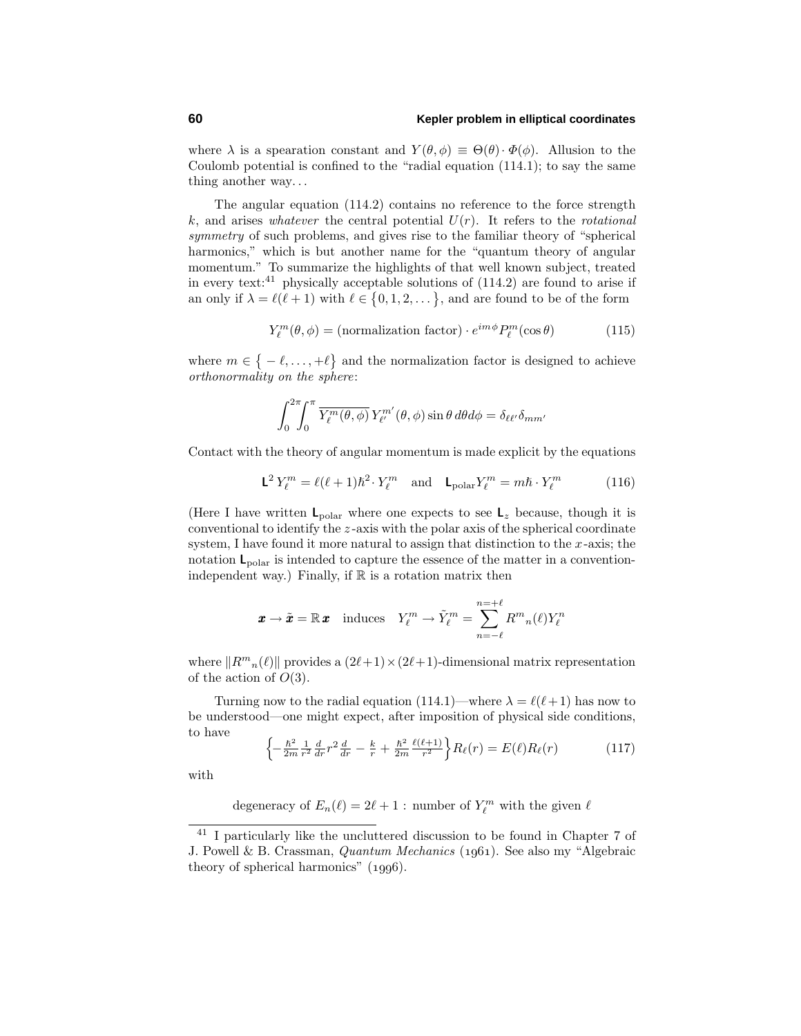where  $\lambda$  is a spearation constant and  $Y(\theta, \phi) \equiv \Theta(\theta) \cdot \Phi(\phi)$ . Allusion to the Coulomb potential is confined to the "radial equation (114.1); to say the same thing another way*...*

The angular equation (114.2) contains no reference to the force strength *k*, and arises whatever the central potential  $U(r)$ . It refers to the *rotational* symmetry of such problems, and gives rise to the familiar theory of "spherical" harmonics," which is but another name for the "quantum theory of angular momentum." To summarize the highlights of that well known subject, treated in every text: $41$  physically acceptable solutions of  $(114.2)$  are found to arise if an only if  $\lambda = \ell(\ell+1)$  with  $\ell \in \{0, 1, 2, \dots\}$ , and are found to be of the form

$$
Y_{\ell}^{m}(\theta,\phi) = \text{(normalization factor)} \cdot e^{im\phi} P_{\ell}^{m}(\cos\theta) \tag{115}
$$

where  $m \in \{-\ell, \ldots, +\ell\}$  and the normalization factor is designed to achieve orthonormality on the sphere:

$$
\int_0^{2\pi} \int_0^{\pi} \overline{Y_{\ell}^m(\theta,\phi)} Y_{\ell'}^{m'}(\theta,\phi) \sin \theta \, d\theta d\phi = \delta_{\ell\ell'} \delta_{mm'}
$$

Contact with the theory of angular momentum is made explicit by the equations

$$
\mathsf{L}^2 Y_\ell^m = \ell(\ell+1)\hbar^2 \cdot Y_\ell^m \quad \text{and} \quad \mathsf{L}_{\text{polar}} Y_\ell^m = m\hbar \cdot Y_\ell^m \tag{116}
$$

(Here I have written  $L_{\text{polar}}$  where one expects to see  $L_z$  because, though it is conventional to identify the *z* -axis with the polar axis of the spherical coordinate system, I have found it more natural to assign that distinction to the *x*-axis; the notation  $\mathsf{L}_{\text{polar}}$  is intended to capture the essence of the matter in a conventionindependent way.) Finally, if  $\mathbb R$  is a rotation matrix then

$$
\boldsymbol{x} \to \tilde{\boldsymbol{x}} = \mathbb{R} \, \boldsymbol{x} \quad \text{induces} \quad Y_{\ell}^{m} \to \tilde{Y}_{\ell}^{m} = \sum_{n=-\ell}^{n=+\ell} R^{m}{}_{n}(\ell) Y_{\ell}^{n}
$$

where  $\|R^m_n(\ell)\|$  provides a  $(2\ell+1) \times (2\ell+1)$ -dimensional matrix representation of the action of  $O(3)$ .

Turning now to the radial equation (114.1)—where  $\lambda = \ell(\ell+1)$  has now to be understood—one might expect, after imposition of physical side conditions, to have

$$
\left\{-\frac{\hbar^2}{2m}\frac{1}{r^2}\frac{d}{dr}r^2\frac{d}{dr}-\frac{k}{r}+\frac{\hbar^2}{2m}\frac{\ell(\ell+1)}{r^2}\right\}R_{\ell}(r)=E(\ell)R_{\ell}(r)
$$
(117)

with

degeneracy of  $E_n(\ell) = 2\ell + 1$ : number of  $Y_{\ell}^m$  with the given  $\ell$ 

<sup>41</sup> I particularly like the uncluttered discussion to be found in Chapter 7 of J. Powell & B. Crassman, *Quantum Mechanics* (1961). See also my "Algebraic theory of spherical harmonics"  $(1996)$ .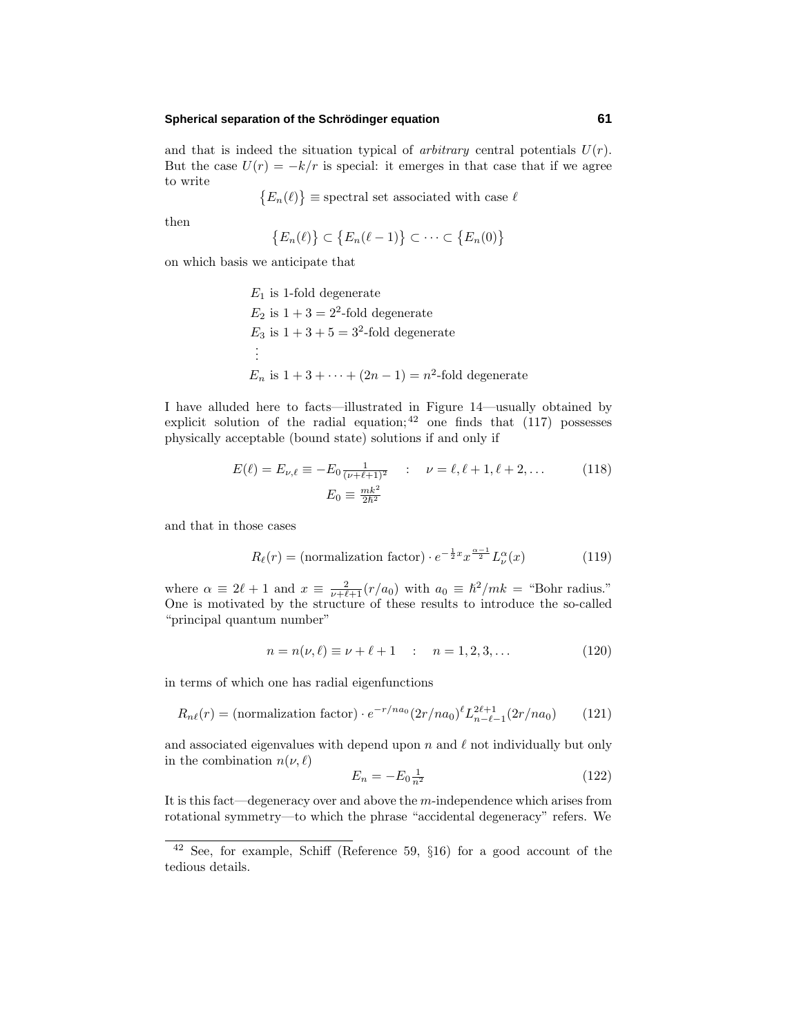## **Spherical separation of the Schrodinger equation ¨ 61**

and that is indeed the situation typical of *arbitrary* central potentials  $U(r)$ . But the case  $U(r) = -k/r$  is special: it emerges in that case that if we agree to write

 $\{E_n(\ell)\}\equiv$  spectral set associated with case  $\ell$ 

then

$$
\big\{E_n(\ell)\big\} \subset \big\{E_n(\ell-1)\big\} \subset \cdots \subset \big\{E_n(0)\big\}
$$

on which basis we anticipate that

$$
E_1 \text{ is 1-fold degenerate}
$$
  
\n
$$
E_2 \text{ is 1 + 3} = 2^2 \text{-fold degenerate}
$$
  
\n
$$
E_3 \text{ is 1 + 3 + 5} = 3^2 \text{-fold degenerate}
$$
  
\n:  
\n
$$
E_n \text{ is 1 + 3 + \dots + (2n - 1)} = n^2 \text{-fold degenerate}
$$

I have alluded here to facts—illustrated in Figure 14—usually obtained by explicit solution of the radial equation;<sup>42</sup> one finds that  $(117)$  possesses physically acceptable (bound state) solutions if and only if

$$
E(\ell) = E_{\nu,\ell} \equiv -E_0 \frac{1}{(\nu + \ell + 1)^2} \quad : \quad \nu = \ell, \ell + 1, \ell + 2, \dots \tag{118}
$$
\n
$$
E_0 \equiv \frac{mk^2}{2\hbar^2}
$$

and that in those cases

$$
R_{\ell}(r) = \text{(normalization factor)} \cdot e^{-\frac{1}{2}x} x^{\frac{\alpha - 1}{2}} L_{\nu}^{\alpha}(x) \tag{119}
$$

where  $\alpha \equiv 2\ell + 1$  and  $x \equiv \frac{2}{\nu + \ell + 1} (r/a_0)$  with  $a_0 \equiv \hbar^2/mk =$  "Bohr radius." One is motivated by the structure of these results to introduce the so-called "principal quantum number"

$$
n = n(\nu, \ell) \equiv \nu + \ell + 1 \quad : \quad n = 1, 2, 3, \dots \tag{120}
$$

in terms of which one has radial eigenfunctions

$$
R_{n\ell}(r) = \text{(normalization factor)} \cdot e^{-r/na_0} (2r/na_0)^{\ell} L_{n-\ell-1}^{2\ell+1} (2r/na_0) \tag{121}
$$

and associated eigenvalues with depend upon  $n$  and  $\ell$  not individually but only in the combination  $n(\nu, \ell)$ 

$$
E_n = -E_0 \frac{1}{n^2} \tag{122}
$$

It is this fact—degeneracy over and above the *m*-independence which arises from rotational symmetry—to which the phrase "accidental degeneracy" refers. We

 $42$  See, for example, Schiff (Reference 59,  $\S16$ ) for a good account of the tedious details.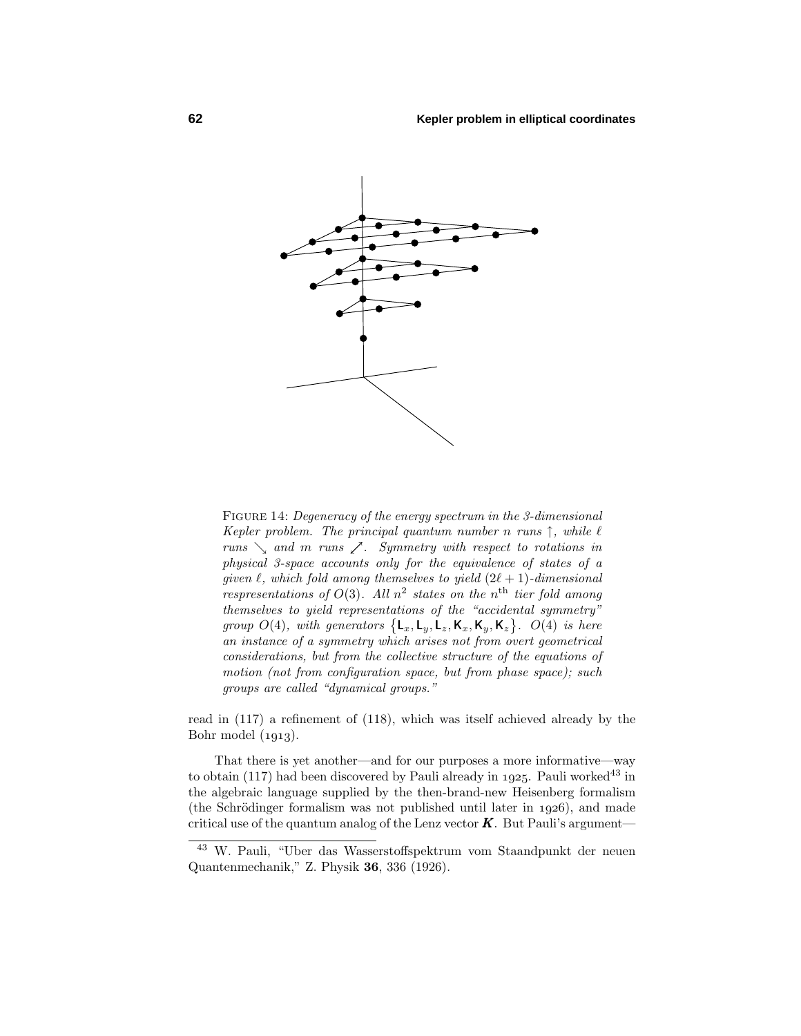

Figure 14: Degeneracy of the energy spectrum in the 3-dimensional Kepler problem. The principal quantum number *n* runs  $\uparrow$ , while  $\ell$ runs  $\setminus$  and *m* runs  $\bigwedge$ . Symmetry with respect to rotations in physical 3-space accounts only for the equivalence of states of a given  $\ell$ , which fold among themselves to yield  $(2\ell + 1)$ -dimensional respresentations of *O*(3). All *n*<sup>2</sup> states on the *n*th tier fold among themselves to yield representations of the "accidental symmetry"  $group O(4)$ *, with generators*  $\{L_x, L_y, L_z, K_x, K_y, K_z\}$ *.*  $O(4)$  is here an instance of a symmetry which arises not from overt geometrical considerations,but from the collective structure of the equations of motion (not from configuration space, but from phase space); such groups are called "dynamical groups."

read in (117) a refinement of (118), which was itself achieved already by the Bohr model  $(1913)$ .

That there is yet another—and for our purposes a more informative—way to obtain (117) had been discovered by Pauli already in 1925. Pauli worked<sup>43</sup> in the algebraic language supplied by the then-brand-new Heisenberg formalism (the Schrödinger formalism was not published until later in  $1926$ ), and made critical use of the quantum analog of the Lenz vector  $K$ . But Pauli's argument—

<sup>43</sup> W. Pauli, "Uber das Wasserstoffspektrum vom Staandpunkt der neuen Quantenmechanik," Z. Physik **36**, 336 (1926).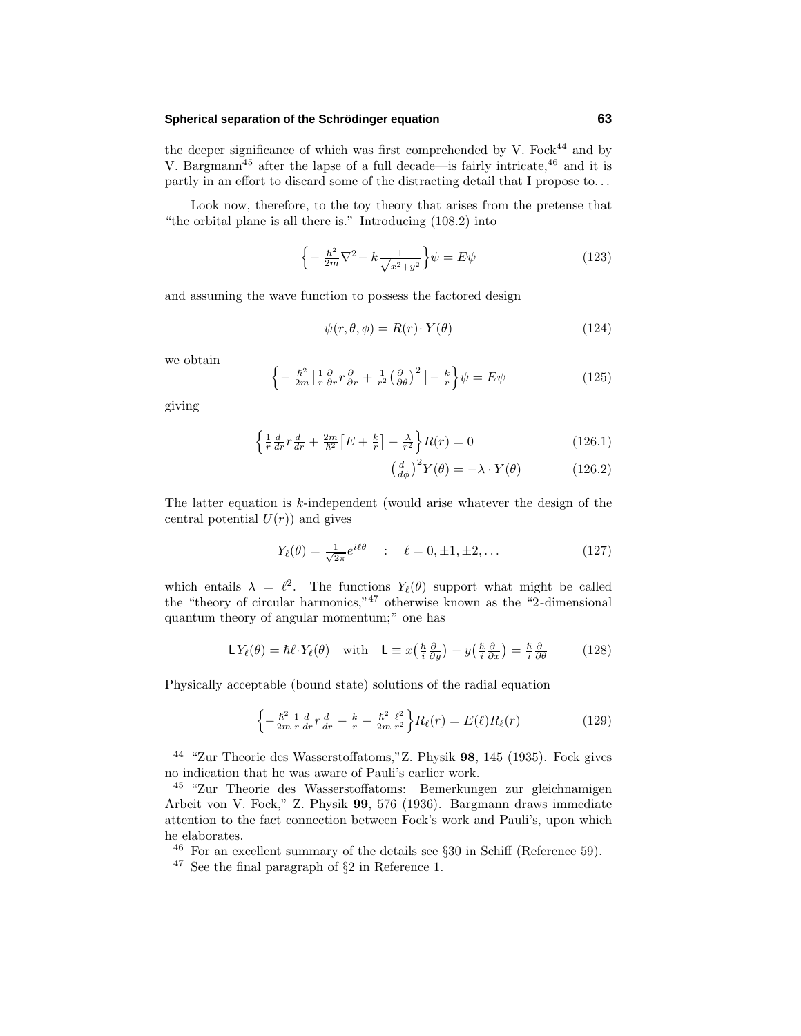## **Spherical separation of the Schrodinger equation ¨ 63**

the deeper significance of which was first comprehended by V. Fock<sup>44</sup> and by V. Bargmann<sup>45</sup> after the lapse of a full decade—is fairly intricate,  $46$  and it is partly in an effort to discard some of the distracting detail that I propose to*...*

Look now, therefore, to the toy theory that arises from the pretense that "the orbital plane is all there is." Introducing (108.2) into

$$
\left\{-\frac{\hbar^2}{2m}\nabla^2 - k\frac{1}{\sqrt{x^2 + y^2}}\right\}\psi = E\psi\tag{123}
$$

and assuming the wave function to possess the factored design

$$
\psi(r,\theta,\phi) = R(r) \cdot Y(\theta) \tag{124}
$$

we obtain

$$
\left\{-\frac{\hbar^2}{2m}\left[\frac{1}{r}\frac{\partial}{\partial r}r\frac{\partial}{\partial r} + \frac{1}{r^2}\left(\frac{\partial}{\partial \theta}\right)^2\right] - \frac{k}{r}\right\}\psi = E\psi\tag{125}
$$

giving

$$
\left\{\frac{1}{r}\frac{d}{dr}r\frac{d}{dr} + \frac{2m}{\hbar^2}\left[E + \frac{k}{r}\right] - \frac{\lambda}{r^2}\right\}R(r) = 0\tag{126.1}
$$

$$
\left(\frac{d}{d\phi}\right)^2 Y(\theta) = -\lambda \cdot Y(\theta) \tag{126.2}
$$

The latter equation is *k*-independent (would arise whatever the design of the central potential  $U(r)$  and gives

$$
Y_{\ell}(\theta) = \frac{1}{\sqrt{2\pi}} e^{i\ell\theta} \qquad : \quad \ell = 0, \pm 1, \pm 2, \dots \tag{127}
$$

which entails  $\lambda = \ell^2$ . The functions  $Y_{\ell}(\theta)$  support what might be called the "theory of circular harmonics,"<sup>47</sup> otherwise known as the "2-dimensional quantum theory of angular momentum;" one has

$$
\mathsf{L}Y_{\ell}(\theta) = \hbar \ell \cdot Y_{\ell}(\theta) \quad \text{with} \quad \mathsf{L} \equiv x \left( \frac{\hbar}{i} \frac{\partial}{\partial y} \right) - y \left( \frac{\hbar}{i} \frac{\partial}{\partial x} \right) = \frac{\hbar}{i} \frac{\partial}{\partial \theta} \tag{128}
$$

Physically acceptable (bound state) solutions of the radial equation

$$
\left\{-\frac{\hbar^2}{2m}\frac{1}{r}\frac{d}{dr}r\frac{d}{dr} - \frac{k}{r} + \frac{\hbar^2}{2m}\frac{\ell^2}{r^2}\right\} R_{\ell}(r) = E(\ell)R_{\ell}(r)
$$
\n(129)

<sup>44</sup> "Zur Theorie des Wasserstoffatoms,"Z. Physik **98**, 145 (1935). Fock gives no indication that he was aware of Pauli's earlier work.

<sup>45</sup> "Zur Theorie des Wasserstoffatoms: Bemerkungen zur gleichnamigen Arbeit von V. Fock," Z. Physik **99**, 576 (1936). Bargmann draws immediate attention to the fact connection between Fock's work and Pauli's, upon which he elaborates.

 $46$  For an excellent summary of the details see  $\S 30$  in Schiff (Reference 59).

<sup>47</sup> See the final paragraph of §2 in Reference 1.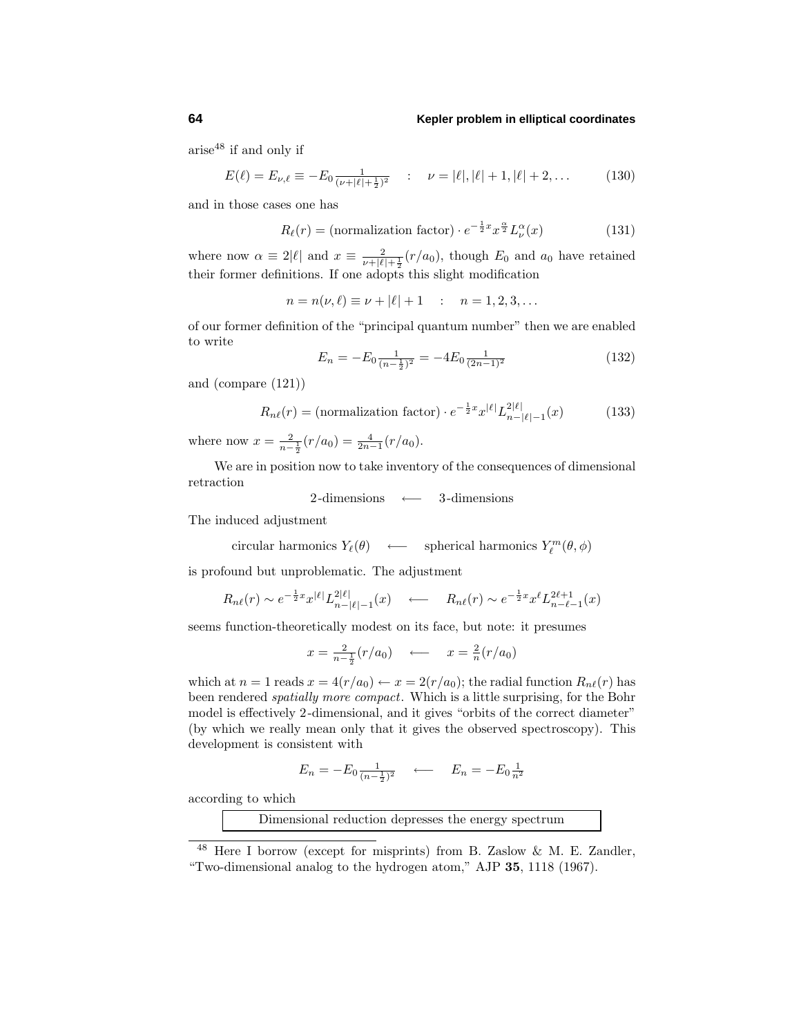arise<sup>48</sup> if and only if

$$
E(\ell) = E_{\nu,\ell} \equiv -E_0 \frac{1}{(\nu + |\ell| + \frac{1}{2})^2} \quad : \quad \nu = |\ell|, |\ell| + 1, |\ell| + 2, \dots \tag{130}
$$

and in those cases one has

$$
R_{\ell}(r) = \text{(normalization factor)} \cdot e^{-\frac{1}{2}x} x^{\frac{\alpha}{2}} L_{\nu}^{\alpha}(x) \tag{131}
$$

where now  $\alpha \equiv 2|\ell|$  and  $x \equiv \frac{2}{\nu+|\ell|+\frac{1}{2}}(r/a_0)$ , though  $E_0$  and  $a_0$  have retained their former definitions. If one adopts this slight modification

$$
n = n(\nu, \ell) \equiv \nu + |\ell| + 1
$$
 :  $n = 1, 2, 3, ...$ 

of our former definition of the "principal quantum number" then we are enabled to write

$$
E_n = -E_0 \frac{1}{(n - \frac{1}{2})^2} = -4E_0 \frac{1}{(2n - 1)^2}
$$
\n(132)

and (compare (121))

$$
R_{n\ell}(r) = \text{(normalization factor)} \cdot e^{-\frac{1}{2}x} x^{|\ell|} L_{n-|\ell|-1}^{2|\ell|}(x) \tag{133}
$$

where now  $x = \frac{2}{n - \frac{1}{2}} (r/a_0) = \frac{4}{2n - 1} (r/a_0).$ 

We are in position now to take inventory of the consequences of dimensional retraction

2-dimensions ← 3-dimensions

The induced adjustment

circular harmonics 
$$
Y_{\ell}(\theta) \longleftarrow
$$
 spherical harmonics  $Y_{\ell}^{m}(\theta, \phi)$ 

is profound but unproblematic. The adjustment

$$
R_{n\ell}(r) \sim e^{-\frac{1}{2}x} x^{|\ell|} L_{n-|\ell|-1}^{2|\ell|}(x) \quad \longleftarrow \quad R_{n\ell}(r) \sim e^{-\frac{1}{2}x} x^{\ell} L_{n-\ell-1}^{2\ell+1}(x)
$$

seems function-theoretically modest on its face, but note: it presumes

$$
x = \frac{2}{n - \frac{1}{2}}(r/a_0) \quad \longleftarrow \quad x = \frac{2}{n}(r/a_0)
$$

which at  $n = 1$  reads  $x = 4(r/a_0) \leftarrow x = 2(r/a_0)$ ; the radial function  $R_{n\ell}(r)$  has been rendered spatially more compact. Which is a little surprising, for the Bohr model is effectively 2-dimensional, and it gives "orbits of the correct diameter" (by which we really mean only that it gives the observed spectroscopy). This development is consistent with

$$
E_n = -E_0 \frac{1}{(n - \frac{1}{2})^2} \quad \longleftarrow \quad E_n = -E_0 \frac{1}{n^2}
$$

according to which

Dimensional reduction depresses the energy spectrum

 $48$  Here I borrow (except for misprints) from B. Zaslow & M. E. Zandler, "Two-dimensional analog to the hydrogen atom," AJP **35**, 1118 (1967).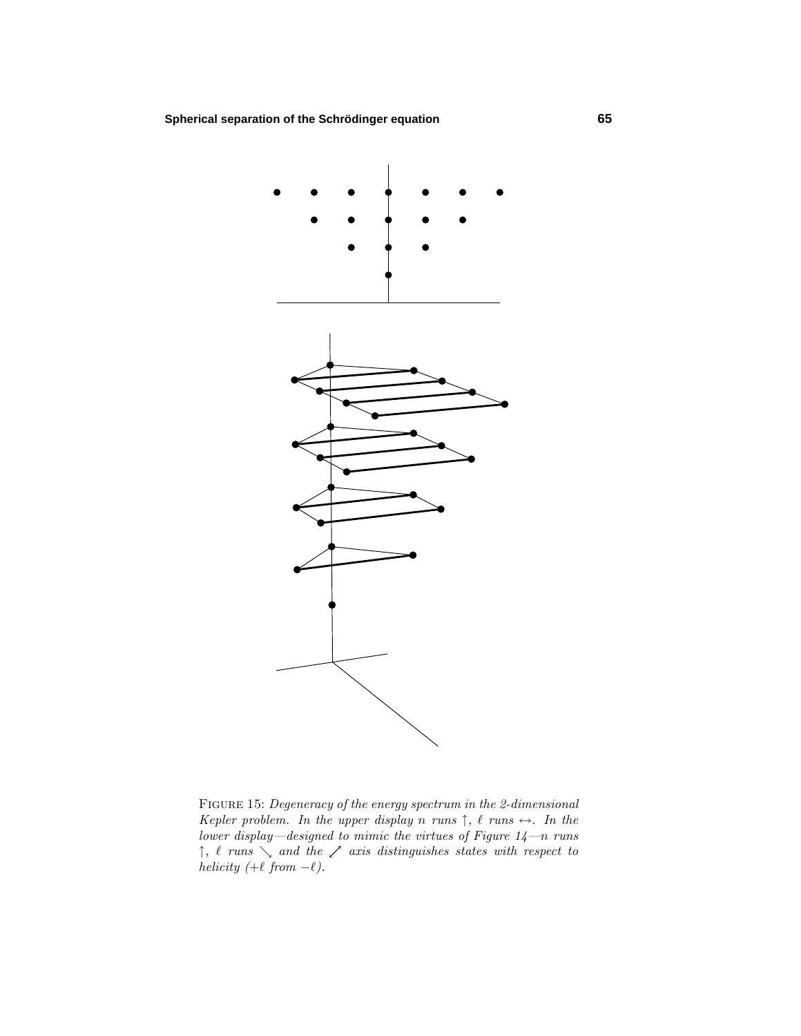

Figure 15: Degeneracy of the energy spectrum in the 2-dimensional Kepler problem. In the upper display *n* runs  $\uparrow$ ,  $\ell$  runs  $\leftrightarrow$ . In the lower display—designed to mimic the virtues of Figure 14—*n* runs  $\uparrow$ ,  $\ell$  runs  $\searrow$  and the  $\nearrow$  axis distinguishes states with respect to helicity  $(+\ell \ from -\ell).$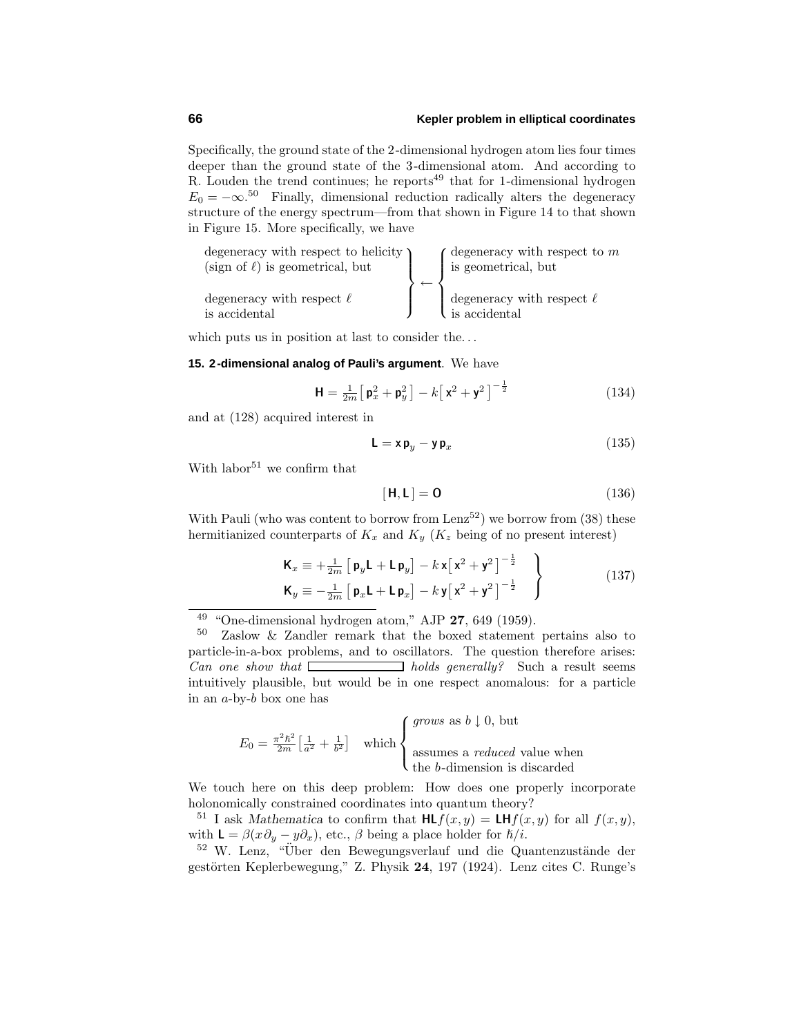Specifically, the ground state of the 2-dimensional hydrogen atom lies four times deeper than the ground state of the 3-dimensional atom. And according to R. Louden the trend continues; he reports $49$  that for 1-dimensional hydrogen  $E_0 = -\infty$ <sup>50</sup> Finally, dimensional reduction radically alters the degeneracy structure of the energy spectrum—from that shown in Figure 14 to that shown in Figure 15. More specifically, we have

\n degeneracy with respect to helicity (sign of 
$$
\ell
$$
) is geometrical, but\n degeneracy with respect  $\ell$ \n

\n\n degeneracy with respect  $\ell$ \n

\n\n degeneracy with respect  $\ell$ \n

\n\n is acceleration, but  $\ell$ \n

\n\n degeneracy with respect  $\ell$ \n

\n\n is acceleration, but  $\ell$ \n

\n\n is acceleration, but  $\ell$ \n

which puts us in position at last to consider the*...*

# **15. 2-dimensional analog of Pauli's argument**. We have

$$
\mathbf{H} = \frac{1}{2m} \left[ \mathbf{p}_x^2 + \mathbf{p}_y^2 \right] - k \left[ \mathbf{x}^2 + \mathbf{y}^2 \right]^{-\frac{1}{2}} \tag{134}
$$

and at (128) acquired interest in

$$
\mathbf{L} = \mathbf{x} \, \mathbf{p}_y - \mathbf{y} \, \mathbf{p}_x \tag{135}
$$

With labor  $51$  we confirm that

$$
[\mathbf{H}, \mathbf{L}] = \mathbf{O} \tag{136}
$$

With Pauli (who was content to borrow from  $Lenz^{52}$ ) we borrow from (38) these hermitianized counterparts of  $K_x$  and  $K_y$  ( $K_z$  being of no present interest)

$$
\mathbf{K}_x \equiv +\frac{1}{2m} \left[ \mathbf{p}_y \mathbf{L} + \mathbf{L} \mathbf{p}_y \right] - k \mathbf{x} \left[ \mathbf{x}^2 + \mathbf{y}^2 \right]^{-\frac{1}{2}} \n\mathbf{K}_y \equiv -\frac{1}{2m} \left[ \mathbf{p}_x \mathbf{L} + \mathbf{L} \mathbf{p}_x \right] - k \mathbf{y} \left[ \mathbf{x}^2 + \mathbf{y}^2 \right]^{-\frac{1}{2}} \qquad (137)
$$

<sup>49</sup> "One-dimensional hydrogen atom," AJP **27**, 649 (1959).

 $E_0 = \frac{\pi^2 \hbar^2}{2m} \left[ \frac{1}{a^2} + \frac{1}{b^2} \right]$  which  $\sqrt{ }$  $\int$  $\mathcal{L}$ *grows* as  $b \downarrow 0$ , but assumes a *reduced* value when the *b*-dimension is discarded

We touch here on this deep problem: How does one properly incorporate holonomically constrained coordinates into quantum theory?

<sup>51</sup> I ask *Mathematica* to confirm that  $H L f(x, y) = L H f(x, y)$  for all  $f(x, y)$ , with  $\mathbf{L} = \beta(x \partial_y - y \partial_x)$ , etc.,  $\beta$  being a place holder for  $\hbar/i$ .

 $52$  W. Lenz, "Über den Bewegungsverlauf und die Quantenzustände der gestörten Keplerbewegung," Z. Physik 24, 197 (1924). Lenz cites C. Runge's

<sup>50</sup> Zaslow & Zandler remark that the boxed statement pertains also to particle-in-a-box problems, and to oscillators. The question therefore arises: Can one show that  $\Box$  holds generally? Such a result seems intuitively plausible, but would be in one respect anomalous: for a particle in an *a*-by-*b* box one has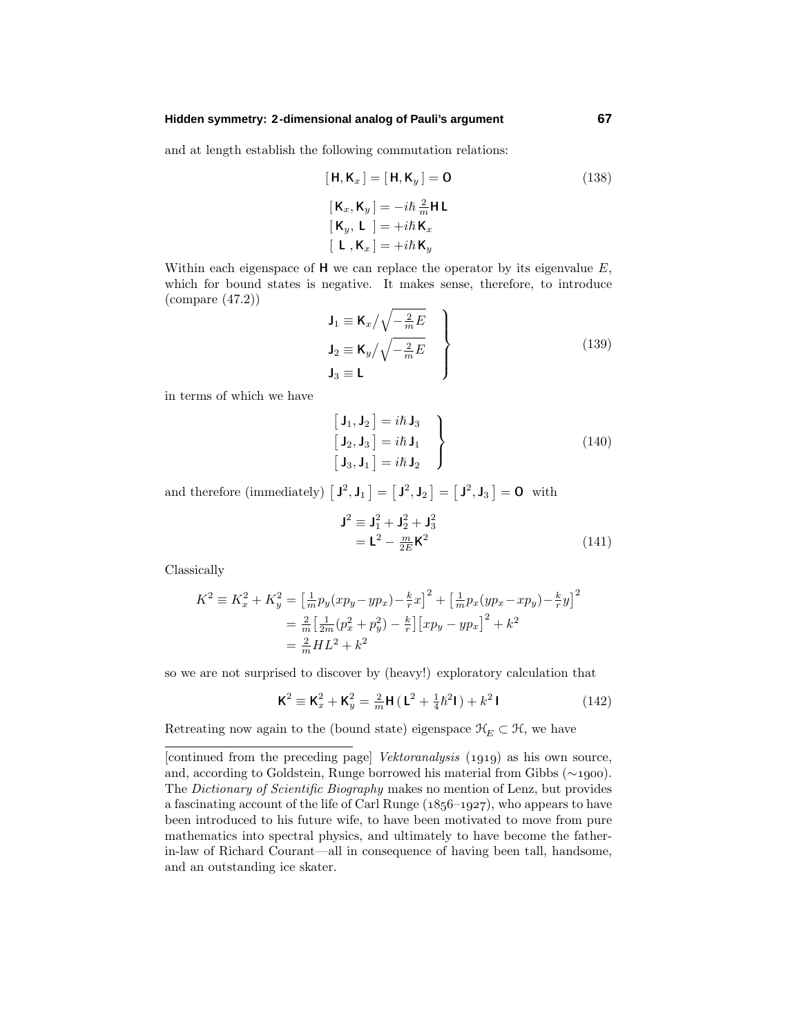## **Hidden symmetry: 2-dimensional analog of Pauli's argument 67**

and at length establish the following commutation relations:

$$
[\mathbf{H}, \mathbf{K}_x] = [\mathbf{H}, \mathbf{K}_y] = \mathbf{O}
$$
\n
$$
[\mathbf{K}_x, \mathbf{K}_y] = -i\hbar \frac{2}{m} \mathbf{H} \mathbf{L}
$$
\n
$$
[\mathbf{K}_y, \mathbf{L}] = +i\hbar \mathbf{K}_x
$$
\n
$$
[\mathbf{L}, \mathbf{K}_x] = +i\hbar \mathbf{K}_y
$$
\n(138)

Within each eigenspace of **H** we can replace the operator by its eigenvalue *E*, which for bound states is negative. It makes sense, therefore, to introduce (compare (47.2))

$$
\mathbf{J}_1 \equiv \mathbf{K}_x / \sqrt{-\frac{2}{m}E}
$$
\n
$$
\mathbf{J}_2 \equiv \mathbf{K}_y / \sqrt{-\frac{2}{m}E}
$$
\n
$$
\mathbf{J}_3 \equiv \mathbf{L}
$$
\n(139)

in terms of which we have

$$
\begin{bmatrix} \mathbf{J}_1, \mathbf{J}_2 \end{bmatrix} = i\hbar \mathbf{J}_3 \n\begin{bmatrix} \mathbf{J}_2, \mathbf{J}_3 \end{bmatrix} = i\hbar \mathbf{J}_1 \n\begin{bmatrix} \mathbf{J}_3, \mathbf{J}_1 \end{bmatrix} = i\hbar \mathbf{J}_2
$$
\n(140)

and therefore (immediately)  $[\mathbf{J}^2, \mathbf{J}_1] = [\mathbf{J}^2, \mathbf{J}_2] = [\mathbf{J}^2, \mathbf{J}_3] = 0$  with

$$
\mathbf{J}^2 \equiv \mathbf{J}_1^2 + \mathbf{J}_2^2 + \mathbf{J}_3^2
$$
  
=  $\mathbf{L}^2 - \frac{m}{2E} \mathbf{K}^2$  (141)

Classically

$$
K^{2} \equiv K_{x}^{2} + K_{y}^{2} = \left[\frac{1}{m}p_{y}(xp_{y} - yp_{x}) - \frac{k}{r}x\right]^{2} + \left[\frac{1}{m}p_{x}(yp_{x} - xp_{y}) - \frac{k}{r}y\right]^{2}
$$
  
=  $\frac{2}{m}\left[\frac{1}{2m}(p_{x}^{2} + p_{y}^{2}) - \frac{k}{r}\right]\left[xp_{y} - yp_{x}\right]^{2} + k^{2}$   
=  $\frac{2}{m}H L^{2} + k^{2}$ 

so we are not surprised to discover by (heavy!) exploratory calculation that

$$
\mathbf{K}^2 \equiv \mathbf{K}_x^2 + \mathbf{K}_y^2 = \frac{2}{m} \mathbf{H} \left( \mathbf{L}^2 + \frac{1}{4} \hbar^2 \mathbf{I} \right) + k^2 \mathbf{I}
$$
 (142)

Retreating now again to the (bound state) eigenspace  $\mathcal{H}_E \subset \mathcal{H}$ , we have

<sup>[</sup>continued from the preceding page] Vektoranalysis  $(1919)$  as his own source, and, according to Goldstein, Runge borrowed his material from Gibbs ( $\sim$ 1900). The Dictionary of Scientific Biography makes no mention of Lenz, but provides a fascinating account of the life of Carl Runge  $(1856-1927)$ , who appears to have been introduced to his future wife, to have been motivated to move from pure mathematics into spectral physics, and ultimately to have become the fatherin-law of Richard Courant—all in consequence of having been tall, handsome, and an outstanding ice skater.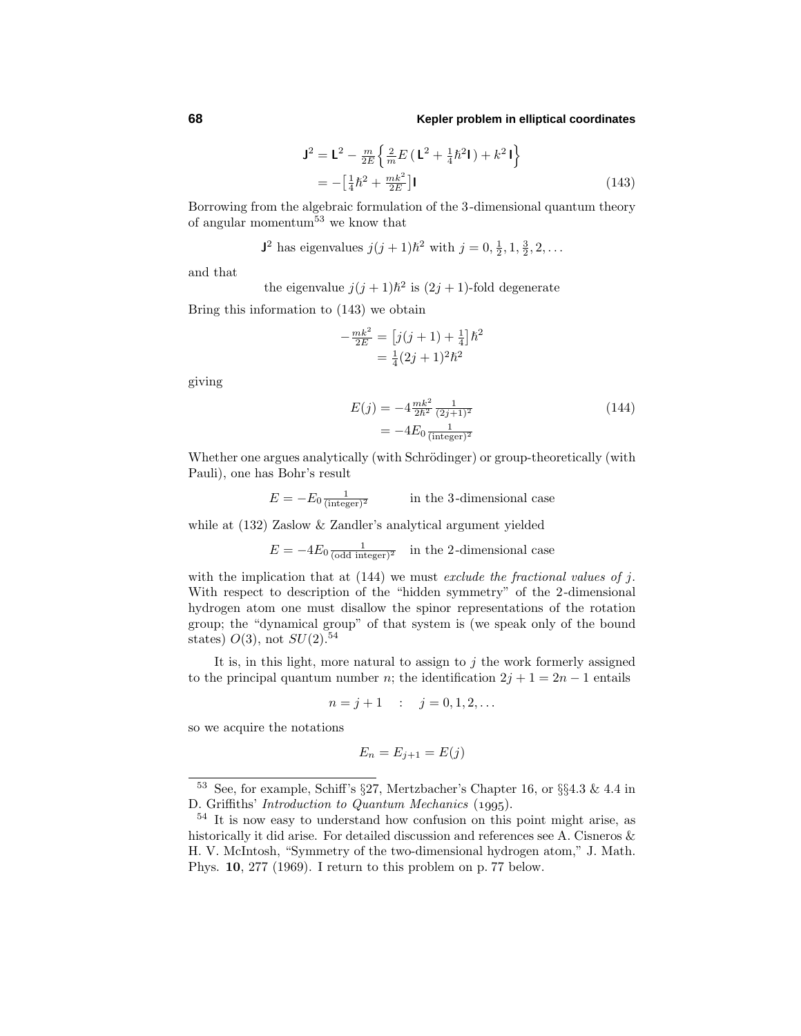$$
\mathbf{J}^{2} = \mathbf{L}^{2} - \frac{m}{2E} \left\{ \frac{2}{m} E \left( \mathbf{L}^{2} + \frac{1}{4} \hbar^{2} \mathbf{I} \right) + k^{2} \mathbf{I} \right\}
$$
  
= 
$$
- \left[ \frac{1}{4} \hbar^{2} + \frac{mk^{2}}{2E} \right] \mathbf{I}
$$
 (143)

Borrowing from the algebraic formulation of the 3-dimensional quantum theory of angular momentum<sup>53</sup> we know that

**J**<sup>2</sup> has eigenvalues 
$$
j(j + 1)\hbar^2
$$
 with  $j = 0, \frac{1}{2}, 1, \frac{3}{2}, 2, ...$ 

and that

the eigenvalue  $j(j+1)\hbar^2$  is  $(2j+1)$ -fold degenerate

Bring this information to (143) we obtain

$$
-\frac{mk^2}{2E} = [j(j+1) + \frac{1}{4}] \hbar^2
$$
  
=  $\frac{1}{4} (2j+1)^2 \hbar^2$ 

giving

$$
E(j) = -4 \frac{mk^2}{2\hbar^2} \frac{1}{(2j+1)^2}
$$
\n
$$
= -4E_0 \frac{1}{(\text{integer})^2}
$$
\n(144)

Whether one argues analytically (with Schrödinger) or group-theoretically (with Pauli), one has Bohr's result

$$
E = -E_0 \frac{1}{(\text{integer})^2} \qquad \text{in the 3-dimensional case}
$$

while at (132) Zaslow & Zandler's analytical argument yielded

$$
E = -4E_0 \frac{1}{(\text{odd integer})^2}
$$
 in the 2-dimensional case

with the implication that at (144) we must exclude the fractional values of *j*. With respect to description of the "hidden symmetry" of the 2-dimensional hydrogen atom one must disallow the spinor representations of the rotation group; the "dynamical group" of that system is (we speak only of the bound states)  $O(3)$ , not  $SU(2)$ .<sup>54</sup>

It is, in this light, more natural to assign to *j* the work formerly assigned to the principal quantum number *n*; the identification  $2j + 1 = 2n - 1$  entails

$$
n = j + 1 \quad : \quad j = 0, 1, 2, \dots
$$

so we acquire the notations

$$
E_n = E_{j+1} = E(j)
$$

<sup>&</sup>lt;sup>53</sup> See, for example, Schiff's  $\S 27$ , Mertzbacher's Chapter 16, or  $\S 4.3 \& 4.4$  in D. Griffiths' Introduction to Quantum Mechanics (1995).

<sup>54</sup> It is now easy to understand how confusion on this point might arise, as historically it did arise. For detailed discussion and references see A. Cisneros & H. V. McIntosh, "Symmetry of the two-dimensional hydrogen atom," J. Math. Phys. **10**, 277 (1969). I return to this problem on p. 77 below.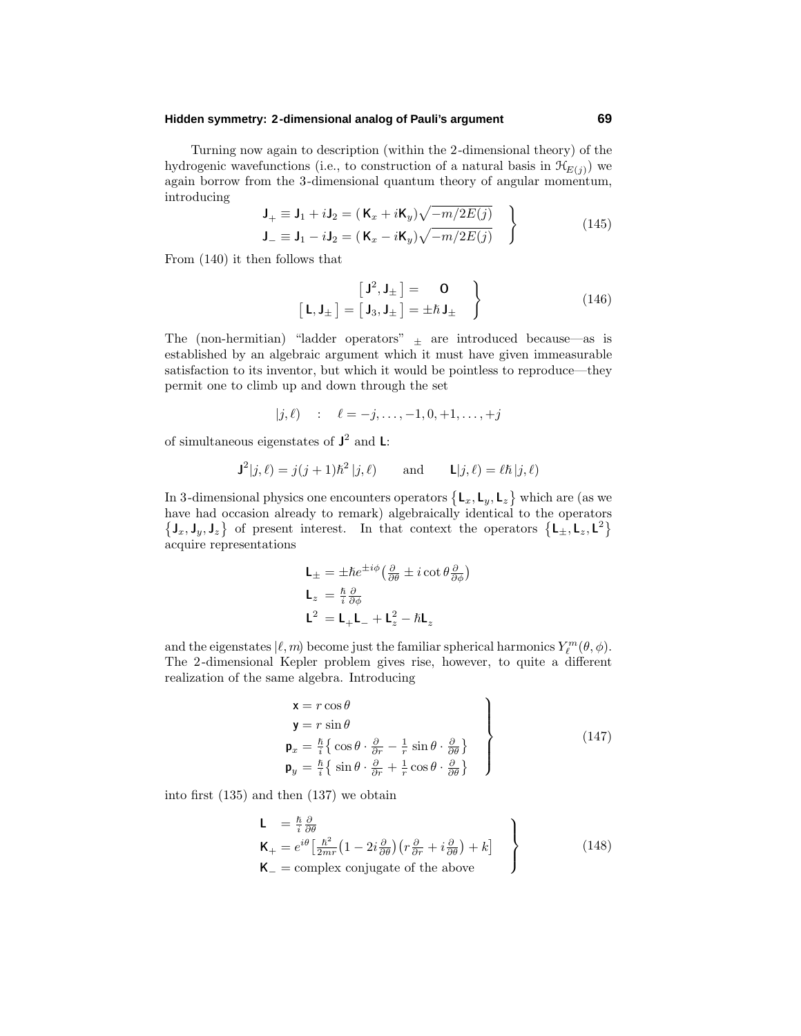## **Hidden symmetry: 2-dimensional analog of Pauli's argument 69**

Turning now again to description (within the 2-dimensional theory) of the hydrogenic wavefunctions (i.e., to construction of a natural basis in  $\mathcal{H}_{E(j)}$ ) we again borrow from the 3-dimensional quantum theory of angular momentum, introducing

$$
\mathbf{J}_{+} \equiv \mathbf{J}_{1} + i\mathbf{J}_{2} = (\mathbf{K}_{x} + i\mathbf{K}_{y})\sqrt{-m/2E(j)}
$$
  
\n
$$
\mathbf{J}_{-} \equiv \mathbf{J}_{1} - i\mathbf{J}_{2} = (\mathbf{K}_{x} - i\mathbf{K}_{y})\sqrt{-m/2E(j)}
$$
\n(145)

From (140) it then follows that

$$
\begin{bmatrix} \mathbf{J}^2, \mathbf{J}_{\pm} \end{bmatrix} = \begin{bmatrix} \mathbf{0} \\ \mathbf{0} \end{bmatrix}
$$

$$
\begin{bmatrix} \mathbf{L}, \mathbf{J}_{\pm} \end{bmatrix} = \begin{bmatrix} \mathbf{J}_3, \mathbf{J}_{\pm} \end{bmatrix} = \pm \hbar \mathbf{J}_{\pm}
$$
 (146)

The (non-hermitian) "ladder operators"  $\pm$  are introduced because—as is established by an algebraic argument which it must have given immeasurable satisfaction to its inventor, but which it would be pointless to reproduce—they permit one to climb up and down through the set

$$
|j, \ell) \quad : \quad \ell = -j, \dots, -1, 0, +1, \dots, +j
$$

of simultaneous eigenstates of **J**<sup>2</sup> and **L**:

$$
\mathbf{J}^2|j,\ell\rangle = j(j+1)\hbar^2|j,\ell\rangle \quad \text{and} \quad \mathbf{L}|j,\ell\rangle = \ell \hbar|j,\ell\rangle
$$

In 3-dimensional physics one encounters operators  $\{L_x, L_y, L_z\}$  which are (as we have had occasion already to remark) algebraically identical to the operators  $\{J_x, J_y, J_z\}$  of present interest. In that context the operators  $\{L_{\pm}, L_z, L^2\}$ acquire representations

$$
\mathbf{L}_{\pm} = \pm \hbar e^{\pm i\phi} \left( \frac{\partial}{\partial \theta} \pm i \cot \theta \frac{\partial}{\partial \phi} \right)
$$

$$
\mathbf{L}_{z} = \frac{\hbar}{i} \frac{\partial}{\partial \phi}
$$

$$
\mathbf{L}^{2} = \mathbf{L}_{+} \mathbf{L}_{-} + \mathbf{L}_{z}^{2} - \hbar \mathbf{L}_{z}
$$

and the eigenstates  $|\ell, m\rangle$  become just the familiar spherical harmonics  $Y_{\ell}^{m}(\theta, \phi)$ . The 2-dimensional Kepler problem gives rise, however, to quite a different realization of the same algebra. Introducing

$$
\mathbf{x} = r \cos \theta
$$
\n
$$
\mathbf{y} = r \sin \theta
$$
\n
$$
\mathbf{p}_x = \frac{\hbar}{i} \left\{ \cos \theta \cdot \frac{\partial}{\partial r} - \frac{1}{r} \sin \theta \cdot \frac{\partial}{\partial \theta} \right\}
$$
\n
$$
\mathbf{p}_y = \frac{\hbar}{i} \left\{ \sin \theta \cdot \frac{\partial}{\partial r} + \frac{1}{r} \cos \theta \cdot \frac{\partial}{\partial \theta} \right\}
$$
\n(147)

into first (135) and then (137) we obtain

$$
\mathbf{L} = \frac{\hbar}{i} \frac{\partial}{\partial \theta}
$$
  
\n
$$
\mathbf{K}_{+} = e^{i\theta} \left[ \frac{\hbar^{2}}{2mr} \left( 1 - 2i \frac{\partial}{\partial \theta} \right) \left( r \frac{\partial}{\partial r} + i \frac{\partial}{\partial \theta} \right) + k \right]
$$
  
\n
$$
\mathbf{K}_{-} = \text{complex conjugate of the above}
$$
\n(148)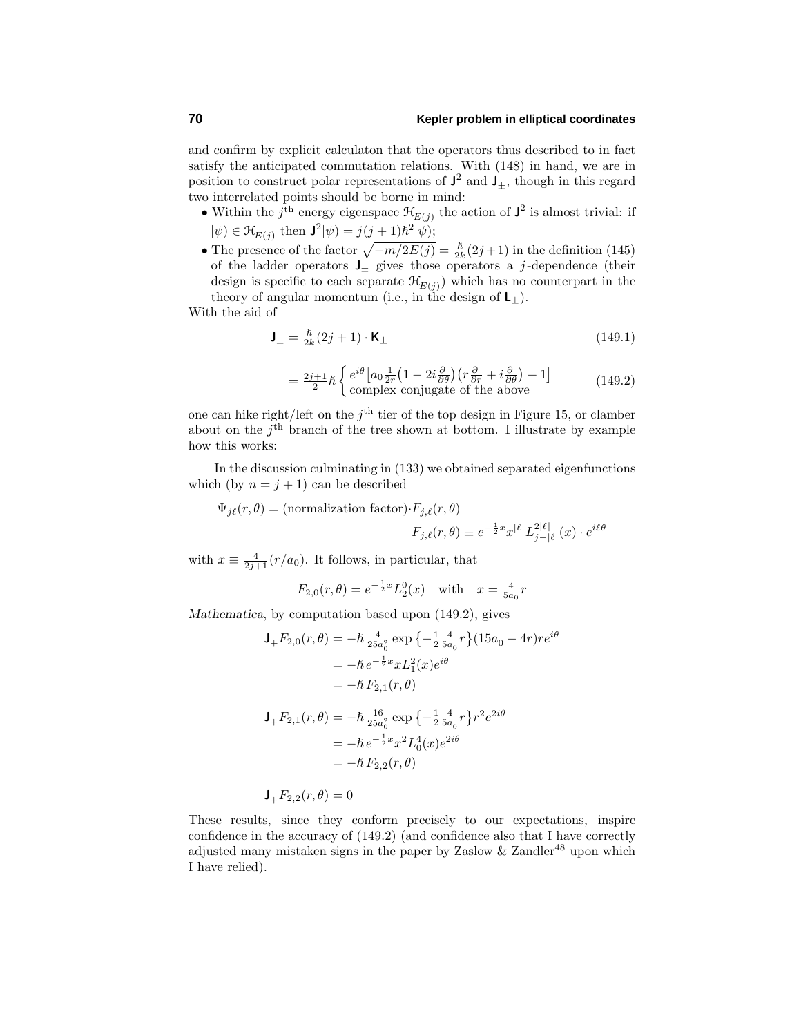and confirm by explicit calculaton that the operators thus described to in fact satisfy the anticipated commutation relations. With (148) in hand, we are in position to construct polar representations of  $J^2$  and  $J_{+}$ , though in this regard two interrelated points should be borne in mind:

- Within the  $j^{\text{th}}$  energy eigenspace  $\mathcal{H}_{E(j)}$  the action of  $\mathbf{J}^2$  is almost trivial: if  $|\psi\rangle \in \mathcal{H}_{E(j)}$  then  $\mathbf{J}^2|\psi\rangle = j(j+1)\hbar^2|\psi\rangle;$
- The presence of the factor  $\sqrt{-m/2E(j)} = \frac{\hbar}{2k}(2j+1)$  in the definition (145) of the ladder operators  $J_{\pm}$  gives those operators a *j*-dependence (their design is specific to each separate  $\mathcal{H}_{E(j)}$ ) which has no counterpart in the theory of angular momentum (i.e., in the design of  $\mathsf{L}_\pm$ ).

With the aid of

$$
\mathbf{J}_{\pm} = \frac{\hbar}{2k} (2j+1) \cdot \mathbf{K}_{\pm} \tag{149.1}
$$

$$
= \frac{2j+1}{2}\hbar \left\{ \frac{e^{i\theta} \left[ a_0 \frac{1}{2r} \left( 1 - 2i \frac{\partial}{\partial \theta} \right) \left( r \frac{\partial}{\partial r} + i \frac{\partial}{\partial \theta} \right) + 1 \right] \right\}
$$
\n(149.2)

\n(149.2)

one can hike right/left on the *j*th tier of the top design in Figure 15, or clamber about on the  $j<sup>th</sup>$  branch of the tree shown at bottom. I illustrate by example how this works:

In the discussion culminating in (133) we obtained separated eigenfunctions which (by  $n = j + 1$ ) can be described

$$
\Psi_{j\ell}(r,\theta) = \text{(normalization factor)} \cdot F_{j,\ell}(r,\theta)
$$
\n
$$
F_{j,\ell}(r,\theta) \equiv e^{-\frac{1}{2}x} x^{|\ell|} L_{j-|\ell|}^{2|\ell|}(x) \cdot e^{i\ell\theta}
$$

with  $x \equiv \frac{4}{2j+1} (r/a_0)$ . It follows, in particular, that

$$
F_{2,0}(r,\theta) = e^{-\frac{1}{2}x} L_2^0(x)
$$
 with  $x = \frac{4}{5a_0}r$ 

*Mathematica*, by computation based upon (149.2), gives

$$
\begin{aligned}\n\mathbf{J}_{+}F_{2,0}(r,\theta) &= -\hbar \frac{4}{25a_0^2} \exp \left\{-\frac{1}{2} \frac{4}{5a_0} r\right\} (15a_0 - 4r) r e^{i\theta} \\
&= -\hbar e^{-\frac{1}{2}x} x L_1^2(x) e^{i\theta} \\
&= -\hbar F_{2,1}(r,\theta)\n\end{aligned}
$$
\n
$$
\begin{aligned}\n\mathbf{J}_{+}F_{2,1}(r,\theta) &= -\hbar \frac{16}{25a_0^2} \exp \left\{-\frac{1}{2} \frac{4}{5a_0} r\right\} r^2 e^{2i\theta} \\
&= -\hbar e^{-\frac{1}{2}x} x^2 L_0^4(x) e^{2i\theta} \\
&= -\hbar F_{2,2}(r,\theta)\n\end{aligned}
$$

$$
\mathbf{J}_{+}F_{2,2}(r,\theta)=0
$$

These results, since they conform precisely to our expectations, inspire confidence in the accuracy of (149.2) (and confidence also that I have correctly adjusted many mistaken signs in the paper by Zaslow  $&$  Zandler<sup>48</sup> upon which I have relied).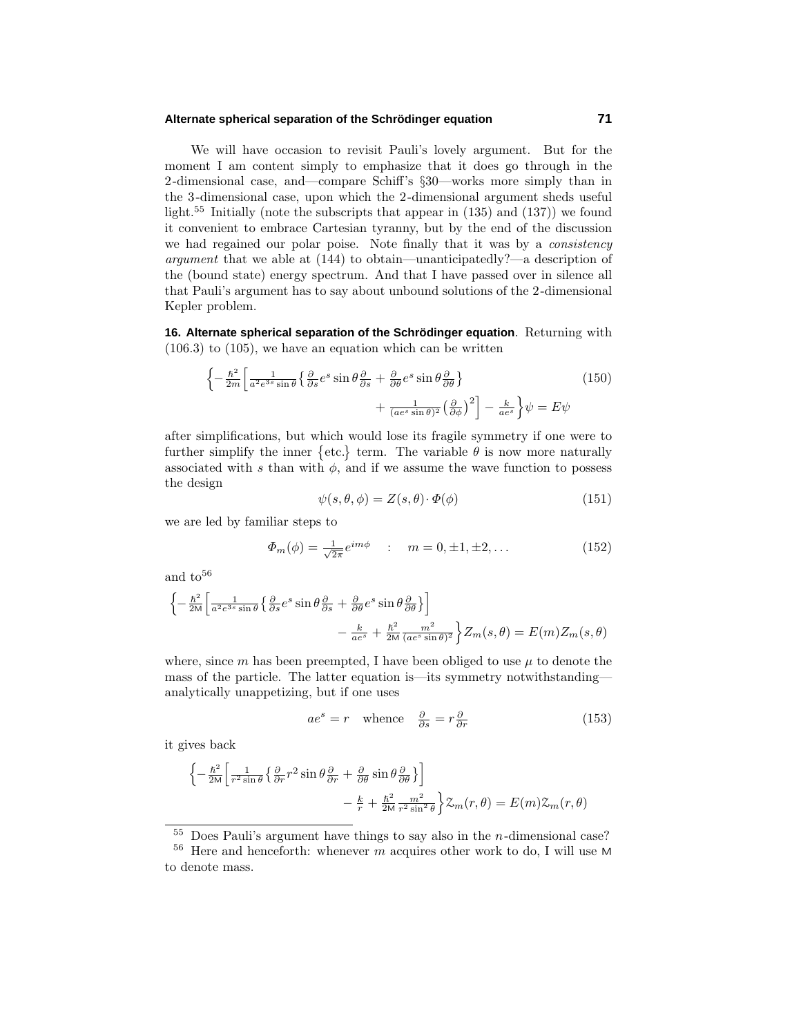## **Alternate spherical separation of the Schrodinger equation ¨ 71**

We will have occasion to revisit Pauli's lovely argument. But for the moment I am content simply to emphasize that it does go through in the 2-dimensional case, and—compare Schiff's §30—works more simply than in the 3-dimensional case, upon which the 2-dimensional argument sheds useful light.<sup>55</sup> Initially (note the subscripts that appear in  $(135)$  and  $(137)$ ) we found it convenient to embrace Cartesian tyranny, but by the end of the discussion we had regained our polar poise. Note finally that it was by a *consistency* argument that we able at (144) to obtain—unanticipatedly?—a description of the (bound state) energy spectrum. And that I have passed over in silence all that Pauli's argument has to say about unbound solutions of the 2-dimensional Kepler problem.

**16. Alternate spherical separation of the Schrödinger equation. Returning with**  $(106.3)$  to  $(105)$ , we have an equation which can be written

$$
\left\{-\frac{\hbar^2}{2m}\left[\frac{1}{a^2e^{3s}\sin\theta}\left\{\frac{\partial}{\partial s}e^s\sin\theta\frac{\partial}{\partial s}+\frac{\partial}{\partial\theta}e^s\sin\theta\frac{\partial}{\partial\theta}\right\}\right.\right.\\
\left.\left.+\frac{1}{(ae^s\sin\theta)^2}\left(\frac{\partial}{\partial\phi}\right)^2\right]-\frac{k}{ae^s}\right\}\psi=E\psi
$$
\n(150)

after simplifications, but which would lose its fragile symmetry if one were to further simplify the inner  $\{\text{etc.}\}\)$  term. The variable  $\theta$  is now more naturally associated with *s* than with  $\phi$ , and if we assume the wave function to possess the design

$$
\psi(s,\theta,\phi) = Z(s,\theta) \cdot \Phi(\phi) \tag{151}
$$

we are led by familiar steps to

$$
\Phi_m(\phi) = \frac{1}{\sqrt{2\pi}} e^{im\phi} \qquad : \qquad m = 0, \pm 1, \pm 2, \dots \tag{152}
$$

and  $to^{56}$ 

$$
\left\{-\frac{\hbar^2}{2M} \left[ \frac{1}{a^2 e^{3s} \sin \theta} \left\{ \frac{\partial}{\partial s} e^s \sin \theta \frac{\partial}{\partial s} + \frac{\partial}{\partial \theta} e^s \sin \theta \frac{\partial}{\partial \theta} \right\} \right] - \frac{k}{ae^s} + \frac{\hbar^2}{2M} \frac{m^2}{(ae^s \sin \theta)^2} \right\} Z_m(s, \theta) = E(m) Z_m(s, \theta)
$$

where, since  $m$  has been preempted, I have been obliged to use  $\mu$  to denote the mass of the particle. The latter equation is—its symmetry notwithstanding analytically unappetizing, but if one uses

$$
ae^s = r \quad \text{whence} \quad \frac{\partial}{\partial s} = r\frac{\partial}{\partial r} \tag{153}
$$

it gives back

$$
\left\{-\frac{\hbar^2}{2M} \left[ \frac{1}{r^2 \sin \theta} \left\{ \frac{\partial}{\partial r} r^2 \sin \theta \frac{\partial}{\partial r} + \frac{\partial}{\partial \theta} \sin \theta \frac{\partial}{\partial \theta} \right\} \right] -\frac{k}{r} + \frac{\hbar^2}{2M} \frac{m^2}{r^2 \sin^2 \theta} \right\} \mathcal{Z}_m(r,\theta) = E(m)\mathcal{Z}_m(r,\theta)
$$

<sup>55</sup> Does Pauli's argument have things to say also in the *n*-dimensional case?

<sup>&</sup>lt;sup>56</sup> Here and henceforth: whenever  $m$  acquires other work to do, I will use M to denote mass.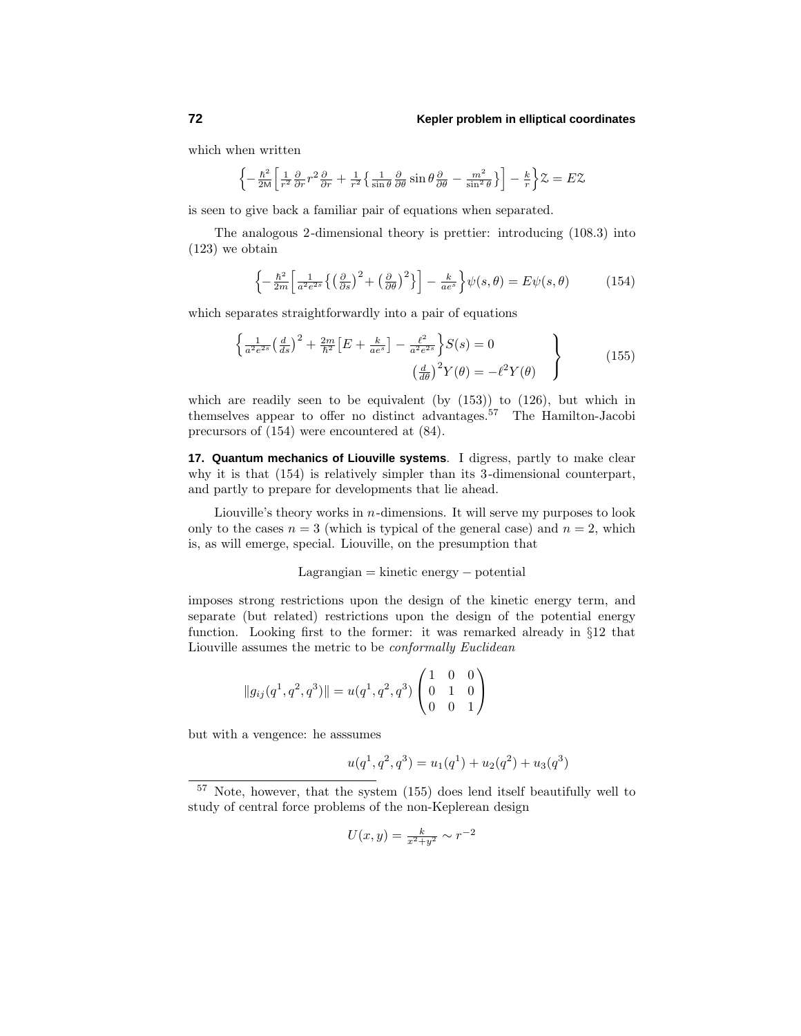which when written

$$
\left\{-\frac{\hbar^2}{2M} \left[ \frac{1}{r^2} \frac{\partial}{\partial r} r^2 \frac{\partial}{\partial r} + \frac{1}{r^2} \left\{ \frac{1}{\sin \theta} \frac{\partial}{\partial \theta} \sin \theta \frac{\partial}{\partial \theta} - \frac{m^2}{\sin^2 \theta} \right\} \right] - \frac{k}{r} \right\} \mathcal{Z} = E \mathcal{Z}
$$

is seen to give back a familiar pair of equations when separated.

The analogous 2-dimensional theory is prettier: introducing (108.3) into (123) we obtain

$$
\left\{-\frac{\hbar^2}{2m}\left[\frac{1}{a^2e^{2s}}\left\{\left(\frac{\partial}{\partial s}\right)^2+\left(\frac{\partial}{\partial \theta}\right)^2\right\}\right]-\frac{k}{ae^s}\right\}\psi(s,\theta)=E\psi(s,\theta) \tag{154}
$$

which separates straightforwardly into a pair of equations

$$
\left\{ \frac{1}{a^2 e^{2s}} \left( \frac{d}{ds} \right)^2 + \frac{2m}{\hbar^2} \left[ E + \frac{k}{ae^s} \right] - \frac{\ell^2}{a^2 e^{2s}} \right\} S(s) = 0
$$
\n
$$
\left( \frac{d}{d\theta} \right)^2 Y(\theta) = -\ell^2 Y(\theta)
$$
\n(155)

which are readily seen to be equivalent (by  $(153)$ ) to  $(126)$ , but which in themselves appear to offer no distinct advantages.<sup>57</sup> The Hamilton-Jacobi precursors of (154) were encountered at (84).

**17. Quantum mechanics of Liouville systems**. I digress, partly to make clear why it is that (154) is relatively simpler than its 3-dimensional counterpart, and partly to prepare for developments that lie ahead.

Liouville's theory works in *n*-dimensions. It will serve my purposes to look only to the cases  $n = 3$  (which is typical of the general case) and  $n = 2$ , which is, as will emerge, special. Liouville, on the presumption that

#### Lagrangian = kinetic energy − potential

imposes strong restrictions upon the design of the kinetic energy term, and separate (but related) restrictions upon the design of the potential energy function. Looking first to the former: it was remarked already in §12 that Liouville assumes the metric to be conformally Euclidean

$$
||g_{ij}(q^1, q^2, q^3)|| = u(q^1, q^2, q^3) \begin{pmatrix} 1 & 0 & 0 \\ 0 & 1 & 0 \\ 0 & 0 & 1 \end{pmatrix}
$$

but with a vengence: he asssumes

$$
u(q1, q2, q3) = u1(q1) + u2(q2) + u3(q3)
$$

$$
U(x,y) = \frac{k}{x^2 + y^2} \sim r^{-2}
$$

<sup>57</sup> Note, however, that the system (155) does lend itself beautifully well to study of central force problems of the non-Keplerean design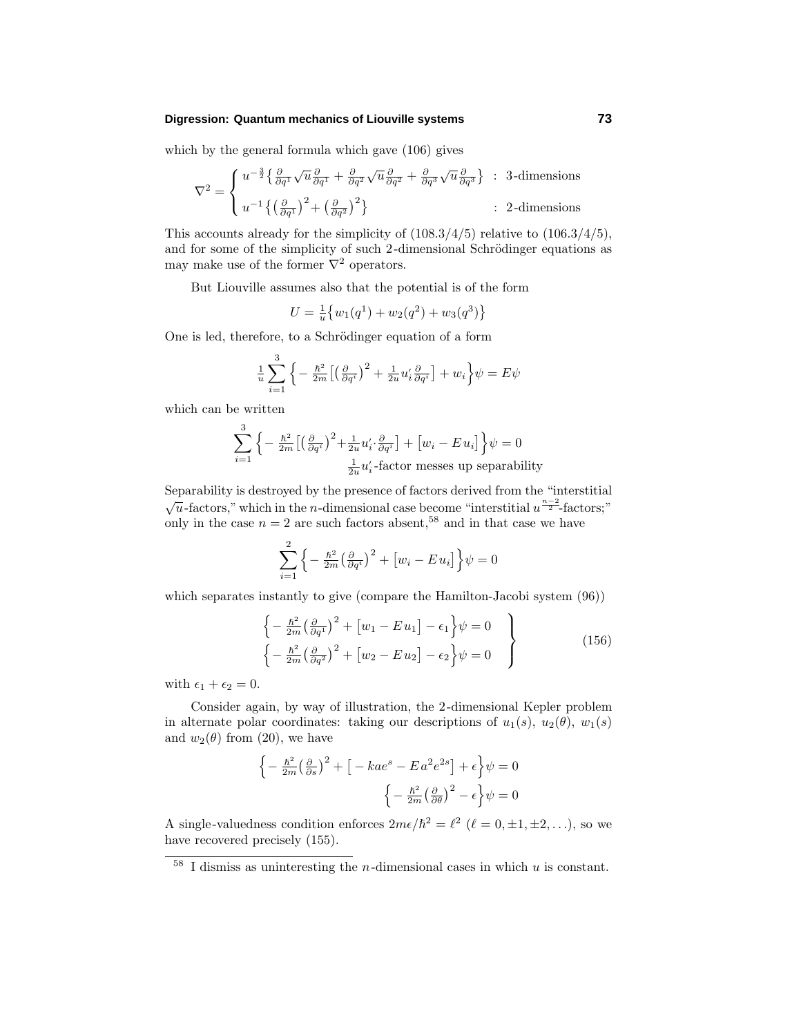#### **Digression: Quantum mechanics of Liouville systems 73**

which by the general formula which gave (106) gives

$$
\nabla^2 = \begin{cases} u^{-\frac{3}{2}} \left\{ \frac{\partial}{\partial q^1} \sqrt{u} \frac{\partial}{\partial q^1} + \frac{\partial}{\partial q^2} \sqrt{u} \frac{\partial}{\partial q^2} + \frac{\partial}{\partial q^3} \sqrt{u} \frac{\partial}{\partial q^3} \right\} & : \text{ 3-dimensions} \\ u^{-1} \left\{ \left( \frac{\partial}{\partial q^1} \right)^2 + \left( \frac{\partial}{\partial q^2} \right)^2 \right\} & : \text{ 2-dimensions} \end{cases}
$$

This accounts already for the simplicity of  $(108.3/4/5)$  relative to  $(106.3/4/5)$ , and for some of the simplicity of such 2-dimensional Schrödinger equations as may make use of the former  $\nabla^2$  operators.

But Liouville assumes also that the potential is of the form

 $U = \frac{1}{u} \{ w_1(q^1) + w_2(q^2) + w_3(q^3) \}$ 

One is led, therefore, to a Schrödinger equation of a form

$$
\frac{1}{u}\sum_{i=1}^{3} \left\{-\frac{\hbar^2}{2m}\left[\left(\frac{\partial}{\partial q^i}\right)^2 + \frac{1}{2u}u_i'\frac{\partial}{\partial q^i}\right] + w_i\right\}\psi = E\psi
$$

which can be written

$$
\sum_{i=1}^{3} \left\{ -\frac{\hbar^2}{2m} \left[ \left( \frac{\partial}{\partial q^i} \right)^2 + \frac{1}{2u} u_i' \cdot \frac{\partial}{\partial q^i} \right] + \left[ w_i - E u_i \right] \right\} \psi = 0
$$
  

$$
\frac{1}{2u} u_i' \text{-factor message up separability}
$$

Separability is destroyed by the presence of factors derived from the "interstitial  $\sqrt{u}$ -factors," which in the *n*-dimensional case become "interstitial  $u^{\frac{n-2}{2}}$ -factors;" only in the case  $n = 2$  are such factors absent,<sup>58</sup> and in that case we have

$$
\sum_{i=1}^{2} \left\{ -\frac{\hbar^2}{2m} \left(\frac{\partial}{\partial q^i}\right)^2 + \left[w_i - Eu_i\right] \right\} \psi = 0
$$

which separates instantly to give (compare the Hamilton-Jacobi system (96))

$$
\begin{cases}\n-\frac{\hbar^2}{2m} \left(\frac{\partial}{\partial q^1}\right)^2 + \left[w_1 - Eu_1\right] - \epsilon_1\right\}\psi = 0 \\
-\frac{\hbar^2}{2m} \left(\frac{\partial}{\partial q^2}\right)^2 + \left[w_2 - Eu_2\right] - \epsilon_2\right\}\psi = 0\n\end{cases}
$$
\n(156)

with  $\epsilon_1 + \epsilon_2 = 0$ .

Consider again, by way of illustration, the 2-dimensional Kepler problem in alternate polar coordinates: taking our descriptions of  $u_1(s)$ ,  $u_2(\theta)$ ,  $w_1(s)$ and  $w_2(\theta)$  from (20), we have

$$
\left\{-\frac{\hbar^2}{2m}\left(\frac{\partial}{\partial s}\right)^2 + \left[-ka e^s - E a^2 e^{2s}\right] + \epsilon\right\}\psi = 0
$$

$$
\left\{-\frac{\hbar^2}{2m}\left(\frac{\partial}{\partial \theta}\right)^2 - \epsilon\right\}\psi = 0
$$

A single-valuedness condition enforces  $2m\epsilon/\hbar^2 = \ell^2$  ( $\ell = 0, \pm 1, \pm 2, \ldots$ ), so we have recovered precisely  $(155)$ .

<sup>58</sup> I dismiss as uninteresting the *n*-dimensional cases in which *u* is constant.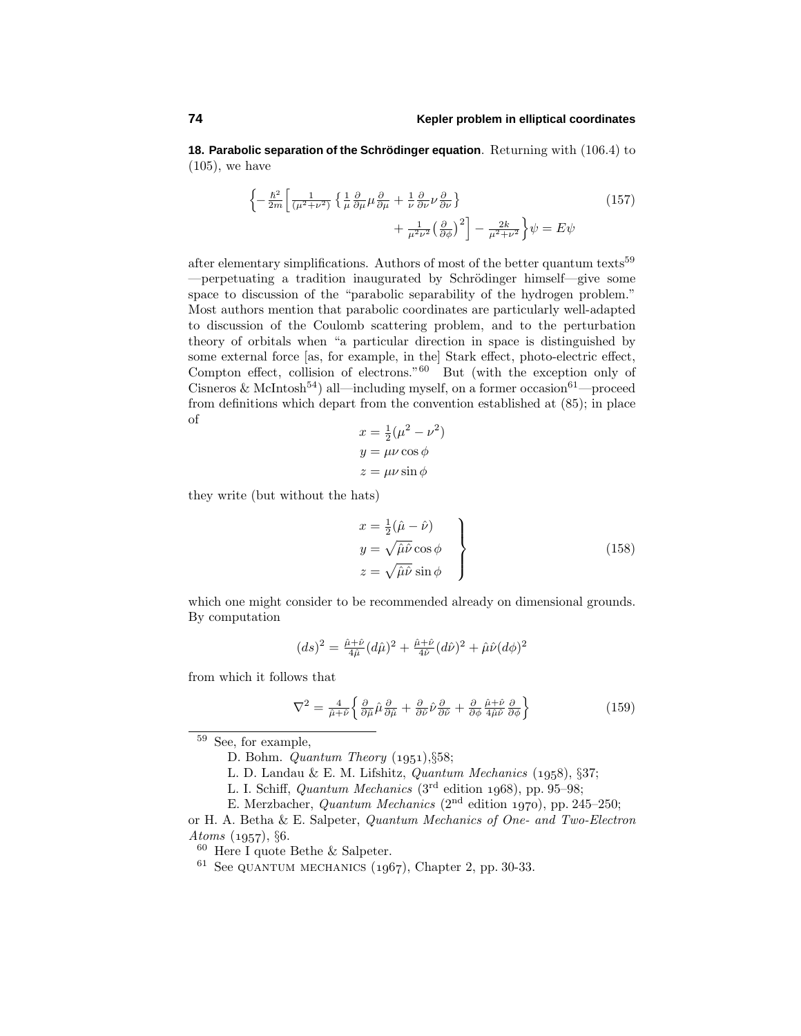**18. Parabolic separation of the Schrödinger equation.** Returning with (106.4) to  $(105)$ , we have

$$
\begin{aligned} \left\{-\frac{\hbar^2}{2m} \left[ \frac{1}{(\mu^2 + \nu^2)} \left\{ \frac{1}{\mu} \frac{\partial}{\partial \mu} \mu \frac{\partial}{\partial \mu} + \frac{1}{\nu} \frac{\partial}{\partial \nu} \nu \frac{\partial}{\partial \nu} \right\} \right. \\ \left. + \frac{1}{\mu^2 \nu^2} \left( \frac{\partial}{\partial \phi} \right)^2 \right] - \frac{2k}{\mu^2 + \nu^2} \right\} \psi = E \psi \end{aligned} \tag{157}
$$

after elementary simplifications. Authors of most of the better quantum texts<sup>59</sup>  $\equiv$  -perpetuating a tradition inaugurated by Schrödinger himself—give some space to discussion of the "parabolic separability of the hydrogen problem." Most authors mention that parabolic coordinates are particularly well-adapted to discussion of the Coulomb scattering problem, and to the perturbation theory of orbitals when "a particular direction in space is distinguished by some external force [as, for example, in the] Stark effect, photo-electric effect, Compton effect, collision of electrons."<sup>60</sup> But (with the exception only of Cisneros & McIntosh<sup>54</sup>) all—including myself, on a former occasion<sup>61</sup>—proceed from definitions which depart from the convention established at (85); in place of

$$
x = \frac{1}{2}(\mu^2 - \nu^2)
$$
  

$$
y = \mu \nu \cos \phi
$$
  

$$
z = \mu \nu \sin \phi
$$

they write (but without the hats)

$$
x = \frac{1}{2}(\hat{\mu} - \hat{\nu})
$$
  
\n
$$
y = \sqrt{\hat{\mu}\hat{\nu}}\cos\phi
$$
  
\n
$$
z = \sqrt{\hat{\mu}\hat{\nu}}\sin\phi
$$
\n(158)

which one might consider to be recommended already on dimensional grounds. By computation

$$
(ds)^{2} = \frac{\hat{\mu} + \hat{\nu}}{4\hat{\mu}} (d\hat{\mu})^{2} + \frac{\hat{\mu} + \hat{\nu}}{4\hat{\nu}} (d\hat{\nu})^{2} + \hat{\mu}\hat{\nu} (d\phi)^{2}
$$

from which it follows that

$$
\nabla^2 = \frac{4}{\hat{\mu} + \hat{\nu}} \left\{ \frac{\partial}{\partial \hat{\mu}} \hat{\mu} \frac{\partial}{\partial \hat{\mu}} + \frac{\partial}{\partial \hat{\nu}} \hat{\nu} \frac{\partial}{\partial \hat{\nu}} + \frac{\partial}{\partial \phi} \frac{\hat{\mu} + \hat{\nu}}{4 \hat{\mu} \hat{\nu}} \frac{\partial}{\partial \phi} \right\}
$$
(159)

<sup>59</sup> See, for example,

L. I. Schiff, *Quantum Mechanics* ( $3<sup>rd</sup>$  edition 1968), pp. 95–98;

 $60$  Here I quote Bethe & Salpeter.

D. Bohm. *Quantum Theory*  $(1951),\S58;$ 

L. D. Landau & E. M. Lifshitz, *Quantum Mechanics* (1958),  $\S37$ ;

E. Merzbacher, *Quantum Mechanics* ( $2<sup>nd</sup>$  edition 1970), pp. 245–250;

or H. A. Betha & E. Salpeter, Quantum Mechanics of One- and Two-Electron Atoms  $(1957), §6.$ 

 $61$  See QUANTUM MECHANICS  $(1067)$ , Chapter 2, pp. 30-33.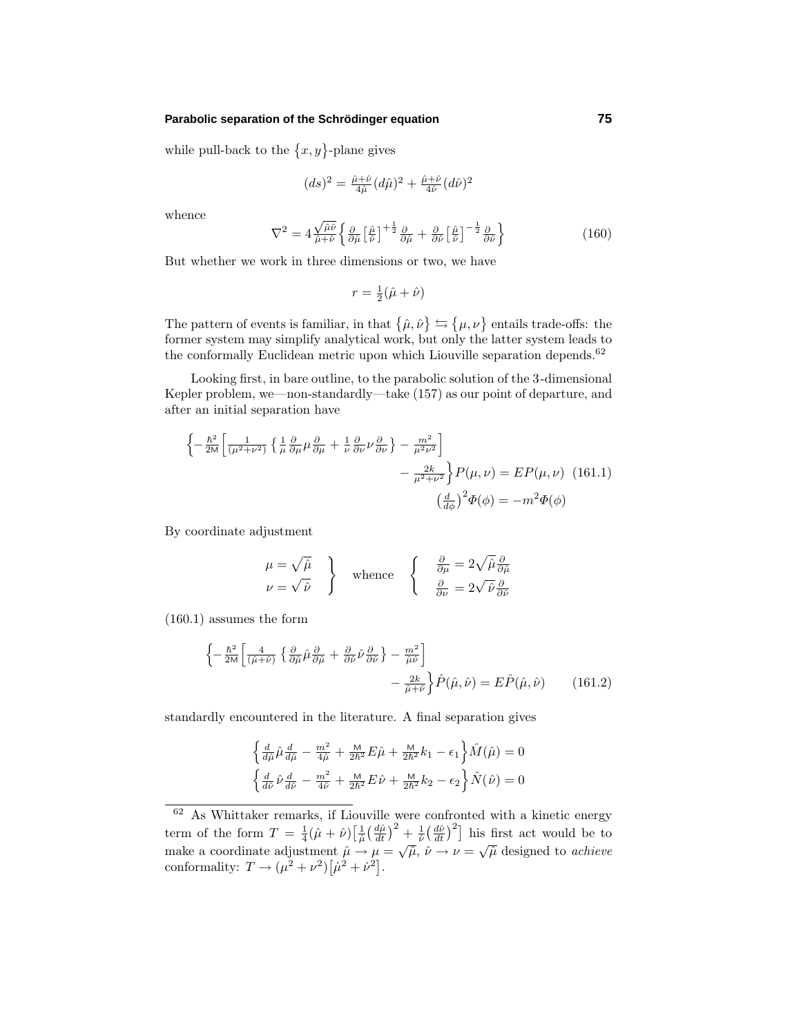#### **Parabolic separation of the Schrödinger equation 15**

while pull-back to the  $\{x, y\}$ -plane gives

$$
(ds)^{2} = \frac{\hat{\mu} + \hat{\nu}}{4\hat{\mu}} (d\hat{\mu})^{2} + \frac{\hat{\mu} + \hat{\nu}}{4\hat{\nu}} (d\hat{\nu})^{2}
$$

whence

$$
\nabla^2 = 4 \frac{\sqrt{\hat{\mu}\hat{\nu}}}{\hat{\mu} + \hat{\nu}} \left\{ \frac{\partial}{\partial \hat{\mu}} \left[ \frac{\hat{\mu}}{\hat{\nu}} \right]^{+\frac{1}{2}} \frac{\partial}{\partial \hat{\mu}} + \frac{\partial}{\partial \hat{\nu}} \left[ \frac{\hat{\mu}}{\hat{\nu}} \right]^{-\frac{1}{2}} \frac{\partial}{\partial \hat{\nu}} \right\} \tag{160}
$$

But whether we work in three dimensions or two, we have

$$
r = \frac{1}{2}(\hat{\mu} + \hat{\nu})
$$

The pattern of events is familiar, in that  $\{\hat{\mu}, \hat{\nu}\} \leftrightarrows \{\mu, \nu\}$  entails trade-offs: the former system may simplify analytical work, but only the latter system leads to the conformally Euclidean metric upon which Liouville separation depends.<sup>62</sup>

Looking first, in bare outline, to the parabolic solution of the 3-dimensional Kepler problem, we—non-standardly—take (157) as our point of departure, and after an initial separation have

$$
\begin{aligned}\n\left\{-\frac{\hbar^2}{2M} \left[ \frac{1}{(\mu^2 + \nu^2)} \left\{ \frac{1}{\mu} \frac{\partial}{\partial \mu} \mu \frac{\partial}{\partial \mu} + \frac{1}{\nu} \frac{\partial}{\partial \nu} \nu \frac{\partial}{\partial \nu} \right\} - \frac{m^2}{\mu^2 \nu^2} \right] \\
&- \frac{2k}{\mu^2 + \nu^2} \right\} P(\mu, \nu) = EP(\mu, \nu) \quad (161.1) \\
\left(\frac{d}{d\phi}\right)^2 \Phi(\phi) = -m^2 \Phi(\phi)\n\end{aligned}
$$

By coordinate adjustment

$$
\mu = \sqrt{\hat{\mu}} \quad \}
$$
 whence 
$$
\begin{cases} \frac{\partial}{\partial \mu} = 2\sqrt{\hat{\mu}} \frac{\partial}{\partial \hat{\mu}} \\ \frac{\partial}{\partial \nu} = 2\sqrt{\hat{\nu}} \frac{\partial}{\partial \hat{\nu}} \end{cases}
$$

(160.1) assumes the form

$$
\left\{-\frac{\hbar^2}{2M} \left[ \frac{4}{(\hat{\mu}+\hat{\nu})} \left\{ \frac{\partial}{\partial \hat{\mu}} \hat{\mu} \frac{\partial}{\partial \hat{\mu}} + \frac{\partial}{\partial \hat{\nu}} \hat{\nu} \frac{\partial}{\partial \hat{\nu}} \right\} - \frac{m^2}{\hat{\mu}\hat{\nu}} \right] - \frac{2k}{\hat{\mu}+\hat{\nu}} \right\} \hat{P}(\hat{\mu},\hat{\nu}) = E \hat{P}(\hat{\mu},\hat{\nu}) \qquad (161.2)
$$

standardly encountered in the literature. A final separation gives

$$
\begin{aligned}\n\left\{\frac{d}{d\hat{\mu}}\hat{\mu}\frac{d}{d\hat{\mu}} - \frac{m^2}{4\hat{\mu}} + \frac{M}{2\hbar^2}E\hat{\mu} + \frac{M}{2\hbar^2}k_1 - \epsilon_1\right\}\hat{M}(\hat{\mu}) &= 0\\
\left\{\frac{d}{d\hat{\nu}}\hat{\nu}\frac{d}{d\hat{\nu}} - \frac{m^2}{4\hat{\nu}} + \frac{M}{2\hbar^2}E\hat{\nu} + \frac{M}{2\hbar^2}k_2 - \epsilon_2\right\}\hat{N}(\hat{\nu}) &= 0\n\end{aligned}
$$

 $62$  As Whittaker remarks, if Liouville were confronted with a kinetic energy term of the form  $T = \frac{1}{4}(\hat{\mu} + \hat{\nu}) \left[\frac{1}{\hat{\mu}} \left(\frac{d\hat{\mu}}{dt}\right)^2 + \frac{1}{\hat{\nu}} \left(\frac{d\hat{\nu}}{dt}\right)^2\right]$  his first act would be to make a coordinate adjustment  $\hat{\mu} \to \mu = \sqrt{\hat{\mu}}, \hat{\nu} \to \nu = \sqrt{\hat{\mu}}$  designed to *achieve* conformality:  $T \rightarrow (\mu^2 + \nu^2) [\dot{\mu}^2 + \dot{\nu}^2].$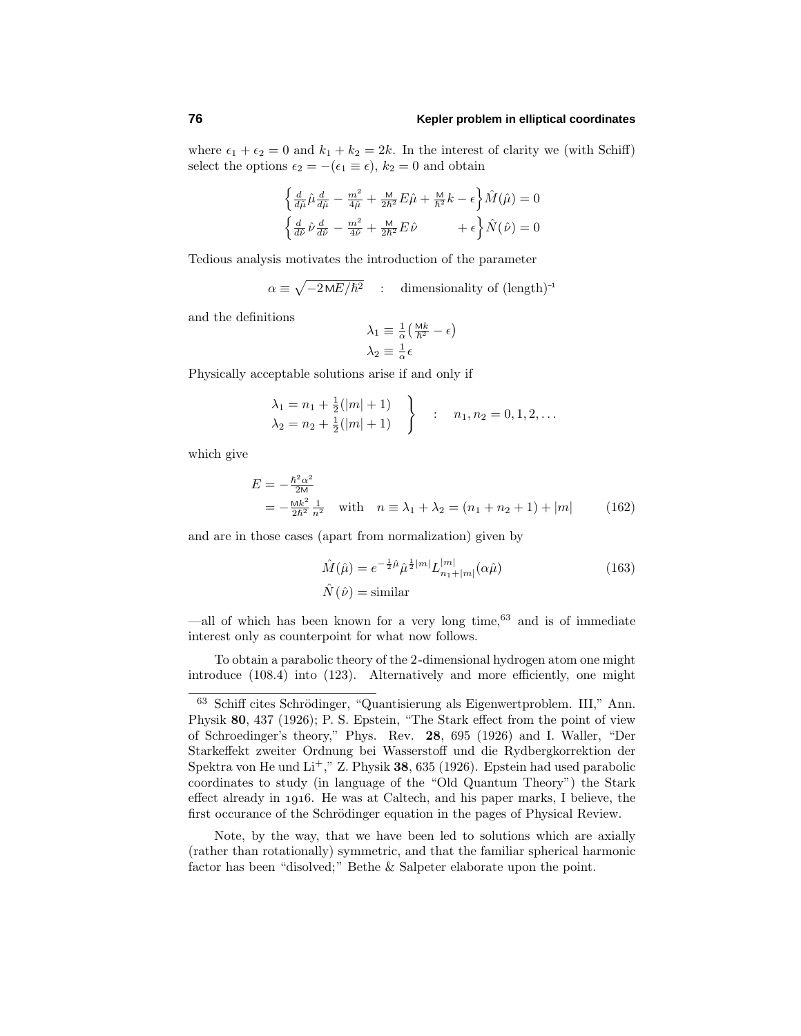where  $\epsilon_1 + \epsilon_2 = 0$  and  $k_1 + k_2 = 2k$ . In the interest of clarity we (with Schiff) select the options  $\epsilon_2 = -(\epsilon_1 \equiv \epsilon)$ ,  $k_2 = 0$  and obtain

$$
\begin{cases} \frac{d}{d\hat{\mu}} \hat{\mu} \frac{d}{d\hat{\mu}} - \frac{m^2}{4\hat{\mu}} + \frac{M}{2\hbar^2} E \hat{\mu} + \frac{M}{\hbar^2} k - \epsilon \right\} \hat{M}(\hat{\mu}) = 0\\ \frac{d}{d\hat{\nu}} \hat{\nu} \frac{d}{d\hat{\nu}} - \frac{m^2}{4\hat{\nu}} + \frac{M}{2\hbar^2} E \hat{\nu} + \epsilon \right\} \hat{N}(\hat{\nu}) = 0 \end{cases}
$$

Tedious analysis motivates the introduction of the parameter

$$
\alpha \equiv \sqrt{-2ME/\hbar^2} \quad : \quad \text{dimensionality of (length)}^{-1}
$$

and the definitions

$$
\lambda_1 \equiv \frac{1}{\alpha} \left( \frac{Mk}{\hbar^2} - \epsilon \right)
$$

$$
\lambda_2 \equiv \frac{1}{\alpha} \epsilon
$$

Physically acceptable solutions arise if and only if

$$
\begin{aligned}\n\lambda_1 &= n_1 + \frac{1}{2} (|m| + 1) \\
\lambda_2 &= n_2 + \frac{1}{2} (|m| + 1)\n\end{aligned}\n\bigg\} \quad : \quad n_1, n_2 = 0, 1, 2, \dots
$$

which give

$$
E = -\frac{\hbar^2 \alpha^2}{2M} = -\frac{Mk^2}{2\hbar^2} \frac{1}{n^2} \quad \text{with} \quad n \equiv \lambda_1 + \lambda_2 = (n_1 + n_2 + 1) + |m| \tag{162}
$$

and are in those cases (apart from normalization) given by

$$
\hat{M}(\hat{\mu}) = e^{-\frac{1}{2}\hat{\mu}}\hat{\mu}^{\frac{1}{2}|m|}L_{n_1+|m|}^{|m|}(\alpha\hat{\mu})
$$
\n
$$
\hat{N}(\hat{\nu}) = \text{similar}
$$
\n(163)

—all of which has been known for a very long time,  $63$  and is of immediate interest only as counterpoint for what now follows.

To obtain a parabolic theory of the 2-dimensional hydrogen atom one might introduce (108.4) into (123). Alternatively and more efficiently, one might

 $63$  Schiff cites Schrödinger, "Quantisierung als Eigenwertproblem. III," Ann. Physik **80**, 437 (1926); P. S. Epstein, "The Stark effect from the point of view of Schroedinger's theory," Phys. Rev. **28**, 695 (1926) and I. Waller, "Der Starkeffekt zweiter Ordnung bei Wasserstoff und die Rydbergkorrektion der Spektra von He und Li<sup>+</sup>," Z. Physik **38**, 635 (1926). Epstein had used parabolic coordinates to study (in language of the "Old Quantum Theory") the Stark effect already in 1916. He was at Caltech, and his paper marks, I believe, the first occurance of the Schrödinger equation in the pages of Physical Review.

Note, by the way, that we have been led to solutions which are axially (rather than rotationally) symmetric, and that the familiar spherical harmonic factor has been "disolved;" Bethe & Salpeter elaborate upon the point.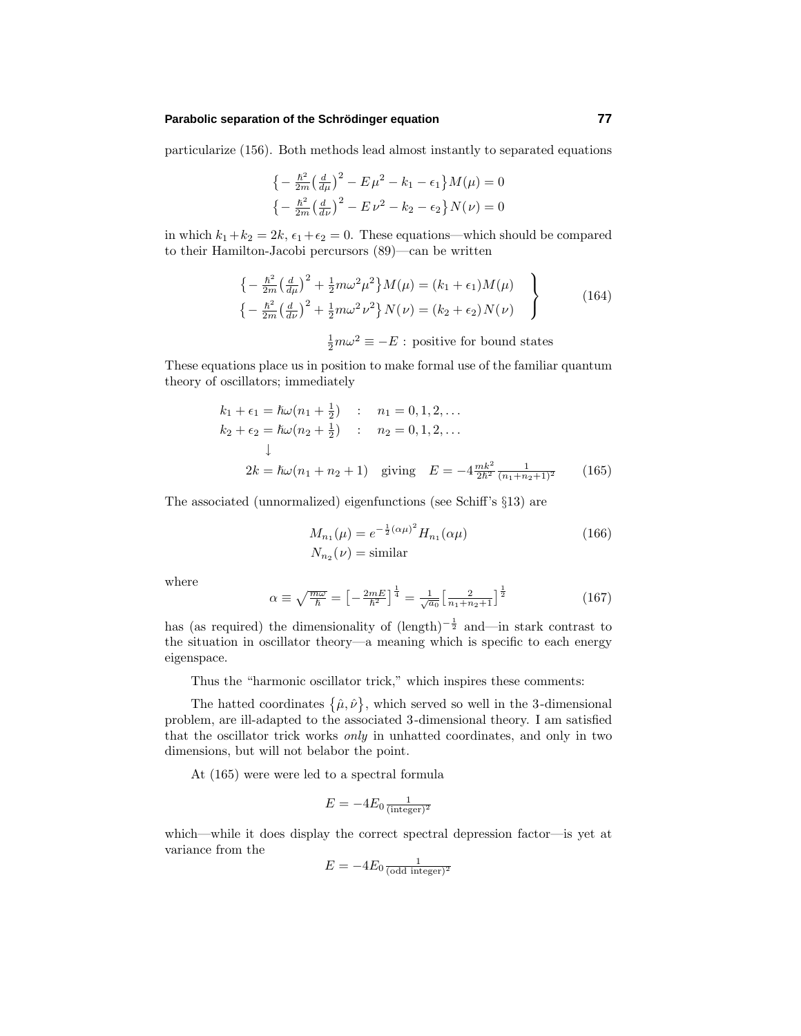#### **Parabolic separation of the Schrödinger equation <sup>17</sup>**

particularize (156). Both methods lead almost instantly to separated equations

$$
\begin{aligned} \left\{-\frac{\hbar^2}{2m} \left(\frac{d}{d\mu}\right)^2 - E\,\mu^2 - k_1 - \epsilon_1\right\} M(\mu) &= 0\\ \left\{-\frac{\hbar^2}{2m} \left(\frac{d}{d\nu}\right)^2 - E\,\nu^2 - k_2 - \epsilon_2\right\} N(\nu) &= 0 \end{aligned}
$$

in which  $k_1 + k_2 = 2k$ ,  $\epsilon_1 + \epsilon_2 = 0$ . These equations—which should be compared to their Hamilton-Jacobi percursors (89)—can be written

$$
\begin{cases}\n-\frac{\hbar^2}{2m} \left(\frac{d}{d\mu}\right)^2 + \frac{1}{2} m \omega^2 \mu^2 \right\} M(\mu) = (k_1 + \epsilon_1) M(\mu) \\
\left\{-\frac{\hbar^2}{2m} \left(\frac{d}{d\nu}\right)^2 + \frac{1}{2} m \omega^2 \nu^2 \right\} N(\nu) = (k_2 + \epsilon_2) N(\nu)\n\end{cases}
$$
\n(164)

 $\frac{1}{2}m\omega^2 \equiv -E$ : positive for bound states

These equations place us in position to make formal use of the familiar quantum theory of oscillators; immediately

$$
k_1 + \epsilon_1 = \hbar \omega (n_1 + \frac{1}{2}) : n_1 = 0, 1, 2, ...
$$
  
\n
$$
k_2 + \epsilon_2 = \hbar \omega (n_2 + \frac{1}{2}) : n_2 = 0, 1, 2, ...
$$
  
\n
$$
\downarrow
$$
  
\n
$$
2k = \hbar \omega (n_1 + n_2 + 1) \text{ giving } E = -4 \frac{mk^2}{2\hbar^2} \frac{1}{(n_1 + n_2 + 1)^2}
$$
(165)

The associated (unnormalized) eigenfunctions (see Schiff's §13) are

$$
M_{n_1}(\mu) = e^{-\frac{1}{2}(\alpha \mu)^2} H_{n_1}(\alpha \mu)
$$
 (166)  

$$
N_{n_2}(\nu) = \text{similar}
$$

where

$$
\alpha \equiv \sqrt{\frac{m\omega}{\hbar}} = \left[ -\frac{2mE}{\hbar^2} \right]^{\frac{1}{4}} = \frac{1}{\sqrt{a_0}} \left[ \frac{2}{n_1 + n_2 + 1} \right]^{\frac{1}{2}}
$$
(167)

has (as required) the dimensionality of  $(\text{length})^{-\frac{1}{2}}$  and—in stark contrast to the situation in oscillator theory—a meaning which is specific to each energy eigenspace.

Thus the "harmonic oscillator trick," which inspires these comments:

The hatted coordinates  $\{\hat{\mu}, \hat{\nu}\}\$ , which served so well in the 3-dimensional problem, are ill-adapted to the associated 3-dimensional theory. I am satisfied that the oscillator trick works only in unhatted coordinates, and only in two dimensions, but will not belabor the point.

At (165) were were led to a spectral formula

$$
E = -4E_0 \frac{1}{(\text{integer})^2}
$$

which—while it does display the correct spectral depression factor—is yet at variance from the

$$
E = -4E_0 \frac{1}{(\text{odd integer})^2}
$$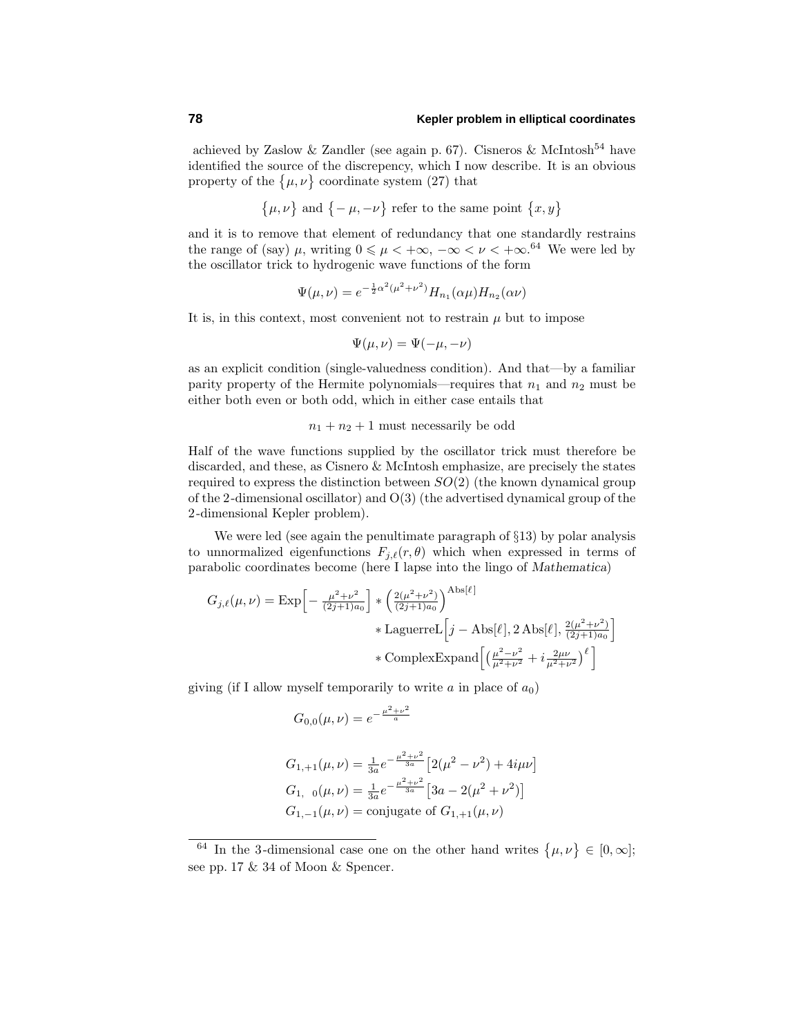achieved by Zaslow & Zandler (see again p. 67). Cisneros & McIntosh<sup>54</sup> have identified the source of the discrepency, which I now describe. It is an obvious property of the  $\{\mu, \nu\}$  coordinate system (27) that

 $\{\mu, \nu\}$  and  $\{-\mu, -\nu\}$  refer to the same point  $\{x, y\}$ 

and it is to remove that element of redundancy that one standardly restrains the range of (say)  $\mu$ , writing  $0 \le \mu < +\infty$ ,  $-\infty < \nu < +\infty$ .<sup>64</sup> We were led by the oscillator trick to hydrogenic wave functions of the form

$$
\Psi(\mu,\nu) = e^{-\frac{1}{2}\alpha^2(\mu^2 + \nu^2)} H_{n_1}(\alpha\mu) H_{n_2}(\alpha\nu)
$$

It is, in this context, most convenient not to restrain  $\mu$  but to impose

$$
\Psi(\mu,\nu) = \Psi(-\mu,-\nu)
$$

as an explicit condition (single-valuedness condition). And that—by a familiar parity property of the Hermite polynomials—requires that  $n_1$  and  $n_2$  must be either both even or both odd, which in either case entails that

# $n_1 + n_2 + 1$  must necessarily be odd

Half of the wave functions supplied by the oscillator trick must therefore be discarded, and these, as Cisnero & McIntosh emphasize, are precisely the states required to express the distinction between *SO*(2) (the known dynamical group of the 2-dimensional oscillator) and  $O(3)$  (the advertised dynamical group of the 2-dimensional Kepler problem).

We were led (see again the penultimate paragraph of  $\S13$ ) by polar analysis to unnormalized eigenfunctions  $F_{j,\ell}(r,\theta)$  which when expressed in terms of parabolic coordinates become (here I lapse into the lingo of *Mathematica*)

$$
G_{j,\ell}(\mu,\nu) = \text{Exp}\left[-\frac{\mu^2 + \nu^2}{(2j+1)a_0}\right] * \left(\frac{2(\mu^2 + \nu^2)}{(2j+1)a_0}\right)^{\text{Abs}[\ell]}
$$
  
 \* LaguerreL $\left[j - \text{Abs}[\ell], 2 \text{ Abs}[\ell], \frac{2(\mu^2 + \nu^2)}{(2j+1)a_0}\right]$   
 \* ComplexExpand $\left[\left(\frac{\mu^2 - \nu^2}{\mu^2 + \nu^2} + i\frac{2\mu\nu}{\mu^2 + \nu^2}\right)^{\ell}\right]$ 

giving (if I allow myself temporarily to write  $a$  in place of  $a_0$ )

$$
G_{0,0}(\mu,\nu) = e^{-\frac{\mu^2 + \nu^2}{a}}
$$

$$
G_{1,+1}(\mu,\nu) = \frac{1}{3a}e^{-\frac{\mu^2 + \nu^2}{3a}} \left[2(\mu^2 - \nu^2) + 4i\mu\nu\right]
$$
  
\n
$$
G_{1,-0}(\mu,\nu) = \frac{1}{3a}e^{-\frac{\mu^2 + \nu^2}{3a}} \left[3a - 2(\mu^2 + \nu^2)\right]
$$
  
\n
$$
G_{1,-1}(\mu,\nu) = \text{conjugate of } G_{1,+1}(\mu,\nu)
$$

<sup>&</sup>lt;sup>64</sup> In the 3-dimensional case one on the other hand writes  $\{\mu, \nu\} \in [0, \infty];$ see pp. 17 & 34 of Moon & Spencer.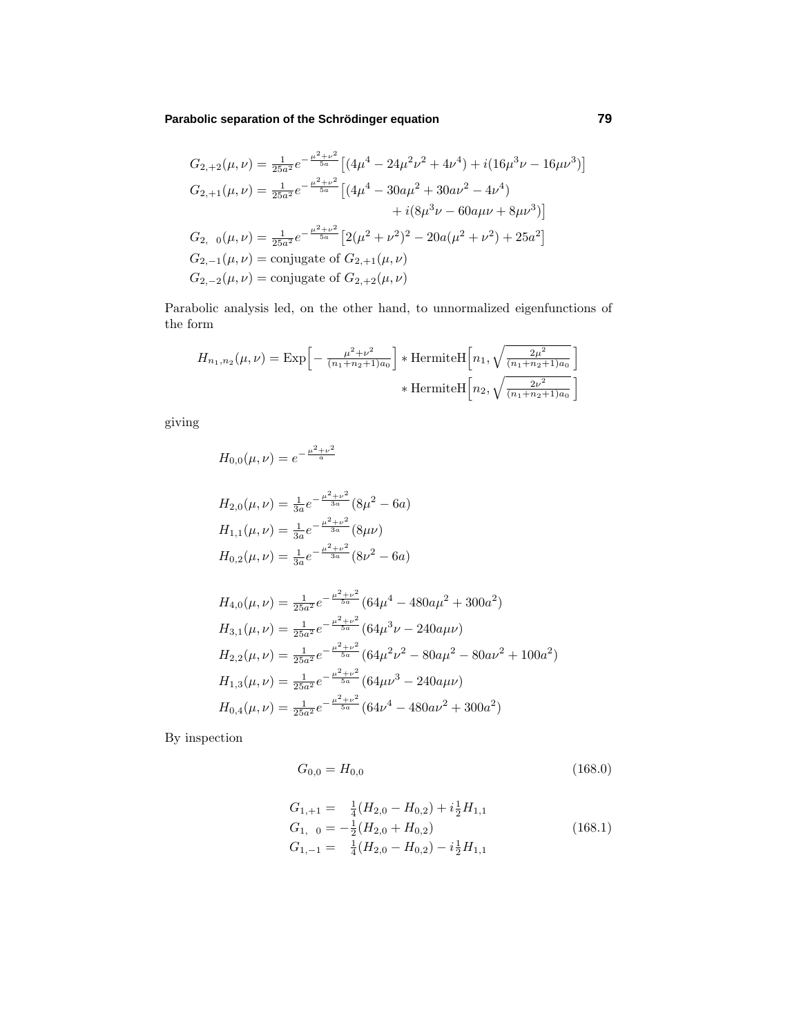**Parabolic separation of the Schrodinger equation ¨ 79**

$$
G_{2,+2}(\mu,\nu) = \frac{1}{25a^2} e^{-\frac{\mu^2 + \nu^2}{5a}} \left[ (4\mu^4 - 24\mu^2 \nu^2 + 4\nu^4) + i(16\mu^3 \nu - 16\mu \nu^3) \right]
$$
  
\n
$$
G_{2,+1}(\mu,\nu) = \frac{1}{25a^2} e^{-\frac{\mu^2 + \nu^2}{5a}} \left[ (4\mu^4 - 30a\mu^2 + 30a\nu^2 - 4\nu^4) + i(8\mu^3 \nu - 60a\mu\nu + 8\mu\nu^3) \right]
$$
  
\n
$$
G_{2,-0}(\mu,\nu) = \frac{1}{25a^2} e^{-\frac{\mu^2 + \nu^2}{5a}} \left[ 2(\mu^2 + \nu^2)^2 - 20a(\mu^2 + \nu^2) + 25a^2 \right]
$$
  
\n
$$
G_{2,-1}(\mu,\nu) = \text{conjugate of } G_{2,+1}(\mu,\nu)
$$
  
\n
$$
G_{2,-2}(\mu,\nu) = \text{conjugate of } G_{2,+2}(\mu,\nu)
$$

Parabolic analysis led, on the other hand, to unnormalized eigenfunctions of the form

$$
H_{n_1,n_2}(\mu,\nu) = \text{Exp}\left[-\frac{\mu^2 + \nu^2}{(n_1 + n_2 + 1)a_0}\right] * \text{HermiteH}\left[n_1, \sqrt{\frac{2\mu^2}{(n_1 + n_2 + 1)a_0}}\right] + \text{HermiteH}\left[n_2, \sqrt{\frac{2\nu^2}{(n_1 + n_2 + 1)a_0}}\right]
$$

giving

$$
H_{0,0}(\mu,\nu) = e^{-\frac{\mu^2 + \nu^2}{a}}
$$
  
\n
$$
H_{2,0}(\mu,\nu) = \frac{1}{3a}e^{-\frac{\mu^2 + \nu^2}{3a}}(8\mu^2 - 6a)
$$
  
\n
$$
H_{1,1}(\mu,\nu) = \frac{1}{3a}e^{-\frac{\mu^2 + \nu^2}{3a}}(8\mu\nu)
$$
  
\n
$$
H_{0,2}(\mu,\nu) = \frac{1}{3a}e^{-\frac{\mu^2 + \nu^2}{3a}}(8\nu^2 - 6a)
$$

$$
H_{4,0}(\mu,\nu) = \frac{1}{25a^2} e^{-\frac{\mu^2 + \nu^2}{5a}} (64\mu^4 - 480a\mu^2 + 300a^2)
$$
  
\n
$$
H_{3,1}(\mu,\nu) = \frac{1}{25a^2} e^{-\frac{\mu^2 + \nu^2}{5a}} (64\mu^3 \nu - 240a\mu\nu)
$$
  
\n
$$
H_{2,2}(\mu,\nu) = \frac{1}{25a^2} e^{-\frac{\mu^2 + \nu^2}{5a}} (64\mu^2 \nu^2 - 80a\mu^2 - 80a\nu^2 + 100a^2)
$$
  
\n
$$
H_{1,3}(\mu,\nu) = \frac{1}{25a^2} e^{-\frac{\mu^2 + \nu^2}{5a}} (64\mu\nu^3 - 240a\mu\nu)
$$
  
\n
$$
H_{0,4}(\mu,\nu) = \frac{1}{25a^2} e^{-\frac{\mu^2 + \nu^2}{5a}} (64\mu^4 - 480a\nu^2 + 300a^2)
$$

By inspection

$$
G_{0,0} = H_{0,0} \tag{168.0}
$$

$$
G_{1,+1} = \frac{1}{4}(H_{2,0} - H_{0,2}) + i\frac{1}{2}H_{1,1}
$$
  
\n
$$
G_{1, 0} = -\frac{1}{2}(H_{2,0} + H_{0,2})
$$
  
\n
$$
G_{1,-1} = \frac{1}{4}(H_{2,0} - H_{0,2}) - i\frac{1}{2}H_{1,1}
$$
\n(168.1)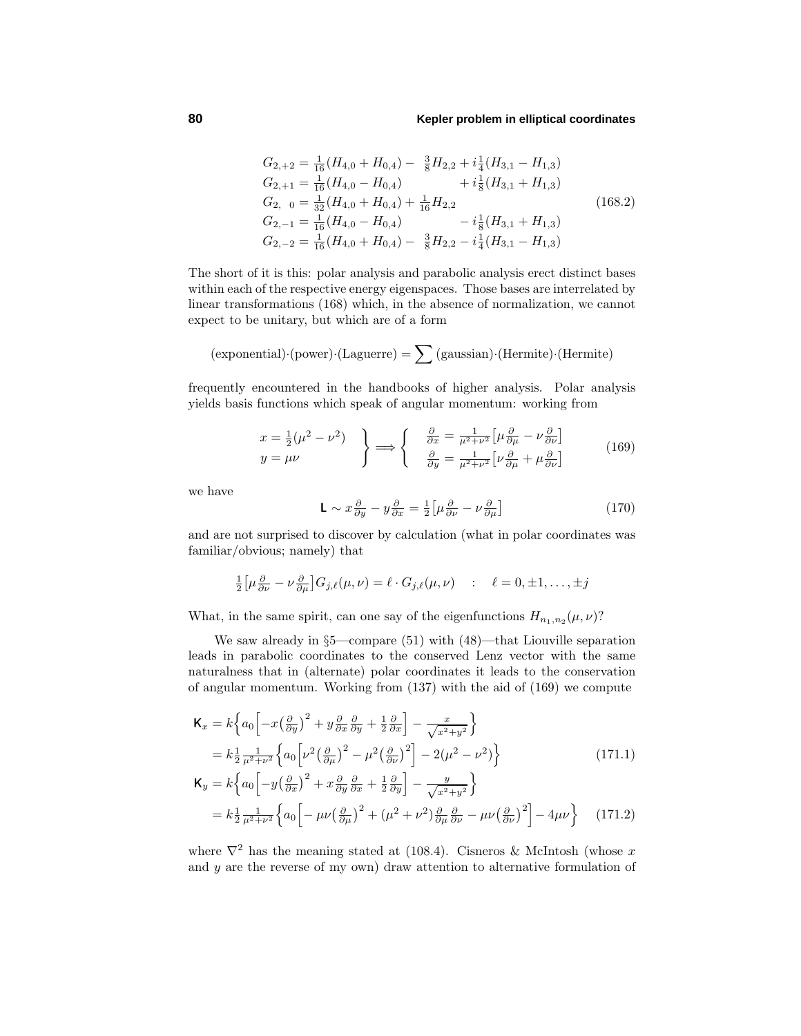$$
G_{2,+2} = \frac{1}{16}(H_{4,0} + H_{0,4}) - \frac{3}{8}H_{2,2} + i\frac{1}{4}(H_{3,1} - H_{1,3})
$$
  
\n
$$
G_{2,+1} = \frac{1}{16}(H_{4,0} - H_{0,4}) + i\frac{1}{8}(H_{3,1} + H_{1,3})
$$
  
\n
$$
G_{2,-0} = \frac{1}{32}(H_{4,0} + H_{0,4}) + \frac{1}{16}H_{2,2}
$$
  
\n
$$
G_{2,-1} = \frac{1}{16}(H_{4,0} - H_{0,4}) - i\frac{1}{8}(H_{3,1} + H_{1,3})
$$
  
\n
$$
G_{2,-2} = \frac{1}{16}(H_{4,0} + H_{0,4}) - \frac{3}{8}H_{2,2} - i\frac{1}{4}(H_{3,1} - H_{1,3})
$$
\n(168.2)

The short of it is this: polar analysis and parabolic analysis erect distinct bases within each of the respective energy eigenspaces. Those bases are interrelated by linear transformations (168) which, in the absence of normalization, we cannot expect to be unitary, but which are of a form

$$
(exponential) \cdot (power) \cdot (Laguerre) = \sum (gaussian) \cdot (Hermite) \cdot (Hermite)
$$

frequently encountered in the handbooks of higher analysis. Polar analysis yields basis functions which speak of angular momentum: working from

$$
\begin{aligned}\nx &= \frac{1}{2}(\mu^2 - \nu^2) \\
y &= \mu\nu\n\end{aligned}\n\right\} \Longrightarrow \begin{cases}\n\frac{\partial}{\partial x} = \frac{1}{\mu^2 + \nu^2} \left[ \mu \frac{\partial}{\partial \mu} - \nu \frac{\partial}{\partial \nu} \right] \\
\frac{\partial}{\partial y} = \frac{1}{\mu^2 + \nu^2} \left[ \nu \frac{\partial}{\partial \mu} + \mu \frac{\partial}{\partial \nu} \right]\n\end{cases} (169)
$$

we have

$$
\mathbf{L} \sim x \frac{\partial}{\partial y} - y \frac{\partial}{\partial x} = \frac{1}{2} \left[ \mu \frac{\partial}{\partial \nu} - \nu \frac{\partial}{\partial \mu} \right] \tag{170}
$$

and are not surprised to discover by calculation (what in polar coordinates was familiar/obvious; namely) that

$$
\frac{1}{2} \left[ \mu \frac{\partial}{\partial \nu} - \nu \frac{\partial}{\partial \mu} \right] G_{j,\ell}(\mu, \nu) = \ell \cdot G_{j,\ell}(\mu, \nu) \quad : \quad \ell = 0, \pm 1, \dots, \pm j
$$

What, in the same spirit, can one say of the eigenfunctions  $H_{n_1,n_2}(\mu,\nu)$ ?

We saw already in §5—compare (51) with (48)—that Liouville separation leads in parabolic coordinates to the conserved Lenz vector with the same naturalness that in (alternate) polar coordinates it leads to the conservation of angular momentum. Working from (137) with the aid of (169) we compute

$$
\mathbf{K}_{x} = k \left\{ a_{0} \left[ -x \left( \frac{\partial}{\partial y} \right)^{2} + y \frac{\partial}{\partial x} \frac{\partial}{\partial y} + \frac{1}{2} \frac{\partial}{\partial x} \right] - \frac{x}{\sqrt{x^{2} + y^{2}}} \right\}
$$
  
\n
$$
= k \frac{1}{2} \frac{1}{\mu^{2} + \nu^{2}} \left\{ a_{0} \left[ \nu^{2} \left( \frac{\partial}{\partial \mu} \right)^{2} - \mu^{2} \left( \frac{\partial}{\partial \nu} \right)^{2} \right] - 2(\mu^{2} - \nu^{2}) \right\}
$$
  
\n
$$
\mathbf{K}_{y} = k \left\{ a_{0} \left[ -y \left( \frac{\partial}{\partial x} \right)^{2} + x \frac{\partial}{\partial y} \frac{\partial}{\partial x} + \frac{1}{2} \frac{\partial}{\partial y} \right] - \frac{y}{\sqrt{x^{2} + \nu^{2}}} \right\}
$$
(171.1)

$$
= k \frac{1}{2} \frac{1}{\mu^2 + \nu^2} \left\{ a_0 \left[ -\mu \nu \left( \frac{\partial}{\partial \mu} \right)^2 + (\mu^2 + \nu^2) \frac{\partial}{\partial \mu} \frac{\partial}{\partial \nu} - \mu \nu \left( \frac{\partial}{\partial \nu} \right)^2 \right] - 4\mu \nu \right\}
$$
 (171.2)

where  $\nabla^2$  has the meaning stated at (108.4). Cisneros & McIntosh (whose *x* and  $y$  are the reverse of my own) draw attention to alternative formulation of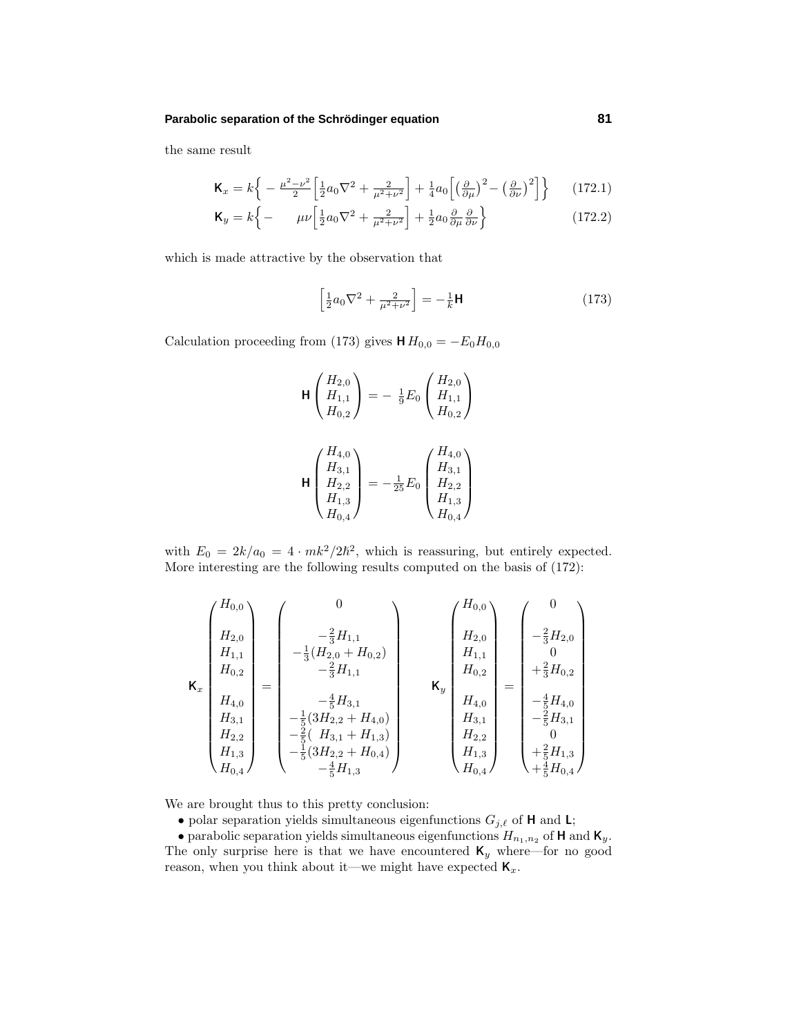# **Parabolic separation of the Schrödinger equation 181**

the same result

$$
\mathbf{K}_x = k \left\{ -\frac{\mu^2 - \nu^2}{2} \left[ \frac{1}{2} a_0 \nabla^2 + \frac{2}{\mu^2 + \nu^2} \right] + \frac{1}{4} a_0 \left[ \left( \frac{\partial}{\partial \mu} \right)^2 - \left( \frac{\partial}{\partial \nu} \right)^2 \right] \right\} \tag{172.1}
$$

$$
\mathbf{K}_y = k \left\{ -\qquad \mu \nu \left[ \frac{1}{2} a_0 \nabla^2 + \frac{2}{\mu^2 + \nu^2} \right] + \frac{1}{2} a_0 \frac{\partial}{\partial \mu} \frac{\partial}{\partial \nu} \right\} \tag{172.2}
$$

which is made attractive by the observation that

$$
\left[\frac{1}{2}a_0\nabla^2 + \frac{2}{\mu^2 + \nu^2}\right] = -\frac{1}{k}\mathbf{H}
$$
\n(173)

Calculation proceeding from (173) gives  $H H_{0,0} = -E_0 H_{0,0}$ 

$$
\mathbf{H}\begin{pmatrix} H_{2,0} \\ H_{1,1} \\ H_{0,2} \end{pmatrix} = -\frac{1}{9}E_0 \begin{pmatrix} H_{2,0} \\ H_{1,1} \\ H_{0,2} \end{pmatrix}
$$

$$
\mathbf{H}\begin{pmatrix} H_{4,0} \\ H_{3,1} \\ H_{2,2} \\ H_{1,3} \\ H_{0,4} \end{pmatrix} = -\frac{1}{25}E_0 \begin{pmatrix} H_{4,0} \\ H_{3,1} \\ H_{2,2} \\ H_{1,3} \\ H_{0,4} \end{pmatrix}
$$

with  $E_0 = 2k/a_0 = 4 \cdot mk^2/2\hbar^2$ , which is reassuring, but entirely expected. More interesting are the following results computed on the basis of (172):

$$
\mathbf{K}_{x} \begin{pmatrix} H_{0,0} \\ H_{2,0} \\ H_{1,1} \\ H_{0,2} \\ H_{4,0} \\ H_{3,1} \\ H_{2,2} \\ H_{1,3} \\ H_{0,4} \end{pmatrix} = \begin{pmatrix} 0 \\ -\frac{2}{3}H_{1,1} \\ -\frac{1}{3}(H_{2,0} + H_{0,2}) \\ -\frac{2}{3}H_{1,1} \\ -\frac{4}{5}H_{3,1} \\ -\frac{1}{5}(3H_{2,2} + H_{4,0}) \\ -\frac{2}{5}(H_{3,1} + H_{1,3}) \\ -\frac{1}{5}(3H_{2,2} + H_{0,4}) \\ -\frac{4}{5}H_{1,3} \\ -\frac{4}{5}H_{1,3} \end{pmatrix} \qquad \mathbf{K}_{y} \begin{pmatrix} H_{0,0} \\ H_{2,0} \\ H_{1,1} \\ H_{0,2} \\ H_{3,1} \\ H_{3,1} \\ H_{2,2} \\ H_{1,3} \\ H_{1,3} \end{pmatrix} = \begin{pmatrix} 0 \\ -\frac{2}{3}H_{2,0} \\ +\frac{2}{3}H_{0,0} \\ -\frac{4}{5}H_{4,0} \\ -\frac{2}{5}H_{3,1} \\ H_{1,3} \\ H_{2,2} \\ H_{0,4} \end{pmatrix}
$$

We are brought thus to this pretty conclusion:

• polar separation yields simultaneous eigenfunctions  $G_{j,\ell}$  of **H** and **L**;

• parabolic separation yields simultaneous eigenfunctions  $H_{n_1,n_2}$  of **H** and **K**<sub>*y*</sub>. The only surprise here is that we have encountered  $\mathbf{K}_y$  where—for no good reason, when you think about it—we might have expected  $\mathbf{K}_x$ .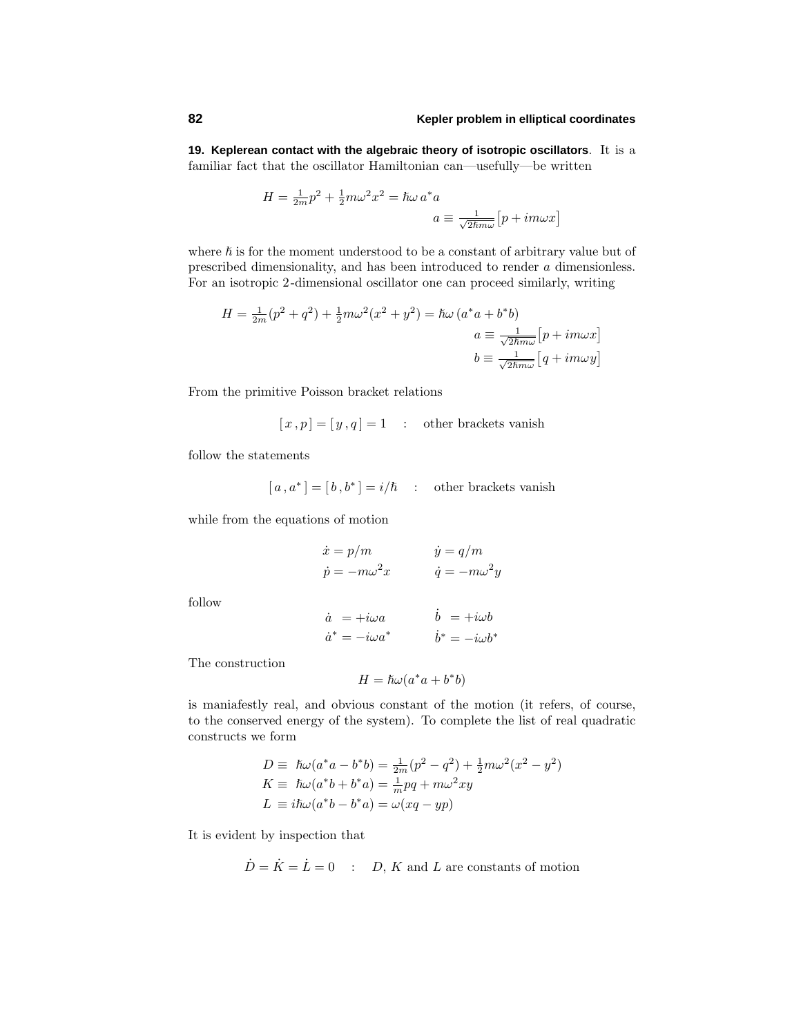**19. Keplerean contact with the algebraic theory of isotropic oscillators**. It is a familiar fact that the oscillator Hamiltonian can—usefully—be written

$$
H = \frac{1}{2m}p^2 + \frac{1}{2}m\omega^2 x^2 = \hbar\omega a^* a
$$
  

$$
a \equiv \frac{1}{\sqrt{2\hbar m\omega}} \left[ p + im\omega x \right]
$$

where  $\hbar$  is for the moment understood to be a constant of arbitrary value but of prescribed dimensionality, and has been introduced to render *a* dimensionless. For an isotropic 2-dimensional oscillator one can proceed similarly, writing

$$
H = \frac{1}{2m}(p^2 + q^2) + \frac{1}{2}m\omega^2(x^2 + y^2) = \hbar\omega (a^*a + b^*b)
$$
  

$$
a \equiv \frac{1}{\sqrt{2\hbar m\omega}}[p + im\omega x]
$$
  

$$
b \equiv \frac{1}{\sqrt{2\hbar m\omega}}[q + im\omega y]
$$

From the primitive Poisson bracket relations

$$
[x,p] = [y,q] = 1 : other brackets vanish
$$

follow the statements

$$
[a, a^*] = [b, b^*] = i/\hbar \quad : \quad \text{other brackets vanish}
$$

while from the equations of motion

$$
\begin{aligned}\n\dot{x} &= p/m & \dot{y} &= q/m \\
\dot{p} &= -m\omega^2 x & \dot{q} &= -m\omega^2 y\n\end{aligned}
$$

follow

$$
\dot{a} = +i\omega a \qquad \dot{b} = +i\omega b
$$

$$
\dot{a}^* = -i\omega a^* \qquad \dot{b}^* = -i\omega b^*
$$

The construction

$$
H = \hbar\omega(a^*a + b^*b)
$$

is maniafestly real, and obvious constant of the motion (it refers, of course, to the conserved energy of the system). To complete the list of real quadratic constructs we form

$$
D \equiv \hbar \omega (a^* a - b^* b) = \frac{1}{2m} (p^2 - q^2) + \frac{1}{2} m \omega^2 (x^2 - y^2)
$$
  
\n
$$
K \equiv \hbar \omega (a^* b + b^* a) = \frac{1}{m} pq + m \omega^2 xy
$$
  
\n
$$
L \equiv i\hbar \omega (a^* b - b^* a) = \omega (xq - yp)
$$

It is evident by inspection that

$$
\dot{D} = \dot{K} = \dot{L} = 0 \quad : \quad D, K \text{ and } L \text{ are constants of motion}
$$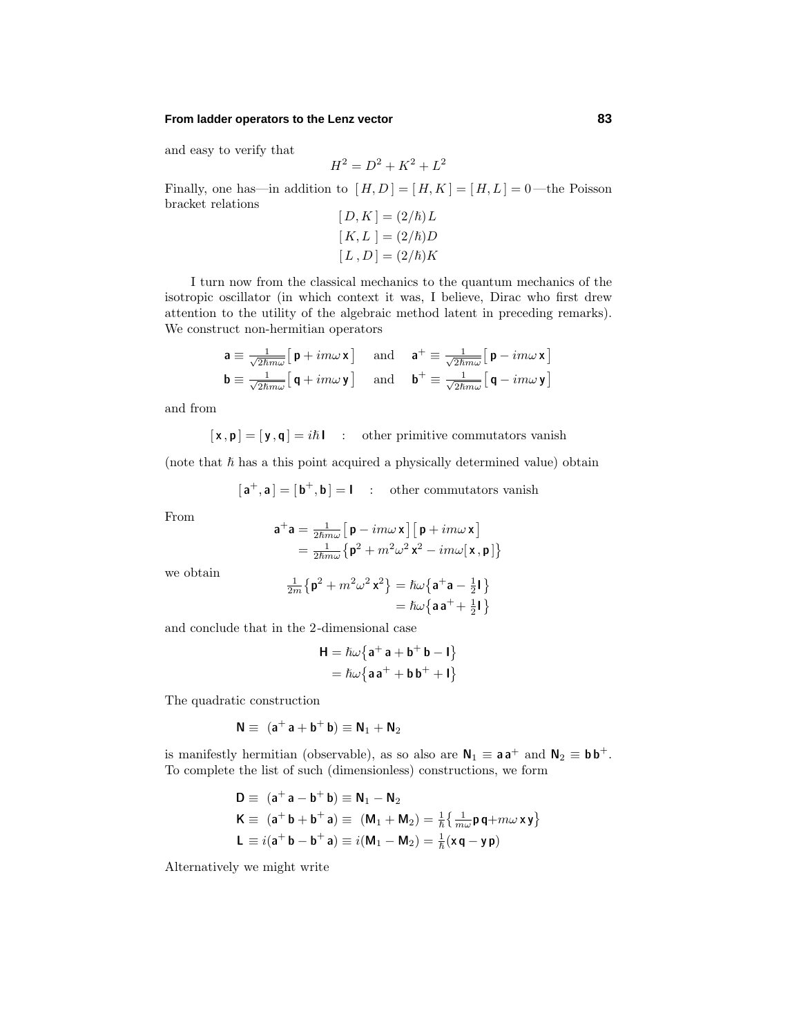# **From ladder operators to the Lenz vector 83**

and easy to verify that

$$
H^2 = D^2 + K^2 + L^2
$$

Finally, one has—in addition to  $[H, D] = [H, K] = [H, L] = 0$ —the Poisson bracket relations  $[D, K]$   $(2/k)$ 

$$
[D, K] = (2/h)L
$$

$$
[K, L] = (2/h)D
$$

$$
[L, D] = (2/h)K
$$

I turn now from the classical mechanics to the quantum mechanics of the isotropic oscillator (in which context it was, I believe, Dirac who first drew attention to the utility of the algebraic method latent in preceding remarks). We construct non-hermitian operators

$$
\mathbf{a} \equiv \frac{1}{\sqrt{2\hbar m \omega}} \big[ \mathbf{p} + i m \omega \mathbf{x} \big] \quad \text{and} \quad \mathbf{a}^+ \equiv \frac{1}{\sqrt{2\hbar m \omega}} \big[ \mathbf{p} - i m \omega \mathbf{x} \big]
$$
  

$$
\mathbf{b} \equiv \frac{1}{\sqrt{2\hbar m \omega}} \big[ \mathbf{q} + i m \omega \mathbf{y} \big] \quad \text{and} \quad \mathbf{b}^+ \equiv \frac{1}{\sqrt{2\hbar m \omega}} \big[ \mathbf{q} - i m \omega \mathbf{y} \big]
$$

and from

 $[\mathbf{x}, \mathbf{p}] = [\mathbf{y}, \mathbf{q}] = i\hbar \mathbf{l}$  : other primitive commutators vanish

(note that  $\hbar$  has a this point acquired a physically determined value) obtain

 $[a^+, a] = [b^+, b] = I$  : other commutators vanish

From

$$
\mathbf{a}^+\mathbf{a} = \frac{1}{2\hbar m\omega} \left[ \mathbf{p} - im\omega \mathbf{x} \right] \left[ \mathbf{p} + im\omega \mathbf{x} \right]
$$

$$
= \frac{1}{2\hbar m\omega} \left\{ \mathbf{p}^2 + m^2 \omega^2 \mathbf{x}^2 - im\omega[\mathbf{x}, \mathbf{p}] \right\}
$$

we obtain

$$
\frac{1}{2m}\left\{\mathbf{p}^2 + m^2\omega^2\,\mathbf{x}^2\right\} = \hbar\omega\left\{\mathbf{a}^+\mathbf{a} - \frac{1}{2}\mathbf{I}\right\} \n= \hbar\omega\left\{\mathbf{a}\,\mathbf{a}^+ + \frac{1}{2}\mathbf{I}\right\}
$$

and conclude that in the 2-dimensional case

$$
\mathsf{H} = \hbar\omega\{\mathsf{a}^+\mathsf{a} + \mathsf{b}^+\mathsf{b} - \mathsf{I}\}
$$

$$
= \hbar\omega\{\mathsf{a}\mathsf{a}^+ + \mathsf{b}\mathsf{b}^+ + \mathsf{I}\}
$$

The quadratic construction

$$
N\equiv\ (a^+ \, a+b^+ \, b)\equiv N_1+N_2
$$

is manifestly hermitian (observable), as so also are  $N_1 \equiv a a^+$  and  $N_2 \equiv b b^+$ . To complete the list of such (dimensionless) constructions, we form

$$
D \equiv (a^+ a - b^+ b) \equiv N_1 - N_2
$$
  
\n
$$
K \equiv (a^+ b + b^+ a) \equiv (M_1 + M_2) = \frac{1}{\hbar} \left\{ \frac{1}{m\omega} p q + m\omega x y \right\}
$$
  
\n
$$
L \equiv i(a^+ b - b^+ a) \equiv i(M_1 - M_2) = \frac{1}{\hbar} (x q - y p)
$$

Alternatively we might write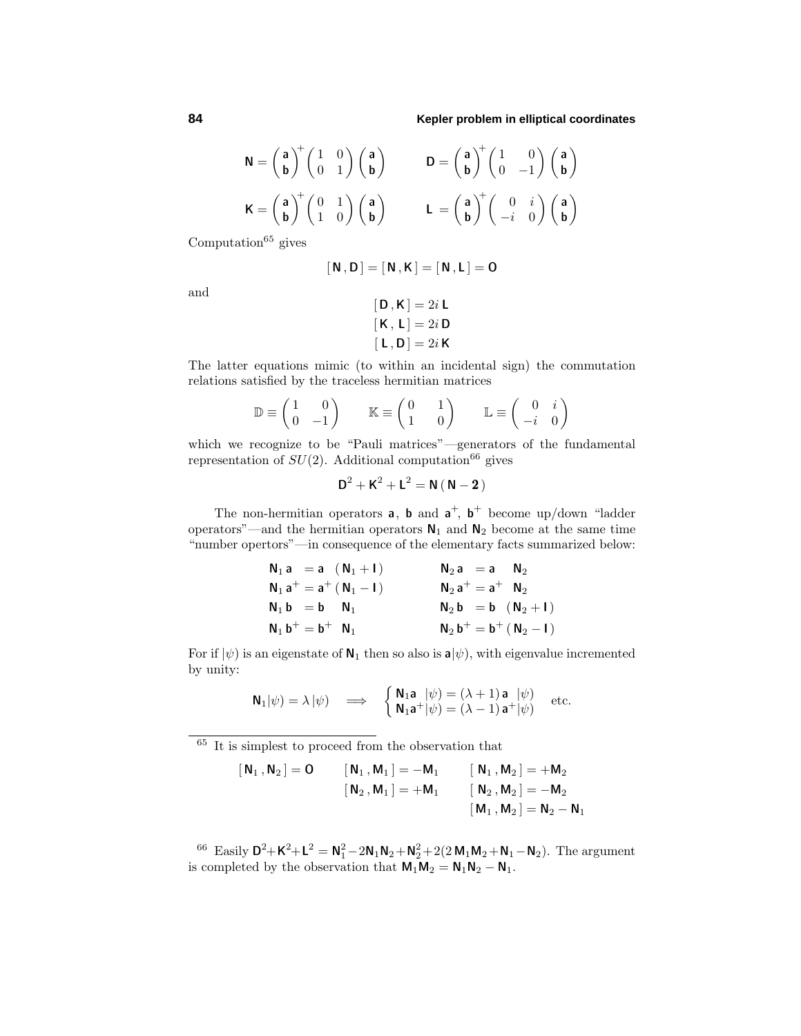$$
\mathbf{N} = \begin{pmatrix} \mathbf{a} \\ \mathbf{b} \end{pmatrix}^+ \begin{pmatrix} 1 & 0 \\ 0 & 1 \end{pmatrix} \begin{pmatrix} \mathbf{a} \\ \mathbf{b} \end{pmatrix} \qquad \mathbf{D} = \begin{pmatrix} \mathbf{a} \\ \mathbf{b} \end{pmatrix}^+ \begin{pmatrix} 1 & 0 \\ 0 & -1 \end{pmatrix} \begin{pmatrix} \mathbf{a} \\ \mathbf{b} \end{pmatrix}
$$

$$
\mathbf{K} = \begin{pmatrix} \mathbf{a} \\ \mathbf{b} \end{pmatrix}^+ \begin{pmatrix} 0 & 1 \\ 1 & 0 \end{pmatrix} \begin{pmatrix} \mathbf{a} \\ \mathbf{b} \end{pmatrix} \qquad \mathbf{L} = \begin{pmatrix} \mathbf{a} \\ \mathbf{b} \end{pmatrix}^+ \begin{pmatrix} 0 & i \\ -i & 0 \end{pmatrix} \begin{pmatrix} \mathbf{a} \\ \mathbf{b} \end{pmatrix}
$$

Computation<sup>65</sup> gives

$$
[N,D]=[N,K]=[N,L]=0
$$

and

$$
[\mathbf{D}, \mathbf{K}] = 2i \mathbf{L}
$$

$$
[\mathbf{K}, \mathbf{L}] = 2i \mathbf{D}
$$

$$
[\mathbf{L}, \mathbf{D}] = 2i \mathbf{K}
$$

The latter equations mimic (to within an incidental sign) the commutation relations satisfied by the traceless hermitian matrices

$$
\mathbb{D} \equiv \begin{pmatrix} 1 & 0 \\ 0 & -1 \end{pmatrix} \qquad \mathbb{K} \equiv \begin{pmatrix} 0 & 1 \\ 1 & 0 \end{pmatrix} \qquad \mathbb{L} \equiv \begin{pmatrix} 0 & i \\ -i & 0 \end{pmatrix}
$$

which we recognize to be "Pauli matrices"—generators of the fundamental representation of  $SU(2)$ . Additional computation<sup>66</sup> gives

$$
\mathsf{D}^2 + \mathsf{K}^2 + \mathsf{L}^2 = \mathsf{N} \left( \mathsf{N} - 2 \right)
$$

The non-hermitian operators **a**, **b** and **a** <sup>+</sup>, **b**<sup>+</sup> become up/down "ladder operators"—and the hermitian operators **N**<sup>1</sup> and **N**<sup>2</sup> become at the same time "number opertors"—in consequence of the elementary facts summarized below:

| $N_1 a$                   | = a $(N_1 + I)$           | $N_2 a$ | = a $N_2$       |
|---------------------------|---------------------------|---------|-----------------|
| $N_1 a^+ = a^+ (N_1 - I)$ | $N_2 a^+ = a^+ N_2$       |         |                 |
| $N_1 b$                   | = b $N_1$                 | $N_2 b$ | = b $(N_2 + I)$ |
| $N_1 b^+ = b^+ N_1$       | $N_2 b^+ = b^+ (N_2 - I)$ |         |                 |

For if  $|\psi\rangle$  is an eigenstate of  $\mathbb{N}_1$  then so also is  $\mathbf{a}|\psi\rangle$ , with eigenvalue incremented by unity:

$$
\mathbf{N}_1|\psi) = \lambda |\psi\rangle \quad \Longrightarrow \quad \begin{cases} \mathbf{N}_1 \mathbf{a} \, |\psi\rangle = (\lambda + 1) \, \mathbf{a} \, |\psi\rangle \\ \mathbf{N}_1 \mathbf{a}^+ |\psi\rangle = (\lambda - 1) \, \mathbf{a}^+ |\psi\rangle \end{cases} \quad \text{etc.}
$$

<sup>65</sup> It is simplest to proceed from the observation that

$$
[\mathbf{N}_1, \mathbf{N}_2] = \mathbf{O} \qquad [\mathbf{N}_1, \mathbf{M}_1] = -\mathbf{M}_1 \qquad [\mathbf{N}_1, \mathbf{M}_2] = +\mathbf{M}_2 [\mathbf{N}_2, \mathbf{M}_1] = +\mathbf{M}_1 \qquad [\mathbf{N}_2, \mathbf{M}_2] = -\mathbf{M}_2 [\mathbf{M}_1, \mathbf{M}_2] = \mathbf{N}_2 - \mathbf{N}_1
$$

 $^{66}$  Easily  $D^2 + K^2 + L^2 = N_1^2 - 2N_1N_2 + N_2^2 + 2(2M_1M_2 + N_1 - N_2)$ . The argument is completed by the observation that  $M_1M_2 = N_1N_2 - N_1$ .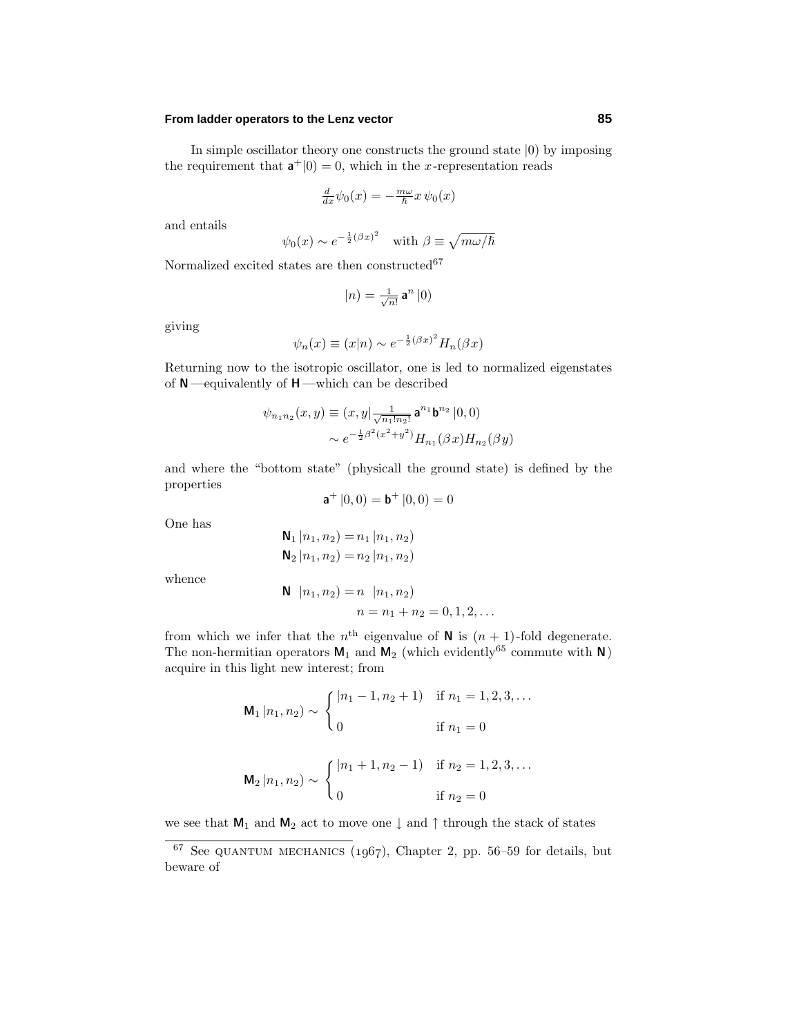# **From ladder operators to the Lenz vector 85**

In simple oscillator theory one constructs the ground state |0) by imposing the requirement that  $\mathbf{a}^+|0\rangle = 0$ , which in the *x*-representation reads

$$
\frac{d}{dx}\psi_0(x) = -\frac{m\omega}{\hbar}x\,\psi_0(x)
$$

and entails

$$
\psi_0(x) \sim e^{-\frac{1}{2}(\beta x)^2}
$$
 with  $\beta \equiv \sqrt{m\omega/\hbar}$ 

Normalized excited states are then constructed  $67$ 

$$
\left|n\right)=\tfrac{1}{\sqrt{n!}}\,\mathbf{a}^{n}\left|0\right)
$$

giving

$$
\psi_n(x) \equiv (x|n) \sim e^{-\frac{1}{2}(\beta x)^2} H_n(\beta x)
$$

Returning now to the isotropic oscillator, one is led to normalized eigenstates of **N** —equivalently of **H** —which can be described

$$
\psi_{n_1 n_2}(x, y) \equiv (x, y | \frac{1}{\sqrt{n_1! n_2!}} \mathbf{a}^{n_1} \mathbf{b}^{n_2} | 0, 0)
$$

$$
\sim e^{-\frac{1}{2}\beta^2 (x^2 + y^2)} H_{n_1}(\beta x) H_{n_2}(\beta y)
$$

and where the "bottom state" (physicall the ground state) is defined by the properties

$$
\mathbf{a}^+ \left| 0, 0 \right) = \mathbf{b}^+ \left| 0, 0 \right) = 0
$$

One has

$$
\mathsf{N}_1 | n_1, n_2) = n_1 | n_1, n_2)
$$
  

$$
\mathsf{N}_2 | n_1, n_2) = n_2 | n_1, n_2)
$$

whence

N 
$$
|n_1, n_2\rangle = n |n_1, n_2\rangle
$$
  
\n $n = n_1 + n_2 = 0, 1, 2, ...$ 

from which we infer that the  $n^{\text{th}}$  eigenvalue of **N** is  $(n + 1)$ -fold degenerate. The non-hermitian operators  $M_1$  and  $M_2$  (which evidently<sup>65</sup> commute with  $N$ ) acquire in this light new interest; from

$$
\mathbf{M}_1 | n_1, n_2 \rangle \sim \begin{cases} |n_1 - 1, n_2 + 1| & \text{if } n_1 = 1, 2, 3, \dots \\ 0 & \text{if } n_1 = 0 \end{cases}
$$

$$
\mathbf{M}_2 | n_1, n_2 \rangle \sim \begin{cases} |n_1 + 1, n_2 - 1| & \text{if } n_2 = 1, 2, 3, \dots \\ 0 & \text{if } n_2 = 0 \end{cases}
$$

we see that  $\mathsf{M}_1$  and  $\mathsf{M}_2$  act to move one  $\downarrow$  and  $\uparrow$  through the stack of states

 $67$  See QUANTUM MECHANICS (1967), Chapter 2, pp. 56–59 for details, but beware of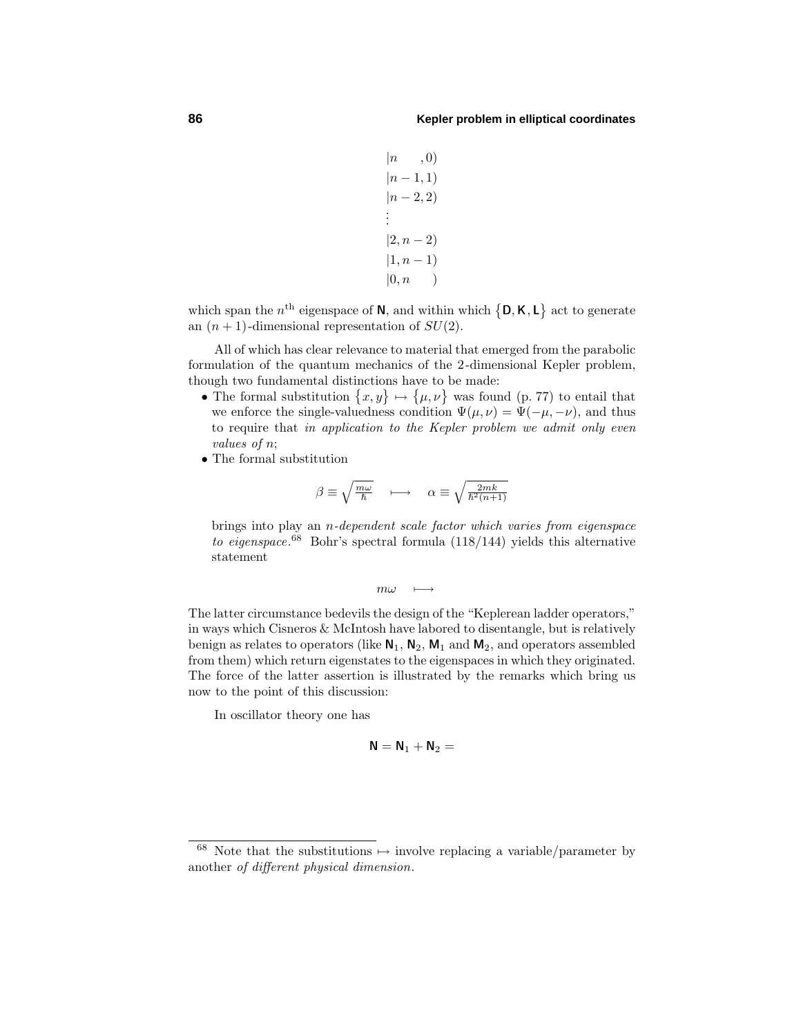```
|n \quad ,0)|n − 1, 1)
|n-2, 2).
.
.
|2, n - 2\rangle|1, n − 1)
|0, n \rangle
```
which span the  $n^{\text{th}}$  eigenspace of **N**, and within which  $\{D, K, L\}$  act to generate an  $(n + 1)$ -dimensional representation of  $SU(2)$ .

All of which has clear relevance to material that emerged from the parabolic formulation of the quantum mechanics of the 2-dimensional Kepler problem, though two fundamental distinctions have to be made:

- The formal substitution  $\{x, y\} \mapsto \{\mu, \nu\}$  was found (p. 77) to entail that we enforce the single-valuedness condition  $\Psi(\mu, \nu) = \Psi(-\mu, -\nu)$ , and thus to require that in application to the Kepler problem we admit only even values of *n*;
- The formal substitution

$$
\beta \equiv \sqrt{\frac{m\omega}{\hbar}} \quad \longmapsto \quad \alpha \equiv \sqrt{\frac{2mk}{\hbar^2(n+1)}}
$$

brings into play an *n*-dependent scale factor which varies from eigenspace to eigenspace.<sup>68</sup> Bohr's spectral formula (118/144) yields this alternative statement

$$
m\omega\quad \longmapsto\quad
$$

The latter circumstance bedevils the design of the "Keplerean ladder operators," in ways which Cisneros & McIntosh have labored to disentangle, but is relatively benign as relates to operators (like  $N_1$ ,  $N_2$ ,  $M_1$  and  $M_2$ , and operators assembled from them) which return eigenstates to the eigenspaces in which they originated. The force of the latter assertion is illustrated by the remarks which bring us now to the point of this discussion:

In oscillator theory one has

$$
\mathbf{N} = \mathbf{N}_1 + \mathbf{N}_2 =
$$

<sup>&</sup>lt;sup>68</sup> Note that the substitutions  $\mapsto$  involve replacing a variable/parameter by another of different physical dimension.